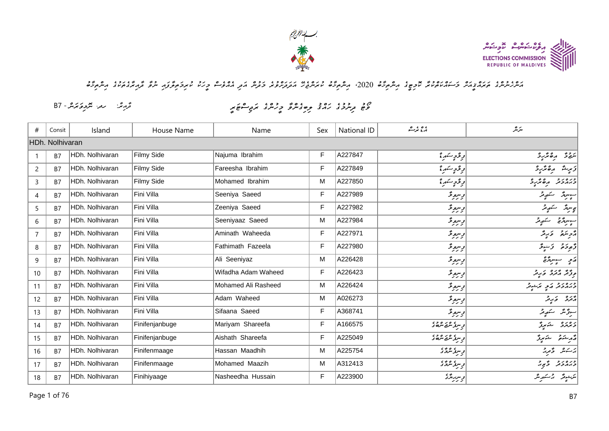



## *q9nOoAw7o<sCq;mAsCn8o<n@n=q7o<m?nBoAm>o8q;q;m5p>wEs=w<s<o@m<w7q@m>s8q=w6m@m@m<t5sKw7m8q;q9nOoAw7o<22020q9nOoAw7o<sCpHo>u;n8q;wAm;w<mEm>w6m<pYw<m8mAsCw7q7s5w7m<*

B7 - *cnwrwviLon .dh n8o<n@ p8mHwEoKm8sCw7q5p>n=w7sCo9oBqYw<m5sCq>q7o@qHv=*

| #              | Consit          | Island          | House Name     | Name                | Sex | National ID | پره پر ه                            | ىئرىتر                                                    |
|----------------|-----------------|-----------------|----------------|---------------------|-----|-------------|-------------------------------------|-----------------------------------------------------------|
|                | HDh. Nolhivaran |                 |                |                     |     |             |                                     |                                                           |
|                | <b>B7</b>       | HDh. Nolhivaran | Filmy Side     | Najuma Ibrahim      | F.  | A227847     | وعجويسكره                           | ەھ ئۈرۈ<br>  سَرْةٍ رَّ                                   |
| $\overline{2}$ | B7              | HDh. Nolhivaran | Filmy Side     | Fareesha Ibrahim    | F.  | A227849     | و څوچ سنهږ؟                         | تؤسيسةً<br>ەھ ئۈرۈ                                        |
| 3              | B7              | HDh. Nolhivaran | Filmy Side     | Mohamed Ibrahim     | М   | A227850     | و ژو په شور ؟                       | ەھ ئۈرۈ<br>  <i>د بر ه ب</i> ر و<br>  <i>د بر ډ</i> رو تر |
| 4              | B7              | HDh. Nolhivaran | Fini Villa     | Seeniya Saeed       | F.  | A227989     | و سرە ئ <sup>ۇ</sup>                | سوسرتر<br>ستهر قر                                         |
| 5              | B7              | HDh. Nolhivaran | Fini Villa     | Zeeniya Saeed       | F   | A227982     | و سرە قر<br>س                       | ا <sub>مچ</sub> سرهٔ سکھی <sup>و</sup> ر                  |
| 6              | B7              | HDh. Nolhivaran | Fini Villa     | Seeniyaaz Saeed     | M   | A227984     | و سرە قر<br>س                       | <br>  سوسردینی<br>  سو<br>ستهيقر                          |
|                | B7              | HDh. Nolhivaran | Fini Villa     | Aminath Waheeda     | F.  | A227971     | و سره څه<br>نر بر                   | أرمح يتكمج وتحريقه                                        |
| 8              | B7              | HDh. Nolhivaran | Fini Villa     | Fathimath Fazeela   | F.  | A227980     | و سر <sub>حر</sub> محّر<br>تر بر بر | أزُّهِ وَمَعْ - وَسَبِعْهِ                                |
| 9              | <b>B7</b>       | HDh. Nolhivaran | Fini Villa     | Ali Seeniyaz        | м   | A226428     | و سرە قر<br>س                       | أرشح المستوسيق                                            |
| 10             | B7              | HDh. Nolhivaran | Fini Villa     | Wifadha Adam Waheed | F.  | A226423     | و سر <sub>حر</sub> محّر<br>تر بر بر | وِرْتَرَ مُنَزَرٌ وَرِيْرٌ                                |
| 11             | B7              | HDh. Nolhivaran | Fini Villa     | Mohamed Ali Rasheed | М   | A226424     | و سر <sub>حر</sub> محّر             | وره رو ړی پرېدوژ                                          |
| 12             | <b>B7</b>       | HDh. Nolhivaran | Fini Villa     | Adam Waheed         | м   | A026273     | و سرە قر<br>س                       | پژنرو کاریگر                                              |
| 13             | B7              | HDh. Nolhivaran | Fini Villa     | Sifaana Saeed       | F   | A368741     | او سره څه<br>نر نړ                  | سوژنگر   سکھیے قد                                         |
| 14             | B7              | HDh. Nolhivaran | Finifenjanbuge | Mariyam Shareefa    | F.  | A166575     | ار سر شره شده د                     | دەرە شېرۇ                                                 |
| 15             | B7              | HDh. Nolhivaran | Finifenjanbuge | Aishath Shareefa    | F.  | A225049     | و سوتی شرح شرح د                    | قەربىشىقى سىكىپىرتى                                       |
| 16             | B7              | HDh. Nolhivaran | Finifenmaage   | Hassan Maadhih      | м   | A225754     | اربىدۇروقىي                         | پرستمبر    قرمز                                           |
| 17             | B7              | HDh. Nolhivaran | Finifenmaage   | Mohamed Maazih      | м   | A312413     | و بىرۇ ئىر <sub>گە</sub> ئ          | ورەرو ئەر                                                 |
| 18             | <b>B7</b>       | HDh. Nolhivaran | Finihiyaage    | Nasheedha Hussain   | F.  | A223900     | و سربر پژی<br>تر بر بر              | سَرَجيهُ مِنْ سَنَ مَرِ سُرُ                              |
|                |                 |                 |                |                     |     |             |                                     |                                                           |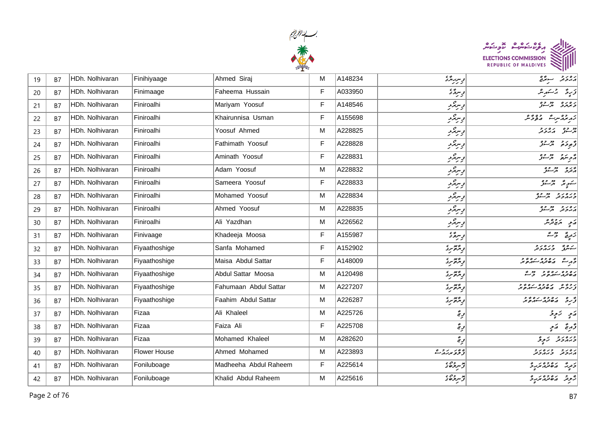



| 19 | <b>B7</b> | HDh. Nolhivaran | Finihiyaage         | Ahmed Siraj           | М | A148234 | و سربر پر <sup>ی</sup><br>تر بر بر     | پروتر سوترقی                                       |
|----|-----------|-----------------|---------------------|-----------------------|---|---------|----------------------------------------|----------------------------------------------------|
| 20 | B7        | HDh. Nolhivaran | Finimaage           | Faheema Hussain       | F | A033950 | وسرده<br>زیر                           | تزیای پارچه چیکسرینل                               |
| 21 | B7        | HDh. Nolhivaran | Finiroalhi          | Mariyam Yoosuf        | F | A148546 | و سر پژو                               | دد بره<br>در سور<br>ر ه ر ه<br><del>د</del> بر د ژ |
| 22 | <b>B7</b> | HDh. Nolhivaran | Finiroalhi          | Khairunnisa Usman     | F | A155698 | و سر پژو                               | تەرىر چەسرىگ<br>و و بو مر<br>مرغ د ش               |
| 23 | B7        | HDh. Nolhivaran | Finiroalhi          | Yoosuf Ahmed          | M | A228825 | و سر پژو                               | מ כם גם גב<br>ת—נצ                                 |
| 24 | B7        | HDh. Nolhivaran | Finiroalhi          | Fathimath Yoosuf      | F | A228828 | و سر پژو                               | تو پر چو پی دو وو                                  |
| 25 | B7        | HDh. Nolhivaran | Finiroalhi          | Aminath Yoosuf        | F | A228831 | و سرچر <sub>مو</sub>                   | رمز پر د<br>دد حرو                                 |
| 26 | B7        | HDh. Nolhivaran | Finiroalhi          | Adam Yoosuf           | Μ | A228832 | و سر ټر د                              | پره دو ده<br>مرکز مرسو                             |
| 27 | B7        | HDh. Nolhivaran | Finiroalhi          | Sameera Yoosuf        | F | A228833 | و سر پژو                               | دد حرو<br>مرت<br>سكوپتر                            |
| 28 | B7        | HDh. Nolhivaran | Finiroalhi          | Mohamed Yoosuf        | М | A228834 | وسرچر <sub>ىر</sub>                    | כנסנכ ככם<br>כגונכה וק                             |
| 29 | B7        | HDh. Nolhivaran | Finiroalhi          | Ahmed Yoosuf          | М | A228835 | و سر پژو<br>تر سر                      | دد حيدو<br>برە يە تە                               |
| 30 | B7        | HDh. Nolhivaran | Finiroalhi          | Ali Yazdhan           | М | A226562 | و سر پژو<br>تر سر                      | دَمِي مَرَج مَرَّسْ                                |
| 31 | B7        | HDh. Nolhivaran | Finivaage           | Khadeeja Moosa        | F | A155987 | و سرچ <sup>ي</sup>                     | زَمِرِةٌ رَّ"ــَّ                                  |
| 32 | B7        | HDh. Nolhivaran | Fiyaathoshige       | Sanfa Mohamed         | F | A152902 | وپڑ پر ،                               | سەھەر بەربەر بەر                                   |
| 33 | <b>B7</b> | HDh. Nolhivaran | Fiyaathoshige       | Maisa Abdul Sattar    | F | A148009 | و پژ <sub>یخ مری</sub>                 | ره وه ره د و<br>پره ترو سوړنو پر<br>ر پر گ         |
| 34 | <b>B7</b> | HDh. Nolhivaran | Fiyaathoshige       | Abdul Sattar Moosa    | M | A120498 | و پیو په<br>په تره مړي                 | נים כם ניסובים וחדשי<br>הסינה היה מונים ב          |
| 35 | B7        | HDh. Nolhivaran | Fiyaathoshige       | Fahumaan Abdul Sattar | М | A227207 | و پژنیو ر <sup>ی</sup><br>تر پژنیو سرچ | ر ٥ ۶ ٥ ٥ ٠ ٥ ٠<br>پرې توپر شهرې تر<br>ۇ ئر ئە ش   |
| 36 | B7        | HDh. Nolhivaran | Fiyaathoshige       | Faahim Abdul Sattar   | М | A226287 | و پژنیو ر <sup>ی</sup>                 | و ده ده ده ده د و                                  |
| 37 | B7        | HDh. Nolhivaran | Fizaa               | Ali Khaleel           | М | A225726 | وِجٌ                                   | ړی زیږ                                             |
| 38 | B7        | HDh. Nolhivaran | Fizaa               | Faiza Ali             | F | A225708 | وتج                                    | قرمرچ   سَمِج                                      |
| 39 | B7        | HDh. Nolhivaran | Fizaa               | Mohamed Khaleel       | М | A282620 | ويح                                    | ورەرو زىرو                                         |
| 40 | B7        | HDh. Nolhivaran | <b>Flower House</b> | Ahmed Mohamed         | M | A223893 | ە ئەر بەر بەر<br>ئوغرى <i>بىرىدا</i> پ | גפניק כנסניק<br>הגבה כגהכה                         |
| 41 | B7        | HDh. Nolhivaran | Foniluboage         | Madheeha Abdul Raheem | F | A225614 | پر بروه و.<br>ژمېرپوړه                 | دَبِرِيَّة مەھىرمەترىپەد                           |
| 42 | <b>B7</b> | HDh. Nolhivaran | Foniluboage         | Khalid Abdul Raheem   | М | A225616 | پو <sub>سرچ</sub> ې<br> زسرچر <i>ه</i> | تحوفر مەھىرمىر                                     |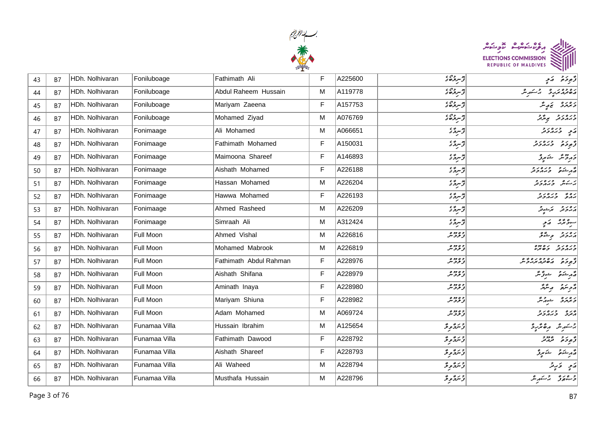



| 43 | B7        | HDh. Nolhivaran | Foniluboage   | Fathimath Ali          | $\mathsf F$ | A225600 | پر بروم ،<br>ژمړنژه د            | توجوحتم الأمج                                                                                                                                                                                                                                                                                                       |
|----|-----------|-----------------|---------------|------------------------|-------------|---------|----------------------------------|---------------------------------------------------------------------------------------------------------------------------------------------------------------------------------------------------------------------------------------------------------------------------------------------------------------------|
| 44 | <b>B7</b> | HDh. Nolhivaran | Foniluboage   | Abdul Raheem Hussain   | М           | A119778 | ېو په ده <sup>ي</sup>            | رەدە ئەبرو برىكىرىش                                                                                                                                                                                                                                                                                                 |
| 45 | B7        | HDh. Nolhivaran | Foniluboage   | Mariyam Zaeena         | F           | A157753 | تژسرچرچ ء                        | د ۱۳ په مخم په مگر                                                                                                                                                                                                                                                                                                  |
| 46 | <b>B7</b> | HDh. Nolhivaran | Foniluboage   | Mohamed Ziyad          | М           | A076769 | پر سرچ ۽<br>تر سرچ <i>ھ</i> ئ    | ورور و پروژ                                                                                                                                                                                                                                                                                                         |
| 47 | B7        | HDh. Nolhivaran | Fonimaage     | Ali Mohamed            | М           | A066651 | بر<br>تر سرچ <sub>ک</sub>        | أقسم وبره رو                                                                                                                                                                                                                                                                                                        |
| 48 | B7        | HDh. Nolhivaran | Fonimaage     | Fathimath Mohamed      | F           | A150031 | پر سرچ <sub>ک</sub>              | وحدة وبرورد                                                                                                                                                                                                                                                                                                         |
| 49 | B7        | HDh. Nolhivaran | Fonimaage     | Maimoona Shareef       | F           | A146893 | ترسرچ <sup>ی</sup>               | دَبرِ دَمِيرُ مَسَيِّرٍ                                                                                                                                                                                                                                                                                             |
| 50 | <b>B7</b> | HDh. Nolhivaran | Fonimaage     | Aishath Mohamed        | F           | A226188 | ترسر پرې<br> ترسرچنۍ             | أشهر شده دره در                                                                                                                                                                                                                                                                                                     |
| 51 | B7        | HDh. Nolhivaran | Fonimaage     | Hassan Mohamed         | М           | A226204 | زمېردى                           | يز شهر المحدد ورو                                                                                                                                                                                                                                                                                                   |
| 52 | B7        | HDh. Nolhivaran | Fonimaage     | Hawwa Mohamed          | F           | A226193 | بد<br>ترسرچری                    | ره وره دو                                                                                                                                                                                                                                                                                                           |
| 53 | B7        | HDh. Nolhivaran | Fonimaage     | Ahmed Rasheed          | М           | A226209 | بېر په په<br>تر سرچ <sub>ک</sub> | ره رو بر منور<br>دبرونر بر من                                                                                                                                                                                                                                                                                       |
| 54 | B7        | HDh. Nolhivaran | Fonimaage     | Simraah Ali            | М           | A312424 | ېو سرچ <sup>ي</sup>              | $\frac{1}{2}$ $\frac{1}{2}$ $\frac{1}{2}$ $\frac{1}{2}$ $\frac{1}{2}$ $\frac{1}{2}$ $\frac{1}{2}$ $\frac{1}{2}$ $\frac{1}{2}$ $\frac{1}{2}$ $\frac{1}{2}$ $\frac{1}{2}$ $\frac{1}{2}$ $\frac{1}{2}$ $\frac{1}{2}$ $\frac{1}{2}$ $\frac{1}{2}$ $\frac{1}{2}$ $\frac{1}{2}$ $\frac{1}{2}$ $\frac{1}{2}$ $\frac{1}{2}$ |
| 55 | B7        | HDh. Nolhivaran | Full Moon     | Ahmed Vishal           | М           | A226816 | د ه دد ه<br>نو پر ش              | أرور ويقو                                                                                                                                                                                                                                                                                                           |
| 56 | <b>B7</b> | HDh. Nolhivaran | Full Moon     | Mohamed Mabrook        | М           | A226819 | د ه دد ه<br>نو پر ش              | כנסנכ נסמם<br>כגובנו כסמט                                                                                                                                                                                                                                                                                           |
| 57 | B7        | HDh. Nolhivaran | Full Moon     | Fathimath Abdul Rahman | F           | A228976 | د ه دد ه<br>نو مرد مګ            | انج د د ده ده ده م                                                                                                                                                                                                                                                                                                  |
| 58 | <b>B7</b> | HDh. Nolhivaran | Full Moon     | Aishath Shifana        | F           | A228979 | د ه دد ه<br>ز مرد س              | مەر ھەتقى ئىسىر قىسىگە                                                                                                                                                                                                                                                                                              |
| 59 | <b>B7</b> | HDh. Nolhivaran | Full Moon     | Aminath Inaya          | F           | A228980 | د ه دد ه<br>نو پر ش              | أأزجر سقرة                                                                                                                                                                                                                                                                                                          |
| 60 | B7        | HDh. Nolhivaran | Full Moon     | Mariyam Shiuna         | F           | A228982 | د ه دوم<br>نو پر شر              | شەرگە ئىگر<br>  ئە ئەرە                                                                                                                                                                                                                                                                                             |
| 61 | <b>B7</b> | HDh. Nolhivaran | Full Moon     | Adam Mohamed           | М           | A069724 | و و دو ه                         | أثروه ورورو                                                                                                                                                                                                                                                                                                         |
| 62 | B7        | HDh. Nolhivaran | Funamaa Villa | Hussain Ibrahim        | М           | A125654 | ۇ ئىرگە ئو گ                     | برسمر شهره بره تزبرد                                                                                                                                                                                                                                                                                                |
| 63 | <b>B7</b> | HDh. Nolhivaran | Funamaa Villa | Fathimath Dawood       | F           | A228792 | ۇ ئىرقە بۇ                       | أوَّجِ وَحَمَّدَ الرَّحْمَدُ لَهِ ا                                                                                                                                                                                                                                                                                 |
| 64 | B7        | HDh. Nolhivaran | Funamaa Villa | Aishath Shareef        | F           | A228793 | ۇ ئىرگە ئوگ                      | ە ئەيدىكە ھەمدىر                                                                                                                                                                                                                                                                                                    |
| 65 | <b>B7</b> | HDh. Nolhivaran | Funamaa Villa | Ali Waheed             | М           | A228794 | ۇ ئىرگە ئوق                      | أرشح أترسمه                                                                                                                                                                                                                                                                                                         |
| 66 | <b>B7</b> | HDh. Nolhivaran | Funamaa Villa | Musthafa Hussain       | M           | A228796 | ۇ ئىرگە ئوق                      | د ورو پر شهر ش                                                                                                                                                                                                                                                                                                      |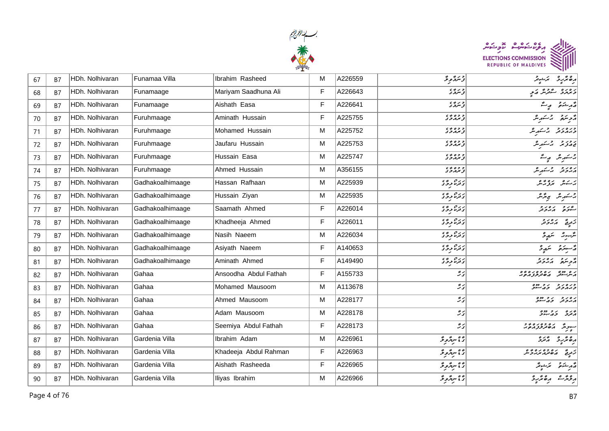



| 67 | <b>B7</b> | HDh. Nolhivaran | Funamaa Villa    | Ibrahim Rasheed       | м  | A226559 | ۇ ئىرقە بۇ                                | رە ئرىر ئىن ئىشى                                        |
|----|-----------|-----------------|------------------|-----------------------|----|---------|-------------------------------------------|---------------------------------------------------------|
| 68 | <b>B7</b> | HDh. Nolhivaran | Funamaage        | Mariyam Saadhuna Ali  | F. | A226643 | د ره ،<br>توسرچ د                         | . 2010 פינית הב                                         |
| 69 | <b>B7</b> | HDh. Nolhivaran | Funamaage        | Aishath Easa          | F. | A226641 | د برو ،<br>نو مرگز <sub>ک</sub>           | قرم شكرة المحمد المحمد                                  |
| 70 | <b>B7</b> | HDh. Nolhivaran | Furuhmaage       | Aminath Hussain       | F. | A225755 | و وه پو ،<br>تو بوړو د                    | مەر ئىكتى بار ئىكتىرىش                                  |
| 71 | <b>B7</b> | HDh. Nolhivaran | Furuhmaage       | Mohamed Hussain       | М  | A225752 | د ده و د<br>ز مرد ژ د                     | ورەرو ئەسكەش                                            |
| 72 | <b>B7</b> | HDh. Nolhivaran | Furuhmaage       | Jaufaru Hussain       | М  | A225753 | و وه پر پر<br>تو <i>بو پر</i> پر پ        | قەرىر بەسىرىد                                           |
| 73 | <b>B7</b> | HDh. Nolhivaran | Furuhmaage       | Hussain Easa          | м  | A225747 | و وه پر پر<br>تو <i>بو پر څ</i> ی         | يزڪريش پاڪ                                              |
| 74 | <b>B7</b> | HDh. Nolhivaran | Furuhmaage       | Ahmed Hussain         | М  | A356155 | و وه پو ،<br>تو <i>پور</i> و <sub>ک</sub> | رەرو ئەسىرىگ                                            |
| 75 | <b>B7</b> | HDh. Nolhivaran | Gadhakoalhimaage | Hassan Rafhaan        | M  | A225939 | ر رە رە بە ئ<br>ئەقرىم بورى               | ىز سەش ئىرۇ ئەنگە                                       |
| 76 | <b>B7</b> | HDh. Nolhivaran | Gadhakoalhimaage | Hussain Ziyan         | М  | A225935 | ئەنزىر ئەچ ئە                             | برستنز عن برائد                                         |
| 77 | <b>B7</b> | HDh. Nolhivaran | Gadhakoalhimaage | Saamath Ahmed         | F. | A226014 | ئەنزىر ئەيج                               | شوره پرور و                                             |
| 78 | <b>B7</b> | HDh. Nolhivaran | Gadhakoalhimaage | Khadheeja Ahmed       | F. | A226011 | ر ره رو و<br>د تدر د څ                    | زَمْرِيحٌ     دُبرڅتر                                   |
| 79 | <b>B7</b> | HDh. Nolhivaran | Gadhakoalhimaage | Nasih Naeem           | M  | A226034 | ئەنزىر ئەچ ئى                             | لترجير التركي                                           |
| 80 | <b>B7</b> | HDh. Nolhivaran | Gadhakoalhimaage | Asiyath Naeem         | F. | A140653 | ر رە رە دې<br>ئىقرىم بروگى                | ويستركم التمديد                                         |
| 81 | <b>B7</b> | HDh. Nolhivaran | Gadhakoalhimaage | Aminath Ahmed         | F. | A149490 | ئەنزىر ئەچ ئە                             | وويترة والمدوفر                                         |
| 82 | <b>B7</b> | HDh. Nolhivaran | Gahaa            | Ansoodha Abdul Fathah | F. | A155733 | ىرچ                                       | ر ٥ <i>٥ ٥ ٥ ٥ ٥</i><br>پر ۰ ۵ تر <del>۶</del> رقم و بر |
| 83 | <b>B7</b> | HDh. Nolhivaran | Gahaa            | Mohamed Mausoom       | М  | A113678 | ىرمى                                      | כנסנכ נכסים                                             |
| 84 | <b>B7</b> | HDh. Nolhivaran | Gahaa            | Ahmed Mausoom         | M  | A228177 | ىرمى                                      | بر ه بر د<br>م <i>ر</i> بر <del>د</del> تر              |
| 85 | <b>B7</b> | HDh. Nolhivaran | Gahaa            | Adam Mausoom          | М  | A228178 | ىرمى                                      | כנים נדפים<br>הבנים בה-ייכ                              |
| 86 | <b>B7</b> | HDh. Nolhivaran | Gahaa            | Seemiya Abdul Fathah  | F  | A228173 | ىرمى                                      | - 1010701<br>- 10137001                                 |
| 87 | <b>B7</b> | HDh. Nolhivaran | Gardenia Villa   | Ibrahim Adam          | М  | A226961 | ومع سرمز <sub> حر</sub> محه               | دە ئۆر ئەندە                                            |
| 88 | <b>B7</b> | HDh. Nolhivaran | Gardenia Villa   | Khadeeja Abdul Rahman | F. | A226963 | و و سرمر موته<br>د ۱                      | زَمْرِيحَ رەدەرەپرە                                     |
| 89 | <b>B7</b> | HDh. Nolhivaran | Gardenia Villa   | Aishath Rasheeda      | F. | A226965 | ڈ؟ سرمزّعر قر                             | لأربحكم الكرجوند                                        |
| 90 | <b>B7</b> | HDh. Nolhivaran | Gardenia Villa   | Iliyas Ibrahim        | м  | A226966 | و و سرمر موته<br>مسرمر موت                | ړ د پر ه پر پر د                                        |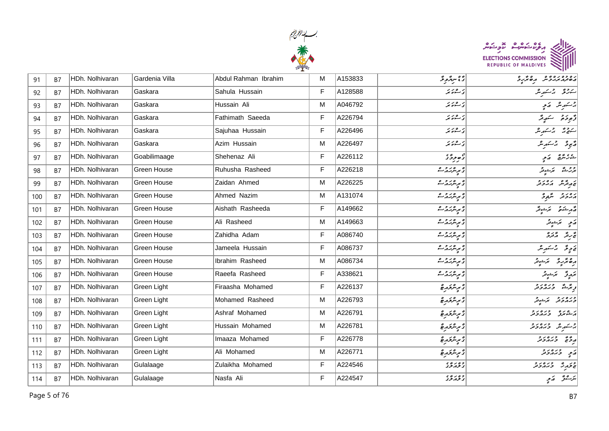



| 91  | B7        | HDh. Nolhivaran | Gardenia Villa | Abdul Rahman Ibrahim | M | A153833 | و و سرمر موته<br>مسرمر موت                                     | رەدەرەپرى رەپرە                                         |
|-----|-----------|-----------------|----------------|----------------------|---|---------|----------------------------------------------------------------|---------------------------------------------------------|
| 92  | B7        | HDh. Nolhivaran | Gaskara        | Sahula Hussain       | F | A128588 | ر 2 مئ <b>ر</b><br>ئەسىمىيە ئىر                                | سترفى برستهرش                                           |
| 93  | B7        | HDh. Nolhivaran | Gaskara        | Hussain Ali          | М | A046792 | ىر <u>م</u> ىمىدىكە                                            | چرىسى كەبچ                                              |
| 94  | B7        | HDh. Nolhivaran | Gaskara        | Fathimath Saeeda     | F | A226794 | ى سەئەتىر                                                      | ژُهِ دَمَ دَمَ سَمَ مِرْ مَرْ                           |
| 95  | B7        | HDh. Nolhivaran | Gaskara        | Sajuhaa Hussain      | F | A226496 | ر <u>م</u> ریز بر                                              | سكافي في المركبير مثل                                   |
| 96  | <b>B7</b> | HDh. Nolhivaran | Gaskara        | Azim Hussain         | М | A226497 | ر 2،2 ئە                                                       | أوتبي فالمتستريش                                        |
| 97  | B7        | HDh. Nolhivaran | Goabilimaage   | Shehenaz Ali         | F | A226112 | ه<br>د حوڅ د                                                   | لیمرینی کمی                                             |
| 98  | B7        | HDh. Nolhivaran | Green House    | Ruhusha Rasheed      | F | A226218 | <sub>می می</sub> ر پر چرم<br>  <sub>می</sub> میر <i>سر چرم</i> |                                                         |
| 99  | B7        | HDh. Nolhivaran | Green House    | Zaidan Ahmed         | м | A226225 | ە بەي <i>رىر بى</i> ر                                          | בֹתְבֹּת הַמְכִב                                        |
| 100 | B7        | HDh. Nolhivaran | Green House    | Ahmed Nazim          | М | A131074 | ە بەي <i>رىر بەر</i> م                                         | رەرد ئىرو                                               |
| 101 | B7        | HDh. Nolhivaran | Green House    | Aishath Rasheeda     | F | A149662 | ە بەيەر <i>جە</i> ر                                            | رومشكاتها المتركب وتكر                                  |
| 102 | B7        | HDh. Nolhivaran | Green House    | Ali Rasheed          | М | A149663 | ە <sub>مو</sub> يۇرى <sub>م</sub> مە                           | رَمِي سَمَسْمِعْرُ                                      |
| 103 | B7        | HDh. Nolhivaran | Green House    | Zahidha Adam         | F | A086740 | ە بىر بىر <i>بەر 2</i>                                         | يحرقه ومحرو                                             |
| 104 | B7        | HDh. Nolhivaran | Green House    | Jameela Hussain      | F | A086737 | ە بەيەر <i>جە</i> ر                                            | فأولج المرشر للمرش                                      |
| 105 | <b>B7</b> | HDh. Nolhivaran | Green House    | Ibrahim Rasheed      | M | A086734 | ە بېرى <i>رىر قى</i> ش                                         | رەنزىر ترىنوتر                                          |
| 106 | B7        | HDh. Nolhivaran | Green House    | Raeefa Rasheed       | F | A338621 | اء بی <sub>ر</sub> شرکته شد.<br>ا <sub>ندیب</sub> شرکته ر      | يَدَيرِ وَ" - يَدَشِيشُ                                 |
| 107 | B7        | HDh. Nolhivaran | Green Light    | Firaasha Mohamed     | F | A226137 | ۇ <sub>مو</sub> شرىخەر ق <sub>ا</sub>                          | و رە ر د<br><i>د بە</i> پەر<br> وِ بَدَّثَہُ            |
| 108 | B7        | HDh. Nolhivaran | Green Light    | Mohamed Rasheed      | М | A226793 | <i>و بېرىترىخور</i> غ                                          | <br> وبرود برشوتر                                       |
| 109 | B7        | HDh. Nolhivaran | Green Light    | Ashraf Mohamed       | М | A226791 | ۇ <sub>مو</sub> شرىخەر ق <mark>و</mark>                        | ر وره در وردد<br>پرشوبرو وبرپروتر                       |
| 110 | B7        | HDh. Nolhivaran | Green Light    | Hussain Mohamed      | M | A226781 | <i>و <sub>مر</sub> بر بر کر</i> یج                             | جر شهر سر جر جر در د                                    |
| 111 | <b>B7</b> | HDh. Nolhivaran | Green Light    | Imaaza Mohamed       | F | A226778 | ۇ <sub>مو</sub> شرىخەر ق <mark>ە</mark>                        | د ده دره د د                                            |
| 112 | B7        | HDh. Nolhivaran | Green Light    | Ali Mohamed          | М | A226771 | <i>و بېرىترىخو</i> رغ                                          | د دره د د                                               |
| 113 | B7        | HDh. Nolhivaran | Gulalaage      | Zulaikha Mohamed     | F | A224546 | و ه بر پر پر<br>پر بحري                                        | و ره ر د<br><i>د ب</i> رگرفر<br>چ ئخرەر <sup>ى</sup> تە |
| 114 | <b>B7</b> | HDh. Nolhivaran | Gulalaage      | Nasfa Ali            | F | A224547 | و ه بر پر پر<br>پر بحري                                        | برّر معمّر الأمر                                        |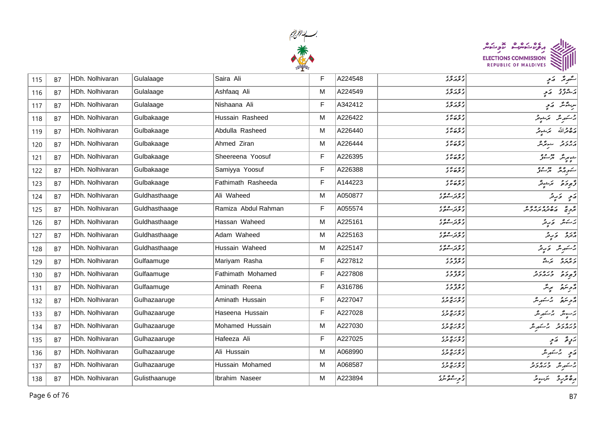



| 115 | <b>B7</b> | HDh. Nolhivaran | Gulalaage     | Saira Ali           | F | A224548 | و ه بر پر پر<br>پر بحري                    | شمرش كمنع                                    |
|-----|-----------|-----------------|---------------|---------------------|---|---------|--------------------------------------------|----------------------------------------------|
| 116 | B7        | HDh. Nolhivaran | Gulalaage     | Ashfaaq Ali         | М | A224549 | و ه بر پر پر<br>بر محرکو بر                | پر ۵۰۰۰ تو تو<br>رزمو                        |
| 117 | B7        | HDh. Nolhivaran | Gulalaage     | Nishaana Ali        | F | A342412 | و ه بر پر پر<br>بر محرکو بر                | سرڪ سگر ۾ کرمي                               |
| 118 | <b>B7</b> | HDh. Nolhivaran | Gulbakaage    | Hussain Rasheed     | М | A226422 | و ه ر پر پر<br>د نوځه تر د                 | برسكريش الكرشوش                              |
| 119 | <b>B7</b> | HDh. Nolhivaran | Gulbakaage    | Abdulla Rasheed     | М | A226440 | و ه ر پر پر<br>د نژه نو د                  | أرة فكرالله تمرشونر                          |
| 120 | B7        | HDh. Nolhivaran | Gulbakaage    | Ahmed Ziran         | М | A226444 | و ه ر پر پر<br>د نژه نو د                  | دەر دېم ئىستىر                               |
| 121 | <b>B7</b> | HDh. Nolhivaran | Gulbakaage    | Sheereena Yoosuf    | F | A226395 | و ه ر پر پر<br>د نژه نو د                  | شومرینگر در دوره<br>  در پیش در مرکز         |
| 122 | <b>B7</b> | HDh. Nolhivaran | Gulbakaage    | Samiyya Yoosuf      | F | A226388 | د ه د پر پر<br>د نره تر د                  | دو حرو<br>مرکسه تو<br>سكردة                  |
| 123 | B7        | HDh. Nolhivaran | Gulbakaage    | Fathimath Rasheeda  | F | A144223 | و ه ر پر پر<br>د نژه نو د                  | ىمەسىيەتىر<br>وٌجوحَ ح                       |
| 124 | <b>B7</b> | HDh. Nolhivaran | Guldhasthaage | Ali Waheed          | М | A050877 | و ه بر _ه پ <sub>ر</sub> »<br>د نوتر سعو د | پَسِي عَ پِيٽر                               |
| 125 | B7        | HDh. Nolhivaran | Guldhasthaage | Ramiza Abdul Rahman | F | A055574 | و ه بر _ه پ <sub>ر</sub> »<br>د نوتر سعيږ  | ر ده ده ده ده ورود و                         |
| 126 | B7        | HDh. Nolhivaran | Guldhasthaage | Hassan Waheed       | М | A225161 | و ه بر _ ه پر بر<br>بر موتور سود بر        | پرسته علیقہ                                  |
| 127 | B7        | HDh. Nolhivaran | Guldhasthaage | Adam Waheed         | М | A225163 | و ه بر _ ه پر بر<br>بر موتور سود بر        | ا دره در د<br>ارترو کاربر                    |
| 128 | B7        | HDh. Nolhivaran | Guldhasthaage | Hussain Waheed      | М | A225147 | و ه بر _ه پ <sub>ر</sub> »<br>د نوتر سعو د | 2سكەرىش كۆپەتتى                              |
| 129 | <b>B7</b> | HDh. Nolhivaran | Gulfaamuge    | Mariyam Rasha       | F | A227812 | و ه بر و ،<br>د نوتو تر د                  | رەرە پرڭ                                     |
| 130 | <b>B7</b> | HDh. Nolhivaran | Gulfaamuge    | Fathimath Mohamed   | F | A227808 | و ه پر و ،<br>د نوگر تر د                  | و پر ۵ پر و<br><i>د بر</i> ډگر<br>  د څوخه و |
| 131 | <b>B7</b> | HDh. Nolhivaran | Gulfaamuge    | Aminath Reena       | F | A316786 | د ه و و ،<br>د نرو د د                     | مزهر سمع میںگر                               |
| 132 | B7        | HDh. Nolhivaran | Gulhazaaruge  | Aminath Hussain     | F | A227047 | و ه بر بر و ،<br>د نورنج بو د              | أأزجر متعجز سنكر بثر                         |
| 133 | B7        | HDh. Nolhivaran | Gulhazaaruge  | Haseena Hussain     | F | A227028 | و ه بر بر و ،<br>د نورنج بو د              | پرسپنگ پرسکویٹر                              |
| 134 | B7        | HDh. Nolhivaran | Gulhazaaruge  | Mohamed Hussain     | M | A227030 | و ه ر پر و ،<br>د نورنځ برو                | ورەرو ورىم                                   |
| 135 | <b>B7</b> | HDh. Nolhivaran | Gulhazaaruge  | Hafeeza Ali         | F | A227025 | و ه ر بر و ،<br>د <del>گر</del> رنج بود    | پرَ پِی کَ پِ                                |
| 136 | B7        | HDh. Nolhivaran | Gulhazaaruge  | Ali Hussain         | М | A068990 | و ه بر بر و ،<br>د نژبر پنجری              | أەيج الاسكىرىنلە                             |
| 137 | B7        | HDh. Nolhivaran | Gulhazaaruge  | Hussain Mohamed     | М | A068587 | و ه ر به و ،<br>د <del>گر</del> رنج بود    | أير سكر مشروع والمحمد المحمد                 |
| 138 | <b>B7</b> | HDh. Nolhivaran | Gulisthaanuge | Ibrahim Naseer      | М | A223894 | د په مشروع<br>د مور شوه متر                | رەنۇر ئىسىر                                  |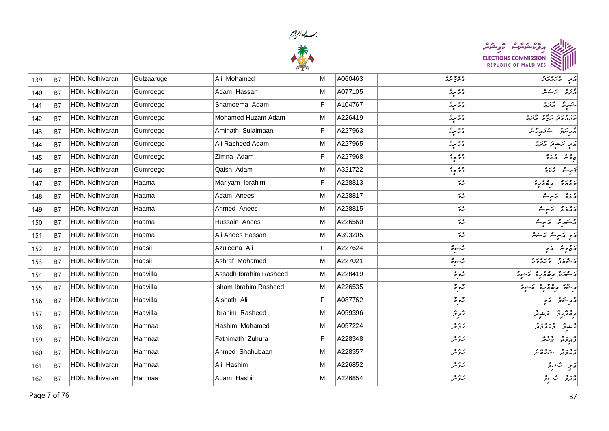



| 139 | B7        | HDh. Nolhivaran | Gulzaaruge | Ali Mohamed            | М  | A060463 | و ه پر و ء<br>د نومځ مرد | ړ دره در                                                                                                           |
|-----|-----------|-----------------|------------|------------------------|----|---------|--------------------------|--------------------------------------------------------------------------------------------------------------------|
| 140 | <b>B7</b> | HDh. Nolhivaran | Gumreege   | Adam Hassan            | M  | A077105 | و ه<br>د و مړن           | د تره - بر سکاهر                                                                                                   |
| 141 | <b>B7</b> | HDh. Nolhivaran | Gumreege   | Shameema Adam          | F. | A104767 | د ه<br>د څو پېړۍ         | شَرَوِرَة الرَّمْرَةِ                                                                                              |
| 142 | <b>B7</b> | HDh. Nolhivaran | Gumreege   | Mohamed Huzam Adam     | М  | A226419 | د ه مړنه<br>  د ح مړنه   | ورەر د دەھ دىرە                                                                                                    |
| 143 | B7        | HDh. Nolhivaran | Gumreege   | Aminath Sulaimaan      | F. | A227963 | و ه<br>د و مړن           | أأرجع المتفرقين                                                                                                    |
| 144 | B7        | HDh. Nolhivaran | Gumreege   | Ali Rasheed Adam       | M  | A227965 | د ه مړنه<br>  د ح مړنه   | پَرِ پَنْ پِر الْمُ تَرَدُّ                                                                                        |
| 145 | <b>B7</b> | HDh. Nolhivaran | Gumreege   | Zimna Adam             | F  | A227968 | و ه<br>  د حرموری        | ے محمد محمد محمد اللہ محمد اللہ محمد اللہ محمد اللہ محمد اللہ محمد اللہ محمد اللہ محمد اللہ محمد اللہ<br>محمد اللہ |
| 146 | B7        | HDh. Nolhivaran | Gumreege   | Qaish Adam             | М  | A321722 | د ه<br>د د مړن           | كخار مشاهرهم وكالمرد                                                                                               |
| 147 | B7        | HDh. Nolhivaran | Haama      | Mariyam Ibrahim        | F  | A228813 | رژ                       | د ه ده مه مرضور                                                                                                    |
| 148 | B7        | HDh. Nolhivaran | Haama      | Adam Anees             | М  | A228817 | رژ                       | أرترو كالمرب                                                                                                       |
| 149 | <b>B7</b> | HDh. Nolhivaran | Haama      | Ahmed Anees            | М  | A228815 | رژ                       | أرور والمسرب                                                                                                       |
| 150 | <b>B7</b> | HDh. Nolhivaran | Haama      | Hussain Anees          | М  | A226560 | رژ                       | چرستمبر شرکت میں ترجہ                                                                                              |
| 151 | B7        | HDh. Nolhivaran | Haama      | Ali Anees Hassan       | Μ  | A393205 | ژڅ                       | ړې ډېرے ډرعه                                                                                                       |
| 152 | B7        | HDh. Nolhivaran | Haasil     | Azuleena Ali           | F  | A227624 | ترسوقه                   | أرجم يرش أركمني                                                                                                    |
| 153 | <b>B7</b> | HDh. Nolhivaran | Haasil     | Ashraf Mohamed         | М  | A227021 | ترسوعه                   | برورد ورورد                                                                                                        |
| 154 | <b>B7</b> | HDh. Nolhivaran | Haavilla   | Assadh Ibrahim Rasheed | М  | A228419 | رَّحْمِ مَحَّ            | أراعتمانك وكالمرباع المساور                                                                                        |
| 155 | B7        | HDh. Nolhivaran | Haavilla   | Isham Ibrahim Rasheed  | Μ  | A226535 | رَّحْ وَ وَ              | أرجوه أوه ترجع ترجيع                                                                                               |
| 156 | <b>B7</b> | HDh. Nolhivaran | Haavilla   | Aishath Ali            | F  | A087762 | رٌو ِ وَ                 | فمرشكة المتع                                                                                                       |
| 157 | B7        | HDh. Nolhivaran | Haavilla   | Ibrahim Rasheed        | Μ  | A059396 | رٌو ِ وَ                 | أرەنزىر ئىنونز                                                                                                     |
| 158 | <b>B7</b> | HDh. Nolhivaran | Hamnaa     | Hashim Mohamed         | М  | A057224 | رە پۇ                    | گشوی ویرورو                                                                                                        |
| 159 | B7        | HDh. Nolhivaran | Hamnaa     | Fathimath Zuhura       | F  | A228348 | رە پۇ                    | د موځ د مخ څر تنگ                                                                                                  |
| 160 | B7        | HDh. Nolhivaran | Hamnaa     | Ahmed Shahubaan        | Μ  | A228357 | ره پژ                    | پر ۱۹ پر د<br>ىش <i>ەر ھ</i> ەش                                                                                    |
| 161 | <b>B7</b> | HDh. Nolhivaran | Hamnaa     | Ali Hashim             | М  | A226852 | ره پژ                    | پر په محمد شور ک                                                                                                   |
| 162 | <b>B7</b> | HDh. Nolhivaran | Hamnaa     | Adam Hashim            | M  | A226854 | ره پژ                    | أرترو كرسو                                                                                                         |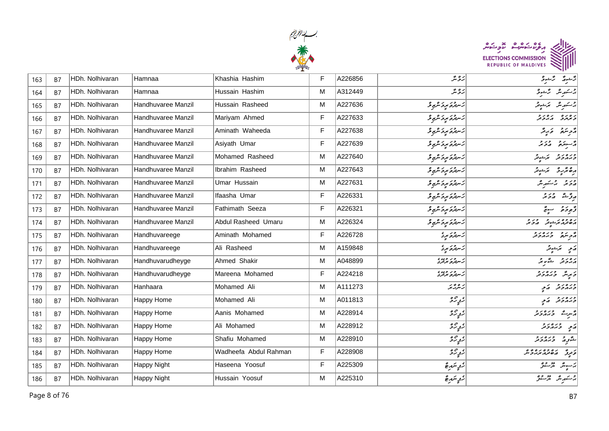



| 163 | <b>B7</b> | HDh. Nolhivaran | Hamnaa             | Khashia Hashim        | F. | A226856 | ىرە پۇ                            | مجمعيه محمد محمد المحمد المحمد المحمد المحمد المحمد المحمد المحمد المحمد المحمد المحمد المحمد المحمد<br>المحمد المحمد المحمد المحمد المحمد المحمد المحمد المحمد المحمد المحمد المحمد المحمد المحمد المحمد المحمد المحم |
|-----|-----------|-----------------|--------------------|-----------------------|----|---------|-----------------------------------|------------------------------------------------------------------------------------------------------------------------------------------------------------------------------------------------------------------------|
| 164 | <b>B7</b> | HDh. Nolhivaran | Hamnaa             | Hussain Hashim        | M  | A312449 | ر ه پژ                            | جەسىمە ھەم ئەھمىي                                                                                                                                                                                                      |
| 165 | <b>B7</b> | HDh. Nolhivaran | Handhuvaree Manzil | Hussain Rasheed       | м  | A227636 | ئەسترەَ بېرەَ نىرىج ۋ             | چەسىر مىر مۇسىر                                                                                                                                                                                                        |
| 166 | <b>B7</b> | HDh. Nolhivaran | Handhuvaree Manzil | Mariyam Ahmed         | F  | A227633 | ئەسەر ئەسىر ئەنگىي ئى             | נפנס נפנד                                                                                                                                                                                                              |
| 167 | <b>B7</b> | HDh. Nolhivaran | Handhuvaree Manzil | Aminath Waheeda       | F  | A227638 | ئەسەر ئەسىر ئەنگىرى ئى            | أأدوبتكم وكالميقر                                                                                                                                                                                                      |
| 168 | <b>B7</b> | HDh. Nolhivaran | Handhuvaree Manzil | Asiyath Umar          | F  | A227639 | ئەسەرى ئىرى ئىرىمى ئى             | ה ליות ביב                                                                                                                                                                                                             |
| 169 | <b>B7</b> | HDh. Nolhivaran | Handhuvaree Manzil | Mohamed Rasheed       | M  | A227640 | ئەسترۇ ئېرۇ ئىرىج ۋ               | ورەرو بەيدۇر                                                                                                                                                                                                           |
| 170 | <b>B7</b> | HDh. Nolhivaran | Handhuvaree Manzil | Ibrahim Rasheed       | M  | A227643 | ئەسەر ئەسىر ئەشرىر قە             | رە ئرىر ئىن ئىشى                                                                                                                                                                                                       |
| 171 | <b>B7</b> | HDh. Nolhivaran | Handhuvaree Manzil | Umar Hussain          | M  | A227631 | كەرەڭرىم ئەشرىر ق                 | ەر ئەسكىر ئىر                                                                                                                                                                                                          |
| 172 | <b>B7</b> | HDh. Nolhivaran | Handhuvaree Manzil | Ifaasha Umar          | F  | A226331 | كەرەزۇ بېرۇ ئىرىج                 | ړونه درو                                                                                                                                                                                                               |
| 173 | <b>B7</b> | HDh. Nolhivaran | Handhuvaree Manzil | Fathimath Seeza       | F  | A226321 | ئەسترۇمرۇشبو ۋ                    | ۇجۇچۇ سېتى                                                                                                                                                                                                             |
| 174 | <b>B7</b> | HDh. Nolhivaran | Handhuvaree Manzil | Abdul Rasheed Umaru   | м  | A226324 | ئەسەزەَ بېرىز شىبى قە             | גם כם <i>ג'יליינק</i><br>ג' <i>ים נקח א</i> ליינק                                                                                                                                                                      |
| 175 | <b>B7</b> | HDh. Nolhivaran | Handhuvareege      | Aminath Mohamed       | F  | A226728 | ئەسەقرەر ئىرى                     | ومستعج ومنادر                                                                                                                                                                                                          |
| 176 | <b>B7</b> | HDh. Nolhivaran | Handhuvareege      | Ali Rasheed           | M  | A159848 | ئەس <i>قرىرى</i><br>سىر قرىم مېرى | كالمح المخرجون                                                                                                                                                                                                         |
| 177 | <b>B7</b> | HDh. Nolhivaran | Handhuvarudheyge   | Ahmed Shakir          | M  | A048899 | ر سرور وړ، ،<br>رسربرو بربری      | رەرو شەر                                                                                                                                                                                                               |
| 178 | <b>B7</b> | HDh. Nolhivaran | Handhuvarudheyge   | Mareena Mohamed       | F  | A224218 | ر سرور وړ، ،<br>رسربرو بربری      | وَ پِرِیڈ ویرورو                                                                                                                                                                                                       |
| 179 | <b>B7</b> | HDh. Nolhivaran | Hanhaara           | Mohamed Ali           | м  | A111273 | ئە ھە <i>رى</i> گە                | دره رو په ک                                                                                                                                                                                                            |
| 180 | <b>B7</b> | HDh. Nolhivaran | Happy Home         | Mohamed Ali           | M  | A011813 | <sup>ي</sup> پورے<br>سرچ          | دره رو په کړې                                                                                                                                                                                                          |
| 181 | <b>B7</b> | HDh. Nolhivaran | Happy Home         | Aanis Mohamed         | м  | A228914 | ء پر ص <u>ح</u>                   | أرسر ورورو                                                                                                                                                                                                             |
| 182 | <b>B7</b> | HDh. Nolhivaran | Happy Home         | Ali Mohamed           | M  | A228912 | ې پر <sub>2</sub> 0               | أتمني وبره برو                                                                                                                                                                                                         |
| 183 | <b>B7</b> | HDh. Nolhivaran | Happy Home         | Shafiu Mohamed        | м  | A228910 | <sup>ي</sup> پور <sup>0</sup> و   | شور ورەرد                                                                                                                                                                                                              |
| 184 | <b>B7</b> | HDh. Nolhivaran | Happy Home         | Wadheefa Abdul Rahman | F  | A228908 | <sup>ي</sup> پورے<br>سي           | د در مورد و در در در اند.<br>در در مورد برگر ش                                                                                                                                                                         |
| 185 | <b>B7</b> | HDh. Nolhivaran | Happy Night        | Haseena Yoosuf        | F  | A225309 | ر بو سَر <sub>ە</sub> ھ           | ىز سېنىش تېزىستۇ<br>ئ                                                                                                                                                                                                  |
| 186 | <b>B7</b> | HDh. Nolhivaran | Happy Night        | Hussain Yoosuf        | M  | A225310 | <sup>ع</sup> بو يترمر هج          | جر شہر شہر اور حوالے وہ<br>پر سکھ سر اور اور اور اور اور ک                                                                                                                                                             |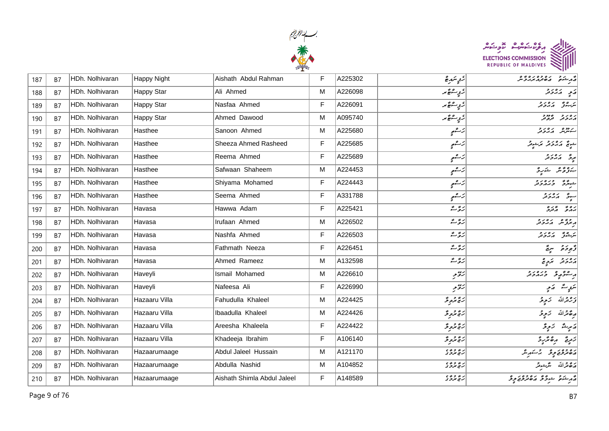



| 187 | B7        | HDh. Nolhivaran | Happy Night   | Aishath Abdul Rahman        | F  | A225302 | <sup>ج</sup> بو سَرْر ھ                | ه مشور ده وه ره وه و                                        |
|-----|-----------|-----------------|---------------|-----------------------------|----|---------|----------------------------------------|-------------------------------------------------------------|
| 188 | <b>B7</b> | HDh. Nolhivaran | Happy Star    | Ali Ahmed                   | М  | A226098 | ئەبوسشۇ ئىر                            | پښتو پر د د                                                 |
| 189 | B7        | HDh. Nolhivaran | Happy Star    | Nasfaa Ahmed                | F. | A226091 | ئەبوسشۇ ئىر                            | أيترجوش أرورو                                               |
| 190 | <b>B7</b> | HDh. Nolhivaran | Happy Star    | Ahmed Dawood                | М  | A095740 | ر <sub>گو</sub> ر ش <sub>اھ</sub> َ بر | ره رو دووو<br><mark>درونر ترونر</mark>                      |
| 191 | <b>B7</b> | HDh. Nolhivaran | Hasthee       | Sanoon Ahmed                | м  | A225680 | ئرشىمچ                                 | شهر مدر در د                                                |
| 192 | <b>B7</b> | HDh. Nolhivaran | Hasthee       | Sheeza Ahmed Rasheed        | F  | A225685 | ئرشىمچ                                 | شوځ اوړونو او کرشونو                                        |
| 193 | <b>B7</b> | HDh. Nolhivaran | Hasthee       | Reema Ahmed                 | F  | A225689 | ئر ش <sub>ھ</sub>                      | پرځ د پرور د                                                |
| 194 | <b>B7</b> | HDh. Nolhivaran | Hasthee       | Safwaan Shaheem             | М  | A224453 | ئرشىمچ                                 | پەرەم ھەرو                                                  |
| 195 | <b>B7</b> | HDh. Nolhivaran | Hasthee       | Shiyama Mohamed             | F  | A224443 | ئر ڪيمھج                               | أشوارة ورورد                                                |
| 196 | <b>B7</b> | HDh. Nolhivaran | Hasthee       | Seema Ahmed                 | F  | A331788 | ئرشىمچ                                 | سوځ پرېږوند                                                 |
| 197 | <b>B7</b> | HDh. Nolhivaran | Havasa        | Hawwa Adam                  | F  | A225421 | تەڭ شە                                 | رەپ پەرە                                                    |
| 198 | <b>B7</b> | HDh. Nolhivaran | Havasa        | Irufaan Ahmed               | М  | A226502 | ر پۇسىگە                               | أرجع مده مدورد                                              |
| 199 | B7        | HDh. Nolhivaran | Havasa        | Nashfa Ahmed                | F  | A226503 | تەڭ شە                                 | يترڪو تر پر مرد و                                           |
| 200 | <b>B7</b> | HDh. Nolhivaran | Havasa        | Fathmath Neeza              | F  | A226451 | تەڭ شە                                 | ا توجو څخه د<br>سرچ                                         |
| 201 | <b>B7</b> | HDh. Nolhivaran | Havasa        | Ahmed Rameez                | М  | A132598 | ر پی شه                                | أرور ترديج                                                  |
| 202 | <b>B7</b> | HDh. Nolhivaran | Haveyli       | Ismail Mohamed              | М  | A226610 | ريمو                                   | و ره ر و<br>تر پر ژمر<br>ا پر س <sup>ع</sup> تر پر تر<br>مر |
| 203 | <b>B7</b> | HDh. Nolhivaran | Haveyli       | Nafeesa Ali                 | F. | A226990 | ريمو                                   | سَموٍ — شَمسٍ                                               |
| 204 | <b>B7</b> | HDh. Nolhivaran | Hazaaru Villa | Fahudulla Khaleel           | М  | A224425 | ئەنچ ئىزىرىگە                          | تزعرهالله تزميرته                                           |
| 205 | B7        | HDh. Nolhivaran | Hazaaru Villa | Ibaadulla Khaleel           | М  | A224426 | ئەنچ ئېڭىموقى                          | مِرَةَ مَرَاللّه ۖ زَمِرٍ قَرْ                              |
| 206 | <b>B7</b> | HDh. Nolhivaran | Hazaaru Villa | Areesha Khaleela            | F  | A224422 | ئەنچ ئۆرۈمىتى                          | أريا بالمحمد أنادي                                          |
| 207 | <b>B7</b> | HDh. Nolhivaran | Hazaaru Villa | Khadeeja Ibrahim            | F. | A106140 | ئەنچ ئېرەپە قە                         | كتبيعًا رەھتەپە                                             |
| 208 | <b>B7</b> | HDh. Nolhivaran | Hazaarumaage  | Abdul Jaleel Hussain        | М  | A121170 | ر پر و پر ی<br>تریخ مرتز <sub>ک</sub>  | دەۋە دەۋر برىسىر ش                                          |
| 209 | <b>B7</b> | HDh. Nolhivaran | Hazaarumaage  | Abdulla Nashid              | M  | A104852 | ر پر و پر ی<br>تریخ بور <del></del> و  | ر <i>مح</i> دالله متن در                                    |
| 210 | <b>B7</b> | HDh. Nolhivaran | Hazaarumaage  | Aishath Shimla Abdul Jaleel | F  | A148589 | ر پر و پر ی<br>تریخ مرتز <sub>ک</sub>  |                                                             |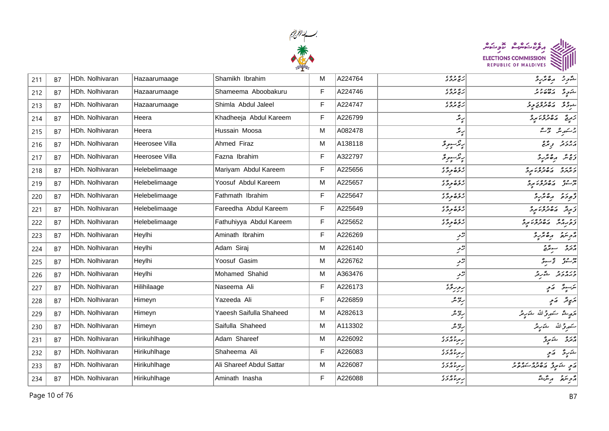



| 211 | <b>B7</b> | HDh. Nolhivaran | Hazaarumaage   | Shamikh Ibrahim          | M | A224764 | ر پر و پر ی<br>تریخ مرتز <sub>ک</sub>   | شورج وكالمردو                              |
|-----|-----------|-----------------|----------------|--------------------------|---|---------|-----------------------------------------|--------------------------------------------|
| 212 | <b>B7</b> | HDh. Nolhivaran | Hazaarumaage   | Shameema Aboobakuru      | F | A224746 | ر ۶ و ۶ ه<br>رسخ بورو د                 | 77/27/<br>شکو و گر                         |
| 213 | <b>B7</b> | HDh. Nolhivaran | Hazaarumaage   | Shimla Abdul Jaleel      | F | A224747 | ر پر و پر ي<br>ر <mark>ي</mark> ح مرو ي | شروع مره وومر و<br>  شروع ما ما ما موجوع م |
| 214 | <b>B7</b> | HDh. Nolhivaran | Heera          | Khadheeja Abdul Kareem   | F | A226799 | ىرىتىر<br>ئى                            | زَمِرِيَّ مەھىرى برو                       |
| 215 | <b>B7</b> | HDh. Nolhivaran | Heera          | Hussain Moosa            | М | A082478 | ريتر                                    | چرىكىر بىر مەسىر                           |
| 216 | <b>B7</b> | HDh. Nolhivaran | Heerosee Villa | Ahmed Firaz              | М | A138118 | <br>  پەنگەسوپە                         | برورير ويرتج                               |
| 217 | <b>B7</b> | HDh. Nolhivaran | Heerosee Villa | Fazna Ibrahim            | F | A322797 | -<br>  پەنگەسوپە                        | زءيئر برەتمەر                              |
| 218 | <b>B7</b> | HDh. Nolhivaran | Helebelimaage  | Mariyam Abdul Kareem     | F | A225656 | <sup>ى</sup> ئەھەمەدى                   | ג פגם גם כפג פ                             |
| 219 | <b>B7</b> | HDh. Nolhivaran | Helebelimaage  | Yoosuf Abdul Kareem      | M | A225657 | ئەن ئەن ئەن                             | מ כם גם כסג <sub>ו</sub> ת ס               |
| 220 | <b>B7</b> | HDh. Nolhivaran | Helebelimaage  | Fathmath Ibrahim         | F | A225647 | ا ئەۋە بەر ئ <sup>ەس</sup>              | توجوختم وكالمرج                            |
| 221 | <b>B7</b> | HDh. Nolhivaran | Helebelimaage  | Fareedha Abdul Kareem    | F | A225649 | ئەقەھ <i>بەق</i> ئ                      | زَ پِرِ مَدَّ دِ وَ وَ پِرِ وَ             |
| 222 | <b>B7</b> | HDh. Nolhivaran | Helebelimaage  | Fathuhiyya Abdul Kareem  | F | A225652 | روء پوءُ                                | زورور رەدەرىرو                             |
| 223 | <b>B7</b> | HDh. Nolhivaran | Heylhi         | Aminath Ibrahim          | F | A226269 | دے<br>مرکز                              | ومحر المتوسط ومقاريح                       |
| 224 | <b>B7</b> | HDh. Nolhivaran | Heylhi         | Adam Siraj               | М | A226140 | دے<br>مرکز                              | وره سوء و<br>مرتزر سوءر                    |
| 225 | <b>B7</b> | HDh. Nolhivaran | Heylhi         | Yoosuf Gasim             | M | A226762 | اتزعر                                   | دو ده په سره                               |
| 226 | <b>B7</b> | HDh. Nolhivaran | Heylhi         | Mohamed Shahid           | M | A363476 | يحيحر                                   | ورەر دەر ئەر                               |
| 227 | <b>B7</b> | HDh. Nolhivaran | Hilihilaage    | Naseema Ali              | F | A226173 | ىر بور ئۇ ؟<br>ترىر ئە                  | لترسيع كالمي                               |
| 228 | <b>B7</b> | HDh. Nolhivaran | Himeyn         | Yazeeda Ali              | F | A226859 | ریچ مگر                                 | أرجا فالمحمج أأتراح                        |
| 229 | <b>B7</b> | HDh. Nolhivaran | Himeyn         | Yaeesh Saifulla Shaheed  | M | A282613 | ر پی ه                                  | تزريفه كروترالله خريدته                    |
| 230 | <b>B7</b> | HDh. Nolhivaran | Himeyn         | Saifulla Shaheed         | M | A113302 | ر دی مگر                                | ستمبر ق <sup>اللّه</sup> شكر مرقر          |
| 231 | <b>B7</b> | HDh. Nolhivaran | Hirikuhlhage   | Adam Shareef             | М | A226092 | ر بر ۵ ۵ ر ۲<br>ر بو <i>ما</i> ۸ ر ی    | پژره شمیرژ                                 |
| 232 | <b>B7</b> | HDh. Nolhivaran | Hirikuhlhage   | Shaheema Ali             | F | A226083 | ر بر ره در ه<br>ر                       | لمشرق الكامي                               |
| 233 | <b>B7</b> | HDh. Nolhivaran | Hirikuhlhage   | Ali Shareef Abdul Sattar | M | A226087 | ار بر روه ر ۽<br>پر پيدائري             | د و شومرو ده ده د ده و                     |
| 234 | <b>B7</b> | HDh. Nolhivaran | Hirikuhlhage   | Aminath Inasha           | F | A226088 | ر بر رور ،<br>ر                         | أمزجتمع مبتثثة                             |
|     |           |                 |                |                          |   |         |                                         |                                            |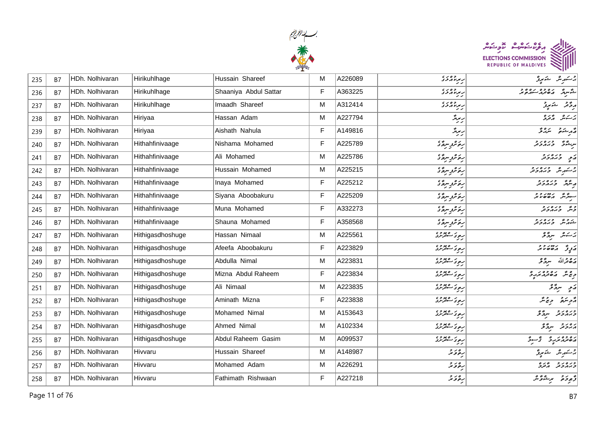



| <b>B7</b> | HDh. Nolhivaran | Hirikuhlhage     | Hussain Shareef       | M           | A226089 |                                                                | چەسىر شەھرىتى ئىشلىر                                                                                                                                                                                                                                                                           |
|-----------|-----------------|------------------|-----------------------|-------------|---------|----------------------------------------------------------------|------------------------------------------------------------------------------------------------------------------------------------------------------------------------------------------------------------------------------------------------------------------------------------------------|
| <b>B7</b> | HDh. Nolhivaran | Hirikuhlhage     | Shaaniya Abdul Sattar | F           | A363225 | ر بر ره د ر ،<br>ر                                             | 220102020 2002                                                                                                                                                                                                                                                                                 |
| <b>B7</b> | HDh. Nolhivaran | Hirikuhlhage     | Imaadh Shareef        | M           | A312414 |                                                                | ىردە ئىسىمى<br>ر                                                                                                                                                                                                                                                                               |
| <b>B7</b> | HDh. Nolhivaran | Hiriyaa          | Hassan Adam           | М           | A227794 | ىر بىرەڭر                                                      | برستانش المزورة                                                                                                                                                                                                                                                                                |
| <b>B7</b> | HDh. Nolhivaran | Hiriyaa          | Aishath Nahula        | F           | A149816 | رىرىژ                                                          | أقرم يشكره فلتركث                                                                                                                                                                                                                                                                              |
| <b>B7</b> | HDh. Nolhivaran | Hithahfinivaage  | Nishama Mohamed       | F           | A225789 | ىرغە ئىرىپىدىگە ئە                                             | و ره ر و<br>تر پر ژور<br>سرىشترگر                                                                                                                                                                                                                                                              |
| <b>B7</b> | HDh. Nolhivaran | Hithahfinivaage  | Ali Mohamed           | М           | A225786 | رىر ئىرى <sub>رىدى</sub> ئى                                    | په دره دره                                                                                                                                                                                                                                                                                     |
| <b>B7</b> | HDh. Nolhivaran | Hithahfinivaage  | Hussain Mohamed       | М           | A225215 | ىر <i>ئە</i> ئىرىپە ئىقى<br>ب                                  | جر شهر سر محدد جر حدود                                                                                                                                                                                                                                                                         |
| <b>B7</b> | HDh. Nolhivaran | Hithahfinivaage  | Inaya Mohamed         | F           | A225212 | رى <sub>م</sub> ۇروپىر <i>ۇ</i> ؟                              | ويتمتز وبرودير                                                                                                                                                                                                                                                                                 |
| <b>B7</b> | HDh. Nolhivaran | Hithahfinivaage  | Siyana Aboobakuru     | F           | A225209 | رەڭروپىرىدۇ                                                    |                                                                                                                                                                                                                                                                                                |
| <b>B7</b> | HDh. Nolhivaran | Hithahfinivaage  | Muna Mohamed          | F           | A332273 | رىر ئ <sub>ىر ئ</sub> وپىرىدى.<br>ب                            | و شهر وره رو<br>د <i>شگر</i> د برگرونر                                                                                                                                                                                                                                                         |
| <b>B7</b> | HDh. Nolhivaran | Hithahfinivaage  | Shauna Mohamed        | F           | A358568 | رى <sub>م</sub> ۇروپىر <i>ۇ</i> ؟                              | و ره ر و<br>تر <i>پر</i> و تر<br>شەرقە ئىگر                                                                                                                                                                                                                                                    |
| <b>B7</b> | HDh. Nolhivaran | Hithigasdhoshuge | Hassan Nimaal         | M           | A225561 | ار مر ۲۵ ویو و <sup>ج</sup><br>گرمز کمی مستقر مر <sub>کب</sub> | ىزىسەش سەۋىۋ                                                                                                                                                                                                                                                                                   |
| <b>B7</b> | HDh. Nolhivaran | Hithigasdhoshuge | Afeefa Aboobakuru     | $\mathsf F$ | A223829 | ر <sub>حو</sub> ی سندری<br>  ر <sub>حو</sub> ی سندریری         | בְנָל גם סיב                                                                                                                                                                                                                                                                                   |
| <b>B7</b> | HDh. Nolhivaran | Hithigasdhoshuge | Abdulla Nimal         | M           | A223831 |                                                                | ەھقراللە<br>سردگر                                                                                                                                                                                                                                                                              |
| <b>B7</b> | HDh. Nolhivaran | Hithigasdhoshuge | Mizna Abdul Raheem    | F           | A223834 |                                                                | دع شهر مقدم مربر و                                                                                                                                                                                                                                                                             |
| <b>B7</b> | HDh. Nolhivaran | Hithigasdhoshuge | Ali Nimaal            | М           | A223835 |                                                                | پَه پِه پرچ                                                                                                                                                                                                                                                                                    |
| <b>B7</b> | HDh. Nolhivaran | Hithigasdhoshuge | Aminath Mizna         | F           | A223838 |                                                                | حریح مثر<br>ومحر يتمدهم                                                                                                                                                                                                                                                                        |
| <b>B7</b> | HDh. Nolhivaran | Hithigasdhoshuge | Mohamed Nimal         | М           | A153643 |                                                                | و ر ه ر و<br>تر پر ژ تر<br>سرۋىۋ                                                                                                                                                                                                                                                               |
| <b>B7</b> | HDh. Nolhivaran | Hithigasdhoshuge | Ahmed Nimal           | М           | A102334 |                                                                | ړه د سرگر                                                                                                                                                                                                                                                                                      |
| <b>B7</b> | HDh. Nolhivaran | Hithigasdhoshuge | Abdul Raheem Gasim    | м           | A099537 | ر جو <sub>ک</sub> ے حدو ہ<br>رجو ک <sup>ے</sup> فرمری          | גם כם גבי הבייכ                                                                                                                                                                                                                                                                                |
| <b>B7</b> | HDh. Nolhivaran | Hivvaru          | Hussain Shareef       | М           | A148987 | رە ئەر                                                         | چەسىر شەھرىتى ئىشلىر                                                                                                                                                                                                                                                                           |
| <b>B7</b> | HDh. Nolhivaran | Hivvaru          | Mohamed Adam          | M           | A226291 | رە دىر                                                         | ورەر دىرە                                                                                                                                                                                                                                                                                      |
| <b>B7</b> | HDh. Nolhivaran | Hivvaru          | Fathimath Rishwaan    | F           | A227218 | ره د د                                                         | أزًوجو الريثور                                                                                                                                                                                                                                                                                 |
|           |                 |                  |                       |             |         |                                                                | ارىر بەھ ئەي<br>سەر<br>ارېږه دي<br>  ر <sub>حو</sub> ی مصور ہے<br>  رحوی مستقر مربر<br> <br> رەپچە سىتىرىرى<br> <br> رەپرىسىۋىرىرى<br>  رېز<br>اره د ص <del>ود د</del><br>اره د سوربرد<br>  ر <sub>ەب</sub> ە رەبىر دې<br>  رىبە ئەسەتىرىرى<br> <br> ر <sub>حو</sub> ی سور روید و <sup>ج</sup> |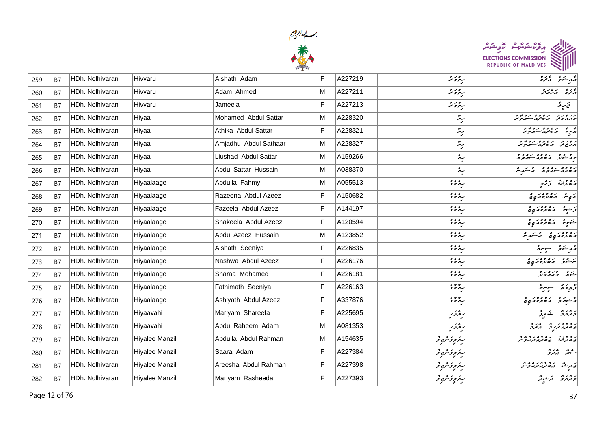



| <b>B7</b> | HDh. Nolhivaran | Hivvaru               | Aishath Adam          | F  | A227219 | ە دىر<br>بەھ <i>ق</i> ىر                | أرمر يسكونه المترد                                               |
|-----------|-----------------|-----------------------|-----------------------|----|---------|-----------------------------------------|------------------------------------------------------------------|
| <b>B7</b> | HDh. Nolhivaran | Hivvaru               | Adam Ahmed            | М  | A227211 | رە دىر                                  | وره ره رو<br>د مرکز                                              |
| B7        | HDh. Nolhivaran | Hivvaru               | Jameela               | F  | A227213 | رە ئەتر                                 | تح ترٍ تَحْرِ                                                    |
| <b>B7</b> | HDh. Nolhivaran | Hiyaa                 | Mohamed Abdul Sattar  | М  | A228320 | رپڙ                                     | ر ٥ ۶ ٥ ٥ ٠ ٥ ٠<br>د ځ تر د سن د ه تر<br>و ر ه ر و<br>تر پر ژ تر |
| B7        | HDh. Nolhivaran | Hiyaa                 | Athika Abdul Sattar   | F  | A228321 | رچ<br>╭                                 | ه و مره ده مره د و<br>مرس مقدم سه                                |
| B7        | HDh. Nolhivaran | Hiyaa                 | Amjadhu Abdul Sathaar | М  | A228327 | رچ                                      | גם גם הם גם גם ביביק<br>הכביב הם בנה להם בי                      |
| <b>B7</b> | HDh. Nolhivaran | Hiyaa                 | Liushad Abdul Sattar  | М  | A159266 | ريژ                                     | و د د د ده ده ده د و د                                           |
| <b>B7</b> | HDh. Nolhivaran | Hiyaa                 | Abdul Sattar Hussain  | М  | A038370 | رپڙ                                     | ره ده ره د د میکند ش                                             |
| B7        | HDh. Nolhivaran | Hiyaalaage            | Abdulla Fahmy         | М  | A055513 | ر پور د<br>ر در تو د                    | رەقراللە ئ <i>ۆر</i> تو                                          |
| <b>B7</b> | HDh. Nolhivaran | Hiyaalaage            | Razeena Abdul Azeez   | F  | A150682 | ر بر بر بر<br>ر دگرمی                   | بري پر مصر ده در پر                                              |
| <b>B7</b> | HDh. Nolhivaran | Hiyaalaage            | Fazeela Abdul Azeez   | F  | A144197 | ر بر بر بر<br>ر دگرمی                   | ژښو ده ده ده د چ                                                 |
| <b>B7</b> | HDh. Nolhivaran | Hiyaalaage            | Shakeela Abdul Azeez  | F  | A120594 | ر بر بر بر<br>ر دگرمی                   | شر مصر ده ده ده کمونو                                            |
| B7        | HDh. Nolhivaran | Hiyaalaage            | Abdul Azeez Hussain   | М  | A123852 | ر پور ہ<br>ر پڑ <del>و</del> ی          | رە دورى ئىسكىر                                                   |
| <b>B7</b> | HDh. Nolhivaran | Hiyaalaage            | Aishath Seeniya       | F  | A226835 | ر پوځ ی                                 | قەرشكى سوسرىد                                                    |
| <b>B7</b> | HDh. Nolhivaran | Hiyaalaage            | Nashwa Abdul Azeez    | F  | A226176 | ر بر بر بر<br>ر دگرمی                   | برعشر معروم و                                                    |
| <b>B7</b> | HDh. Nolhivaran | Hiyaalaage            | Sharaa Mohamed        | F  | A226181 | ر پور د<br>ر در تو د                    | أشكر ورەرو                                                       |
| <b>B7</b> | HDh. Nolhivaran | Hiyaalaage            | Fathimath Seeniya     | F  | A226163 | ر پور ہ<br>ر پڑ <del>و</del> ی          | ژُهِ دَهُ مَنْ سِيرِ رَبَّ                                       |
| <b>B7</b> | HDh. Nolhivaran | Hiyaalaage            | Ashiyath Abdul Azeez  | F  | A337876 | ر پور ،<br>ر پوڅو ي                     |                                                                  |
| B7        | HDh. Nolhivaran | Hiyaavahi             | Mariyam Shareefa      | F  | A225695 | ىرەدى بە                                | د ۱۵ د ۱۵ سته پروگر                                              |
| <b>B7</b> | HDh. Nolhivaran | Hiyaavahi             | Abdul Raheem Adam     | М  | A081353 | رېژۀ ر                                  | גם כם גם הינים                                                   |
| <b>B7</b> | HDh. Nolhivaran | Hiyalee Manzil        | Abdulla Abdul Rahman  | М  | A154635 | ى <sub>رى</sub> رَ پەير ئىر ئىلىر ئىلىر | ر ه د ه د ه د ه<br>پره تر پر بر بر بر<br>  پر ۱۵ قرالله          |
| <b>B7</b> | HDh. Nolhivaran | Hiyalee Manzil        | Saara Adam            | F  | A227384 | ى <sub>رى</sub> رَ پەير ئىر ئىلىر ئىلىر | ئەنز پە ئەرە                                                     |
| <b>B7</b> | HDh. Nolhivaran | <b>Hiyalee Manzil</b> | Areesha Abdul Rahman  | F  | A227398 | رېز په د شمېر و                         | كم مريد من من حدد مرد و من حدد حسن                               |
| <b>B7</b> | HDh. Nolhivaran | Hiyalee Manzil        | Mariyam Rasheeda      | F. | A227393 | ارېز په پېژند په په                     | ويحمده بمنشعق                                                    |
|           |                 |                       |                       |    |         |                                         |                                                                  |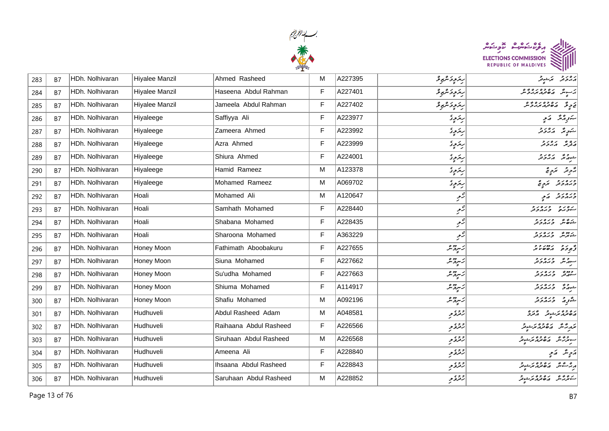



| 283 | B7        | HDh. Nolhivaran | <b>Hiyalee Manzil</b> | Ahmed Rasheed          | М  | A227395 | ارېزموچه شمېر څه     | پروژو کردوگر                                    |
|-----|-----------|-----------------|-----------------------|------------------------|----|---------|----------------------|-------------------------------------------------|
| 284 | <b>B7</b> | HDh. Nolhivaran | Hiyalee Manzil        | Haseena Abdul Rahman   | F. | A227401 | ر ټر پر ځاندې څر     | ر موسر ده وه ره وه و<br>پرسوسر به مصر مربر و سر |
| 285 | B7        | HDh. Nolhivaran | Hiyalee Manzil        | Jameela Abdul Rahman   | F  | A227402 | رېزىپە ئەھمىر قە     | د و ده ده ده ده وه                              |
| 286 | <b>B7</b> | HDh. Nolhivaran | Hiyaleege             | Saffiyya Ali           | F. | A223977 | رېزىي                | ښوږوړ په په                                     |
| 287 | B7        | HDh. Nolhivaran | Hiyaleege             | Zameera Ahmed          | F. | A223992 | رېزىپە               | شوپر مهدد                                       |
| 288 | <b>B7</b> | HDh. Nolhivaran | Hiyaleege             | Azra Ahmed             | F. | A223999 | رېزىي                | رەپر كەردى<br>مەنزىر كەردىر                     |
| 289 | B7        | HDh. Nolhivaran | Hiyaleege             | Shiura Ahmed           | F. | A224001 | رېزىپە               | شور پر کرد در د                                 |
| 290 | <b>B7</b> | HDh. Nolhivaran | Hiyaleege             | Hamid Rameez           | М  | A123378 | رېزىپە<br>بە         | ړٌونه نرَدٍ وُ                                  |
| 291 | B7        | HDh. Nolhivaran | Hiyaleege             | Mohamed Rameez         | М  | A069702 | رېزونه               | ورور و پرچ                                      |
| 292 | <b>B7</b> | HDh. Nolhivaran | Hoali                 | Mohamed Ali            | М  | A120647 | اتحجر                | ورەرو كەير                                      |
| 293 | B7        | HDh. Nolhivaran | Hoali                 | Samhath Mohamed        | F. | A228440 | ە<br>ئىس             | سەۋىر ۋ<br>و رە ر و<br>تر پروتر                 |
| 294 | <b>B7</b> | HDh. Nolhivaran | Hoali                 | Shabana Mohamed        | F. | A228435 | احجو                 | و ره ر و<br>تر <i>پر</i> و تر<br>شەڭ ئىر        |
| 295 | <b>B7</b> | HDh. Nolhivaran | Hoali                 | Sharoona Mohamed       | F. | A363229 | اجمع                 | شەھر ھەم دەر                                    |
| 296 | <b>B7</b> | HDh. Nolhivaran | Honey Moon            | Fathimath Aboobakuru   | F  | A227655 | ئە بىر <i>دە</i> بىر |                                                 |
| 297 | B7        | HDh. Nolhivaran | Honey Moon            | Siuna Mohamed          | F. | A227662 | ئە پىرچە تىر         | سرمانگر از در در د                              |
| 298 | <b>B7</b> | HDh. Nolhivaran | Honey Moon            | Su'udha Mohamed        | F  | A227663 | ئەبىردىقە            | כמי כנסני                                       |
| 299 | B7        | HDh. Nolhivaran | Honey Moon            | Shiuma Mohamed         | F. | A114917 | ئەبىردىقە            | د ده دره در در د                                |
| 300 | <b>B7</b> | HDh. Nolhivaran | Honey Moon            | Shafiu Mohamed         | М  | A092196 | ئەبىردىق             | شروح ورەرو                                      |
| 301 | B7        | HDh. Nolhivaran | Hudhuveli             | Abdul Rasheed Adam     | м  | A048581 | و و ،<br>رندگرمو     | ן פרס קיבודה וקברה<br>הפינוק היבודה וקברה       |
| 302 | <b>B7</b> | HDh. Nolhivaran | Hudhuveli             | Raihaana Abdul Rasheed | F. | A226566 | روء پر               | بمريكش مقادر بمشور                              |
| 303 | <b>B7</b> | HDh. Nolhivaran | Hudhuveli             | Siruhaan Abdul Rasheed | м  | A226568 | و و ،<br>رندگرمو     | ر و ده ده ده در ده د                            |
| 304 | <b>B7</b> | HDh. Nolhivaran | Hudhuveli             | Ameena Ali             | F. | A228840 | روء پر               | ړې په کام                                       |
| 305 | <b>B7</b> | HDh. Nolhivaran | Hudhuveli             | Ihsaana Abdul Rasheed  | F  | A228843 | روءير                |                                                 |
| 306 | <b>B7</b> | HDh. Nolhivaran | Hudhuveli             | Saruhaan Abdul Rasheed | M  | A228852 | أرفره و              | بەر ئەرەر بەر بەر                               |
|     |           |                 |                       |                        |    |         |                      |                                                 |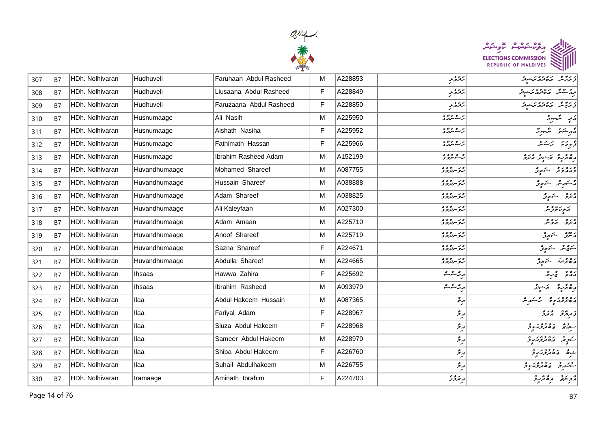



| 307 | <b>B7</b> | HDh. Nolhivaran | Hudhuveli     | Faruhaan Abdul Rasheed  | М | A228853 | و و ،<br>رتو <sub>ن</sub> و و | ر و ده و ره وه در شونتر<br>و بربر شر از ماندر بر شونتر                                                                                                                                                                           |
|-----|-----------|-----------------|---------------|-------------------------|---|---------|-------------------------------|----------------------------------------------------------------------------------------------------------------------------------------------------------------------------------------------------------------------------------|
| 308 | <b>B7</b> | HDh. Nolhivaran | Hudhuveli     | Liusaana Abdul Rasheed  | F | A228849 | ژوي و                         | و هم شور از مان ده در مرکب در در این در این در این در این در این در این در این در این در این در این در این دست<br>مرکب در این دست در این دست در این دست در این دست در این دست در این دست در این دست در این دست در این دست در این |
| 309 | <b>B7</b> | HDh. Nolhivaran | Hudhuveli     | Faruzaana Abdul Rasheed | F | A228850 | و و ،<br>رتو <sub>ن</sub> و و | ر و د عر<br>و بری سر په ماه مرد بر شومر                                                                                                                                                                                          |
| 310 | <b>B7</b> | HDh. Nolhivaran | Husnumaage    | Ali Nasih               | М | A225950 | د ره د د ،                    | كالمحي التكريب                                                                                                                                                                                                                   |
| 311 | <b>B7</b> | HDh. Nolhivaran | Husnumaage    | Aishath Nasiha          | F | A225952 | و په وو،<br>ر                 | فمرشوش لترجيد                                                                                                                                                                                                                    |
| 312 | <b>B7</b> | HDh. Nolhivaran | Husnumaage    | Fathimath Hassan        | F | A225966 | و ره و و <sup>ي</sup>         | ۋە ئەسەر                                                                                                                                                                                                                         |
| 313 | <b>B7</b> | HDh. Nolhivaran | Husnumaage    | Ibrahim Rasheed Adam    | M | A152199 | د ره د د ،                    | أرەنگرىرى ترەمىر مەمرى                                                                                                                                                                                                           |
| 314 | <b>B7</b> | HDh. Nolhivaran | Huvandhumaage | Mohamed Shareef         | М | A087755 | و ر به و د پ<br>ره سربرو د    | ورەرو ئەرو                                                                                                                                                                                                                       |
| 315 | <b>B7</b> | HDh. Nolhivaran | Huvandhumaage | Hussain Shareef         | M | A038888 | و ر برونو د<br>ره سربرو د     | چەسىر شەھىرى                                                                                                                                                                                                                     |
| 316 | B7        | HDh. Nolhivaran | Huvandhumaage | Adam Shareef            | М | A038825 | و ر به و د پ<br>ره سربرو د    | پر و شمېر و<br>مرکز د شمېر د                                                                                                                                                                                                     |
| 317 | <b>B7</b> | HDh. Nolhivaran | Huvandhumaage | Ali Kaleyfaan           | M | A027300 | و ر به و د پ<br>ره سربرو د    | ە ئەچە ئەمخۇر ئىتر                                                                                                                                                                                                               |
| 318 | <b>B7</b> | HDh. Nolhivaran | Huvandhumaage | Adam Amaan              | М | A225710 | و ر به ده و د<br>ره سربرو د   | وره پرځيږ                                                                                                                                                                                                                        |
| 319 | <b>B7</b> | HDh. Nolhivaran | Huvandhumaage | Anoof Shareef           | M | A225719 | و ر په ده د<br>ر و سربرو د    | ىر «ە شەيرۇ                                                                                                                                                                                                                      |
| 320 | B7        | HDh. Nolhivaran | Huvandhumaage | Sazna Shareef           | F | A224671 | و ر په و په و<br>رو سربرو و   | سەھ شەھرىرى                                                                                                                                                                                                                      |
| 321 | <b>B7</b> | HDh. Nolhivaran | Huvandhumaage | Abdulla Shareef         | M | A224665 | و ر به و د پ<br>ره سربرو د    | رەت <sub>داللە خەم</sub> ر                                                                                                                                                                                                       |
| 322 | B7        | HDh. Nolhivaran | Ihsaas        | Hawwa Zahira            | F | A225692 | مەرمەم                        | برەۋ ئې بۇ                                                                                                                                                                                                                       |
| 323 | <b>B7</b> | HDh. Nolhivaran | <b>Ihsaas</b> | Ibrahim Rasheed         | M | A093979 | بررمشة                        | رەڭرە كەشىھ                                                                                                                                                                                                                      |
| 324 | <b>B7</b> | HDh. Nolhivaran | Ilaa          | Abdul Hakeem Hussain    | М | A087365 | برتخه                         | رەدورىدۇ باشرىش                                                                                                                                                                                                                  |
| 325 | <b>B7</b> | HDh. Nolhivaran | Ilaa          | Fariyal Adam            | F | A228967 | برتخر                         | ۇ برېژنۇ گەندۇ                                                                                                                                                                                                                   |
| 326 | <b>B7</b> | HDh. Nolhivaran | Ilaa          | Siuza Abdul Hakeem      | F | A228968 | برتخه                         | - ده ده ده ده د                                                                                                                                                                                                                  |
| 327 | <b>B7</b> | HDh. Nolhivaran | <b>Ilaa</b>   | Sameer Abdul Hakeem     | М | A228970 | برتخه                         | شوپر ره ده بره                                                                                                                                                                                                                   |
| 328 | B7        | HDh. Nolhivaran | <b>Ilaa</b>   | Shiba Abdul Hakeem      | F | A226760 | برتخه                         | ر د د ده در ده د کار د کار د کار د کار د کار د کار د کار د کار د کار د کار د کار د کار د کار د کار د کار د کار<br>مرد کار کار د کار د کار د کار د کار د کار د کار د کار د کار د کار د کار د کار د کار د کار د کار د کار د کار د  |
| 329 | <b>B7</b> | HDh. Nolhivaran | <b>Ilaa</b>   | Suhail Abdulhakeem      | M | A226755 | برٿر                          | ر د ده ر ره<br>په هنرمربر د<br>سترتهر قر                                                                                                                                                                                         |
| 330 | <b>B7</b> | HDh. Nolhivaran | Iramaage      | Aminath Ibrahim         | F | A224703 | ە بىرى                        | ومحر يتمعى متعاقب والمحمد                                                                                                                                                                                                        |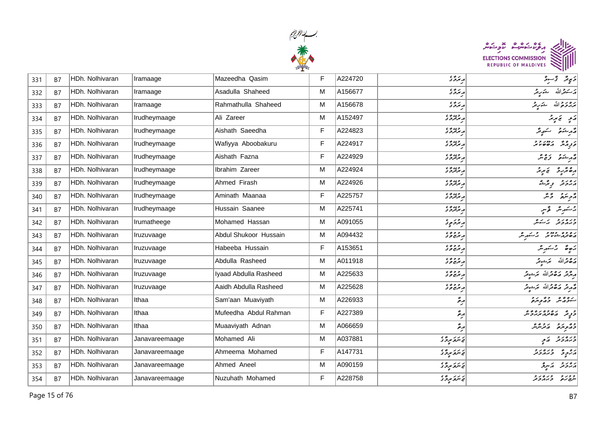



| 331 | <b>B7</b> | HDh. Nolhivaran | Iramaage       | Mazeedha Qasim        | F  | A224720 | ر بر بر د<br>در بوری                  | دَىمٍتَر تَرْسِرْدُ                                        |
|-----|-----------|-----------------|----------------|-----------------------|----|---------|---------------------------------------|------------------------------------------------------------|
| 332 | <b>B7</b> | HDh. Nolhivaran | Iramaage       | Asadulla Shaheed      | М  | A156677 | پر بو ۽<br>پر بوري                    | مَرْ سَمَعْرَاللّهُ شَمَرِ مِرْ                            |
| 333 | B7        | HDh. Nolhivaran | Iramaage       | Rahmathulla Shaheed   | м  | A156678 | ە بىرى                                | برەبرة الله خربرقر                                         |
| 334 | <b>B7</b> | HDh. Nolhivaran | Irudheymaage   | Ali Zareer            | М  | A152497 | و در د. د.<br>در موتور و ک            | رَجِب نَج سِيتَر                                           |
| 335 | <b>B7</b> | HDh. Nolhivaran | Irudheymaage   | Aishath Saeedha       | F. | A224823 | و در د.<br>در موتور و                 | أقرم شكوم المسكوفر                                         |
| 336 | <b>B7</b> | HDh. Nolhivaran | Irudheymaage   | Wafiyya Aboobakuru    | F  | A224917 | ا په دې ده د<br>ابر مرمرد د           | בנהיה הספידי                                               |
| 337 | <b>B7</b> | HDh. Nolhivaran | Irudheymaage   | Aishath Fazna         | F. | A224929 | و پره پر پر<br>در موفورس              | ۇرىشقى زېمىگە                                              |
| 338 | <b>B7</b> | HDh. Nolhivaran | Irudheymaage   | Ibrahim Zareer        | М  | A224924 | پر بر بر بر بر بر<br>  بر بر بر بر بر | رەشرە ئىر                                                  |
| 339 | <b>B7</b> | HDh. Nolhivaran | Irudheymaage   | Ahmed Firash          | М  | A224926 | و دره پر د<br>در جولور و              | برەرد پر ش                                                 |
| 340 | <b>B7</b> | HDh. Nolhivaran | Irudheymaage   | Aminath Maanaa        | F. | A225757 | د وړ، د ،<br>د مرمرد د                | أزويته ومحتر                                               |
| 341 | <b>B7</b> | HDh. Nolhivaran | Irudheymaage   | Hussain Saanee        | М  | A225741 | و ده و د و<br>در موتور و د            | برڪرمرنگر گڏسي                                             |
| 342 | <b>B7</b> | HDh. Nolhivaran | Irumatheege    | Mohamed Hassan        | м  | A091055 | <br>  په ټرخه مو <sup>ي</sup>         | ورەرو پرىكە                                                |
| 343 | <b>B7</b> | HDh. Nolhivaran | Iruzuvaage     | Abdul Shukoor Hussain | M  | A094432 | د ح ح ح ح<br>م                        | ره وه ودوو و مهرش                                          |
| 344 | <b>B7</b> | HDh. Nolhivaran | Iruzuvaage     | Habeeba Hussain       | F  | A153651 | د د د ه ،<br>د برج و د                | بَيْرِ فَي مُسْتَدِيرٌ                                     |
| 345 | <b>B7</b> | HDh. Nolhivaran | Iruzuvaage     | Abdulla Rasheed       | M  | A011918 | پر بر بر بر بر                        | مَدْهُ مَّرْسُومَّر                                        |
| 346 | <b>B7</b> | HDh. Nolhivaran | Iruzuvaage     | Iyaad Abdulla Rasheed | М  | A225633 | <br>  د برج څري                       | مرتزنتر ورصارالله بمرشونتر<br>مرتزنتر ورصانترالله بمرشونتر |
| 347 | <b>B7</b> | HDh. Nolhivaran | Iruzuvaage     | Aaidh Abdulla Rasheed | М  | A225628 | ە جەم ئەتە<br>مەسىر <i>ئە</i> ت       | مەمەتىر مەھەتراللە مەھەتىر                                 |
| 348 | <b>B7</b> | HDh. Nolhivaran | Ithaa          | Sam'aan Muaviyath     | М  | A226933 | برځ                                   | روومه ووردو                                                |
| 349 | B7        | HDh. Nolhivaran | Ithaa          | Mufeedha Abdul Rahman | F. | A227389 | مرځي                                  | و و ده ده ده ده و                                          |
| 350 | <b>B7</b> | HDh. Nolhivaran | Ithaa          | Muaaviyath Adnan      | м  | A066659 | برچ                                   | وړموره ړو شر                                               |
| 351 | <b>B7</b> | HDh. Nolhivaran | Janavareemaage | Mohamed Ali           | М  | A037881 | ئے ئىرى ئىر ئىگى                      | ورەر د كړ                                                  |
| 352 | <b>B7</b> | HDh. Nolhivaran | Janavareemaage | Ahmeema Mohamed       | F  | A147731 | ئے سَرَهَ سِرحَّ ئَ                   | و رە ر د<br>تر پروتر<br>تروچهٔ                             |
| 353 | B7        | HDh. Nolhivaran | Janavareemaage | Ahmed Aneel           | M  | A090159 | ئے ئىرىھ مریح ئى                      | رەر دىرو                                                   |
| 354 | <b>B7</b> | HDh. Nolhivaran | Janavareemaage | Nuzuhath Mohamed      | F. | A228758 | ئۇيترىم ئېرىڭ ئە                      | و رە ر د<br>تر پەر تەر<br>پر ج بر ج<br>سرچ سرچ             |
|     |           |                 |                |                       |    |         |                                       |                                                            |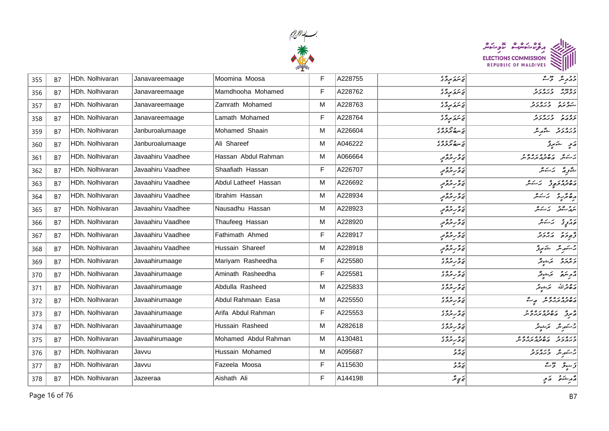



| 355 | <b>B7</b> | HDh. Nolhivaran | Janavareemaage    | Moomina Moosa        | F  | A228755 | <br>  نے مترکو تحری <sup>5</sup> ک          | 3 مرحد مقرر محمد م                          |
|-----|-----------|-----------------|-------------------|----------------------|----|---------|---------------------------------------------|---------------------------------------------|
| 356 | <b>B7</b> | HDh. Nolhivaran | Janavareemaage    | Mamdhooha Mohamed    | F  | A228762 | ئے سرچ سرچ ی                                | و رە ر د<br><i>د ب</i> رگەن<br>  پر ۱۵ دور  |
| 357 | <b>B7</b> | HDh. Nolhivaran | Janavareemaage    | Zamrath Mohamed      | М  | A228763 | ئے سرچ سرچ کی                               | شوڅ تره<br>و رە ر د<br>تر پروتر             |
| 358 | <b>B7</b> | HDh. Nolhivaran | Janavareemaage    | Lamath Mohamed       | F  | A228764 | ئے مترکھ سرچ کی                             | ره رو وره رو<br><mark>نروره وبرد</mark> وتر |
| 359 | <b>B7</b> | HDh. Nolhivaran | Janburoalumaage   | Mohamed Shaain       | М  | A226604 | ر روم و د ،<br>تح سره برنوگر                | ورەرو شەرش                                  |
| 360 | <b>B7</b> | HDh. Nolhivaran | Janburoalumaage   | Ali Shareef          | м  | A046222 | ر سره ۵۶ و د ،<br>د کاسره مرمونو د          | أرشح المشتميرو                              |
| 361 | <b>B7</b> | HDh. Nolhivaran | Javaahiru Vaadhee | Hassan Abdul Rahman  | м  | A066664 | ئے قریر ترقی میں                            | بر روم ده ده ده و د                         |
| 362 | <b>B7</b> | HDh. Nolhivaran | Javaahiru Vaadhee | Shaafiath Hassan     | F  | A226707 | <br>  ئ <sub>ە</sub> قرىرقۇم <sub>ۇ</sub>   | شورة   يركبش                                |
| 363 | <b>B7</b> | HDh. Nolhivaran | Javaahiru Vaadhee | Abdul Latheef Hassan | м  | A226692 | <br>  ئ <sub>ە</sub> قرىرقۇم <sub>ۇ</sub>   | رە دە دېرو تەسەر                            |
| 364 | <b>B7</b> | HDh. Nolhivaran | Javaahiru Vaadhee | Ibrahim Hassan       | м  | A228934 | <br>  ئ <sub>ە</sub> قرىر تىرقى تېر         | رەنزىر ئەسەر                                |
| 365 | <b>B7</b> | HDh. Nolhivaran | Javaahiru Vaadhee | Nausadhu Hassan      | М  | A228923 | <br>  ئ <sub>ە</sub> قرىر تىرقى تېر         | يروث ترك بركسكر                             |
| 366 | <b>B7</b> | HDh. Nolhivaran | Javaahiru Vaadhee | Thaufeeg Hassan      | м  | A228920 | ئے قریر ترقی میں                            | ع ۾ پي ته پر سند شر                         |
| 367 | <b>B7</b> | HDh. Nolhivaran | Javaahiru Vaadhee | Fathimath Ahmed      | F  | A228917 | ئەقەر برقەمە                                | قهوخهم متصحفر                               |
| 368 | <b>B7</b> | HDh. Nolhivaran | Javaahiru Vaadhee | Hussain Shareef      | М  | A228918 | ئے قریر ترقی میں                            | 2سەر شەھرىر                                 |
| 369 | <b>B7</b> | HDh. Nolhivaran | Javaahirumaage    | Mariyam Rasheedha    | F  | A225580 | پر ځر پر څر <sub>ک</sub>                    | أوجهروا أترجير                              |
| 370 | <b>B7</b> | HDh. Nolhivaran | Javaahirumaage    | Aminath Rasheedha    | F. | A225581 | ر پر پر پر پر پر<br>محمد سرچ <sub>ک</sub> ر | أأترجع التمشيقه                             |
| 371 | <b>B7</b> | HDh. Nolhivaran | Javaahirumaage    | Abdulla Rasheed      | м  | A225833 | ئە ئۇ پە ئەدى                               | رەقراللە ترىنوتر                            |
| 372 | <b>B7</b> | HDh. Nolhivaran | Javaahirumaage    | Abdul Rahmaan Easa   | м  | A225550 | پر څر پر څر <sub>ک</sub>                    | رە دەرەپەر پەگ                              |
| 373 | <b>B7</b> | HDh. Nolhivaran | Javaahirumaage    | Arifa Abdul Rahman   | F  | A225553 | پر څر پر څر <sub>ک</sub>                    | ه برو ده ده ده د و                          |
| 374 | <b>B7</b> | HDh. Nolhivaran | Javaahirumaage    | Hussain Rasheed      | м  | A282618 | پر څر پر څر <sub>ک</sub>                    | رجا شكر مكر مكر مكر من المحر وتر            |
| 375 | <b>B7</b> | HDh. Nolhivaran | Javaahirumaage    | Mohamed Abdul Rahman | м  | A130481 | ئە ئۇ پە ئەدى                               | دره د د ده ده ده ده و                       |
| 376 | <b>B7</b> | HDh. Nolhivaran | Javvu             | Hussain Mohamed      | м  | A095687 | ر ه و<br>قع ار و                            | جسكره وبرورو                                |
| 377 | <b>B7</b> | HDh. Nolhivaran | Javvu             | Fazeela Moosa        | F  | A115630 | ر ه و<br>ق پرو                              | أرَسْيِعٌ وَ"رَسَمُ                         |
| 378 | <b>B7</b> | HDh. Nolhivaran | Jazeeraa          | Aishath Ali          | F  | A144198 | تع نچ مگر                                   | أوار ينكونه أوالمحيا                        |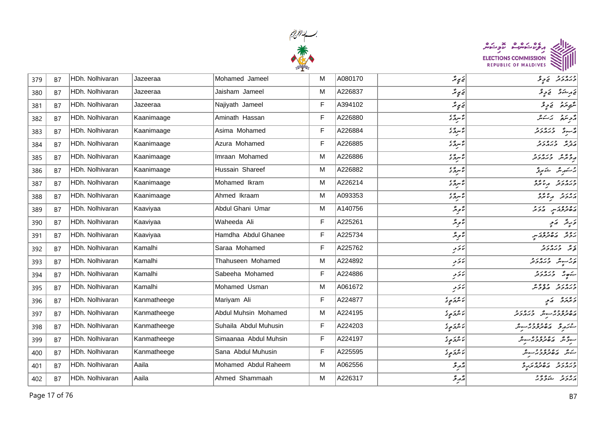



| 379 | <b>B7</b> | HDh. Nolhivaran | Jazeeraa    | Mohamed Jameel        | М  | A080170 | ئىي ئىر                         | دیرویز نے پی                           |
|-----|-----------|-----------------|-------------|-----------------------|----|---------|---------------------------------|----------------------------------------|
| 380 | <b>B7</b> | HDh. Nolhivaran | Jazeeraa    | Jaisham Jameel        | М  | A226837 | ئے بیچ میگر                     | قەرىشكى قەرچ                           |
| 381 | <b>B7</b> | HDh. Nolhivaran | Jazeeraa    | Najiyath Jameel       | F  | A394102 | ئىي ئىر                         | أشج يزة والمحاج فر                     |
| 382 | <b>B7</b> | HDh. Nolhivaran | Kaanimaage  | Aminath Hassan        | F. | A226880 | پ <sup>ه</sup> سرچ ی            | أزوبترة الاسكس                         |
| 383 | <b>B7</b> | HDh. Nolhivaran | Kaanimaage  | Asima Mohamed         | F. | A226884 | شور پر پر<br>مرس                | چېنو دره د د                           |
| 384 | <b>B7</b> | HDh. Nolhivaran | Kaanimaage  | Azura Mohamed         | F. | A226885 | م <sup>ہ</sup> سرچ <sup>ی</sup> | د و د وره ر و<br>  د نرس ا د بر د و تر |
| 385 | <b>B7</b> | HDh. Nolhivaran | Kaanimaage  | Imraan Mohamed        | М  | A226886 | تأسر تحرى                       | ورور ورورو                             |
| 386 | <b>B7</b> | HDh. Nolhivaran | Kaanimaage  | Hussain Shareef       | M  | A226882 | مذهبه ع                         | 2سىمبرىتىن ئىش <i>تىرى</i><br>         |
| 387 | <b>B7</b> | HDh. Nolhivaran | Kaanimaage  | Mohamed Ikram         | М  | A226214 | ش مریز ی<br>ما معرچه ی          | כממכת תשתכ                             |
| 388 | <b>B7</b> | HDh. Nolhivaran | Kaanimaage  | Ahmed Ikraam          | М  | A093353 | مذهبه ع                         | برەرو مەمۇر                            |
| 389 | <b>B7</b> | HDh. Nolhivaran | Kaaviyaa    | Abdul Ghani Umar      | М  | A140756 | لتمعر ممر                       | גפנקלית הכת                            |
| 390 | <b>B7</b> | HDh. Nolhivaran | Kaaviyaa    | Waheeda Ali           | F  | A225261 | لتنمورمثر                       | ءَ پڻ ڏي                               |
| 391 | <b>B7</b> | HDh. Nolhivaran | Kaaviyaa    | Hamdha Abdul Ghanee   | F. | A225734 | تؤجرهم                          | رە بەدەپرىد                            |
| 392 | <b>B7</b> | HDh. Nolhivaran | Kamalhi     | Saraa Mohamed         | F. | A225762 | تذكر عيه                        | پر محمد در د<br>  پی محمد حرمد         |
| 393 | <b>B7</b> | HDh. Nolhivaran | Kamalhi     | Thahuseen Mohamed     | M  | A224892 | ئەخەمە                          | پرجمند میں مقدمت                       |
| 394 | <b>B7</b> | HDh. Nolhivaran | Kamalhi     | Sabeeha Mohamed       | F. | A224886 | مَا حَرْمِ                      | بنور ورورو                             |
| 395 | <b>B7</b> | HDh. Nolhivaran | Kamalhi     | Mohamed Usman         | M  | A061672 | مأخرمه                          | ورەر دەپرە<br>دىرمەتر مۇرىر            |
| 396 | <b>B7</b> | HDh. Nolhivaran | Kanmatheege | Mariyam Ali           | F  | A224877 | ئەنگە ئەمرىمى                   | د ۱٫۵ ق.م.                             |
| 397 | <b>B7</b> | HDh. Nolhivaran | Kanmatheege | Abdul Muhsin Mohamed  | М  | A224195 | ئەنگە ئەمرى                     | ן פרפר פרי פרסקר<br>הסתכבר פיי         |
| 398 | <b>B7</b> | HDh. Nolhivaran | Kanmatheege | Suhaila Abdul Muhusin | F  | A224203 | ئەنگە ئەمو ئە                   | شركرى كەن دەرەب بىر                    |
| 399 | <b>B7</b> | HDh. Nolhivaran | Kanmatheege | Simaanaa Abdul Muhsin | F. | A224197 | ئەنگە ئەمرى                     | سرگر مره ده ده می د                    |
| 400 | <b>B7</b> | HDh. Nolhivaran | Kanmatheege | Sana Abdul Muhusin    | F. | A225595 | لأمثر كحريمى                    | شهر ازه وه و و سرهر                    |
| 401 | <b>B7</b> | HDh. Nolhivaran | Aaila       | Mohamed Abdul Raheem  | М  | A062556 | اتزمر محمه                      | CLOSE LOSOLO                           |
| 402 | <b>B7</b> | HDh. Nolhivaran | Aaila       | Ahmed Shammaah        | M  | A226317 | رمجمعر محمد                     | أرور ومدووج                            |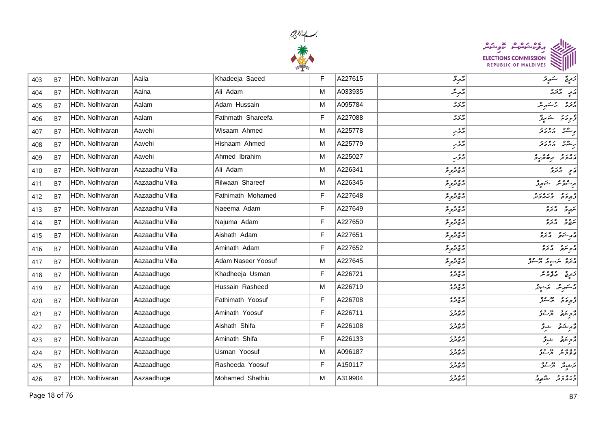



| 403 | <b>B7</b> | HDh. Nolhivaran | Aaila          | Khadeeja Saeed     | F  | A227615 | ترمرځ                         | كرموقح التكنم وقر                               |
|-----|-----------|-----------------|----------------|--------------------|----|---------|-------------------------------|-------------------------------------------------|
| 404 | <b>B7</b> | HDh. Nolhivaran | Aaina          | Ali Adam           | М  | A033935 | ومحمر يتمه                    | ر<br>موسم محمدة                                 |
| 405 | B7        | HDh. Nolhivaran | Aalam          | Adam Hussain       | М  | A095784 | پر ہ<br>مرمر                  | دره جسکه شر                                     |
| 406 | <b>B7</b> | HDh. Nolhivaran | Aalam          | Fathmath Shareefa  | F  | A227088 | پر و<br>مرمو                  | تۇپوچۇ شېرىژ                                    |
| 407 | B7        | HDh. Nolhivaran | Aavehi         | Wisaam Ahmed       | Μ  | A225778 | ومحمر                         | وشرو برەر د                                     |
| 408 | <b>B7</b> | HDh. Nolhivaran | Aavehi         | Hishaam Ahmed      | М  | A225779 | رحمح سبة                      | رشی در در د                                     |
| 409 | <b>B7</b> | HDh. Nolhivaran | Aavehi         | Ahmed Ibrahim      | М  | A225027 | لمرشحة سيه                    | برە ئۇر ۋ<br>  پر ژوئر                          |
| 410 | <b>B7</b> | HDh. Nolhivaran | Aazaadhu Villa | Ali Adam           | М  | A226341 | پژنځو تره په تر               | پَه په په پره                                   |
| 411 | B7        | HDh. Nolhivaran | Aazaadhu Villa | Rilwaan Shareef    | Μ  | A226345 | پر مج قرح گر                  | برڪوگر شريرو                                    |
| 412 | <b>B7</b> | HDh. Nolhivaran | Aazaadhu Villa | Fathimath Mohamed  | F. | A227648 | پر مج قرح گر                  | و رە ر د<br>تر پر تر تر<br>  قرَّ ہو چرچ        |
| 413 | B7        | HDh. Nolhivaran | Aazaadhu Villa | Naeema Adam        | F  | A227649 | پر مج قرح گر                  | يتهايج المجمرة                                  |
| 414 | B7        | HDh. Nolhivaran | Aazaadhu Villa | Najuma Adam        | F  | A227650 | پژنځ قرع څر                   | ر و به پره<br>سرچار گرفرو                       |
| 415 | B7        | HDh. Nolhivaran | Aazaadhu Villa | Aishath Adam       | F  | A227651 | ە ئىچ قرىر قر                 | پژ <sub>گر</sub> ه<br>مرکزو<br>وژمر <u>شوه.</u> |
| 416 | <b>B7</b> | HDh. Nolhivaran | Aazaadhu Villa | Aminath Adam       | F  | A227652 | پژنځ قرع څر                   | أزويته أردره                                    |
| 417 | B7        | HDh. Nolhivaran | Aazaadhu Villa | Adam Naseer Yoosuf | М  | A227645 | ۇ ئىچ قر <sub>ى</sub> مىتى ئى |                                                 |
| 418 | <b>B7</b> | HDh. Nolhivaran | Aazaadhuge     | Khadheeja Usman    | F  | A226721 | ږ د د ،<br>د ځ تر و           | زَمِرِيَّ مَنْ وَمَنْ                           |
| 419 | B7        | HDh. Nolhivaran | Aazaadhuge     | Hussain Rasheed    | Μ  | A226719 | ږ د د ،<br>د پخ تر پ          | 2سكىرىش مۇھەم<br>                               |
| 420 | <b>B7</b> | HDh. Nolhivaran | Aazaadhuge     | Fathimath Yoosuf   | F  | A226708 | پر پر و ،<br>در سخ تعری       | دد حسور<br>ا تو <sub>جو</sub> ر د               |
| 421 | B7        | HDh. Nolhivaran | Aazaadhuge     | Aminath Yoosuf     | F  | A226711 | ږ د د ،<br>د پخ تر پ          | دو به ده<br>در سور<br>أومحر بخرو                |
| 422 | <b>B7</b> | HDh. Nolhivaran | Aazaadhuge     | Aishath Shifa      | F  | A226108 | پر بر و ،<br>در سخ تعری       | لمحمر يئمقهم<br>مشبوش                           |
| 423 | <b>B7</b> | HDh. Nolhivaran | Aazaadhuge     | Aminath Shifa      | F  | A226133 | ږ د د د<br>د پخ نور           | أومحر يتمدهم<br>سفوتش                           |
| 424 | B7        | HDh. Nolhivaran | Aazaadhuge     | Usman Yoosuf       | М  | A096187 | پر بر و ،<br>در سخ تعری       | دو و ه<br>در سور<br>و و و مه<br>مرغ مګر         |
| 425 | <b>B7</b> | HDh. Nolhivaran | Aazaadhuge     | Rasheeda Yoosuf    | F  | A150117 | ږ د د د<br>د پخ نور           | دد حرو<br>  مَرْسُوتَرُ                         |
| 426 | <b>B7</b> | HDh. Nolhivaran | Aazaadhuge     | Mohamed Shathiu    | M  | A319904 | ږ د د ،<br>د ځ تر و           | ورەرو ئەچ                                       |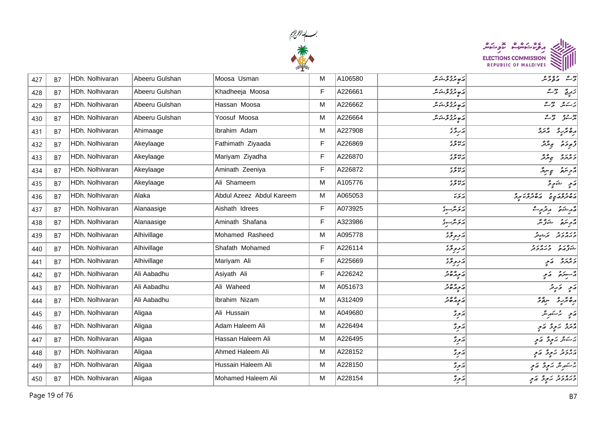



| 427 | <b>B7</b> | HDh. Nolhivaran | Abeeru Gulshan | Moosa Usman              | М           | A106580 | پەھ برتى قويىتى بىر<br>                 | دور دەۋر                                |
|-----|-----------|-----------------|----------------|--------------------------|-------------|---------|-----------------------------------------|-----------------------------------------|
| 428 | <b>B7</b> | HDh. Nolhivaran | Abeeru Gulshan | Khadheeja Moosa          | F           | A226661 | ىر بەج بۇ شەھر                          | زَمِرِةٌ حَ"ــدٌ                        |
| 429 | <b>B7</b> | HDh. Nolhivaran | Abeeru Gulshan | Hassan Moosa             | М           | A226662 | ئەھ برۆلۈشەر<br>                        | دومشر<br>برسەيىتە                       |
| 430 | <b>B7</b> | HDh. Nolhivaran | Abeeru Gulshan | Yoosuf Moosa             | М           | A226664 | ە ئەم تەج ئەھ ئەسىر<br>ئەس ئەر ئەكتىرىش | در ده در م                              |
| 431 | <b>B7</b> | HDh. Nolhivaran | Ahimaage       | Ibrahim Adam             | М           | A227908 | وسرشى                                   | ىر <i>ھىتى ب</i> ۇ<br>ەرگەرى            |
| 432 | <b>B7</b> | HDh. Nolhivaran | Akeylaage      | Fathimath Ziyaada        | F           | A226869 | ر یں بر ی<br>پر ما مو ی                 | وَّجِوحَةً مِنْ مِرَّمَّدٌ              |
| 433 | <b>B7</b> | HDh. Nolhivaran | Akeylaage      | Mariyam Ziyadha          | F           | A226870 | ر یں بر ی<br>پر ما مو ی                 | د ۱۵ د ص پروگر                          |
| 434 | <b>B7</b> | HDh. Nolhivaran | Akeylaage      | Aminath Zeeniya          | F           | A226872 | ر ۵ <i>۵ پو</i> ۵<br>در ما مو د         | أُرْحِر سَمَعَ لَمْ سِرْدً              |
| 435 | <b>B7</b> | HDh. Nolhivaran | Akeylaage      | Ali Shameem              | М           | A105776 | ر ۵ <i>۵ پو</i> ۵<br>در ما مو د         | ړَ په شَوَدٌ                            |
| 436 | <b>B7</b> | HDh. Nolhivaran | Alaka          | Abdul Azeez Abdul Kareem | М           | A065053 | برىز                                    | קס כסק ב קס כסק<br>הסטק בה הסטק הב      |
| 437 | <b>B7</b> | HDh. Nolhivaran | Alanaasige     | Aishath Idrees           | F           | A073925 | ىر ئەنگەسى <sup>ي</sup><br>م            | أقهر منشقهم والمرموث                    |
| 438 | <b>B7</b> | HDh. Nolhivaran | Alanaasige     | Aminath Shafana          | F           | A323986 | ىر ئەنگەسى <sup>ي</sup><br>م            | قەجەسىھ سىنۇ ئىگر                       |
| 439 | <b>B7</b> | HDh. Nolhivaran | Alhivillage    | Mohamed Rasheed          | М           | A095778 | ړ ره وگ <sup>ي</sup>                    | وبره د و مر مر موفر<br>  وبر بر عر موفر |
| 440 | <b>B7</b> | HDh. Nolhivaran | Alhivillage    | Shafath Mohamed          | F           | A226114 | ړ ره وگ <sup>ي</sup>                    | شۇرە دىرەرد                             |
| 441 | <b>B7</b> | HDh. Nolhivaran | Alhivillage    | Mariyam Ali              | F           | A225669 | ړ <sub>په ب</sub> و وگړي<br>ر           | د ۱٫۵ ق.م.                              |
| 442 | <b>B7</b> | HDh. Nolhivaran | Ali Aabadhu    | Asiyath Ali              | $\mathsf F$ | A226242 | ەَ بِرەڭ قر                             | أرمسور ترويبهم                          |
| 443 | <b>B7</b> | HDh. Nolhivaran | Ali Aabadhu    | Ali Waheed               | М           | A051673 | ړ په ژوگور                              | پر پور تر تر                            |
| 444 | <b>B7</b> | HDh. Nolhivaran | Ali Aabadhu    | Ibrahim Nizam            | М           | A312409 | ړ په ژهٔ تر                             | وەتمەر ئىرقى                            |
| 445 | <b>B7</b> | HDh. Nolhivaran | Aligaa         | Ali Hussain              | М           | A049680 | برَجرَ                                  | أەيج الاستهرىش                          |
| 446 | <b>B7</b> | HDh. Nolhivaran | Aligaa         | Adam Haleem Ali          | М           | A226494 | برَمرِدٌ                                | پروه ټروه ټر                            |
| 447 | <b>B7</b> | HDh. Nolhivaran | Aligaa         | Hassan Haleem Ali        | М           | A226495 | بزوج                                    | پرستمبر برج و المع                      |
| 448 | <b>B7</b> | HDh. Nolhivaran | Aligaa         | Ahmed Haleem Ali         | М           | A228152 | بزېږ                                    | رەر تەر ئېچى كې                         |
| 449 | <b>B7</b> | HDh. Nolhivaran | Aligaa         | Hussain Haleem Ali       | М           | A228150 | برَمرِدٌ                                | چستنزینگ ټرموی ټرمو                     |
| 450 | <b>B7</b> | HDh. Nolhivaran | Aligaa         | Mohamed Haleem Ali       | М           | A228154 | وكمعرة                                  | ورەر د ټرو كړ                           |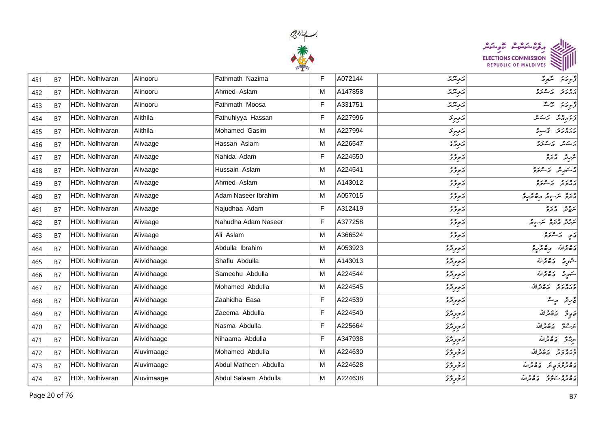



| <b>B7</b> | HDh. Nolhivaran | Alinooru    | Fathmath Nazima       | F | A072144 | ړ په دو د             | سَّرْمُورَّ<br>اقرموخرم                   |
|-----------|-----------------|-------------|-----------------------|---|---------|-----------------------|-------------------------------------------|
| <b>B7</b> | HDh. Nolhivaran | Alinooru    | Ahmed Aslam           | М | A147858 | بروجرجر               | رەرد پرەرە                                |
| <b>B7</b> | HDh. Nolhivaran | Alinooru    | Fathmath Moosa        | F | A331751 | بروجير                | توجوجو المحر مع                           |
| <b>B7</b> | HDh. Nolhivaran | Alithila    | Fathuhiyya Hassan     | F | A227996 | وكمعرجو               | زەرەپۇر برسەش                             |
| <b>B7</b> | HDh. Nolhivaran | Alithila    | Mohamed Gasim         | М | A227994 | وكمعرجر               | ورەرو سى تى                               |
| B7        | HDh. Nolhivaran | Alivaage    | Hassan Aslam          | М | A226547 | پر پر پر              | يزكتش المرتبوقر                           |
| B7        | HDh. Nolhivaran | Alivaage    | Nahida Adam           | F | A224550 | پر پر پر              | شریعهٔ مرتزره                             |
| <b>B7</b> | HDh. Nolhivaran | Alivaage    | Hussain Aslam         | М | A224541 | ە ئورۇ ئ              | يرتشر شرائد ورائده                        |
| B7        | HDh. Nolhivaran | Alivaage    | Ahmed Aslam           | М | A143012 | بزيزة فالمحم          | پروتر پرے پرو                             |
| B7        | HDh. Nolhivaran | Alivaage    | Adam Naseer Ibrahim   | М | A057015 | پر وي                 | أرمزد ترجيعه رەمزېرد                      |
| B7        | HDh. Nolhivaran | Alivaage    | Najudhaa Adam         | F | A312419 | پر پر پر              | روی پی دو                                 |
| B7        | HDh. Nolhivaran | Alivaage    | Nahudha Adam Naseer   | F | A377258 | پر وي                 | يَرْدَقُرْ أَرْتَدَى الرَّسِيدِيرُ        |
| B7        | HDh. Nolhivaran | Alivaage    | Ali Aslam             | M | A366524 | پر وي                 | أة بمستخر                                 |
| <b>B7</b> | HDh. Nolhivaran | Alividhaage | Abdulla Ibrahim       | M | A053923 | تزووقرى               | أرة قرالله مرة مربرة                      |
| B7        | HDh. Nolhivaran | Alividhaage | Shafiu Abdulla        | М | A143013 | تزووقرى               | يُحْمَ <i>وه ض</i> ڤعرالله                |
| <b>B7</b> | HDh. Nolhivaran | Alividhaage | Sameehu Abdulla       | М | A224544 | ړو وقری               | كويەتر كەھەتراللە                         |
| B7        | HDh. Nolhivaran | Alividhaage | Mohamed Abdulla       | М | A224545 | ړوه پژه               | وبره برو بروترالله                        |
| B7        | HDh. Nolhivaran | Alividhaage | Zaahidha Easa         | F | A224539 | ړوه وگړی              | تجريتْر پيستْه                            |
| B7        | HDh. Nolhivaran | Alividhaage | Zaeema Abdulla        | F | A224540 | ړ وه وگر <sup>ي</sup> | ت <sub>َص</sub> وتَت كَ مُحَامَّدُ اللَّه |
| B7        | HDh. Nolhivaran | Alividhaage | Nasma Abdulla         | F | A225664 | ړوه ورځ               | ىترىشىتخ<br>ەھىراللە                      |
| B7        | HDh. Nolhivaran | Alividhaage | Nihaama Abdulla       | F | A347938 | تزوه قرة              | سرجح صكاة الله                            |
| B7        | HDh. Nolhivaran | Aluvimaage  | Mohamed Abdulla       | М | A224630 | ر د په ،<br>مرمورۍ    | وبرەرو رەھراللە                           |
| <b>B7</b> | HDh. Nolhivaran | Aluvimaage  | Abdul Matheen Abdulla | М | A224628 | برقرمرتز              | ره وور په پروترالله                       |
| <b>B7</b> | HDh. Nolhivaran | Aluvimaage  | Abdul Salaam Abdulla  | М | A224638 | ر د په ،<br>مرمورۍ    | رە دە بەدە بەھەللە                        |
|           |                 |             |                       |   |         |                       |                                           |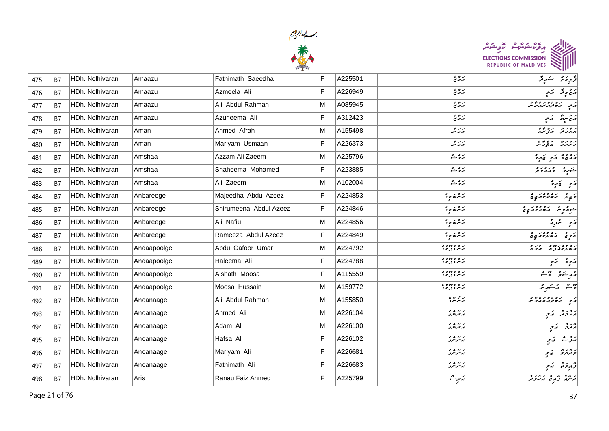



| <b>B7</b> | HDh. Nolhivaran | Amaazu      | Fathimath Saeedha      | F  | A225501 | ر و د<br>در م               | قرم و ترقيد تركيب من المريتر                                                       |
|-----------|-----------------|-------------|------------------------|----|---------|-----------------------------|------------------------------------------------------------------------------------|
| <b>B7</b> | HDh. Nolhivaran | Amaazu      | Azmeela Ali            | F  | A226949 | ر و د<br>در م               | ړ د په کام                                                                         |
| B7        | HDh. Nolhivaran | Amaazu      | Ali Abdul Rahman       | М  | A085945 | ر و د<br>در م               | رو ده وه ده وه                                                                     |
| <b>B7</b> | HDh. Nolhivaran | Amaazu      | Azuneema Ali           | F  | A312423 | ەردىنى                      | كەنجىرىگە كەمچ                                                                     |
| B7        | HDh. Nolhivaran | Aman        | Ahmed Afrah            | М  | A155498 | برىر ھ                      | رەرد رەپرە                                                                         |
| <b>B7</b> | HDh. Nolhivaran | Aman        | Mariyam Usmaan         | F  | A226373 | برىر ھ                      | د وره دووره                                                                        |
| <b>B7</b> | HDh. Nolhivaran | Amshaa      | Azzam Ali Zaeem        | М  | A225796 | رەپى                        |                                                                                    |
| <b>B7</b> | HDh. Nolhivaran | Amshaa      | Shaheema Mohamed       | F. | A223885 | رزويته                      | شَرِرَة = 2012م                                                                    |
| B7        | HDh. Nolhivaran | Amshaa      | Ali Zaeem              | М  | A102004 | رەپى                        | ړې په ده                                                                           |
| <b>B7</b> | HDh. Nolhivaran | Anbareege   | Majeedha Abdul Azeez   | F. | A224853 | پر نثر تھ سریحہ             | د پونګر پره ده د کام                                                               |
| B7        | HDh. Nolhivaran | Anbareege   | Shirumeena Abdul Azeez | F  | A224846 | پر نثر په سريز              | شوپرو شهر دوور د د<br>شوپرو شهر ماه تر ترم مي مي                                   |
| B7        | HDh. Nolhivaran | Anbareege   | Ali Nafiu              | M  | A224856 | ەكەشھە ئىرى                 | أرزمي التمرير                                                                      |
| B7        | HDh. Nolhivaran | Anbareege   | Rameeza Abdul Azeez    | F  | A224849 | پر شرکھ سر <sup>پر</sup>    | پر په په موه ده د په چ                                                             |
| <b>B7</b> | HDh. Nolhivaran | Andaapoolge | Abdul Gafoor Umar      | М  | A224792 | ر ۵ ۶۶۶ و ،<br>د سره بو مرد | ره ده دود د در د<br>مصر در در مر                                                   |
| B7        | HDh. Nolhivaran | Andaapoolge | Haleema Ali            | F  | A224788 | ر ۵ ۶۶۶ و ،<br>د سره بر مرد | ر پر پار کرد کرد کرد.<br>مردم اور مردم کرد کرد کرد کرد کرد کرد و استان کردن برخ می |
| <b>B7</b> | HDh. Nolhivaran | Andaapoolge | Aishath Moosa          | F  | A115559 | ر ۵ ۶۶ وه ۷<br>د سرو بو موړ | و ديده ورو<br>م                                                                    |
| B7        | HDh. Nolhivaran | Andaapoolge | Moosa Hussain          | М  | A159772 | ر ۵ ۶۵ وه ۵<br>د سره بر مرد | دوسته برسته <i>ه م</i> ثر                                                          |
| <b>B7</b> | HDh. Nolhivaran | Anoanaage   | Ali Abdul Rahman       | М  | A155850 | ىر جو يۇ ي                  | ر ده وه ده ده م                                                                    |
| B7        | HDh. Nolhivaran | Anoanaage   | Ahmed Ali              | М  | A226104 | ر ۾ ءِ ۽<br>مرس             | پروژ تر پر                                                                         |
| <b>B7</b> | HDh. Nolhivaran | Anoanaage   | Adam Ali               | М  | A226100 | ر ۾ ءِ ۽<br>مرس             | پرو کرم پر                                                                         |
| B7        | HDh. Nolhivaran | Anoanaage   | Hafsa Ali              | F  | A226102 | ر ۾ ءِ ۽<br>مرس             | رَوْبُہٗ   اَرِ یہِ                                                                |
| B7        | HDh. Nolhivaran | Anoanaage   | Mariyam Ali            | F  | A226681 | ىر جو يۇ ي                  | تەمەر 2<br>ەئىر                                                                    |
| B7        | HDh. Nolhivaran | Anoanaage   | Fathimath Ali          | F  | A226683 | ىر ج <sub>ەشمى</sub>        | وً و د د کام په                                                                    |
| <b>B7</b> | HDh. Nolhivaran | Aris        | Ranau Faiz Ahmed       | F. | A225799 | اړسه                        | پرسمه ژمره مدونه                                                                   |
|           |                 |             |                        |    |         |                             |                                                                                    |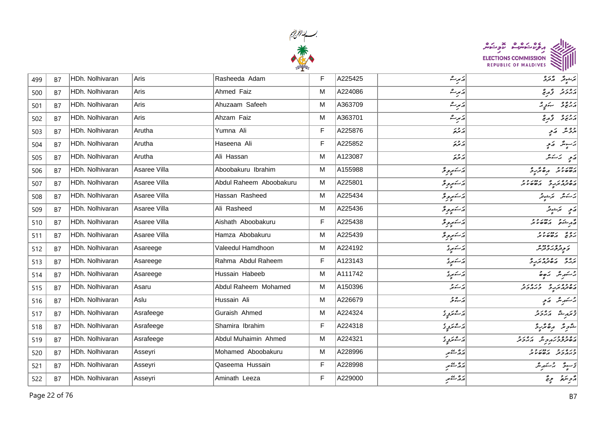



| 499 | B7        | HDh. Nolhivaran | Aris         | Rasheeda Adam           | F | A225425 | رئىرىشە                                | يَرۡشِينَرُ لِهُ يَرۡوُ                  |
|-----|-----------|-----------------|--------------|-------------------------|---|---------|----------------------------------------|------------------------------------------|
| 500 | B7        | HDh. Nolhivaran | Aris         | Ahmed Faiz              | М | A224086 | ترسيه مشر                              | پرور و و په                              |
| 501 | B7        | HDh. Nolhivaran | Aris         | Ahuzaam Safeeh          | М | A363709 | رئىرىشە                                | درووه درو                                |
| 502 | <b>B7</b> | HDh. Nolhivaran | Aris         | Ahzam Faiz              | М | A363701 | ەئىرىشە                                | پر جرج و<br>تر مرج                       |
| 503 | B7        | HDh. Nolhivaran | Arutha       | Yumna Ali               | F | A225876 | ەر بەر                                 | دوير مجمو                                |
| 504 | B7        | HDh. Nolhivaran | Arutha       | Haseena Ali             | F | A225852 | ەر بىرە                                | پرَ پِ پَس کے پی                         |
| 505 | B7        | HDh. Nolhivaran | Arutha       | Ali Hassan              | М | A123087 | ەر بەر                                 | پر پر پر پر پر                           |
| 506 | <b>B7</b> | HDh. Nolhivaran | Asaree Villa | Aboobakuru Ibrahim      | м | A155988 | ە سەمدە ئە                             | CORA VOON                                |
| 507 | B7        | HDh. Nolhivaran | Asaree Villa | Abdul Raheem Aboobakuru | М | A225801 | ە سەمبەء قە                            | 77777<br>ره وه د بر ه<br>مان فرم تر بر د |
| 508 | B7        | HDh. Nolhivaran | Asaree Villa | Hassan Rasheed          | м | A225434 | ە سەمدە ئە                             | <br>  يرسكس مرسومر                       |
| 509 | B7        | HDh. Nolhivaran | Asaree Villa | Ali Rasheed             | М | A225436 | ە سەمبەء قە                            | أة محر محر يحر محمد                      |
| 510 | B7        | HDh. Nolhivaran | Asaree Villa | Aishath Aboobakuru      | F | A225438 | ە سەمدە قە                             |                                          |
| 511 | B7        | HDh. Nolhivaran | Asaree Villa | Hamza Abobakuru         | M | A225439 | ړ <sub>سک</sub> ېږ <sub>ون</sub> و     |                                          |
| 512 | <b>B7</b> | HDh. Nolhivaran | Asareege     | Valeedul Hamdhoon       | М | A224192 | ېز سه پېړۍ<br>په                       | ءَ ويروبره وده.                          |
| 513 | B7        | HDh. Nolhivaran | Asareege     | Rahma Abdul Raheem      | F | A123143 | ېز سه پېړۍ<br>په                       | ג פי הפרס בריבה פ                        |
| 514 | B7        | HDh. Nolhivaran | Asareege     | Hussain Habeeb          | M | A111742 | ېز سه پېړۍ<br>په                       | جسكور محركة كالمحافة                     |
| 515 | B7        | HDh. Nolhivaran | Asaru        | Abdul Raheem Mohamed    | M | A150396 | ەسەيىتە                                | גם כם גם כגם בבירים                      |
| 516 | B7        | HDh. Nolhivaran | Aslu         | Hussain Ali             | м | A226679 | رمەيز                                  | 2سىرىتىن كەيچ                            |
| 517 | B7        | HDh. Nolhivaran | Asrafeege    | Guraish Ahmed           | M | A224324 | ىز س <sup>9</sup> ىخرى <sub>م</sub> ى  | تحترم مصرور                              |
| 518 | B7        | HDh. Nolhivaran | Asrafeege    | Shamira Ibrahim         | F | A224318 | ىز س <sup>9</sup> ىخرى <sub>م</sub> ى  | شوپر رومزرد                              |
| 519 | B7        | HDh. Nolhivaran | Asrafeege    | Abdul Muhaimin Ahmed    | М | A224321 | ىز س <sup>9</sup> ىخرى <sub>ي</sub> ئى | ره وه ور<br>هام مرود کرد مرد مربرد مر    |
| 520 | B7        | HDh. Nolhivaran | Asseyri      | Mohamed Aboobakuru      | М | A228996 | بره مس<br>مرکز مسلم                    | כנסנכ נמנכב<br>כגתכת תםסטית              |
| 521 | B7        | HDh. Nolhivaran | Asseyri      | Qaseema Hussain         | F | A228998 | اړه مئيمبر                             | قىسوق ئەستىرىنى                          |
| 522 | <b>B7</b> | HDh. Nolhivaran | Asseyri      | Aminath Leeza           | F | A229000 | اړه مئيمر                              | ړو سره په ځ                              |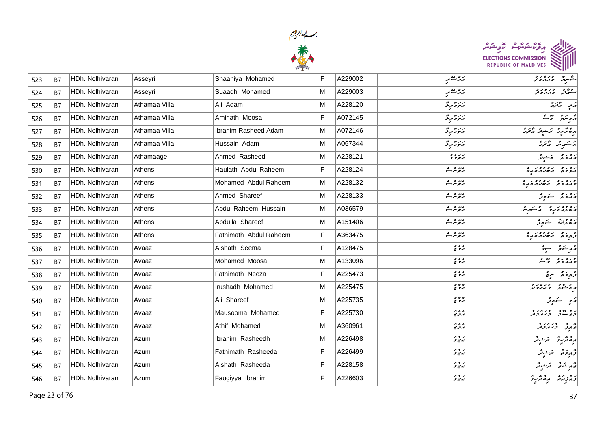



| 523 | B7        | HDh. Nolhivaran | Asseyri       | Shaaniya Mohamed       | F  | A229002 | لهزه يميمر                            | أشوسر ورورو                                                                                                   |
|-----|-----------|-----------------|---------------|------------------------|----|---------|---------------------------------------|---------------------------------------------------------------------------------------------------------------|
| 524 | <b>B7</b> | HDh. Nolhivaran | Asseyri       | Suaadh Mohamed         | М  | A229003 | لئەرىئىمىر                            | رورو ورەرو                                                                                                    |
| 525 | B7        | HDh. Nolhivaran | Athamaa Villa | Ali Adam               | м  | A228120 | ىر ئە ئەرگە<br>مەمۇرىقى               | پَسِ پَر پُرو                                                                                                 |
| 526 | <b>B7</b> | HDh. Nolhivaran | Athamaa Villa | Aminath Moosa          | F. | A072145 | پر ئۆچە ئىچ                           | أزوينهم وحمش                                                                                                  |
| 527 | B7        | HDh. Nolhivaran | Athamaa Villa | Ibrahim Rasheed Adam   | M  | A072146 | ىر ئە ئەرگە<br>مەمۇ <sup>5</sup> موڭر | ړە ئرېرو نرجونر مەنزو                                                                                         |
| 528 | B7        | HDh. Nolhivaran | Athamaa Villa | Hussain Adam           | М  | A067344 | پرنځ عربحه                            | جر سکھر شہر محمد ترکیب کے محمد کر کر کر کر ان کے محمد کر ان کے محمد کے محمد کے محمد کے محمد کے محمد کے ساتھ ا |
| 529 | <b>B7</b> | HDh. Nolhivaran | Athamaage     | Ahmed Rasheed          | М  | A228121 | بر بر بر پر<br>مرکوبر ک               | برەرو بەجوىل                                                                                                  |
| 530 | <b>B7</b> | HDh. Nolhivaran | Athens        | Haulath Abdul Raheem   | F. | A228124 | ، <i>په ه</i><br>مرحومتر ک            | נ סני כנסיכם ניים.<br>הפיצים נה סיבנו הבניים                                                                  |
| 531 | <b>B7</b> | HDh. Nolhivaran | Athens        | Mohamed Abdul Raheem   | М  | A228132 | ى يە ھ <sub>ە</sub> ر ھ               | כנסגב גם כסגם<br>כגתכת הסתת <i>ג</i> וב                                                                       |
| 532 | B7        | HDh. Nolhivaran | Athens        | Ahmed Shareef          | м  | A228133 | ، <i>په ه</i><br>مرحومتر ک            | پرەر ئىشتىرى                                                                                                  |
| 533 | <b>B7</b> | HDh. Nolhivaran | Athens        | Abdul Raheem Hussain   | М  | A036579 | ، <i>، ه ه ره</i>                     | رەدەبرە جىسكىر                                                                                                |
| 534 | B7        | HDh. Nolhivaran | Athens        | Abdulla Shareef        | м  | A151406 | ې په ه ره<br>مرحومتر ک                | رە تەللە خەمپىر                                                                                               |
| 535 | B7        | HDh. Nolhivaran | Athens        | Fathimath Abdul Raheem | F. | A363475 | ، <i>پره</i> هر ه<br>مرحومتر ک        | و دو ده ده در کرد                                                                                             |
| 536 | B7        | HDh. Nolhivaran | Avaaz         | Aishath Seema          | F. | A128475 | پر په ه<br>د څخه                      | په مشمو کسوچ                                                                                                  |
| 537 | <b>B7</b> | HDh. Nolhivaran | Avaaz         | Mohamed Moosa          | М  | A133096 | په ده<br>دره ی                        | ورەرو دوغ                                                                                                     |
| 538 | <b>B7</b> | HDh. Nolhivaran | Avaaz         | Fathimath Neeza        | F. | A225473 | پر په ه<br>در ون                      | تزهوخو سبيح                                                                                                   |
| 539 | <b>B7</b> | HDh. Nolhivaran | Avaaz         | Irushadh Mohamed       | м  | A225475 | پر پر ہ<br>مرغ م                      | ە ئەشكى ئەرەر ئەرەر ئە                                                                                        |
| 540 | <b>B7</b> | HDh. Nolhivaran | Avaaz         | Ali Shareef            | М  | A225735 | په ده<br>دره ی                        | پر په سندسپر ژ                                                                                                |
| 541 | B7        | HDh. Nolhivaran | Avaaz         | Mausooma Mohamed       | F. | A225730 | پر په ه<br>د څخه                      | و ره ر و<br>تر پروتر<br>ىر دەپر                                                                               |
| 542 | <b>B7</b> | HDh. Nolhivaran | Avaaz         | Athif Mohamed          | м  | A360961 | پر په ه<br>د څخه                      | أشهوفر التجاريح وراد                                                                                          |
| 543 | <b>B7</b> | HDh. Nolhivaran | Azum          | Ibrahim Rasheedh       | м  | A226498 | ەبى ۋ                                 | رە ئرىر ئىسىر                                                                                                 |
| 544 | B7        | HDh. Nolhivaran | Azum          | Fathimath Rasheeda     | F. | A226499 | ەبى ۋ                                 | تزود كمن المستوقر                                                                                             |
| 545 | B7        | HDh. Nolhivaran | Azum          | Aishath Rasheeda       | F. | A228158 | ەبىرە                                 | أقهر مشكاة المتحرمة                                                                                           |
| 546 | <b>B7</b> | HDh. Nolhivaran | Azum          | Faugiyya Ibrahim       | F. | A226603 | ەبىرە                                 | زرومة مقتررة                                                                                                  |
|     |           |                 |               |                        |    |         |                                       |                                                                                                               |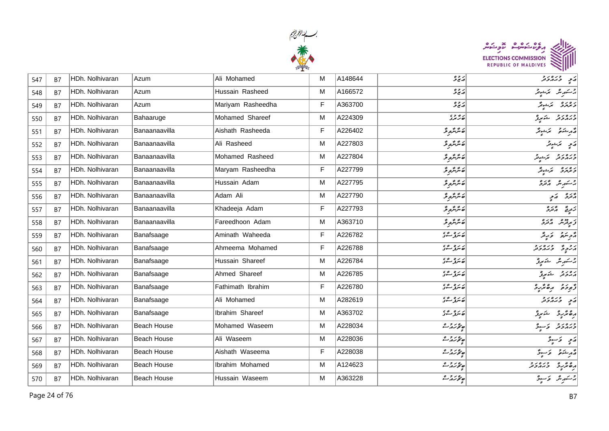



| 547 | <b>B7</b> | HDh. Nolhivaran | Azum               | Ali Mohamed       | М  | A148644 | ەبى ۋ                      | ړې دره در                                        |
|-----|-----------|-----------------|--------------------|-------------------|----|---------|----------------------------|--------------------------------------------------|
| 548 | <b>B7</b> | HDh. Nolhivaran | Azum               | Hussain Rasheed   | М  | A166572 | ر وه<br>در                 | رحم المرشر المراشوقر                             |
| 549 | B7        | HDh. Nolhivaran | Azum               | Mariyam Rasheedha | F. | A363700 | ەسىمى                      | رەرە بەيدۇر                                      |
| 550 | <b>B7</b> | HDh. Nolhivaran | Bahaaruge          | Mohamed Shareef   | м  | A224309 | ر پر و ،<br>ن <i>خ</i> سرد | وبروبرو شهرو                                     |
| 551 | B7        | HDh. Nolhivaran | Banaanaavilla      | Aishath Rasheeda  | F. | A226402 | ە ئەرتىرىدۇ.               | محمر شوم محر شومگر                               |
| 552 | <b>B7</b> | HDh. Nolhivaran | Banaanaavilla      | Ali Rasheed       | М  | A227803 | ئەنترىئرىدۇ                | كالمح المخرجون                                   |
| 553 | B7        | HDh. Nolhivaran | Banaanaavilla      | Mohamed Rasheed   | M  | A227804 | ئەنگەرىگە                  | ورەرو كەنبەتر                                    |
| 554 | <b>B7</b> | HDh. Nolhivaran | Banaanaavilla      | Maryam Rasheedha  | F  | A227799 | ئەنترىئرىدۇ                | وحرو بمشيعه                                      |
| 555 | B7        | HDh. Nolhivaran | Banaanaavilla      | Hussain Adam      | М  | A227795 | ئەنئرىتىرىدۇ               | پەر ە<br>مەنزۈ<br>جرستهريش                       |
| 556 | <b>B7</b> | HDh. Nolhivaran | Banaanaavilla      | Adam Ali          | M  | A227790 | ئەنگە ئىگرىدىگە            | پژنرو کرم په                                     |
| 557 | B7        | HDh. Nolhivaran | Banaanaavilla      | Khadeeja Adam     | F  | A227793 | ئەنترىئرىدۇ                | رَسٍ گَرَمَرُ و                                  |
| 558 | B7        | HDh. Nolhivaran | Banaanaavilla      | Fareedhoon Adam   | М  | A363710 | ئەنترىترىدۇ                | ىر دو ە<br>ئومېرىترىش<br>ەرگەرى                  |
| 559 | <b>B7</b> | HDh. Nolhivaran | Banafsaage         | Aminath Waheeda   | F  | A226782 | ە ئىروپىيى                 | ومحر يتمريح وأريقه                               |
| 560 | <b>B7</b> | HDh. Nolhivaran | Banafsaage         | Ahmeema Mohamed   | F. | A226788 | ە ئىرە مەي                 | ړ ده د ده ده.                                    |
| 561 | B7        | HDh. Nolhivaran | Banafsaage         | Hussain Shareef   | М  | A226784 | ە ئىرە مەي                 | چەسىر شەھىرى                                     |
| 562 | <b>B7</b> | HDh. Nolhivaran | Banafsaage         | Ahmed Shareef     | M  | A226785 | ە ئىرە مەي                 | برەر دىمبرو                                      |
| 563 | <b>B7</b> | HDh. Nolhivaran | Banafsaage         | Fathimath Ibrahim | F  | A226780 | ە ئىرە مەي                 | توجوختم مصتر و                                   |
| 564 | <b>B7</b> | HDh. Nolhivaran | Banafsaage         | Ali Mohamed       | M  | A282619 | ە ئىروپىيى                 | أتهجي وبره برو                                   |
| 565 | <b>B7</b> | HDh. Nolhivaran | Banafsaage         | Ibrahim Shareef   | M  | A363702 | ە ئىروپىيى                 | رە ئەر ئىسىر                                     |
| 566 | B7        | HDh. Nolhivaran | <b>Beach House</b> | Mohamed Waseem    | М  | A228034 | ھەممەر 2                   | دره در و دره                                     |
| 567 | <b>B7</b> | HDh. Nolhivaran | Beach House        | Ali Waseem        | М  | A228036 | ھەممەر 2                   | أريمو أتأريح                                     |
| 568 | B7        | HDh. Nolhivaran | <b>Beach House</b> | Aishath Waseema   | F. | A228038 | ھەممەر يە                  | ۇرىشكۇ قاسېۋ                                     |
| 569 | B7        | HDh. Nolhivaran | <b>Beach House</b> | Ibrahim Mohamed   | М  | A124623 | پەنزىر مە                  | و رە ر د<br>تر پروتر<br>ىر ھەتئە پە <sup>9</sup> |
| 570 | <b>B7</b> | HDh. Nolhivaran | <b>Beach House</b> | Hussain Waseem    | M  | A363228 | ھەممەر م                   | يزخير يثور وسوفر                                 |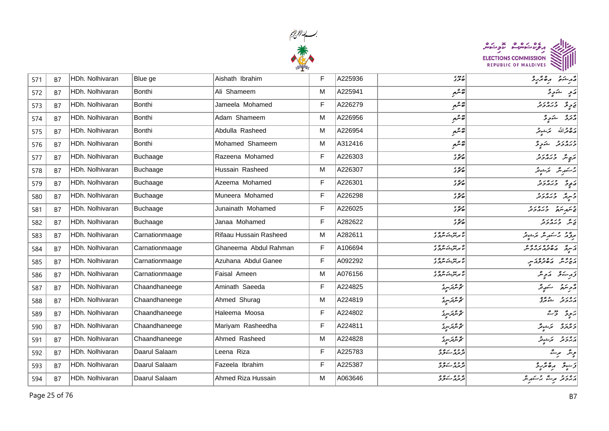



| 571 | <b>B7</b> | HDh. Nolhivaran | Blue ge         | Aishath Ibrahim        | F | A225936 | و دو ،<br>ن مو د                       | أقهر ينكفى وكالتربر                                    |
|-----|-----------|-----------------|-----------------|------------------------|---|---------|----------------------------------------|--------------------------------------------------------|
| 572 | <b>B7</b> | HDh. Nolhivaran | Bonthi          | Ali Shameem            | M | A225941 | ەشھ                                    | ړې شود و                                               |
| 573 | <b>B7</b> | HDh. Nolhivaran | <b>Bonthi</b>   | Jameela Mohamed        | F | A226279 | لقسمبر                                 | ړ د دره دره<br>د کاره                                  |
| 574 | <b>B7</b> | HDh. Nolhivaran | <b>Bonthi</b>   | Adam Shameem           | М | A226956 | یو ه<br>خه سر <sub>جو</sub>            | پر پر عند کے مذہب کا ا                                 |
| 575 | <b>B7</b> | HDh. Nolhivaran | Bonthi          | Abdulla Rasheed        | м | A226954 | لقستقبح                                | مَدْ هُمْ اللّه مَرْسْدِمْرْ                           |
| 576 | <b>B7</b> | HDh. Nolhivaran | Bonthi          | Mohamed Shameem        | M | A312416 | لقسطبر                                 | وبرەبر د سكوپۇ                                         |
| 577 | <b>B7</b> | HDh. Nolhivaran | <b>Buchaage</b> | Razeena Mohamed        | F | A226303 | صمخر                                   | ىمى ئىس ئەممەر ئ                                       |
| 578 | <b>B7</b> | HDh. Nolhivaran | <b>Buchaage</b> | Hussain Rasheed        | М | A226307 | حرم ء<br>ح <i>م</i> د                  | چەسىر ئىر ئىر ئىر ئىر ئىر                              |
| 579 | <b>B7</b> | HDh. Nolhivaran | Buchaage        | Azeema Mohamed         | F | A226301 | و دي.<br>ه گار                         | ړ په دره د د                                           |
| 580 | <b>B7</b> | HDh. Nolhivaran | Buchaage        | Muneera Mohamed        | F | A226298 | و دي.<br>ه گار                         | د سرپر در در د                                         |
| 581 | <b>B7</b> | HDh. Nolhivaran | <b>Buchaage</b> | Junainath Mohamed      | F | A226025 | چ دي.<br>حڪم                           | في سكر سكرة المحركة والمحركة المحركة                   |
| 582 | <b>B7</b> | HDh. Nolhivaran | <b>Buchaage</b> | Janaa Mohamed          | F | A282622 | چ دي.<br>حص                            | ر شده از در در در در این کشور<br>این شد از ایران کردند |
| 583 | <b>B7</b> | HDh. Nolhivaran | Carnationmaage  | Rifaau Hussain Rasheed | М | A282611 | ۇ برىئۇيىنە مەرىپى<br>ماسمەتىزىسىزىر ئ | ىرۇچ جاسكىرىكى ئىشوقى                                  |
| 584 | <b>B7</b> | HDh. Nolhivaran | Carnationmaage  | Ghaneema Abdul Rahman  | F | A106694 | ر<br>ئاپرىتىشەملەر ئ                   | أزسره ره ده ده ده م                                    |
| 585 | <b>B7</b> | HDh. Nolhivaran | Carnationmaage  | Azuhana Abdul Ganee    | F | A092292 | رم پر پیوند می شود د                   | ر دو په ره دور سر                                      |
| 586 | <b>B7</b> | HDh. Nolhivaran | Carnationmaage  | Faisal Ameen           | M | A076156 | رم پر پیوند می شود د                   | تەرىبىق كەچ ش                                          |
| 587 | <b>B7</b> | HDh. Nolhivaran | Chaandhaneege   | Aminath Saeeda         | F | A224825 | ىجە ئىرتى <i>ر س<sub>ى</sub></i> كە    | أزويتم كتميتر                                          |
| 588 | <b>B7</b> | HDh. Nolhivaran | Chaandhaneege   | Ahmed Shurag           | М | A224819 | ىچە ئىرتىرىن <sub>ى</sub> ئ            | رەر د دوم<br>مەردىر شەمرى                              |
| 589 | <b>B7</b> | HDh. Nolhivaran | Chaandhaneege   | Haleema Moosa          | F | A224802 | ىچە ئىرتى <i>ر س</i> ويۇ               | يرپوژ اور ش                                            |
| 590 | <b>B7</b> | HDh. Nolhivaran | Chaandhaneege   | Mariyam Rasheedha      | F | A224811 | ىچە ئىرتى <i>ر س</i> ويۇ               | رەرە برَشوتر                                           |
| 591 | <b>B7</b> | HDh. Nolhivaran | Chaandhaneege   | Ahmed Rasheed          | М | A224828 | ىجە ئىرتىرىن <sub>ى</sub> ئ            | برەر ئەشىر                                             |
| 592 | <b>B7</b> | HDh. Nolhivaran | Daarul Salaam   | Leena Riza             | F | A225783 | پر وه پر پره<br>تربر پر سکوگر          | وٍنڈ برِتٌہ                                            |
| 593 | <b>B7</b> | HDh. Nolhivaran | Daarul Salaam   | Fazeela Ibrahim        | F | A225387 | پر وه به مربو ه<br>تر <i>پر ډ</i>      | ۇ ئەق رەقترىرى                                         |
| 594 | <b>B7</b> | HDh. Nolhivaran | Daarul Salaam   | Ahmed Riza Hussain     | М | A063646 | پر وه ریده<br>تربر پر سکوگر            | أرەر تەربىگە بۇسكەبلا                                  |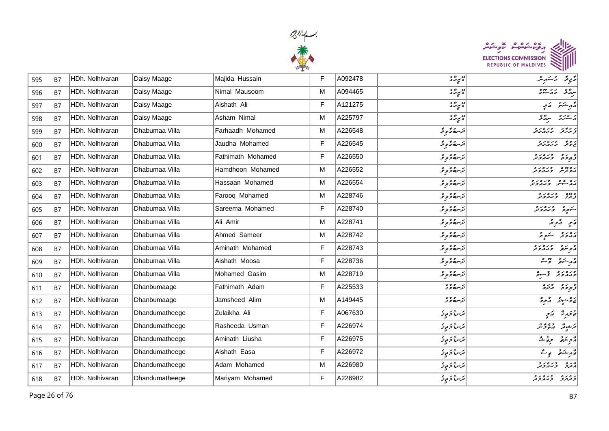



| 595 | <b>B7</b> | HDh. Nolhivaran | Daisy Maage    | Majida Hussain    | F  | A092478 | يە<br>ئاسچ قرى              | ۇيوقە جەسىرىتى                                          |
|-----|-----------|-----------------|----------------|-------------------|----|---------|-----------------------------|---------------------------------------------------------|
| 596 | <b>B7</b> | HDh. Nolhivaran | Daisy Maage    | Nimal Mausoom     | M  | A094465 | پم پرځونو<br>  نامني پرځونو | برڈ د دوہ                                               |
| 597 | <b>B7</b> | HDh. Nolhivaran | Daisy Maage    | Aishath Ali       | F. | A121275 | پم پیچ دی<br>  نام پیچ ژ د  | أقرم شنقى أترمح                                         |
| 598 | <b>B7</b> | HDh. Nolhivaran | Daisy Maage    | Asham Nimal       | М  | A225797 | پم پیچ دی<br>  نام پیچ ژ د  | پرےبرو<br>سردٌ ٿر                                       |
| 599 | <b>B7</b> | HDh. Nolhivaran | Dhabumaa Villa | Farhaadh Mohamed  | Μ  | A226548 | تەسھۇم ئۇ                   | و رە ر د<br>تر پروتر<br>  تۇ بىر شەر                    |
| 600 | B7        | HDh. Nolhivaran | Dhabumaa Villa | Jaudha Mohamed    | F  | A226545 | ترسرة وُّحْرِ وَّ           | د ه په دره د د<br>  ني وګر د جر پر د تر                 |
| 601 | <b>B7</b> | HDh. Nolhivaran | Dhabumaa Villa | Fathimath Mohamed | F  | A226550 | تەرسىھ ئۇ بو ئۇ             | و ر ه ر د<br>تر پروتر<br>  تؤجر خرجر                    |
| 602 | <b>B7</b> | HDh. Nolhivaran | Dhabumaa Villa | Hamdhoon Mohamed  | Μ  | A226552 | ترسرة وُّحْرِ تَرَّ         | و ره ر و<br>تر پر ژ تر<br>  پر ۱۵ وو ۱۵<br>  پر د تعریش |
| 603 | <b>B7</b> | HDh. Nolhivaran | Dhabumaa Villa | Hassaan Mohamed   | М  | A226554 | ترس ژگر تُر                 | ئەۋرىشىتىر<br>و ره ر و<br><i>و پر</i> و تر              |
| 604 | B7        | HDh. Nolhivaran | Dhabumaa Villa | Farooq Mohamed    | М  | A228746 | ترسرة وُّحْرِ تَرُّ         | ودده وره دو                                             |
| 605 | <b>B7</b> | HDh. Nolhivaran | Dhabumaa Villa | Sareema Mohamed   | F  | A228740 | مَدْسِرة حَرَّ عرَّ حَر     | و رە ر د<br><i>د بە</i> گەر<br> سەبىرۇ                  |
| 606 | <b>B7</b> | HDh. Nolhivaran | Dhabumaa Villa | Ali Amir          | М  | A228741 | تەرسىھ ئۇ مۇ ئىگە           | پَه په په په په په                                      |
| 607 | <b>B7</b> | HDh. Nolhivaran | Dhabumaa Villa | Ahmed Sameer      | Μ  | A228742 | مَدْسِرة حَرَّ عرتَر        | پر بر بر پر<br>سكوپر                                    |
| 608 | B7        | HDh. Nolhivaran | Dhabumaa Villa | Aminath Mohamed   | F  | A228743 | ترسرة تۇ بەگە               | و رە ر د<br><i>د بە</i> گەر<br>أثر حريحو                |
| 609 | <b>B7</b> | HDh. Nolhivaran | Dhabumaa Villa | Aishath Moosa     | F  | A228736 | ترسرة وٌ و وَّ              | په مرشور دوسته                                          |
| 610 | <b>B7</b> | HDh. Nolhivaran | Dhabumaa Villa | Mohamed Gasim     | М  | A228719 | تەسھۇم ئۇ                   | ورەرو ۋىدۇ                                              |
| 611 | <b>B7</b> | HDh. Nolhivaran | Dhanbumaage    | Fathimath Adam    | F. | A225533 | ر<br>ترسرچ و ی              | پور ہ<br>مرکزو<br>ا توج <sub>ه</sub> بر حر              |
| 612 | <b>B7</b> | HDh. Nolhivaran | Dhanbumaage    | Jamsheed Alim     | М  | A149445 | ر د و » ،<br>ترسره و د      | فكالحاشي والمحر ومحر ومحر                               |
| 613 | B7        | HDh. Nolhivaran | Dhandumatheege | Zulaikha Ali      | F  | A067630 | ترسرة ترَمج تر              | ة دَرِرْ - رَمِ                                         |
| 614 | B7        | HDh. Nolhivaran | Dhandumatheege | Rasheeda Usman    | F  | A226974 | تەسرق ئەمرىمى               | مَدْڪونَدُ<br>و ه و و.<br>مرغو څرنگر                    |
| 615 | B7        | HDh. Nolhivaran | Dhandumatheege | Aminath Liusha    | F  | A226975 | ترسره ترَمٍ تَر             | أأزجر المتمر والمحمد                                    |
| 616 | B7        | HDh. Nolhivaran | Dhandumatheege | Aishath Easa      | F  | A226972 | ترسر و څرم و د              | أشريشتم ويث                                             |
| 617 | <b>B7</b> | HDh. Nolhivaran | Dhandumatheege | Adam Mohamed      | М  | A226980 | تەرسى ئەھمچە ئە             | برره وره رو<br><mark>پرتر</mark> و وبرپروتر             |
| 618 | <b>B7</b> | HDh. Nolhivaran | Dhandumatheege | Mariyam Mohamed   | F. | A226982 | ترسرة ترَمج تر              | ן פים ניסיבי                                            |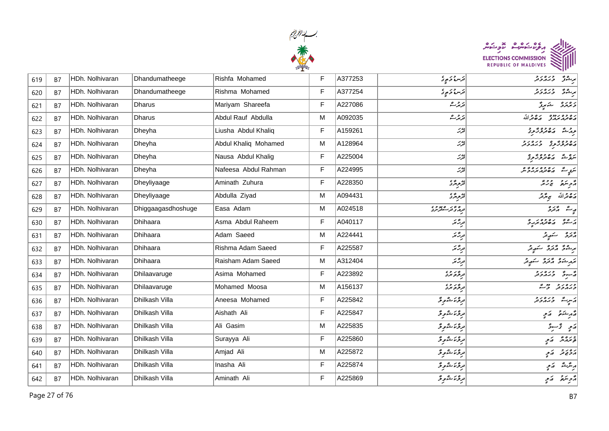



| 619 | <b>B7</b> | HDh. Nolhivaran | Dhandumatheege     | Rishfa Mohamed       | F  | A377253 | ترسرة ترَمٍ بِح                             | برسموس وبرورو                                     |
|-----|-----------|-----------------|--------------------|----------------------|----|---------|---------------------------------------------|---------------------------------------------------|
| 620 | <b>B7</b> | HDh. Nolhivaran | Dhandumatheege     | Rishma Mohamed       | F  | A377254 | ترسره ترَمو ژ                               | كرشوش ورەرد                                       |
| 621 | <b>B7</b> | HDh. Nolhivaran | <b>Dharus</b>      | Mariyam Shareefa     | F. | A227086 | ترتزعه                                      | رەرە خىرگە                                        |
| 622 | <b>B7</b> | HDh. Nolhivaran | <b>Dharus</b>      | Abdul Rauf Abdulla   | м  | A092035 | ىر تر ھ                                     | ره وه روده ده والله<br>مصعد <i>محمد م</i> صغرالله |
| 623 | <b>B7</b> | HDh. Nolhivaran | Dheyha             | Liusha Abdul Khaliq  | F  | A159261 | یر<br>تور                                   | ورمش رەدەر ئور                                    |
| 624 | <b>B7</b> | HDh. Nolhivaran | Dheyha             | Abdul Khaliq Mohamed | M  | A128964 | تترتر                                       | גפרפריקי כגובני<br>גפנקליקי כגובני                |
| 625 | <b>B7</b> | HDh. Nolhivaran | Dheyha             | Nausa Abdul Khalig   | F  | A225004 | تتزرَ                                       | ىرە ئەھەر ئەرەپىر                                 |
| 626 | <b>B7</b> | HDh. Nolhivaran | Dheyha             | Nafeesa Abdul Rahman | F  | A224995 | قررً                                        | بتريد مصر مصر مصر                                 |
| 627 | <b>B7</b> | HDh. Nolhivaran | Dheyliyaage        | Aminath Zuhura       | F  | A228350 | ں<br>تونوبوری                               | أأرمز المتحرجة                                    |
| 628 | <b>B7</b> | HDh. Nolhivaran | Dheyliyaage        | Abdulla Ziyad        | M  | A094431 | ى<br>ترىپەترى                               | رەقەللە م <sub>و</sub> مزىر                       |
| 629 | <b>B7</b> | HDh. Nolhivaran | Dhiggaagasdhoshuge | Easa Adam            | М  | A024518 | ہ پھر رہے جو و ۽<br>توجر کا تحریری          | پرسته پر پژوژ                                     |
| 630 | <b>B7</b> | HDh. Nolhivaran | <b>Dhihaara</b>    | Asma Abdul Raheem    | F  | A040117 | مرِرَّىدَ                                   | ر وه ده در و                                      |
| 631 | <b>B7</b> | HDh. Nolhivaran | Dhihaara           | Adam Saeed           | М  | A224441 | د رگ پر                                     | ړ ترو کرور                                        |
| 632 | <b>B7</b> | HDh. Nolhivaran | Dhihaara           | Rishma Adam Saeed    | F  | A225587 | مرِرَّىمَہ                                  | ىرىشى ئەرە سەرەر                                  |
| 633 | <b>B7</b> | HDh. Nolhivaran | Dhihaara           | Raisham Adam Saeed   | М  | A312404 | مرتزئز                                      | بمركو ومحرو كمتهام                                |
| 634 | <b>B7</b> | HDh. Nolhivaran | Dhilaavaruge       | Asima Mohamed        | F  | A223892 | و بور و ،<br>درمزه بور                      | أشبونج ورورد                                      |
| 635 | <b>B7</b> | HDh. Nolhivaran | Dhilaavaruge       | Mohamed Moosa        | М  | A156137 | و پخون و <sup>2</sup><br>تونژ <i>ه بو</i> ر | ورەرو دوغ                                         |
| 636 | <b>B7</b> | HDh. Nolhivaran | Dhilkash Villa     | Aneesa Mohamed       | F  | A225842 | مرىۋ كەشھەر ئۇ                              | و ر ه ر و<br>تر پروتر<br>ړ سريځه                  |
| 637 | <b>B7</b> | HDh. Nolhivaran | Dhilkash Villa     | Aishath Ali          | F  | A225847 | مرقرئا كمشوعر قحر                           | أقرمر يشتموا أترمح                                |
| 638 | <b>B7</b> | HDh. Nolhivaran | Dhilkash Villa     | Ali Gasim            | М  | A225835 | مرقرئا كمشوعر قحر                           | رَبِي تَرْسُرْدُ                                  |
| 639 | <b>B7</b> | HDh. Nolhivaran | Dhilkash Villa     | Surayya Ali          | F  | A225860 | مرقرئا كمشوعر قحر                           | فح مروش كرمي                                      |
| 640 | <b>B7</b> | HDh. Nolhivaran | Dhilkash Villa     | Amjad Ali            | м  | A225872 | مرمحهٔ مشمومحه                              | ړه پر په په                                       |
| 641 | <b>B7</b> | HDh. Nolhivaran | Dhilkash Villa     | Inasha Ali           | F  | A225874 | مرىز كەشقىم ئى                              | بریژند کمی                                        |
| 642 | <b>B7</b> | HDh. Nolhivaran | Dhilkash Villa     | Aminath Ali          | F  | A225869 | مرقرئم يشويرقر                              | ړې سرچه له کمبر                                   |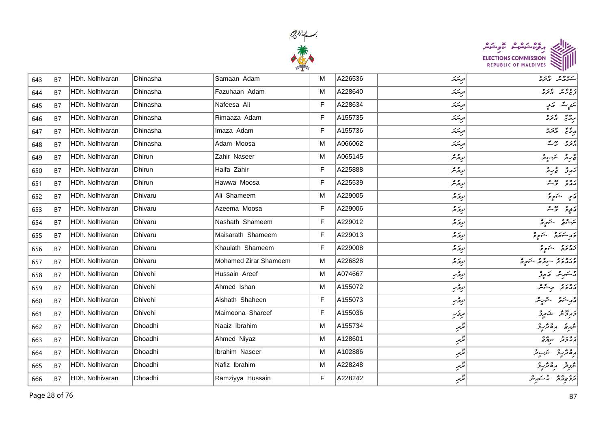



| 643 | <b>B7</b> | HDh. Nolhivaran | Dhinasha       | Samaan Adam           | М  | A226536 | ورىترتر    | شەھ بەرە                              |
|-----|-----------|-----------------|----------------|-----------------------|----|---------|------------|---------------------------------------|
| 644 | <b>B7</b> | HDh. Nolhivaran | Dhinasha       | Fazuhaan Adam         | М  | A228640 | ورسكر      | ىرە ئەشەر<br>كىمى ئىش<br>پر ہ<br>مرکز |
| 645 | <b>B7</b> | HDh. Nolhivaran | Dhinasha       | Nafeesa Ali           | F  | A228634 | امریزیز    | سَرِے کے ح                            |
| 646 | <b>B7</b> | HDh. Nolhivaran | Dhinasha       | Rimaaza Adam          | F  | A155735 | ورىترتر    | بردمج أزمره                           |
| 647 | <b>B7</b> | HDh. Nolhivaran | Dhinasha       | Imaza Adam            | F. | A155736 | ورىتزىتر   | أورده ورو                             |
| 648 | <b>B7</b> | HDh. Nolhivaran | Dhinasha       | Adam Moosa            | м  | A066062 | ورىترىتر   | وره دورو<br>مرکز و                    |
| 649 | <b>B7</b> | HDh. Nolhivaran | <b>Dhirun</b>  | Zahir Naseer          | М  | A065145 | امریزیگر   | انج ب <sub>ر</sub> یز گرسپویز         |
| 650 | <b>B7</b> | HDh. Nolhivaran | <b>Dhirun</b>  | Haifa Zahir           | F. | A225888 | مرىژىگر    | <i>لنهوق چې</i> رند                   |
| 651 | <b>B7</b> | HDh. Nolhivaran | <b>Dhirun</b>  | Hawwa Moosa           | F. | A225539 | مرىژىئر    | ره و دع                               |
| 652 | <b>B7</b> | HDh. Nolhivaran | Dhivaru        | Ali Shameem           | М  | A229005 | مریح تر    | ړَي شَوۡدُ                            |
| 653 | <b>B7</b> | HDh. Nolhivaran | <b>Dhivaru</b> | Azeema Moosa          | F. | A229006 | مریح تر    | أرزة وحمي                             |
| 654 | B7        | HDh. Nolhivaran | <b>Dhivaru</b> | Nashath Shameem       | F. | A229012 | قری تر     | سَرْجَةٍ حُرَوِدٌ                     |
| 655 | <b>B7</b> | HDh. Nolhivaran | Dhivaru        | Maisarath Shameem     | F. | A229013 | ور 2<br>ر  | أقار سننماه المشاورة                  |
| 656 | <b>B7</b> | HDh. Nolhivaran | Dhivaru        | Khaulath Shameem      | F. | A229008 | مریح تر    | د د د د عکوه د                        |
| 657 | <b>B7</b> | HDh. Nolhivaran | Dhivaru        | Mohamed Zirar Shameem | М  | A226828 | مریح تر    | ورەرو سېرىر خوچ                       |
| 658 | <b>B7</b> | HDh. Nolhivaran | Dhivehi        | Hussain Areef         | М  | A074667 | مرځ ر      | 2سىرىش كەيپىر                         |
| 659 | <b>B7</b> | HDh. Nolhivaran | Dhivehi        | Ahmed Ishan           | М  | A155072 | مرځ ر      | أرورو أريشكر                          |
| 660 | B7        | HDh. Nolhivaran | Dhivehi        | Aishath Shaheen       | F. | A155073 | مرځ ر      | ويرڪو ڪرير                            |
| 661 | B7        | HDh. Nolhivaran | Dhivehi        | Maimoona Shareef      | F. | A155036 | قرة ر      | د پروتئر الشمېرو                      |
| 662 | B7        | HDh. Nolhivaran | <b>Dhoadhi</b> | Naaiz Ibrahim         | М  | A155734 | م<br>مرمر  | شَدِع دِھتَر دِ                       |
| 663 | <b>B7</b> | HDh. Nolhivaran | Dhoadhi        | Ahmed Niyaz           | м  | A128601 | ە<br>تۈبىر | أرور والمعرج                          |
| 664 | <b>B7</b> | HDh. Nolhivaran | <b>Dhoadhi</b> | Ibrahim Naseer        | М  | A102886 | ە<br>تۈمر  | أرە ئەر ئەسىر ئە                      |
| 665 | <b>B7</b> | HDh. Nolhivaran | Dhoadhi        | Nafiz Ibrahim         | М  | A228248 | ە<br>تۈبر  | شريرة مرەشرىر                         |
| 666 | <b>B7</b> | HDh. Nolhivaran | Dhoadhi        | Ramziyya Hussain      | F. | A228242 | ە<br>تۈمر  | תפית היה בין ב                        |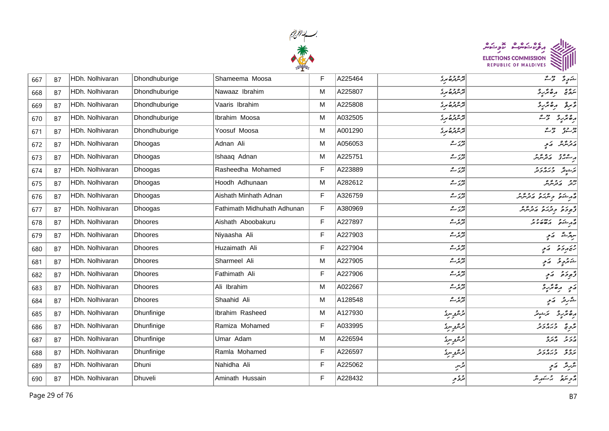



| 667 | <b>B7</b> | HDh. Nolhivaran | Dhondhuburige  | Shameema Moosa              | F | A225464 | پر ہ و و و<br>ترسرتر <i>ہ پر</i> ی    | وحيثه<br> شَدَرٍ رُّ                 |
|-----|-----------|-----------------|----------------|-----------------------------|---|---------|---------------------------------------|--------------------------------------|
| 668 | B7        | HDh. Nolhivaran | Dhondhuburige  | Nawaaz Ibrahim              | M | A225807 | پر ہ و و د<br>ترسرترے مر <sub>ک</sub> | پرځ مخ<br>ڔۛؗ۠۠ڡؠڒڔۮ                 |
| 669 | B7        | HDh. Nolhivaran | Dhondhuburige  | Vaaris Ibrahim              | М | A225808 | پر ہ و و د<br>ترسربرے مر <sub>ک</sub> | تۇ ئىرىۋ<br>برە ئۆرۈ                 |
| 670 | B7        | HDh. Nolhivaran | Dhondhuburige  | Ibrahim Moosa               | М | A032505 | پر و و و د پر<br>ترسرتر <i>ه بر</i> و | برە ئرىر ۋ<br>ويستشر                 |
| 671 | <b>B7</b> | HDh. Nolhivaran | Dhondhuburige  | Yoosuf Moosa                | М | A001290 | پر ہ و و د<br>ترسربرے مرد             | در ده در م                           |
| 672 | <b>B7</b> | HDh. Nolhivaran | Dhoogas        | Adnan Ali                   | М | A056053 | دد بر ح<br>تعری ک                     | أردو عره أركمو                       |
| 673 | <b>B7</b> | HDh. Nolhivaran | Dhoogas        | Ishaaq Adnan                | M | A225751 | ود پر ہے<br>تعریٰ ک                   | مەسىرىق ئەقرىئرىتر                   |
| 674 | B7        | HDh. Nolhivaran | Dhoogas        | Rasheedha Mohamed           | F | A223889 | ود بر ہے<br>تعری سسٹم                 | پرشونگر وبروبرد                      |
| 675 | <b>B7</b> | HDh. Nolhivaran | Dhoogas        | Hoodh Adhunaan              | М | A282612 | ود پر ہے                              | دو در دیگرینگر                       |
| 676 | B7        | HDh. Nolhivaran | Dhoogas        | Aishath Minhath Adnan       | F | A326759 | ود پر ہے<br>قری ک                     | أقهر مشوق والعربر والمحافظ والمحافظة |
| 677 | B7        | HDh. Nolhivaran | Dhoogas        | Fathimath Midhuhath Adhunan | F | A380969 | ود پر ہے                              | د څوخه د ور د مار شرید               |
| 678 | B7        | HDh. Nolhivaran | <b>Dhoores</b> | Aishath Aboobakuru          | F | A227897 | ود ۽ ه                                | 22/22/2                              |
| 679 | B7        | HDh. Nolhivaran | <b>Dhoores</b> | Niyaasha Ali                | F | A227903 | ود ۽ ه                                | سرمزَّمتْ 1 كمبرٍ                    |
| 680 | B7        | HDh. Nolhivaran | <b>Dhoores</b> | Huzaimath Ali               | F | A227904 | ود ۽ ه                                | رجم برخر وسمع                        |
| 681 | <b>B7</b> | HDh. Nolhivaran | <b>Dhoores</b> | Sharmeel Ali                | М | A227905 | دد ۽ ه                                | شەترەپەق كەم                         |
| 682 | <b>B7</b> | HDh. Nolhivaran | <b>Dhoores</b> | Fathimath Ali               | F | A227906 | ود ۽ ه                                | دڅوخه کمې                            |
| 683 | B7        | HDh. Nolhivaran | <b>Dhoores</b> | Ali Ibrahim                 | М | A022667 | دد ۽ ه                                | رَمِ په مِرْسِرْ د                   |
| 684 | <b>B7</b> | HDh. Nolhivaran | <b>Dhoores</b> | Shaahid Ali                 | М | A128548 | ود ۽ ه                                | شمريز - مَعٍ                         |
| 685 | B7        | HDh. Nolhivaran | Dhunfinige     | Ibrahim Rasheed             | М | A127930 | قرىثرىرىكە                            | أرە ئەرە ئەشىھ                       |
| 686 | B7        | HDh. Nolhivaran | Dhunfinige     | Ramiza Mohamed              | F | A033995 | قرىثرىرىكە                            | ترویج ویرورو                         |
| 687 | B7        | HDh. Nolhivaran | Dhunfinige     | Umar Adam                   | М | A226594 | قرىثرىرىكە                            | ور و پره<br>پرونډ پرترو              |
| 688 | B7        | HDh. Nolhivaran | Dhunfinige     | Ramla Mohamed               | F | A226597 | قرىثرىرىكە                            | و ره ر د<br>تر پر ژنر<br>ىزۋىچ       |
| 689 | B7        | HDh. Nolhivaran | Dhuni          | Nahidha Ali                 | F | A225062 | و<br>ترسر                             | شريقه الأمي                          |
| 690 | <b>B7</b> | HDh. Nolhivaran | Dhuveli        | Aminath Hussain             | F | A228432 | و ،<br>تروم                           | أأروسكم بالمستهد                     |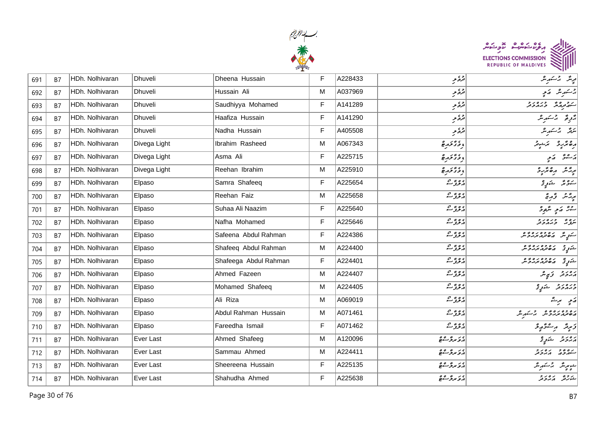



| <b>B7</b> | HDh. Nolhivaran | <b>Dhuveli</b> | Dheena Hussain        | F           | A228433 | قرة مج                     | ىرىگە كەسكىرىگە                                                                                      |
|-----------|-----------------|----------------|-----------------------|-------------|---------|----------------------------|------------------------------------------------------------------------------------------------------|
| <b>B7</b> | HDh. Nolhivaran | Dhuveli        | Hussain Ali           | М           | A037969 |                            | برسكريش كالمحي                                                                                       |
| <b>B7</b> | HDh. Nolhivaran | Dhuveli        | Saudhiyya Mohamed     | F           | A141289 |                            | הכנה כנסיב                                                                                           |
| <b>B7</b> | HDh. Nolhivaran | Dhuveli        | Haafiza Hussain       | F           | A141290 | فرة محر                    | چرچ چسمبر                                                                                            |
| <b>B7</b> | HDh. Nolhivaran | Dhuveli        | Nadha Hussain         | F           | A405508 | و ،<br>تر <sub>ح</sub> و م | للرقد الرحسكم بالكر                                                                                  |
| <b>B7</b> | HDh. Nolhivaran | Divega Light   | Ibrahim Rasheed       | M           | A067343 | وعدمتمره                   | رە ئەر ئىنىد                                                                                         |
| <b>B7</b> | HDh. Nolhivaran | Divega Light   | Asma Ali              | F           | A225715 | - پاڻ تو هي.<br>پاڻ تو هي  | أرَبْ فَيَ أَمَرِ إِلَيْهِ إِلَيْهِ إِلَيْهِ إِلَيْهِ إِلَيْهِ إِلَيْهِ إِلَيْهِ إِلَيْهِ إِلَيْهِ إ |
| <b>B7</b> | HDh. Nolhivaran | Divega Light   | Reehan Ibrahim        | М           | A225910 | وء تحرم ه                  | بریژنٹر برہ بڑر و                                                                                    |
| <b>B7</b> | HDh. Nolhivaran | Elpaso         | Samra Shafeeq         | F           | A225654 | ە ۋېۋىشە                   | سەۋىئە سەرپى                                                                                         |
| <b>B7</b> | HDh. Nolhivaran | Elpaso         | Reehan Faiz           | М           | A225658 | ەر ۋېچە م                  | ىر ئەشرا ئۇرغ                                                                                        |
| <b>B7</b> | HDh. Nolhivaran | Elpaso         | Suhaa Ali Naazim      | F           | A225640 | ەر ۋېچە م                  |                                                                                                      |
| <b>B7</b> | HDh. Nolhivaran | Elpaso         | Nafha Mohamed         | F           | A225646 | ووژي                       | برە بە دىرەرد                                                                                        |
| <b>B7</b> | HDh. Nolhivaran | Elpaso         | Safeena Abdul Rahman  | F           | A224386 | ەر ۋېچە م                  | ب مرد ده ده ده ده م                                                                                  |
| <b>B7</b> | HDh. Nolhivaran | Elpaso         | Shafeeq Abdul Rahman  | М           | A224400 | ووژي                       | شرور دە دەرەرەر                                                                                      |
| <b>B7</b> | HDh. Nolhivaran | Elpaso         | Shafeega Abdul Rahman | $\mathsf F$ | A224401 | ووژي                       | أشريق مەمەرەپە                                                                                       |
| <b>B7</b> | HDh. Nolhivaran | Elpaso         | Ahmed Fazeen          | M           | A224407 | ە ۋېژى                     | ړه پروتر کې تر                                                                                       |
| <b>B7</b> | HDh. Nolhivaran | Elpaso         | Mohamed Shafeeq       | М           | A224405 | ووژي                       | ورەرو شەرو                                                                                           |
| <b>B7</b> | HDh. Nolhivaran | Elpaso         | Ali Riza              | M           | A069019 | ەر ۋېچە م                  | ړی برگ                                                                                               |
| <b>B7</b> | HDh. Nolhivaran | Elpaso         | Abdul Rahman Hussain  | M           | A071461 | ەر ۋېچە م                  | גפרפגפרים רבית יל                                                                                    |
| <b>B7</b> | HDh. Nolhivaran | Elpaso         | Fareedha Ismail       | F           | A071462 | ەر ۋېچە م                  | زَىبِيرْ پرَ شَرَّمِيرْ                                                                              |
| <b>B7</b> | HDh. Nolhivaran | Ever Last      | Ahmed Shafeeg         | М           | A120096 | ى ئەرگە <u>ش ق</u>         | رەر ئىرې                                                                                             |
| <b>B7</b> | HDh. Nolhivaran | Ever Last      | Sammau Ahmed          | М           | A224411 | ى ئەرگە <u>ش ق</u>         | سره ده بره دو                                                                                        |
| <b>B7</b> | HDh. Nolhivaran | Ever Last      | Sheereena Hussain     | F           | A225135 | ى بە بەرگەت ھ              | خومرنگر الحرکمرنگر                                                                                   |
| <b>B7</b> | HDh. Nolhivaran | Ever Last      | Shahudha Ahmed        | F           | A225638 | ى بە بەرگەت ھ              | شروش كالارور                                                                                         |
|           |                 |                |                       |             |         |                            | إقرة محر<br>اقرءبو                                                                                   |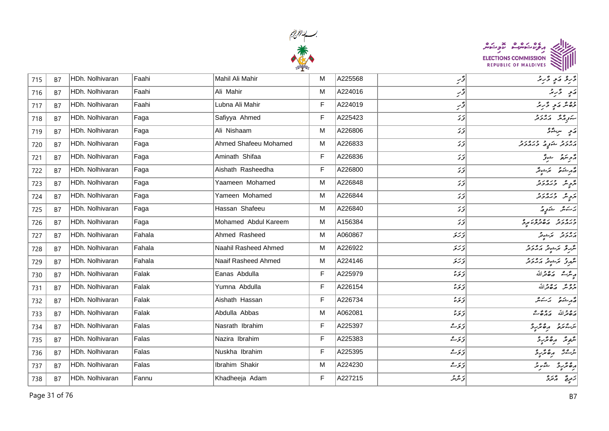



| 715 | <b>B7</b> | HDh. Nolhivaran | Faahi  | Mahil Ali Mahir       | M           | A225568 | وٌ سِ    | دُرِدْ رَبِّهِ دُرِيْر                    |
|-----|-----------|-----------------|--------|-----------------------|-------------|---------|----------|-------------------------------------------|
| 716 | <b>B7</b> | HDh. Nolhivaran | Faahi  | Ali Mahir             | M           | A224016 | و<br>ترس | ړې د څريز                                 |
| 717 | <b>B7</b> | HDh. Nolhivaran | Faahi  | Lubna Ali Mahir       | F           | A224019 | و<br>ترس | وه په ډې د کرېمه                          |
| 718 | <b>B7</b> | HDh. Nolhivaran | Faga   | Safiyya Ahmed         | F           | A225423 | ترتز     | بتورمه برەرد                              |
| 719 | <b>B7</b> | HDh. Nolhivaran | Faga   | Ali Nishaam           | м           | A226806 | ترتز     | كالمحمد المراكب المحمد                    |
| 720 | <b>B7</b> | HDh. Nolhivaran | Faga   | Ahmed Shafeeu Mohamed | М           | A226833 | تخرتى    | גפנת בצק בגםנב                            |
| 721 | <b>B7</b> | HDh. Nolhivaran | Faga   | Aminath Shifaa        | F           | A226836 | تخرتى    | و برد و به درگان به دیگر<br>مرد برد برگر  |
| 722 | <b>B7</b> | HDh. Nolhivaran | Faga   | Aishath Rasheedha     | F           | A226800 | أترتز    | ر<br>مەرخۇ ئىشپۇ                          |
| 723 | <b>B7</b> | HDh. Nolhivaran | Faga   | Yaameen Mohamed       | М           | A226848 | ترتز     | أثروه وبرودر                              |
| 724 | <b>B7</b> | HDh. Nolhivaran | Faga   | Yameen Mohamed        | M           | A226844 | ترتز     | ترىپ ئىق ئەم ئەر                          |
| 725 | <b>B7</b> | HDh. Nolhivaran | Faga   | Hassan Shafeeu        | М           | A226840 | ترتر     | يركبش المكرورة                            |
| 726 | <b>B7</b> | HDh. Nolhivaran | Faga   | Mohamed Abdul Kareem  | м           | A156384 | ترتر     | כנסג כ"ג בפניק ס"<br>כ"ג בכנק הסנק בעיק ב |
| 727 | <b>B7</b> | HDh. Nolhivaran | Fahala | Ahmed Rasheed         | м           | A060867 | قرثرى    | أرور و مرشوقر                             |
| 728 | <b>B7</b> | HDh. Nolhivaran | Fahala | Naahil Rasheed Ahmed  | M           | A226922 | ۇزۇ      | شركى مكشوش مائار و                        |
| 729 | <b>B7</b> | HDh. Nolhivaran | Fahala | Naaif Rasheed Ahmed   | М           | A224146 | قرترى    | م <i>تمرڈ</i> بمشینر مہرونر               |
| 730 | <b>B7</b> | HDh. Nolhivaran | Falak  | Eanas Abdulla         | F           | A225979 | تزئرج    | أُرٍ مَّرْتُ مَرْهُ مِّرَاللَّهُ          |
| 731 | <b>B7</b> | HDh. Nolhivaran | Falak  | Yumna Abdulla         | F           | A226154 | تزئرج    | مردش رەقمەللە                             |
| 732 | <b>B7</b> | HDh. Nolhivaran | Falak  | Aishath Hassan        | F           | A226734 | تزئزر    | مەر ھەتقى ئەسكەنلەر                       |
| 733 | <b>B7</b> | HDh. Nolhivaran | Falak  | Abdulla Abbas         | M           | A062081 | ۇ ئەر    | مَدْهَ مَدْ مَدْرَةً فَ                   |
| 734 | <b>B7</b> | HDh. Nolhivaran | Falas  | Nasrath Ibrahim       | F           | A225397 | ترىخرىشە | بترجعهم مقترع                             |
| 735 | <b>B7</b> | HDh. Nolhivaran | Falas  | Nazira Ibrahim        | F           | A225383 | ۇ ئۆرىشە | شَعِبةٌ مِنْ سَمَّيِّةٌ                   |
| 736 | <b>B7</b> | HDh. Nolhivaran | Falas  | Nuskha Ibrahim        | $\mathsf F$ | A225395 | ۇ ئۆر شە | لترسش رەتمرىۋ                             |
| 737 | <b>B7</b> | HDh. Nolhivaran | Falas  | Ibrahim Shakir        | M           | A224230 | ترتزعه   | ەر ھەترىر ۋ<br>مشور مر                    |
| 738 | <b>B7</b> | HDh. Nolhivaran | Fannu  | Khadheeja Adam        | F           | A227215 | ىر ھەجە  | زَمِرِةٌ    ارْتَرَرْ                     |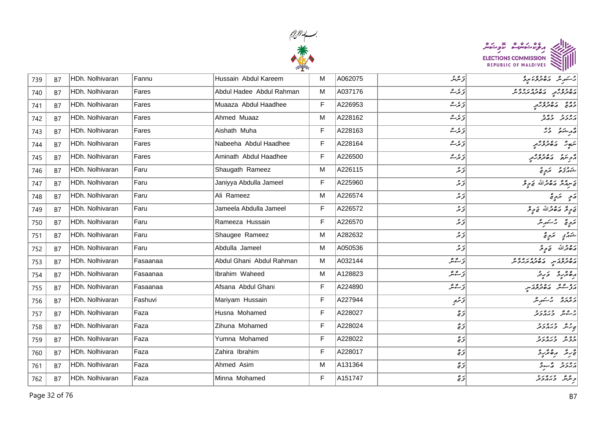



| 739 | <b>B7</b> | HDh. Nolhivaran | Fannu    | Hussain Abdul Kareem     | M  | A062075 | ر ه بر<br>نر مګرسر | ج شوره مەمدىر بور                                                                                                                                                                                                                                                                                                                                                                                                                                                                                                                                                         |
|-----|-----------|-----------------|----------|--------------------------|----|---------|--------------------|---------------------------------------------------------------------------------------------------------------------------------------------------------------------------------------------------------------------------------------------------------------------------------------------------------------------------------------------------------------------------------------------------------------------------------------------------------------------------------------------------------------------------------------------------------------------------|
| 740 | <b>B7</b> | HDh. Nolhivaran | Fares    | Abdul Hadee Abdul Rahman | М  | A037176 | ئە ئىر شە          | ر ۵ ۶ ۵ ۰ م ۵ ۶ ۵ ۰ م ۵ ۶<br>ג ۱ ه تر تر تر تر به ه تر بر بر تر س                                                                                                                                                                                                                                                                                                                                                                                                                                                                                                         |
| 741 | <b>B7</b> | HDh. Nolhivaran | Fares    | Muaaza Abdul Haadhee     | F. | A226953 | ئە ئىر م           | و په په پره و و و پر                                                                                                                                                                                                                                                                                                                                                                                                                                                                                                                                                      |
| 742 | <b>B7</b> | HDh. Nolhivaran | Fares    | Ahmed Muaaz              | м  | A228162 | ترتدعه             | أرور ووو                                                                                                                                                                                                                                                                                                                                                                                                                                                                                                                                                                  |
| 743 | <b>B7</b> | HDh. Nolhivaran | Fares    | Aishath Muha             | F  | A228163 | ئە ئىر م           | أوار يمنعوا الترجم                                                                                                                                                                                                                                                                                                                                                                                                                                                                                                                                                        |
| 744 | <b>B7</b> | HDh. Nolhivaran | Fares    | Nabeeha Abdul Haadhee    | F  | A228164 | ز ، ع              | بتهوش وەقىروشو                                                                                                                                                                                                                                                                                                                                                                                                                                                                                                                                                            |
| 745 | <b>B7</b> | HDh. Nolhivaran | Fares    | Aminath Abdul Haadhee    | F  | A226500 | ترتدعه             | הקייטה הסתיכלת                                                                                                                                                                                                                                                                                                                                                                                                                                                                                                                                                            |
| 746 | <b>B7</b> | HDh. Nolhivaran | Faru     | Shaugath Rameez          | м  | A226115 | تزيز               | $\begin{array}{cc} \overline{\phantom{0}} & \phantom{\overline{0}} & \phantom{\overline{0}} & \phantom{\overline{0}} & \phantom{\overline{0}} & \phantom{\overline{0}} & \phantom{\overline{0}} & \phantom{\overline{0}} & \phantom{\overline{0}} & \phantom{\overline{0}} & \phantom{\overline{0}} & \phantom{\overline{0}} & \phantom{\overline{0}} & \phantom{\overline{0}} & \phantom{\overline{0}} & \phantom{\overline{0}} & \phantom{\overline{0}} & \phantom{\overline{0}} & \phantom{\overline{0}} & \phantom{\overline{0}} & \phantom{\overline{0}} & \phantom$ |
| 747 | <b>B7</b> | HDh. Nolhivaran | Faru     | Janiyya Abdulla Jameel   | F  | A225960 | تخريجر             | ر<br>تم سره محمد محمد الله تم ديجر                                                                                                                                                                                                                                                                                                                                                                                                                                                                                                                                        |
| 748 | <b>B7</b> | HDh. Nolhivaran | Faru     | Ali Rameez               | м  | A226574 | قريمر              |                                                                                                                                                                                                                                                                                                                                                                                                                                                                                                                                                                           |
| 749 | <b>B7</b> | HDh. Nolhivaran | Faru     | Jameela Abdulla Jameel   | F  | A226572 | قريمر              | ق حريح وكافات فكار في المحرم وسي                                                                                                                                                                                                                                                                                                                                                                                                                                                                                                                                          |
| 750 | <b>B7</b> | HDh. Nolhivaran | Faru     | Rameeza Hussain          | F  | A226570 | تخريجر             | أتزوج الرسكريش                                                                                                                                                                                                                                                                                                                                                                                                                                                                                                                                                            |
| 751 | <b>B7</b> | HDh. Nolhivaran | Faru     | Shaugee Rameez           | М  | A282632 | قريمر              | شكوفتي التمرج فمح                                                                                                                                                                                                                                                                                                                                                                                                                                                                                                                                                         |
| 752 | <b>B7</b> | HDh. Nolhivaran | Faru     | Abdulla Jameel           | М  | A050536 | تزيز               | رەقراللە قەچە                                                                                                                                                                                                                                                                                                                                                                                                                                                                                                                                                             |
| 753 | <b>B7</b> | HDh. Nolhivaran | Fasaanaa | Abdul Ghani Abdul Rahman | М  | A032144 | ۇ ئەشر             | ן 201000 בסיפר בסיפר בית                                                                                                                                                                                                                                                                                                                                                                                                                                                                                                                                                  |
| 754 | <b>B7</b> | HDh. Nolhivaran | Fasaanaa | Ibrahim Waheed           | м  | A128823 | ۇ ئەشر             | رە ئەر ئەيە                                                                                                                                                                                                                                                                                                                                                                                                                                                                                                                                                               |
| 755 | <b>B7</b> | HDh. Nolhivaran | Fasaanaa | Afsana Abdul Ghani       | F  | A224890 | ۇ شەمىگە           | رە شەش مەمروزىس                                                                                                                                                                                                                                                                                                                                                                                                                                                                                                                                                           |
| 756 | <b>B7</b> | HDh. Nolhivaran | Fashuvi  | Mariyam Hussain          | F  | A227944 | تو تترحي           | دەرە برىكىر                                                                                                                                                                                                                                                                                                                                                                                                                                                                                                                                                               |
| 757 | <b>B7</b> | HDh. Nolhivaran | Faza     | Husna Mohamed            | F  | A228027 | ترتج               | و مشر وره دو                                                                                                                                                                                                                                                                                                                                                                                                                                                                                                                                                              |
| 758 | <b>B7</b> | HDh. Nolhivaran | Faza     | Zihuna Mohamed           | F  | A228024 | ترتج               | ىئ شەھرە ئەيدە ئە                                                                                                                                                                                                                                                                                                                                                                                                                                                                                                                                                         |
| 759 | <b>B7</b> | HDh. Nolhivaran | Faza     | Yumna Mohamed            | F  | A228022 | ترتج               | وه وره دو                                                                                                                                                                                                                                                                                                                                                                                                                                                                                                                                                                 |
| 760 | <b>B7</b> | HDh. Nolhivaran | Faza     | Zahira Ibrahim           | F  | A228017 | ترتج               | تجربته وكالتمريز                                                                                                                                                                                                                                                                                                                                                                                                                                                                                                                                                          |
| 761 | <b>B7</b> | HDh. Nolhivaran | Faza     | Ahmed Asim               | M  | A131364 | ترتج               | رژیبە ۋ<br>بر ٥ بر ۶<br>در بر <del>د</del> تر                                                                                                                                                                                                                                                                                                                                                                                                                                                                                                                             |
| 762 | <b>B7</b> | HDh. Nolhivaran | Faza     | Minna Mohamed            | F  | A151747 | ترتج               | وبثريثر ورورد                                                                                                                                                                                                                                                                                                                                                                                                                                                                                                                                                             |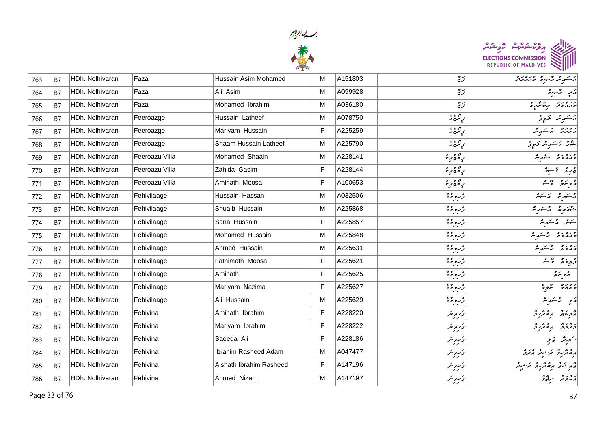



| 763 | <b>B7</b> | HDh. Nolhivaran | Faza           | Hussain Asim Mohamed    | М | A151803 | ترتج                                    | ير مسكر مكر المسرور و يرورو و ا        |
|-----|-----------|-----------------|----------------|-------------------------|---|---------|-----------------------------------------|----------------------------------------|
| 764 | <b>B7</b> | HDh. Nolhivaran | Faza           | Ali Asim                | M | A099928 | ترتج                                    | أوسمج وأسبوده                          |
| 765 | <b>B7</b> | HDh. Nolhivaran | Faza           | Mohamed Ibrahim         | М | A036180 | ترتج                                    | כנים ני הסתניב                         |
| 766 | <b>B7</b> | HDh. Nolhivaran | Feeroazge      | Hussain Latheef         | M | A078750 | و ۵ ۵ م<br>م <sub>و</sub> تریخ د        | ج ڪرچر تڪمو و                          |
| 767 | <b>B7</b> | HDh. Nolhivaran | Feeroazge      | Mariyam Hussain         | F | A225259 | ە دە دە<br>ئ <sub>و</sub> ئىرىج ئ       | دەرە بىسكەش                            |
| 768 | <b>B7</b> | HDh. Nolhivaran | Feeroazge      | Shaam Hussain Latheef   | M | A225790 | و ۵ ۵ م<br>م <sub>و</sub> تریخ د        | شود برسمرش تورو                        |
| 769 | <b>B7</b> | HDh. Nolhivaran | Feeroazu Villa | Mohamed Shaain          | M | A228141 | ړ چ <sub>رمخ</sub> و ځه                 | ورەرو شەرش                             |
| 770 | <b>B7</b> | HDh. Nolhivaran | Feeroazu Villa | Zahida Gasim            | F | A228144 | ر چې ځو ځه<br>په مرغو څ                 | چ <sub>ىرىقى</sub> ت <sub>ۆسى</sub> رو |
| 771 | <b>B7</b> | HDh. Nolhivaran | Feeroazu Villa | Aminath Moosa           | F | A100653 | ړ چ <sub>رمخ</sub> و ځه                 | أزوينهم وحمش                           |
| 772 | B7        | HDh. Nolhivaran | Fehivilaage    | Hussain Hassan          | М | A032506 | ۇروڭۇ                                   | برستهرش برستاش                         |
| 773 | <b>B7</b> | HDh. Nolhivaran | Fehivilaage    | Shuaib Hussain          | М | A225868 | ۇروپۇتى                                 | شمهده برسمه                            |
| 774 | <b>B7</b> | HDh. Nolhivaran | Fehivilaage    | Sana Hussain            | F | A225857 | ۇروڭۇ                                   | ستنثر الإستهاش                         |
| 775 | <b>B7</b> | HDh. Nolhivaran | Fehivilaage    | Mohamed Hussain         | M | A225848 | ۇ ر <sub>ەۋ</sub> ۇ؟                    | ورەرو ورىم                             |
| 776 | B7        | HDh. Nolhivaran | Fehivilaage    | Ahmed Hussain           | M | A225631 | ا ئۇر <sub>ى</sub> ر ئ <sup>ىرى</sup> ك | رەرو جەسىر                             |
| 777 | <b>B7</b> | HDh. Nolhivaran | Fehivilaage    | Fathimath Moosa         | F | A225621 | ۇر <sub>ىرىۋ</sub> ىتى<br>              | وٌمِ وَمَعْ وَمَسَّمَّ                 |
| 778 | <b>B7</b> | HDh. Nolhivaran | Fehivilaage    | Aminath                 | F | A225625 | ۇروڭۇ                                   | أأرمر سكرة                             |
| 779 | <b>B7</b> | HDh. Nolhivaran | Fehivilaage    | Mariyam Nazima          | F | A225627 | ۇروڭۇ                                   | بر 2 پر 2<br>5 بر بر 2<br>سَّنْجِرَدَّ |
| 780 | <b>B7</b> | HDh. Nolhivaran | Fehivilaage    | Ali Hussain             | M | A225629 | ۇروڭۇ                                   | أەي بر شكىر بىر                        |
| 781 | <b>B7</b> | HDh. Nolhivaran | Fehivina       | Aminath Ibrahim         | F | A228220 | ۇروپر                                   | ومحر المتعارج والمحارج                 |
| 782 | <b>B7</b> | HDh. Nolhivaran | Fehivina       | Mariyam Ibrahim         | F | A228222 | ۇروپىر                                  | ر ہ ر ہ<br>5 بربرگ<br>برە ئۆرۈ         |
| 783 | <b>B7</b> | HDh. Nolhivaran | Fehivina       | Saeeda Ali              | F | A228186 | ۇر <sub>چە</sub> بىر                    | سكەن كەيچ                              |
| 784 | B7        | HDh. Nolhivaran | Fehivina       | Ibrahim Rasheed Adam    | M | A047477 | ۇروپىر                                  | رەترىر ترىيەتە ئەترە                   |
| 785 | <b>B7</b> | HDh. Nolhivaran | Fehivina       | Aishath Ibrahim Rasheed | F | A147196 | ؤرء بئر                                 | مەر شەم مەھكرىدى كەشپەر                |
| 786 | <b>B7</b> | HDh. Nolhivaran | Fehivina       | Ahmed Nizam             | M | A147197 | ۇرەبئە                                  | رەرو سۆۋ                               |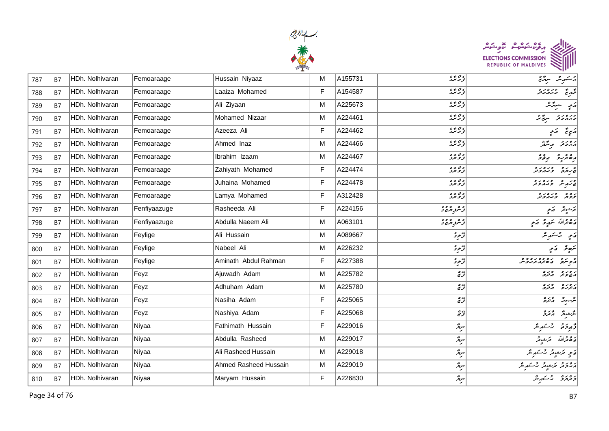



| 787 | <b>B7</b> | HDh. Nolhivaran | Femoaraage   | Hussain Niyaaz        | M           | A155731 | ه <i>۵ ه</i> ه<br>و <del>و</del> بوء              | برحمر شر سرگرمج                                         |
|-----|-----------|-----------------|--------------|-----------------------|-------------|---------|---------------------------------------------------|---------------------------------------------------------|
| 788 | <b>B7</b> | HDh. Nolhivaran | Femoaraage   | Laaiza Mohamed        | F           | A154587 | ه ۵ و ،<br>و <del>ر</del> برد                     | قرمة وبرورو                                             |
| 789 | <b>B7</b> | HDh. Nolhivaran | Femoaraage   | Ali Ziyaan            | M           | A225673 | ړ بر پر پر<br>تر د بنر پر                         | ارسم به استر می شد.<br>ا                                |
| 790 | <b>B7</b> | HDh. Nolhivaran | Femoaraage   | Mohamed Nizaar        | М           | A224461 | ه ۵ و ه<br>تو <del>و</del> بو و                   | ورەر ئەسكەر                                             |
| 791 | <b>B7</b> | HDh. Nolhivaran | Femoaraage   | Azeeza Ali            | F           | A224462 | ه ۵ و ه<br>تو <del>و</del> بو و                   | ړې په کړ                                                |
| 792 | <b>B7</b> | HDh. Nolhivaran | Femoaraage   | Ahmed Inaz            | M           | A224466 | ه ۵ و ه<br>و <del>و</del> بو و                    | بروترو<br>ەيەشقر                                        |
| 793 | <b>B7</b> | HDh. Nolhivaran | Femoaraage   | Ibrahim Izaam         | М           | A224467 | ه ۵ و ه<br>تو <del>و</del> بو و                   | وەترىر وۋە                                              |
| 794 | <b>B7</b> | HDh. Nolhivaran | Femoaraage   | Zahiyath Mohamed      | F           | A224474 | ړ بر پر پر<br>تر <del>ت</del> ر تر                | عرير ورورد                                              |
| 795 | <b>B7</b> | HDh. Nolhivaran | Femoaraage   | Juhaina Mohamed       | F           | A224478 | ه <i>۵ و</i> ه<br>تو <del>و</del> بتری            | و رە ر د<br><i>د ب</i> ەر تەر<br>ق <sub>ە</sub> ئەرىتىر |
| 796 | <b>B7</b> | HDh. Nolhivaran | Femoaraage   | Lamya Mohamed         | F           | A312428 | ړ بر پر پر<br>تر <del>ت</del> ر تر                | رەۋ درەرد                                               |
| 797 | <b>B7</b> | HDh. Nolhivaran | Fenfiyaazuge | Rasheeda Ali          | F           | A224156 | ې ش <sub>معر م</sub> تر پر د                      | لترجيش كالمح                                            |
| 798 | <b>B7</b> | HDh. Nolhivaran | Fenfiyaazuge | Abdulla Naeem Ali     | М           | A063101 | ې ش <sub>م</sub> و پژ <sub>م</sub> خ <sub>ک</sub> | رە قراللە سَمدٍ قرىسٍ                                   |
| 799 | <b>B7</b> | HDh. Nolhivaran | Feylige      | Ali Hussain           | M           | A089667 | ەي<br>كىمىزى                                      | أقنعي المحاسبة المحمد                                   |
| 800 | <b>B7</b> | HDh. Nolhivaran | Feylige      | Nabeel Ali            | М           | A226232 | د،<br>توموت                                       | شھۇ كەيپ                                                |
| 801 | <b>B7</b> | HDh. Nolhivaran | Feylige      | Aminath Abdul Rahman  | $\mathsf F$ | A227388 | ر<br> توموتو                                      | ر ه و ه ر ه و ه<br>پره تر بر پر تر س<br>أرمز وسره       |
| 802 | <b>B7</b> | HDh. Nolhivaran | Feyz         | Ajuwadh Adam          | M           | A225782 | ړه ه<br>گر <sup>م</sup> ح                         | د ور د په ده د                                          |
| 803 | <b>B7</b> | HDh. Nolhivaran | Feyz         | Adhuham Adam          | М           | A225780 | ړه ه<br>گر <sup>م</sup> ح                         | پور ہ<br>مرکز ژ<br>بروره                                |
| 804 | <b>B7</b> | HDh. Nolhivaran | Feyz         | Nasiha Adam           | F           | A225065 | ړه ه<br>گر <sup>م</sup> خ                         | شربانه المترده                                          |
| 805 | <b>B7</b> | HDh. Nolhivaran | Feyz         | Nashiya Adam          | F           | A225068 | ړه ه<br>گر <sup>م</sup> ح                         | شرشوش كرفرو                                             |
| 806 | <b>B7</b> | HDh. Nolhivaran | Niyaa        | Fathimath Hussain     | F           | A229016 | سرچر                                              | توجوختم برستهريش                                        |
| 807 | <b>B7</b> | HDh. Nolhivaran | Niyaa        | Abdulla Rasheed       | М           | A229017 | سرچر                                              | رە قراللە كمەشىرىمر                                     |
| 808 | <b>B7</b> | HDh. Nolhivaran | Niyaa        | Ali Rasheed Hussain   | М           | A229018 | سرچر                                              | كالمي الكرشوقر الركسكر بكر                              |
| 809 | <b>B7</b> | HDh. Nolhivaran | Niyaa        | Ahmed Rasheed Hussain | М           | A229019 | سرچر                                              | גיגלת וליית הרוויית                                     |
| 810 | <b>B7</b> | HDh. Nolhivaran | Niyaa        | Maryam Hussain        | F           | A226830 | سرچر                                              | - 2019 - 2019                                           |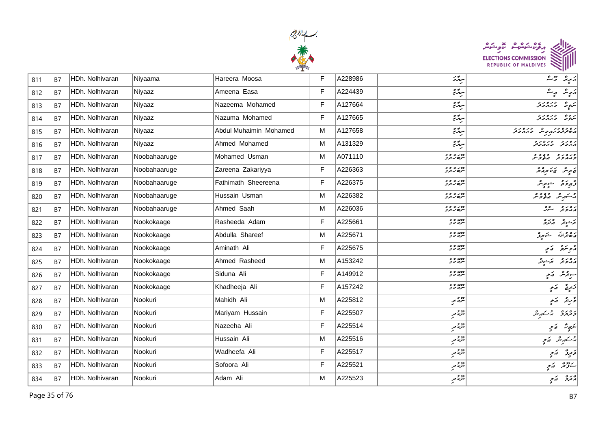



| 811 | <b>B7</b> | HDh. Nolhivaran | Niyaama      | Hareera Moosa          | F | A228986 | سروگر                             | برىيەتنى خەشتە                                                       |
|-----|-----------|-----------------|--------------|------------------------|---|---------|-----------------------------------|----------------------------------------------------------------------|
| 812 | <b>B7</b> | HDh. Nolhivaran | Niyaaz       | Ameena Easa            | F | A224439 | سرمرسمج                           | پَرچِیڈ (پِیٹ                                                        |
| 813 | <b>B7</b> | HDh. Nolhivaran | Niyaaz       | Nazeema Mohamed        | F | A127664 | اسوچھ                             | سَرَن <sub>جو</sub> تَرُ<br><i>و بره ب</i> ر و<br>ح <i>. بر</i> گرفر |
| 814 | <b>B7</b> | HDh. Nolhivaran | Niyaaz       | Nazuma Mohamed         | F | A127665 | سردمج                             | ر ده دره د ور<br>سرگار د بر د تر                                     |
| 815 | <b>B7</b> | HDh. Nolhivaran | Niyaaz       | Abdul Muhaimin Mohamed | М | A127658 | سرمرتنج                           | גם כם כל הפיט - כל הפיט בי                                           |
| 816 | <b>B7</b> | HDh. Nolhivaran | Niyaaz       | Ahmed Mohamed          | М | A131329 | سرمرسمج                           | גפגב בגפגב<br>גגבע בגגבע                                             |
| 817 | <b>B7</b> | HDh. Nolhivaran | Noobahaaruge | Mohamed Usman          | M | A071110 | وور بر و ،<br>سرچ رسمری           | כנסנכ כסמכ                                                           |
| 818 | <b>B7</b> | HDh. Nolhivaran | Noobahaaruge | Zareena Zakariyya      | F | A226363 | ددر بر و ،<br>سرچ رسمری           | تمېرىتى ئەتمىرو بىر                                                  |
| 819 | <b>B7</b> | HDh. Nolhivaran | Noobahaaruge | Fathimath Sheereena    | F | A226375 | وور بر و ،<br>سرچ رسمری           | ژَّجِرْحَمْ شِہِیدٌ                                                  |
| 820 | <b>B7</b> | HDh. Nolhivaran | Noobahaaruge | Hussain Usman          | Μ | A226382 | ددر بر د ،<br>سره ر سرد           | جستهر شهر الملحق الله                                                |
| 821 | <b>B7</b> | HDh. Nolhivaran | Noobahaaruge | Ahmed Saah             | М | A226036 | وور پر و ،<br>سرچ ر سری           | پرورو گرو                                                            |
| 822 | <b>B7</b> | HDh. Nolhivaran | Nookokaage   | Rasheeda Adam          | F | A225661 | وویو ہے ی<br>سربر رکھ ک           | يَرَ شَوِيرٌ = دَرَجْرٌ                                              |
| 823 | <b>B7</b> | HDh. Nolhivaran | Nookokaage   | Abdulla Shareef        | М | A225671 | وویو پر ہ<br>سربر ر               | أصام الله خوميدمي                                                    |
| 824 | <b>B7</b> | HDh. Nolhivaran | Nookokaage   | Aminath Ali            | F | A225675 | وویو پر د<br>سربر بر ی            | أزجر سترة أأأتمني                                                    |
| 825 | <b>B7</b> | HDh. Nolhivaran | Nookokaage   | Ahmed Rasheed          | M | A153242 | وویر ہے ی<br>سربر رکھ ک           | رەرد ئەيدى<br>مەردىر ئىيدى                                           |
| 826 | <b>B7</b> | HDh. Nolhivaran | Nookokaage   | Siduna Ali             | F | A149912 | وویر ہے ۔<br>سربر تر <sub>ک</sub> | سوقرىنتر - رَمِيهِ                                                   |
| 827 | <b>B7</b> | HDh. Nolhivaran | Nookokaage   | Khadheeja Ali          | F | A157242 | دد پر دی<br>سربر بر ی             | زَمِيعٌ ۖ مَرۡمٍ                                                     |
| 828 | <b>B7</b> | HDh. Nolhivaran | Nookuri      | Mahidh Ali             | М | A225812 | يودير                             | وحمية الأمج                                                          |
| 829 | <b>B7</b> | HDh. Nolhivaran | Nookuri      | Mariyam Hussain        | F | A225507 | دد د<br>سربر سر                   | جرسئەرىتىر<br>ر ه ر ه<br><del>و</del> بر د و                         |
| 830 | B7        | HDh. Nolhivaran | Nookuri      | Nazeeha Ali            | F | A225514 | دد د<br>سربر سر                   | سَمِيرٌ - سَمِي                                                      |
| 831 | <b>B7</b> | HDh. Nolhivaran | Nookuri      | Hussain Ali            | М | A225516 | دو د<br>سربر سر                   | چرىسى كەمچ                                                           |
| 832 | <b>B7</b> | HDh. Nolhivaran | Nookuri      | Wadheefa Ali           | F | A225517 | دوج<br>متر ما سمبر                | وَمِرِدٌ = دَمِي                                                     |
| 833 | <b>B7</b> | HDh. Nolhivaran | Nookuri      | Sofoora Ali            | F | A225521 | دو د<br>سربر سر                   | په دهېمته او ټوپه                                                    |
| 834 | <b>B7</b> | HDh. Nolhivaran | Nookuri      | Adam Ali               | M | A225523 | دوج<br>متر تا سر                  | أأتمرش أتكمح                                                         |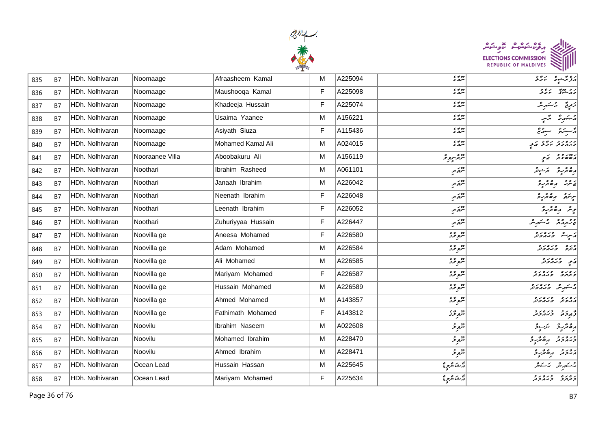



| 835 | <b>B7</b> | HDh. Nolhivaran | Noomaage        | Afraasheem Kamal   | М  | A225094 | وو پر ي<br>سرچ ي                               | پروټر شوو د برو و                   |
|-----|-----------|-----------------|-----------------|--------------------|----|---------|------------------------------------------------|-------------------------------------|
| 836 | <b>B7</b> | HDh. Nolhivaran | Noomaage        | Maushooqa Kamal    | F. | A225098 | وو پر ي<br>سرچ ي                               | أروجع الراوح                        |
| 837 | <b>B7</b> | HDh. Nolhivaran | Noomaage        | Khadeeja Hussain   | F. | A225074 | دوره بر<br>سرچ ی                               | كتعيق المرسكر مثر                   |
| 838 | <b>B7</b> | HDh. Nolhivaran | Noomaage        | Usaima Yaanee      | М  | A156221 | دوره بر<br>سرچ ی                               | لەسىئەرىخ<br>وگرسبر                 |
| 839 | <b>B7</b> | HDh. Nolhivaran | Noomaage        | Asiyath Siuza      | F. | A115436 | دوره بر<br>سرچ ی                               | أرسورة سورة                         |
| 840 | <b>B7</b> | HDh. Nolhivaran | Noomaage        | Mohamed Kamal Ali  | М  | A024015 | دد د د ،<br>سرچ ی                              | ورەرو روو كەي                       |
| 841 | <b>B7</b> | HDh. Nolhivaran | Nooraanee Villa | Aboobakuru Ali     | M  | A156119 | تر پر <sub>سر مو</sub> بر                      | 77 77001                            |
| 842 | <b>B7</b> | HDh. Nolhivaran | Noothari        | Ibrahim Rasheed    | М  | A061101 | ددر<br>سرچ سر                                  | رە ئ <sup>ۆ</sup> رۈ<br>ىمەسىيە قىر |
| 843 | <b>B7</b> | HDh. Nolhivaran | Noothari        | Janaah Ibrahim     | М  | A226042 | يتزهجو سور                                     | ءَ يُرْبُرُ مِنْ مُحَمَّدٍ وَ       |
| 844 | <b>B7</b> | HDh. Nolhivaran | Noothari        | Neenath Ibrahim    | F. | A226048 | يتزهج سر                                       | يرىترى مەھەر دە                     |
| 845 | <b>B7</b> | HDh. Nolhivaran | Noothari        | Leenath Ibrahim    | F. | A226052 | لترجو سر                                       | پیش بر محمّر دی                     |
| 846 | <b>B7</b> | HDh. Nolhivaran | Noothari        | Zuhuriyyaa Hussain | F  | A226447 | ددر<br>سرچ سر                                  | وويروش برسكريش                      |
| 847 | <b>B7</b> | HDh. Nolhivaran | Noovilla ge     | Aneesa Mohamed     | F. | A226580 | دو په په<br>سرعو تر                            | أرسيت وبرورو                        |
| 848 | <b>B7</b> | HDh. Nolhivaran | Noovilla ge     | Adam Mohamed       | М  | A226584 | دو په په<br>سر <sub>ج م</sub> رد               | دره دره دو<br>  دندو دبردوند        |
| 849 | <b>B7</b> | HDh. Nolhivaran | Noovilla ge     | Ali Mohamed        | M  | A226585 | دو په په<br>متر <sub>جو</sub> بخر <sub>ي</sub> | أەير دىرەرد                         |
| 850 | <b>B7</b> | HDh. Nolhivaran | Noovilla ge     | Mariyam Mohamed    | F. | A226587 | دو په په<br>سرچ د د                            | و رە ر د<br>تر پەر تەر<br>  ئە ئەرە |
| 851 | <b>B7</b> | HDh. Nolhivaran | Noovilla ge     | Hussain Mohamed    | М  | A226589 | دد په په<br>سرچ گرۍ                            | جرعهر شرک در در د                   |
| 852 | <b>B7</b> | HDh. Nolhivaran | Noovilla ge     | Ahmed Mohamed      | М  | A143857 | دد په په<br>سرچ گرۍ                            | د ۱۵ د ور د د و                     |
| 853 | <b>B7</b> | HDh. Nolhivaran | Noovilla ge     | Fathimath Mohamed  | F. | A143812 | دد په په<br>سرچ مخر                            | أوجدد وره دو                        |
| 854 | <b>B7</b> | HDh. Nolhivaran | Noovilu         | Ibrahim Naseem     | М  | A022608 | يترعر قحر                                      | أرە ئۆر ئىس ئىس ئ                   |
| 855 | <b>B7</b> | HDh. Nolhivaran | Noovilu         | Mohamed Ibrahim    | М  | A228470 | يتروجه                                         | ورورو رەئرى                         |
| 856 | <b>B7</b> | HDh. Nolhivaran | Noovilu         | Ahmed Ibrahim      | М  | A228471 | يتروخه                                         | د د د د ه مدّر د                    |
| 857 | <b>B7</b> | HDh. Nolhivaran | Ocean Lead      | Hussain Hassan     | M  | A225645 | لرسته عرموع                                    | 2سى <sub>م</sub> بىر - ئەسىر        |
| 858 | <b>B7</b> | HDh. Nolhivaran | Ocean Lead      | Mariyam Mohamed    | F  | A225634 | ە ئەيمە ئىرىپى                                 | ر ه ره در ور و                      |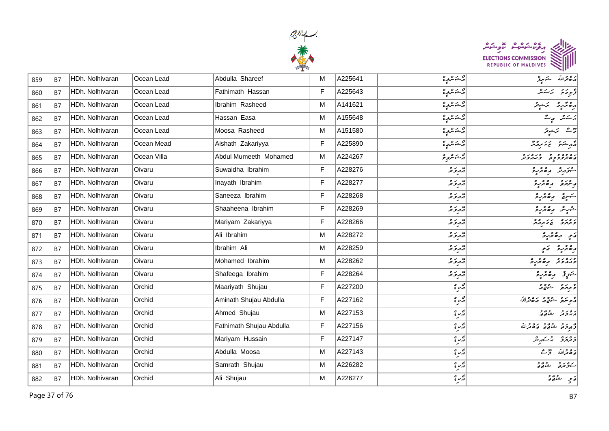



| 859 | <b>B7</b> | HDh. Nolhivaran | Ocean Lead  | Abdulla Shareef          | м  | A225641 | م شەمرىيو ؟<br>م                       | <mark>رەت</mark> راللە شەمر <i>ۇ</i>         |
|-----|-----------|-----------------|-------------|--------------------------|----|---------|----------------------------------------|----------------------------------------------|
| 860 | <b>B7</b> | HDh. Nolhivaran | Ocean Lead  | Fathimath Hassan         | F  | A225643 | لرمشة مرموع                            | توجدة برسك                                   |
| 861 | <b>B7</b> | HDh. Nolhivaran | Ocean Lead  | Ibrahim Rasheed          | м  | A141621 | ئەسىئە مىرىپى؟                         | رەترىر ترم                                   |
| 862 | <b>B7</b> | HDh. Nolhivaran | Ocean Lead  | Hassan Easa              | М  | A155648 | م شەمرىيو ؟<br>م                       | يرتدش رہائے                                  |
| 863 | <b>B7</b> | HDh. Nolhivaran | Ocean Lead  | Moosa Rasheed            | M  | A151580 | لرمشتر محيدهم                          | وقرئته المرتبوقر                             |
| 864 | <b>B7</b> | HDh. Nolhivaran | Ocean Mead  | Aishath Zakariyya        | F  | A225890 | لرمشه مرحيء                            | مەر ئىكى ئەسىر ئەر                           |
| 865 | <b>B7</b> | HDh. Nolhivaran | Ocean Villa | Abdul Mumeeth Mohamed    | М  | A224267 | مجمة متنظر محمد التي تحري <sup>9</sup> | נפכפכפ כנסנב<br>גפנגבקים כמגבע               |
| 866 | <b>B7</b> | HDh. Nolhivaran | Oivaru      | Suwaidha Ibrahim         | F  | A228276 | لترمره                                 | لتفهقر مفتردة                                |
| 867 | <b>B7</b> | HDh. Nolhivaran | Oivaru      | Inayath Ibrahim          | F  | A228277 | لترمرغه                                | أرشكتمو مصريد                                |
| 868 | <b>B7</b> | HDh. Nolhivaran | Oivaru      | Saneeza Ibrahim          | F  | A228268 | لترمره                                 | سَسِيعٌ رِهْ مُدْرِدْ                        |
| 869 | <b>B7</b> | HDh. Nolhivaran | Oivaru      | Shaaheena Ibrahim        | F. | A228269 | لترمر بحر                              | شَرِينَ رِهْنَرِ و                           |
| 870 | <b>B7</b> | HDh. Nolhivaran | Oivaru      | Mariyam Zakariyya        | F. | A228266 | بر مرکز سر<br>مرکز سر                  | במתכ ג'ומאת                                  |
| 871 | <b>B7</b> | HDh. Nolhivaran | Oivaru      | Ali Ibrahim              | M  | A228272 | لترمره                                 | ړې ره ټرو                                    |
| 872 | <b>B7</b> | HDh. Nolhivaran | Oivaru      | Ibrahim Ali              | M  | A228259 | لترمر بحر                              | رە ئرىۋە كەيپ                                |
| 873 | <b>B7</b> | HDh. Nolhivaran | Oivaru      | Mohamed Ibrahim          | M  | A228262 | لتربره                                 | برە ئۆر ۋ<br>و ره ر د<br><i>د ب</i> رگر تر   |
| 874 | <b>B7</b> | HDh. Nolhivaran | Oivaru      | Shafeega Ibrahim         | F  | A228264 | لترمره                                 | شَرَرٍ يَثَرُ الرِهْ بَرْرِدْ                |
| 875 | <b>B7</b> | HDh. Nolhivaran | Orchid      | Maariyath Shujau         | F  | A227200 | رموء                                   | وحرمركم المشوقات                             |
| 876 | <b>B7</b> | HDh. Nolhivaran | Orchid      | Aminath Shujau Abdulla   | F  | A227162 | لرموء                                  | أمحر معرضة والمقابلة                         |
| 877 | <b>B7</b> | HDh. Nolhivaran | Orchid      | Ahmed Shujau             | м  | A227153 | لأمره                                  | رەر دەرد<br>مەردىر شەق                       |
| 878 | <b>B7</b> | HDh. Nolhivaran | Orchid      | Fathimath Shujau Abdulla | F  | A227156 | لرموء                                  | وتجرح ومعطم وهدالله                          |
| 879 | <b>B7</b> | HDh. Nolhivaran | Orchid      | Mariyam Hussain          | F  | A227147 | لرمرء                                  | دەرە برىكىرىگ                                |
| 880 | <b>B7</b> | HDh. Nolhivaran | Orchid      | Abdulla Moosa            | м  | A227143 | لرموء                                  | أرجع فرالله وحرمح                            |
| 881 | <b>B7</b> | HDh. Nolhivaran | Orchid      | Samrath Shujau           | M  | A226282 | لرموء                                  | سره بر د<br>ے شہ تھے ہ <i>ے</i><br>مشترقے ہے |
| 882 | <b>B7</b> | HDh. Nolhivaran | Orchid      | Ali Shujau               | М  | A226277 | لرموء                                  | پر جو شقوق                                   |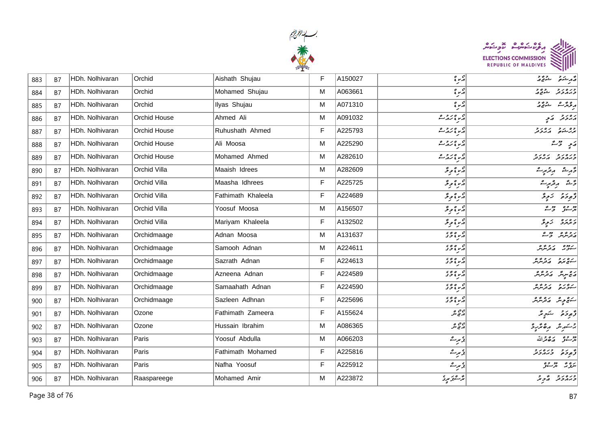



| 883 | B7        | HDh. Nolhivaran | Orchid       | Aishath Shujau     | F | A150027 | ومرہ                          | رح ۾ جو جو<br>مشترق ج <i>ي</i><br>وحمر يئسكونني |
|-----|-----------|-----------------|--------------|--------------------|---|---------|-------------------------------|-------------------------------------------------|
| 884 | B7        | HDh. Nolhivaran | Orchid       | Mohamed Shujau     | М | A063661 | ومرہ                          | و ر ه ر د<br>تر پروتر<br>ر ج ج ح<br>مشتوان ایر  |
| 885 | B7        | HDh. Nolhivaran | Orchid       | Ilyas Shujau       | М | A071310 | رموء<br>∽                     | بر عجر پشته<br>ے تھے اپر                        |
| 886 | B7        | HDh. Nolhivaran | Orchid House | Ahmed Ali          | М | A091032 | ە يە يەر مە                   | پروژ په په                                      |
| 887 | B7        | HDh. Nolhivaran | Orchid House | Ruhushath Ahmed    | F | A225793 | ەر بەر ئەرم<br>مەر            | وه برو بره برو<br>بررشومی که بروتر              |
| 888 | B7        | HDh. Nolhivaran | Orchid House | Ali Moosa          | М | A225290 | ە ئەنزىرى<br>مەنزىيە          | $\begin{bmatrix} 2 & 3 \\ 2 & 3 \end{bmatrix}$  |
| 889 | <b>B7</b> | HDh. Nolhivaran | Orchid House | Mohamed Ahmed      | М | A282610 | ە بە ئەيرىيە<br>مەر           | כנסנכ נסנכ<br>כגמכנ הגבנג                       |
| 890 | B7        | HDh. Nolhivaran | Orchid Villa | Maaish Idrees      | М | A282609 | م<br>مربوع <sub>حر</sub> محر  | ڈیرے پرتمبرے                                    |
| 891 | B7        | HDh. Nolhivaran | Orchid Villa | Maasha Idhrees     | F | A225725 | ەر بە ئ <sub>ە جە</sub> محە   | دَّےْ رِوْبِرِے                                 |
| 892 | B7        | HDh. Nolhivaran | Orchid Villa | Fathimath Khaleela | F | A224689 | ەر بە ئ <sub>ەر</sub> ئە      | د څو څه<br>تزموقر                               |
| 893 | B7        | HDh. Nolhivaran | Orchid Villa | Yoosuf Moosa       | M | A156507 | مر مو ۽ <sub>حو</sub> محه     | دد حره<br>در سرگو<br>دومشر                      |
| 894 | B7        | HDh. Nolhivaran | Orchid Villa | Mariyam Khaleela   | F | A132502 | م<br>مربوع <sub>حر</sub> محر  | ر ه بر ه<br><del>د</del> بر بر ژ<br>تزوٍوٌ      |
| 895 | B7        | HDh. Nolhivaran | Orchidmaage  | Adnan Moosa        | М | A131637 | ه و و و ،<br>مربع څنې         | ر دیگر وقت                                      |
| 896 | B7        | HDh. Nolhivaran | Orchidmaage  | Samooh Adnan       | М | A224611 | ه<br>د سوء څه                 | سەدە ھ<br>پر تر بٹر بٹر                         |
| 897 | <b>B7</b> | HDh. Nolhivaran | Orchidmaage  | Sazrath Adnan      | F | A224613 | ې ووي<br>مربو څ               | رے پر پروٹریں<br>سکی بھری اور فریٹریٹل          |
| 898 | B7        | HDh. Nolhivaran | Orchidmaage  | Azneena Adnan      | F | A224589 | ه و و و ،<br>مربع څنې         | 23 سرینگ   25 مگرینگریش                         |
| 899 | B7        | HDh. Nolhivaran | Orchidmaage  | Samaahath Adnan    | F | A224590 | ه موء څونه<br>مربو څونه       | سەۋىرە بەرگىر                                   |
| 900 | B7        | HDh. Nolhivaran | Orchidmaage  | Sazleen Adhnan     | F | A225696 | ه و و و ،<br>مربع څنې         | سەھ چىر كەرگەرگە                                |
| 901 | B7        | HDh. Nolhivaran | Ozone        | Fathimath Zameera  | F | A155624 | ەج پىر                        | وَجوحَة سَنَجِيمٌ                               |
| 902 | B7        | HDh. Nolhivaran | Ozone        | Hussain Ibrahim    | М | A086365 | ەج پىر                        | برسكريش رەمجرىرى                                |
| 903 | B7        | HDh. Nolhivaran | Paris        | Yoosuf Abdulla     | М | A066203 | بۇ بىر مە                     | ەھەراللە<br>در وه<br>در سو                      |
| 904 | B7        | HDh. Nolhivaran | Paris        | Fathimath Mohamed  | F | A225816 | ومحرسه                        | أوجود ورورد                                     |
| 905 | B7        | HDh. Nolhivaran | Paris        | Nafha Yoosuf       | F | A225912 | ومحرسه                        | ىئە ئەسىر تەرج                                  |
| 906 | <b>B7</b> | HDh. Nolhivaran | Raaspareege  | Mohamed Amir       | М | A223872 | مَّرْ <sup>م</sup> ْ ورَسِيرَ | כנסנכ בכב                                       |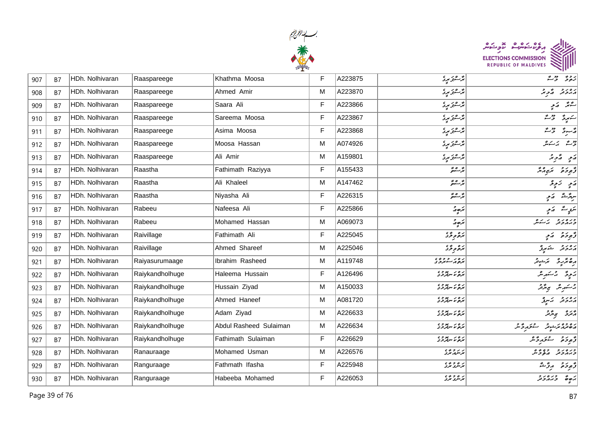



| <b>B7</b> | HDh. Nolhivaran | Raaspareege     | Khathma Moosa          | F  | A223875 | مەڭرىمىيەتى<br>م                                                | ر ده ده ده ش                      |
|-----------|-----------------|-----------------|------------------------|----|---------|-----------------------------------------------------------------|-----------------------------------|
| <b>B7</b> | HDh. Nolhivaran | Raaspareege     | Ahmed Amir             | M  | A223870 | ېژىش <sub>ن</sub> ۇ ئىر <sub>ى</sub>                            | پر بر بر ته<br>وترمر              |
| <b>B7</b> | HDh. Nolhivaran | Raaspareege     | Saara Ali              | F. | A223866 | مَّرْتْ بِرِ <sub>ك</sub> ِ                                     | ستهتمر الأمي                      |
| <b>B7</b> | HDh. Nolhivaran | Raaspareege     | Sareema Moosa          | F  | A223867 | ئېزىسى <i>نى ئېرى</i> تى                                        | سەمبەرىخ<br>ديسته                 |
| <b>B7</b> | HDh. Nolhivaran | Raaspareege     | Asima Moosa            | F. | A223868 | مَّرْتْ بِرِ <sub>ك</sub> ِ                                     | دومشر<br>لقسبوق                   |
| <b>B7</b> | HDh. Nolhivaran | Raaspareege     | Moosa Hassan           | M  | A074926 | ئېزىش <sub>ل</sub> ۇ ئىرى <sup>ي</sup>                          | دیم بر بر بر م                    |
| <b>B7</b> | HDh. Nolhivaran | Raaspareege     | Ali Amir               | M  | A159801 | ېژىش <sub>ن</sub> ۇ ئىر <sub>ى</sub>                            | پَندٍ کَرْحِرْ حَمْدِ             |
| <b>B7</b> | HDh. Nolhivaran | Raastha         | Fathimath Raziyya      | F  | A155433 | پڑے پڑ                                                          | بربي وهمر<br>و په دره<br>د گروه د |
| <b>B7</b> | HDh. Nolhivaran | Raastha         | Ali Khaleel            | М  | A147462 | پڑے پڑ                                                          | ړې دي و                           |
| B7        | HDh. Nolhivaran | Raastha         | Niyasha Ali            | F  | A226315 | پڑے پڑ                                                          | سرمر شد میکنیم.<br>م              |
| <b>B7</b> | HDh. Nolhivaran | Rabeeu          | Nafeesa Ali            | F  | A225866 | بمرجوز                                                          | ينړ په په په په                   |
| <b>B7</b> | HDh. Nolhivaran | Rabeeu          | Mohamed Hassan         | М  | A069073 | ر<br>برەپر                                                      | ورەرو پرىكە                       |
| <b>B7</b> | HDh. Nolhivaran | Raivillage      | Fathimath Ali          | F  | A225045 | برهمو څرنه                                                      | تزود فربي                         |
| <b>B7</b> | HDh. Nolhivaran | Raivillage      | Ahmed Shareef          | М  | A225046 | ىر ھ <sub>ى</sub> بەرى<br>ئىرقۇم بىرى                           | أرەر ئەرە                         |
| <b>B7</b> | HDh. Nolhivaran | Raiyasurumaage  | Ibrahim Rasheed        | М  | A119748 | ر ه ر په د وي پا<br>مر <i>و د س</i> مبر <del>و</del> د          | برڭ ئېرىيى<br>ىمەشەقر             |
| <b>B7</b> | HDh. Nolhivaran | Raiykandholhuge | Haleema Hussain        | F  | A126496 | ر ٥ ر سو ۶ د ٢<br>برج <i>ما</i> سر <del>ت</del> رو <sub>ک</sub> | پر پوځ    پر په پر په پر          |
| <b>B7</b> | HDh. Nolhivaran | Raiykandholhuge | Hussain Ziyad          | М  | A150033 | ر ٥ ر پر د ٥<br>برج ر سرتر د د                                  | جستهریش ہورشمر                    |
| <b>B7</b> | HDh. Nolhivaran | Raiykandholhuge | Ahmed Haneef           | М  | A081720 | ر ٥ ر پر ٥ ر<br>برج د سربر د د                                  | ئەردىق ئەسپۇ                      |
| B7        | HDh. Nolhivaran | Raiykandholhuge | Adam Ziyad             | Μ  | A226633 | ر ٥ ر سرچر <i>د</i> ٥<br>برج <i>ما</i> سرچر ي                   | أثر ترقر بم تركر                  |
| B7        | HDh. Nolhivaran | Raiykandholhuge | Abdul Rasheed Sulaiman | М  | A226634 | ر ٥ ر پر د ٥<br>برج ر سرتر د د                                  | رە دە ئرىيەتى سىزىرگىگ            |
| <b>B7</b> | HDh. Nolhivaran | Raiykandholhuge | Fathimath Sulaiman     | F  | A226629 | ر ہ ر سپر و ،<br>بربر ر سربر ر                                  | د بر د به به برگ مر               |
| B7        | HDh. Nolhivaran | Ranauraage      | Mohamed Usman          | Μ  | A226576 | ر ر د و .<br>برس پر بر .                                        | ورەرو وەھ ھ                       |
| <b>B7</b> | HDh. Nolhivaran | Ranguraage      | Fathmath Ifasha        | F  | A225948 | ر ه د و .<br>برمرد برد                                          | قرموختم برقشة                     |
| <b>B7</b> | HDh. Nolhivaran | Ranguraage      | Habeeba Mohamed        | F. | A226053 | ر ه د و و ،<br>برس پر بر                                        | دَهِ ځَه د د د                    |
|           |                 |                 |                        |    |         |                                                                 |                                   |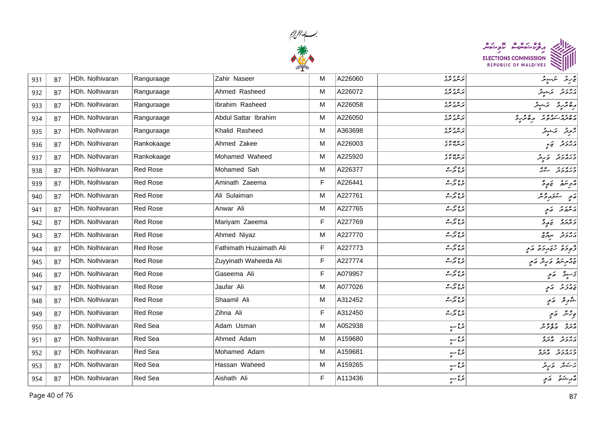



| <b>B7</b> | HDh. Nolhivaran | Ranguraage      | Zahir Naseer            | M           | A226060 | ر ۵ ۶ و <sup>پ</sup> ر<br>برسر <sub>ک</sub> برد | مچرىرى سىس <sub>ىرى</sub> رى<br>م                             |
|-----------|-----------------|-----------------|-------------------------|-------------|---------|-------------------------------------------------|---------------------------------------------------------------|
| <b>B7</b> | HDh. Nolhivaran | Ranguraage      | Ahmed Rasheed           | M           | A226072 | ر ه د و و ،<br>برس پر بر                        | برەرو بەجو                                                    |
| <b>B7</b> | HDh. Nolhivaran | Ranguraage      | Ibrahim Rasheed         | М           | A226058 | ر ه د و .<br>برس                                | رە ئرىر ئىن ئىشىر                                             |
| <b>B7</b> | HDh. Nolhivaran | Ranguraage      | Abdul Sattar Ibrahim    | М           | A226050 | ر ه د و .<br>برس                                | د ه ده ره د و د<br>برە ئۈر ۋ                                  |
| <b>B7</b> | HDh. Nolhivaran | Ranguraage      | Khalid Rasheed          | М           | A363698 | ر ه د و »<br>برس پر                             | گرونژ - مَرْشِينْر                                            |
| <b>B7</b> | HDh. Nolhivaran | Rankokaage      | Ahmed Zakee             | M           | A226003 | ر ٥ پر <i>٥ ٤</i><br>برس <i>ما د</i>            | پروژ پر پ                                                     |
| <b>B7</b> | HDh. Nolhivaran | Rankokaage      | Mohamed Waheed          | М           | A225920 | ر ۵ پر ۵ پر<br>برس را ر                         | ورەرو كەيل                                                    |
| <b>B7</b> | HDh. Nolhivaran | Red Rose        | Mohamed Sah             | М           | A226377 | ی ه <sup>0</sup> مر م                           | ستەپر<br>و ر ه ر د<br><i>و پر</i> و تر                        |
| <b>B7</b> | HDh. Nolhivaran | <b>Red Rose</b> | Aminath Zaeema          | F           | A226441 | ، ە مەھ<br>بىر : ئىرىسە                         | أأترجم تماريح                                                 |
| <b>B7</b> | HDh. Nolhivaran | <b>Red Rose</b> | Ali Sulaiman            | М           | A227761 | ، ە مەھ<br>ئىرونىمەت                            | ئەير سىنجىر ئەشر                                              |
| <b>B7</b> | HDh. Nolhivaran | <b>Red Rose</b> | Anwar Ali               | М           | A227765 | <sup>ی ہ م</sup> رم<br>مربع مرک                 | أرعدته أربح                                                   |
| <b>B7</b> | HDh. Nolhivaran | <b>Red Rose</b> | Mariyam Zaeema          | F           | A227769 | <sup>ى ە ج</sup> رىشە                           | ترءبره<br>ىمەپە                                               |
| <b>B7</b> | HDh. Nolhivaran | <b>Red Rose</b> | Ahmed Niyaz             | М           | A227770 | <sup>ی ہ م</sup> رم<br>مربع مرک                 | بر 2 پر 15<br>مربر <del>2</del> تر<br>سرپڑھ                   |
| <b>B7</b> | HDh. Nolhivaran | Red Rose        | Fathimath Huzaimath Ali | $\mathsf F$ | A227773 | <sup>ی ہ م</sup> رم<br>مربع مرک                 | توجدة ريم دوء مو                                              |
| <b>B7</b> | HDh. Nolhivaran | <b>Red Rose</b> | Zuyyinath Waheeda Ali   | F           | A227774 | ، ە مەھ<br>ئىرونىمەت                            | جمهر سَمَّۃ کَہٰ پِنَّہُ مَیْ                                 |
| <b>B7</b> | HDh. Nolhivaran | <b>Red Rose</b> | Gaseema Ali             | F           | A079957 | <sup>ى ە ج</sup> رىشە                           | تخاسيرة الكامي                                                |
| <b>B7</b> | HDh. Nolhivaran | <b>Red Rose</b> | Jaufar Ali              | М           | A077026 | <sup>ى ە ج</sup> رىشە                           | پروژ پر پر پر                                                 |
| <b>B7</b> | HDh. Nolhivaran | <b>Red Rose</b> | Shaamil Ali             | M           | A312452 | <sup>ى ە ج</sup> رىشە                           | ڪرو ڏي                                                        |
| <b>B7</b> | HDh. Nolhivaran | Red Rose        | Zihna Ali               | F           | A312450 | ، ە ج <sub>ى</sub> م ھ                          | ىر ئەشتە كەيپە                                                |
| <b>B7</b> | HDh. Nolhivaran | Red Sea         | Adam Usman              | M           | A052938 | برہی ہے                                         | وره ده وه.                                                    |
| <b>B7</b> | HDh. Nolhivaran | Red Sea         | Ahmed Adam              | М           | A159680 | برہم ہے                                         | پور ہ<br>مرکز ژ<br>بر ہ بر بر<br>م <i>ر</i> بر <del>ب</del> ر |
| <b>B7</b> | HDh. Nolhivaran | Red Sea         | Mohamed Adam            | М           | A159681 |                                                 | وره رو په ره<br>د بربرونر برنرو                               |
| <b>B7</b> | HDh. Nolhivaran | Red Sea         | Hassan Waheed           | M           | A159265 | برہم ہے                                         | پرسته زیر د                                                   |
| <b>B7</b> | HDh. Nolhivaran | Red Sea         | Aishath Ali             | F           | A113436 | برہم ہے                                         | ە ئەستىق ھەمچ                                                 |
|           |                 |                 |                         |             |         |                                                 | اعْمَعْ ہے                                                    |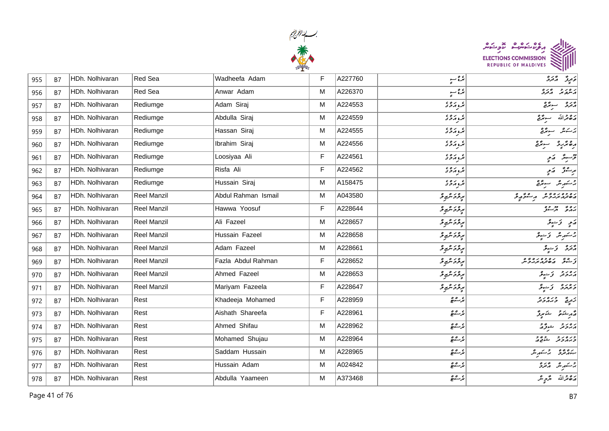



| 955 | <b>B7</b> | HDh. Nolhivaran | Red Sea            | Wadheefa Adam       | F | A227760 | برہمبر                                   | وَمَرِزٌ مُرَمَرُدُ                     |
|-----|-----------|-----------------|--------------------|---------------------|---|---------|------------------------------------------|-----------------------------------------|
| 956 | <b>B7</b> | HDh. Nolhivaran | Red Sea            | Anwar Adam          | М | A226370 | برہی ہے                                  | پور ہ<br>مرکز<br>بر ه پر د              |
| 957 | B7        | HDh. Nolhivaran | Rediumge           | Adam Siraj          | М | A224553 | ې به ده ،<br>مربو د د                    | پر تر عربی سو پر تر ته                  |
| 958 | B7        | HDh. Nolhivaran | Rediumge           | Abdulla Siraj       | М | A224559 | ې ده ده<br>ترو تر دی                     | رَحْمَدَاللّهُ –مِتَّرَمْحُ             |
| 959 | B7        | HDh. Nolhivaran | Rediumge           | Hassan Siraj        | М | A224555 | ې به ده و<br>مربو مر                     | پرستانئر السویژنج                       |
| 960 | <b>B7</b> | HDh. Nolhivaran | Rediumge           | Ibrahim Siraj       | M | A224556 | ې به ده و<br>مربو د                      | ەر ھەتئەر <i>ۋ</i><br>سويرة             |
| 961 | <b>B7</b> | HDh. Nolhivaran | Rediumge           | Loosiyaa Ali        | F | A224561 | ې به ده و                                | تۆسىد ئەرىپە                            |
| 962 | <b>B7</b> | HDh. Nolhivaran | Rediumge           | Risfa Ali           | F | A224562 | ې د ه ه ه<br>مرو تر د د                  | برڪڙ ڪچ                                 |
| 963 | B7        | HDh. Nolhivaran | Rediumge           | Hussain Siraj       | М | A158475 | ې به ده ،<br>مرد تر د د                  | برسكورشر السويرقع                       |
| 964 | B7        | HDh. Nolhivaran | <b>Reel Manzil</b> | Abdul Rahman Ismail | м | A043580 | ىر دىگە دى                               | גם כם גם כם הגם כל כ                    |
| 965 | B7        | HDh. Nolhivaran | <b>Reel Manzil</b> | Hawwa Yoosuf        | F | A228644 | ىر دىر شرىر د                            | بره پو دو وه<br>بروگو مرسول             |
| 966 | B7        | HDh. Nolhivaran | <b>Reel Manzil</b> | Ali Fazeel          | M | A228657 | پر بحر ته شعر بحر<br>  پر بحر ته شعر بحر | پښتو تر نندگی                           |
| 967 | B7        | HDh. Nolhivaran | <b>Reel Manzil</b> | Hussain Fazeel      | M | A228658 | بردد شهرد                                | چەسىر ترىنىدۇ                           |
| 968 | <b>B7</b> | HDh. Nolhivaran | <b>Reel Manzil</b> | Adam Fazeel         | M | A228661 | ىر 3 كەنگى 3                             | أوترو ترحيى                             |
| 969 | B7        | HDh. Nolhivaran | <b>Reel Manzil</b> | Fazla Abdul Rahman  | F | A228652 | ىرپۇچە شىر بۇ                            | كرەپ رەدەرەپەر                          |
| 970 | <b>B7</b> | HDh. Nolhivaran | <b>Reel Manzil</b> | Ahmed Fazeel        | М | A228653 | ىر \$كەشىر \$                            | پروتر کی نیو                            |
| 971 | B7        | HDh. Nolhivaran | Reel Manzil        | Mariyam Fazeela     | F | A228647 | ىر د د شرىر د                            | دەرە تىنىۋ                              |
| 972 | B7        | HDh. Nolhivaran | Rest               | Khadeeja Mohamed    | F | A228959 | برعو                                     | ژمرهٔ دره رو                            |
| 973 | B7        | HDh. Nolhivaran | Rest               | Aishath Shareefa    | F | A228961 | برعو                                     | روم شمروً                               |
| 974 | B7        | HDh. Nolhivaran | Rest               | Ahmed Shifau        | М | A228962 | بررميم                                   | دەر د شوژه                              |
| 975 | B7        | HDh. Nolhivaran | Rest               | Mohamed Shujau      | М | A228964 | برعو                                     | ورەر دەرد.<br><mark>جەم</mark> رى ئىستى |
| 976 | B7        | HDh. Nolhivaran | Rest               | Saddam Hussain      | М | A228965 | برعو                                     | بتمديرة المرتشر مر                      |
| 977 | B7        | HDh. Nolhivaran | Rest               | Hussain Adam        | М | A024842 | برعو                                     | جرستهر شر مرتبره                        |
| 978 | <b>B7</b> | HDh. Nolhivaran | Rest               | Abdulla Yaameen     | М | A373468 | برعو                                     | رَصْحْرَاللّهُ مُرَّحِرِ مَرْ           |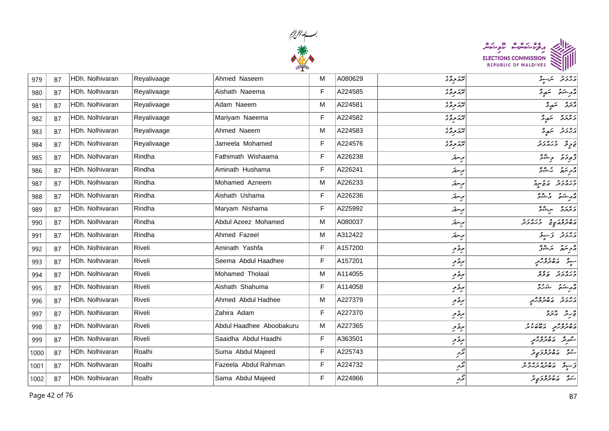



| 979  | <b>B7</b> | HDh. Nolhivaran | Reyalivaage | Ahmed Naseem             | M  | A080629 | رد دره و د<br>مرد مرد و                         | پر ۹ پر ۶                 |
|------|-----------|-----------------|-------------|--------------------------|----|---------|-------------------------------------------------|---------------------------|
| 980  | <b>B7</b> | HDh. Nolhivaran | Reyalivaage | Aishath Naeema           | F  | A224585 | ے پر برے<br>محمد مرحر <sub>ک</sub>              | مەر خىم ئىمە ئى           |
| 981  | <b>B7</b> | HDh. Nolhivaran | Reyalivaage | Adam Naeem               | M  | A224581 | پر پر په په<br>  پر پر پور په                   | د د د سمبر د              |
| 982  | <b>B7</b> | HDh. Nolhivaran | Reyalivaage | Mariyam Naeema           | F. | A224582 | يوپر برگ <sup>ي</sup><br>  <del>ب</del> رټر برگ | ئەنگەر 2<br>سَمدٍ رَّ     |
| 983  | <b>B7</b> | HDh. Nolhivaran | Reyalivaage | Ahmed Naeem              | м  | A224583 | <i>ين پر پ</i> ه په                             | رەر ئە سَمدٍ د            |
| 984  | <b>B7</b> | HDh. Nolhivaran | Reyalivaage | Jameela Mohamed          | F. | A224576 | پر پر یورتخ<br>  پر پر پر یورتخ                 | قارٍ حٌ = حَ بَرُ وَ حَرَ |
| 985  | <b>B7</b> | HDh. Nolhivaran | Rindha      | Fathimath Wishaama       | F. | A226238 | الموسرفكر                                       | قرموخا وبشق               |
| 986  | <b>B7</b> | HDh. Nolhivaran | Rindha      | Aminath Hushama          | F  | A226241 | برسريتر                                         | برشترى<br>أثرجه تنهجر     |
| 987  | <b>B7</b> | HDh. Nolhivaran | Rindha      | Mohamed Azneem           | М  | A226233 | برسرتر                                          | כמחכני הזיתב              |
| 988  | <b>B7</b> | HDh. Nolhivaran | Rindha      | Aishath Ushama           | F  | A226236 | برسرتر                                          | و د عنو د المرحمو         |
| 989  | <b>B7</b> | HDh. Nolhivaran | Rindha      | Maryam Nishama           | F. | A225992 | برسرتر                                          | سرىشىگە<br>  ئە ئەرە      |
| 990  | <b>B7</b> | HDh. Nolhivaran | Rindha      | Abdul Azeez Mohamed      | М  | A080037 | برسرتر                                          | גפרפג'ם בגם בי            |
| 991  | <b>B7</b> | HDh. Nolhivaran | Rindha      | Ahmed Fazeel             | M  | A312422 | ىرسرىتر                                         | أرورو كالمناولي           |
| 992  | <b>B7</b> | HDh. Nolhivaran | Riveli      | Aminath Yashfa           | F  | A157200 | ىرەً م                                          | أأرجع المتفورة            |
| 993  | <b>B7</b> | HDh. Nolhivaran | Riveli      | Seema Abdul Haadhee      | F. | A157201 | ىرەً م                                          | پرځ ده ده ده په           |
| 994  | <b>B7</b> | HDh. Nolhivaran | Riveli      | Mohamed Tholaal          | М  | A114055 | ىرەً م                                          | ورەرو روە                 |
| 995  | <b>B7</b> | HDh. Nolhivaran | Riveli      | Aishath Shahuma          | F  | A114058 | ىرغرمر                                          | أوه مشكرة والمشروع        |
| 996  | <b>B7</b> | HDh. Nolhivaran | Riveli      | Ahmed Abdul Hadhee       | М  | A227379 | ىرەً م                                          | ره دو ره ده در پر         |
| 997  | <b>B7</b> | HDh. Nolhivaran | Riveli      | Zahira Adam              | F. | A227370 | ىرەً م                                          | تجربته ومحدد              |
| 998  | <b>B7</b> | HDh. Nolhivaran | Riveli      | Abdul Haadhee Aboobakuru | М  | A227365 | برۂع                                            | גפנפני גמשיית             |
| 999  | <b>B7</b> | HDh. Nolhivaran | Riveli      | Saaidha Abdul Haadhi     | F. | A363501 | برؤمر                                           | شهر شهر ماه وه د محمد بر  |
| 1000 | <b>B7</b> | HDh. Nolhivaran | Roalhi      | Suma Abdul Majeed        | F. | A225743 | اهيمز                                           | حوص پره وه پر پر          |
| 1001 | <b>B7</b> | HDh. Nolhivaran | Roalhi      | Fazeela Abdul Rahman     | F. | A224732 | احمز                                            | كەن مەدەرەمە              |
| 1002 | <b>B7</b> | HDh. Nolhivaran | Roalhi      | Sama Abdul Majeed        | F. | A224866 | احين                                            | ر د د وه د و د و          |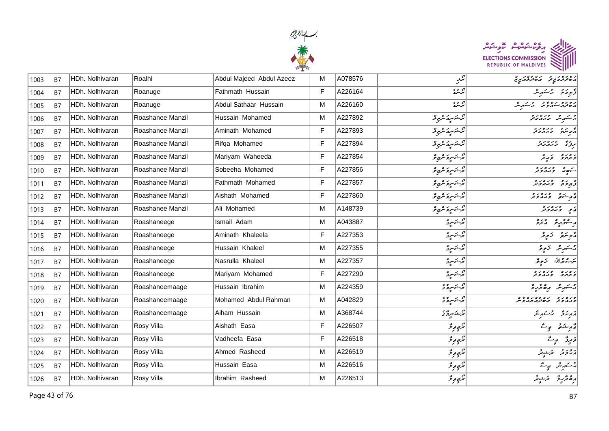



| 1003 | <b>B7</b> | HDh. Nolhivaran | Roalhi           | Abdul Majeed Abdul Azeez | м  | A078576 | ليحمع                                     | קס כסק בן הס כסק בין הס בין בין הס בק בין הס בק בין השיים בין היום בין היום בין היום בין היום בין היום בין היו<br>המוסיק ביקור בין האוריק בין היום בק בין היום בין היום בין היום בין היום בין היום בין היום בין היום בין היום בי |
|------|-----------|-----------------|------------------|--------------------------|----|---------|-------------------------------------------|----------------------------------------------------------------------------------------------------------------------------------------------------------------------------------------------------------------------------------|
| 1004 | <b>B7</b> | HDh. Nolhivaran | Roanuge          | Fathmath Hussain         | F. | A226164 | ە جە<br>ئىرسىمە                           | توجوخر بمسكر                                                                                                                                                                                                                     |
| 1005 | <b>B7</b> | HDh. Nolhivaran | Roanuge          | Abdul Sathaar Hussain    | м  | A226160 | ە د ،<br>ئىرسرى                           | ره ده ره د د د که ش                                                                                                                                                                                                              |
| 1006 | <b>B7</b> | HDh. Nolhivaran | Roashanee Manzil | Hussain Mohamed          | M  | A227892 | ىرىشە <sub>سېرىڭ ش<sub>ى</sub>بو ئى</sub> | بر شهر شده در در د                                                                                                                                                                                                               |
| 1007 | <b>B7</b> | HDh. Nolhivaran | Roashanee Manzil | Aminath Mohamed          | F  | A227893 | ئۇيسۇ ئۆز ئىرىگى ئى                       | ג ביום בגום ב                                                                                                                                                                                                                    |
| 1008 | <b>B7</b> | HDh. Nolhivaran | Roashanee Manzil | Rifqa Mohamed            | F  | A227894 | ئۇيسۇ ئىر ئەنگە ئە                        | بروتخ - 1995 و                                                                                                                                                                                                                   |
| 1009 | <b>B7</b> | HDh. Nolhivaran | Roashanee Manzil | Mariyam Waheeda          | F  | A227854 | ئۇيسۇ ئۆز ئىرىگى ئى                       | ويروو وبرقر                                                                                                                                                                                                                      |
| 1010 | <b>B7</b> | HDh. Nolhivaran | Roashanee Manzil | Sobeeha Mohamed          | F  | A227856 | ئۇيسۇ ئۆز ئىرىگى ئى                       | و رە ر د<br>تر پروتر<br>بنوءته                                                                                                                                                                                                   |
| 1011 | <b>B7</b> | HDh. Nolhivaran | Roashanee Manzil | Fathmath Mohamed         | F  | A227857 | ئۇيسۇ ئۆز ئۈز ئى                          | <i>و بر و ب</i> ر و<br>تر بر بر تر<br>و څې پر د                                                                                                                                                                                  |
| 1012 | <b>B7</b> | HDh. Nolhivaran | Roashanee Manzil | Aishath Mohamed          | F. | A227860 | ئۇيسۇ ئىر ئەنگە ئە                        | م شرح وره دو                                                                                                                                                                                                                     |
| 1013 | <b>B7</b> | HDh. Nolhivaran | Roashanee Manzil | Ali Mohamed              | м  | A148739 | ئۇيغۇر يوپرى ئۈچۈ                         | أتمنح وبره برو                                                                                                                                                                                                                   |
| 1014 | <b>B7</b> | HDh. Nolhivaran | Roashaneege      | Ismail Adam              | м  | A043887 | ئۇيسىمىسىي ئە                             |                                                                                                                                                                                                                                  |
| 1015 | <b>B7</b> | HDh. Nolhivaran | Roashaneege      | Aminath Khaleela         | F  | A227353 | ئۈيسە ئىسىمى<br>                          | ړٌ پر په کامو د کا                                                                                                                                                                                                               |
| 1016 | <b>B7</b> | HDh. Nolhivaran | Roashaneege      | Hussain Khaleel          | M  | A227355 | م<br>ترڪس <i>ي</i> ءَ                     | چەسىر سىر ئەرچ                                                                                                                                                                                                                   |
| 1017 | <b>B7</b> | HDh. Nolhivaran | Roashaneege      | Nasrulla Khaleel         | м  | A227357 | ە<br>ئىرىشە س <sub>ىرى</sub> گە           | ىترىبىمى الله     ئرىبى                                                                                                                                                                                                          |
| 1018 | <b>B7</b> | HDh. Nolhivaran | Roashaneege      | Mariyam Mohamed          | F. | A227290 | ترڪسري                                    | و رە ر د<br>تر پروتر<br>ر ه ر ه<br><del>د</del> بربرد                                                                                                                                                                            |
| 1019 | <b>B7</b> | HDh. Nolhivaran | Roashaneemaage   | Hussain Ibrahim          | M  | A224359 | ئۇيسىدىسى ئىچە ئە<br>                     | برسمر شه مده مرکبه                                                                                                                                                                                                               |
| 1020 | <b>B7</b> | HDh. Nolhivaran | Roashaneemaage   | Mohamed Abdul Rahman     | M  | A042829 | ئىرىشە س <sub>ى</sub> رىگە ئە             | ر ه وه ر ه د ه<br>پره تر بربر <del>ژ</del> س<br>و رە ر د<br><i>د ب</i> رگرىز                                                                                                                                                     |
| 1021 | <b>B7</b> | HDh. Nolhivaran | Roashaneemaage   | Aiham Hussain            | м  | A368744 | ئۇيسىدىسى ئىچە ئە<br>                     | <i>הُגְבֹצ בִּ</i> ב <sub>וֹת</sub> ָת                                                                                                                                                                                           |
| 1022 | <b>B7</b> | HDh. Nolhivaran | Rosy Villa       | Aishath Easa             | F. | A226507 | ئۇي جۇ قە                                 | ړې شمې په ش                                                                                                                                                                                                                      |
| 1023 | <b>B7</b> | HDh. Nolhivaran | Rosy Villa       | Vadheefa Easa            | F  | A226518 | لرمبوء قر                                 | <i>وَمِرِدٌ</i> م <sub>َ</sub> ٍ ً                                                                                                                                                                                               |
| 1024 | <b>B7</b> | HDh. Nolhivaran | Rosy Villa       | Ahmed Rasheed            | M  | A226519 | ئۇي جۇ قە                                 | أرور و سر سر المراجع                                                                                                                                                                                                             |
| 1025 | <b>B7</b> | HDh. Nolhivaran | Rosy Villa       | Hussain Easa             | M  | A226516 | ە<br>ئىسىم <i>م</i> ۇ                     | برڪيريش پيش                                                                                                                                                                                                                      |
| 1026 | <b>B7</b> | HDh. Nolhivaran | Rosy Villa       | Ibrahim Rasheed          | M  | A226513 | ترىپە بەقتە                               | رە ئرىر ئىن ئىشى                                                                                                                                                                                                                 |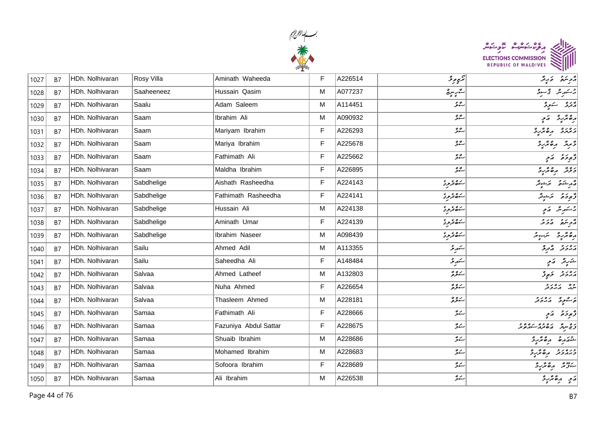



| <b>B7</b> | HDh. Nolhivaran | Rosy Villa | Aminath Waheeda       | F  | A226514 | ترىپەرتۇ                 | أأدح المتحفيظ وأرادهم                      |
|-----------|-----------------|------------|-----------------------|----|---------|--------------------------|--------------------------------------------|
| <b>B7</b> | HDh. Nolhivaran | Saaheeneez | Hussain Qasim         | м  | A077237 | سەرپەيرى                 | جاسكهر مكر الأسوفر                         |
| <b>B7</b> | HDh. Nolhivaran | Saalu      | Adam Saleem           | М  | A114451 | شۇقر                     | ړنو شود                                    |
| <b>B7</b> | HDh. Nolhivaran | Saam       | Ibrahim Ali           | M  | A090932 | سترو                     | ىر ھەترىر <i>ۋ</i><br>ەكىپىيە              |
| <b>B7</b> | HDh. Nolhivaran | Saam       | Mariyam Ibrahim       | F  | A226293 | سترو                     | برە ئۆرۈ<br>تر ه بر ه                      |
| B7        | HDh. Nolhivaran | Saam       | Mariya Ibrahim        | F  | A225678 | سترو                     | فحبرة رەقمىر                               |
| B7        | HDh. Nolhivaran | Saam       | Fathimath Ali         | F. | A225662 | سترو                     | وٌجوحَاجُ الْمَاحِبِ                       |
| <b>B7</b> | HDh. Nolhivaran | Saam       | Maldha Ibrahim        | F. | A226895 | سترو                     | دوژ رەژرۈ                                  |
| <b>B7</b> | HDh. Nolhivaran | Sabdhelige | Aishath Rasheedha     | F. | A224143 | سەھ قرىرى                | أقهر مشكاتها المتمر المحرورة               |
| <b>B7</b> | HDh. Nolhivaran | Sabdhelige | Fathimath Rasheedha   | F. | A224141 | ڪھوري                    | تزودخر المتشبين                            |
| <b>B7</b> | HDh. Nolhivaran | Sabdhelige | Hussain Ali           | М  | A224138 | سەھ قرىرى                | برسكير شركوني                              |
| <b>B7</b> | HDh. Nolhivaran | Sabdhelige | Aminath Umar          | F. | A224139 | سەھ قرىرى                | أأروبترة ورو                               |
| <b>B7</b> | HDh. Nolhivaran | Sabdhelige | Ibrahim Naseer        | м  | A098439 | ڪ ھوڪر دي<br>سنڌھ قرمز 2 | رە ئەر ئەسىر ئە                            |
| <b>B7</b> | HDh. Nolhivaran | Sailu      | Ahmed Adil            | М  | A113355 | ستهرقر                   | ړ د پر ژورو                                |
| <b>B7</b> | HDh. Nolhivaran | Sailu      | Saheedha Ali          | F. | A148484 | ستهرقر                   | لمشربة أكامي                               |
| <b>B7</b> | HDh. Nolhivaran | Salvaa     | Ahmed Latheef         | м  | A132803 | سەنە ۋ                   | رور دَ وَوِرْ                              |
| <b>B7</b> | HDh. Nolhivaran | Salvaa     | Nuha Ahmed            | F. | A226654 | سەۋۇ                     | ا ده ده د د                                |
| <b>B7</b> | HDh. Nolhivaran | Salvaa     | Thasleem Ahmed        | м  | A228181 | سەۋۇ                     | ۇشوچ<br>بروز تر                            |
| <b>B7</b> | HDh. Nolhivaran | Samaa      | Fathimath Ali         | F. | A228666 | ستریخ                    | وٌجوحَہ کے ج                               |
| <b>B7</b> | HDh. Nolhivaran | Samaa      | Fazuniya Abdul Sattar | F. | A228675 | سەبىج                    | ره وه ره ۶۶۰<br>مصوم شهره مر<br>ۇ ئى سرەڭر |
| <b>B7</b> | HDh. Nolhivaran | Samaa      | Shuaib Ibrahim        | М  | A228686 | سەبىج                    | ەرھ ئۆر ۋ<br>شمهده                         |
| <b>B7</b> | HDh. Nolhivaran | Samaa      | Mohamed Ibrahim       | М  | A228683 | سەبىج                    | و ره د و<br><i>د ټ</i> رگر تر<br>برە ئۆرۈ  |
| <b>B7</b> | HDh. Nolhivaran | Samaa      | Sofoora Ibrahim       | F. | A228689 | سەۋ                      | وە ئرىر ۋ<br>سەدىر                         |
| <b>B7</b> | HDh. Nolhivaran | Samaa      | Ali Ibrahim           | м  | A226538 | سەۋ                      | ړې ره ټرې                                  |
|           |                 |            |                       |    |         |                          |                                            |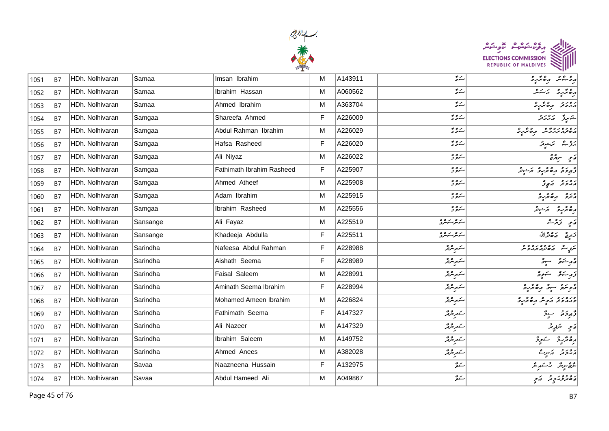



| يەچ<br>HDh. Nolhivaran<br>Ibrahim Hassan<br>M<br>A060562<br>Samaa<br>1052<br><b>B7</b><br>يەچ<br>Samaa<br>Ahmed Ibrahim<br>M<br>A363704<br>HDh. Nolhivaran<br>1053<br><b>B7</b><br>F.<br>ىرە بىر<br>HDh. Nolhivaran<br>Shareefa Ahmed<br>A226009<br>Samgaa<br>1054<br><b>B7</b><br>ىرە ئ<br>HDh. Nolhivaran<br>Abdul Rahman Ibrahim<br>M<br>A226029<br>Samgaa<br>1055<br><b>B7</b><br>F<br>سەدى<br>HDh. Nolhivaran<br>Hafsa Rasheed<br>A226020<br>Samgaa<br>B7<br>1056<br>ىرە بىر<br>A226022<br>HDh. Nolhivaran<br>Ali Niyaz<br>м<br>Samgaa<br>1057<br>B7<br>F<br>ىرە بىر<br>A225907<br>HDh. Nolhivaran<br>Fathimath Ibrahim Rasheed<br>Samgaa<br>1058<br><b>B7</b><br>ىرە بە<br>HDh. Nolhivaran<br>Ahmed Atheef<br>A225908<br>Samgaa<br>м<br>1059<br><b>B7</b><br>A225915<br>سەدى<br>HDh. Nolhivaran<br>Adam Ibrahim<br>м<br>Samgaa<br>1060<br><b>B7</b><br>Ibrahim Rasheed<br>A225556<br>سەدى<br>HDh. Nolhivaran<br>м<br>Samgaa<br>1061<br><b>B7</b><br>ئەن <i>تەر شەھ</i> رى<br>HDh. Nolhivaran<br>м<br>A225519<br>Sansange<br>Ali Fayaz<br>1062<br><b>B7</b><br>ئەن <i>تەر شەھ</i> رى<br>F.<br>HDh. Nolhivaran<br>Khadeeja Abdulla<br>A225511<br>Sansange<br>1063<br><b>B7</b><br>Nafeesa Abdul Rahman<br>F.<br>A228988<br>سە بىر بىر قە<br>HDh. Nolhivaran<br>Sarindha<br>1064<br><b>B7</b><br>Sarindha<br>Aishath Seema<br>F.<br>A228989<br>سكبر مثروثر<br>HDh. Nolhivaran<br><b>B7</b><br>1065<br>سە بەر ھەتر<br>Sarindha<br>Faisal Saleem<br>M<br>A228991<br>HDh. Nolhivaran<br>1066<br><b>B7</b><br>F.<br>HDh. Nolhivaran<br>Sarindha<br>Aminath Seema Ibrahim<br>A228994<br>سەبرىدىد<br>1067<br><b>B7</b><br>Sarindha<br>Mohamed Ameen Ibrahim<br>A226824<br>سەمرىگوتگە<br>HDh. Nolhivaran<br>м<br>1068<br><b>B7</b><br>Sarindha<br>Fathimath Seema<br>F.<br>A147327<br>سەمرىترەتر<br>HDh. Nolhivaran<br>1069<br><b>B7</b><br>سە بەر ھەتر<br>Sarindha<br>M<br>A147329<br>HDh. Nolhivaran<br>Ali Nazeer<br>1070<br><b>B7</b><br>Sarindha<br>Ibrahim Saleem<br>A149752<br>سەبرىدىد<br>HDh. Nolhivaran<br>м<br>1071<br><b>B7</b><br>HDh. Nolhivaran<br>Sarindha<br>Ahmed Anees<br>M<br>A382028<br>سە ئېرىشرىتر<br>1072<br><b>B7</b><br>F.<br>سەۋ<br>HDh. Nolhivaran<br>Savaa<br>Naazneena Hussain<br>A132975<br>1073<br><b>B7</b><br>Savaa<br>Abdul Hameed Ali<br>سەچ<br>HDh. Nolhivaran<br>M<br>A049867<br>1074<br><b>B7</b> | 1051 | <b>B7</b> | HDh. Nolhivaran | Samaa | Imsan Ibrahim | M | A143911 | يەچ | ودعشر وقتربر                   |
|--------------------------------------------------------------------------------------------------------------------------------------------------------------------------------------------------------------------------------------------------------------------------------------------------------------------------------------------------------------------------------------------------------------------------------------------------------------------------------------------------------------------------------------------------------------------------------------------------------------------------------------------------------------------------------------------------------------------------------------------------------------------------------------------------------------------------------------------------------------------------------------------------------------------------------------------------------------------------------------------------------------------------------------------------------------------------------------------------------------------------------------------------------------------------------------------------------------------------------------------------------------------------------------------------------------------------------------------------------------------------------------------------------------------------------------------------------------------------------------------------------------------------------------------------------------------------------------------------------------------------------------------------------------------------------------------------------------------------------------------------------------------------------------------------------------------------------------------------------------------------------------------------------------------------------------------------------------------------------------------------------------------------------------------------------------------------------------------------------------------------------------------------------------------------------------------------------------------------------------------------------------------------------------------------------------------------------------|------|-----------|-----------------|-------|---------------|---|---------|-----|--------------------------------|
|                                                                                                                                                                                                                                                                                                                                                                                                                                                                                                                                                                                                                                                                                                                                                                                                                                                                                                                                                                                                                                                                                                                                                                                                                                                                                                                                                                                                                                                                                                                                                                                                                                                                                                                                                                                                                                                                                                                                                                                                                                                                                                                                                                                                                                                                                                                                      |      |           |                 |       |               |   |         |     | أرەنۇر ئەسەر                   |
|                                                                                                                                                                                                                                                                                                                                                                                                                                                                                                                                                                                                                                                                                                                                                                                                                                                                                                                                                                                                                                                                                                                                                                                                                                                                                                                                                                                                                                                                                                                                                                                                                                                                                                                                                                                                                                                                                                                                                                                                                                                                                                                                                                                                                                                                                                                                      |      |           |                 |       |               |   |         |     | גפנה הפיתייב                   |
|                                                                                                                                                                                                                                                                                                                                                                                                                                                                                                                                                                                                                                                                                                                                                                                                                                                                                                                                                                                                                                                                                                                                                                                                                                                                                                                                                                                                                                                                                                                                                                                                                                                                                                                                                                                                                                                                                                                                                                                                                                                                                                                                                                                                                                                                                                                                      |      |           |                 |       |               |   |         |     | شكيرتش كالارو                  |
|                                                                                                                                                                                                                                                                                                                                                                                                                                                                                                                                                                                                                                                                                                                                                                                                                                                                                                                                                                                                                                                                                                                                                                                                                                                                                                                                                                                                                                                                                                                                                                                                                                                                                                                                                                                                                                                                                                                                                                                                                                                                                                                                                                                                                                                                                                                                      |      |           |                 |       |               |   |         |     | גם כם גם כם הפיציב             |
|                                                                                                                                                                                                                                                                                                                                                                                                                                                                                                                                                                                                                                                                                                                                                                                                                                                                                                                                                                                                                                                                                                                                                                                                                                                                                                                                                                                                                                                                                                                                                                                                                                                                                                                                                                                                                                                                                                                                                                                                                                                                                                                                                                                                                                                                                                                                      |      |           |                 |       |               |   |         |     | ىروب ئىرجى                     |
|                                                                                                                                                                                                                                                                                                                                                                                                                                                                                                                                                                                                                                                                                                                                                                                                                                                                                                                                                                                                                                                                                                                                                                                                                                                                                                                                                                                                                                                                                                                                                                                                                                                                                                                                                                                                                                                                                                                                                                                                                                                                                                                                                                                                                                                                                                                                      |      |           |                 |       |               |   |         |     | ړې سرگړي                       |
|                                                                                                                                                                                                                                                                                                                                                                                                                                                                                                                                                                                                                                                                                                                                                                                                                                                                                                                                                                                                                                                                                                                                                                                                                                                                                                                                                                                                                                                                                                                                                                                                                                                                                                                                                                                                                                                                                                                                                                                                                                                                                                                                                                                                                                                                                                                                      |      |           |                 |       |               |   |         |     | وتجوجهم معتربة ترجو            |
|                                                                                                                                                                                                                                                                                                                                                                                                                                                                                                                                                                                                                                                                                                                                                                                                                                                                                                                                                                                                                                                                                                                                                                                                                                                                                                                                                                                                                                                                                                                                                                                                                                                                                                                                                                                                                                                                                                                                                                                                                                                                                                                                                                                                                                                                                                                                      |      |           |                 |       |               |   |         |     | גפי ביתור                      |
|                                                                                                                                                                                                                                                                                                                                                                                                                                                                                                                                                                                                                                                                                                                                                                                                                                                                                                                                                                                                                                                                                                                                                                                                                                                                                                                                                                                                                                                                                                                                                                                                                                                                                                                                                                                                                                                                                                                                                                                                                                                                                                                                                                                                                                                                                                                                      |      |           |                 |       |               |   |         |     | وزده وهتر و                    |
|                                                                                                                                                                                                                                                                                                                                                                                                                                                                                                                                                                                                                                                                                                                                                                                                                                                                                                                                                                                                                                                                                                                                                                                                                                                                                                                                                                                                                                                                                                                                                                                                                                                                                                                                                                                                                                                                                                                                                                                                                                                                                                                                                                                                                                                                                                                                      |      |           |                 |       |               |   |         |     | أرەڭرىر ئىشىر                  |
|                                                                                                                                                                                                                                                                                                                                                                                                                                                                                                                                                                                                                                                                                                                                                                                                                                                                                                                                                                                                                                                                                                                                                                                                                                                                                                                                                                                                                                                                                                                                                                                                                                                                                                                                                                                                                                                                                                                                                                                                                                                                                                                                                                                                                                                                                                                                      |      |           |                 |       |               |   |         |     | أريمو أوترث                    |
|                                                                                                                                                                                                                                                                                                                                                                                                                                                                                                                                                                                                                                                                                                                                                                                                                                                                                                                                                                                                                                                                                                                                                                                                                                                                                                                                                                                                                                                                                                                                                                                                                                                                                                                                                                                                                                                                                                                                                                                                                                                                                                                                                                                                                                                                                                                                      |      |           |                 |       |               |   |         |     | تزمية كانكارالله               |
|                                                                                                                                                                                                                                                                                                                                                                                                                                                                                                                                                                                                                                                                                                                                                                                                                                                                                                                                                                                                                                                                                                                                                                                                                                                                                                                                                                                                                                                                                                                                                                                                                                                                                                                                                                                                                                                                                                                                                                                                                                                                                                                                                                                                                                                                                                                                      |      |           |                 |       |               |   |         |     | سَمِرٍ ٹُ مُصْرَمہُ مُہُ جُ سُ |
|                                                                                                                                                                                                                                                                                                                                                                                                                                                                                                                                                                                                                                                                                                                                                                                                                                                                                                                                                                                                                                                                                                                                                                                                                                                                                                                                                                                                                                                                                                                                                                                                                                                                                                                                                                                                                                                                                                                                                                                                                                                                                                                                                                                                                                                                                                                                      |      |           |                 |       |               |   |         |     | وٌمرِ شَهُ وَ سِوتُر           |
|                                                                                                                                                                                                                                                                                                                                                                                                                                                                                                                                                                                                                                                                                                                                                                                                                                                                                                                                                                                                                                                                                                                                                                                                                                                                                                                                                                                                                                                                                                                                                                                                                                                                                                                                                                                                                                                                                                                                                                                                                                                                                                                                                                                                                                                                                                                                      |      |           |                 |       |               |   |         |     | زېرېنډ خپړ                     |
|                                                                                                                                                                                                                                                                                                                                                                                                                                                                                                                                                                                                                                                                                                                                                                                                                                                                                                                                                                                                                                                                                                                                                                                                                                                                                                                                                                                                                                                                                                                                                                                                                                                                                                                                                                                                                                                                                                                                                                                                                                                                                                                                                                                                                                                                                                                                      |      |           |                 |       |               |   |         |     | أزوينهم سبرخ وكالربرد          |
|                                                                                                                                                                                                                                                                                                                                                                                                                                                                                                                                                                                                                                                                                                                                                                                                                                                                                                                                                                                                                                                                                                                                                                                                                                                                                                                                                                                                                                                                                                                                                                                                                                                                                                                                                                                                                                                                                                                                                                                                                                                                                                                                                                                                                                                                                                                                      |      |           |                 |       |               |   |         |     | ورەرو روپر مەھرىر              |
|                                                                                                                                                                                                                                                                                                                                                                                                                                                                                                                                                                                                                                                                                                                                                                                                                                                                                                                                                                                                                                                                                                                                                                                                                                                                                                                                                                                                                                                                                                                                                                                                                                                                                                                                                                                                                                                                                                                                                                                                                                                                                                                                                                                                                                                                                                                                      |      |           |                 |       |               |   |         |     | ۇ <sub>ج</sub> ودۇ ب           |
|                                                                                                                                                                                                                                                                                                                                                                                                                                                                                                                                                                                                                                                                                                                                                                                                                                                                                                                                                                                                                                                                                                                                                                                                                                                                                                                                                                                                                                                                                                                                                                                                                                                                                                                                                                                                                                                                                                                                                                                                                                                                                                                                                                                                                                                                                                                                      |      |           |                 |       |               |   |         |     | پر سر سر پر پر                 |
|                                                                                                                                                                                                                                                                                                                                                                                                                                                                                                                                                                                                                                                                                                                                                                                                                                                                                                                                                                                                                                                                                                                                                                                                                                                                                                                                                                                                                                                                                                                                                                                                                                                                                                                                                                                                                                                                                                                                                                                                                                                                                                                                                                                                                                                                                                                                      |      |           |                 |       |               |   |         |     | رەترىر ئىر                     |
|                                                                                                                                                                                                                                                                                                                                                                                                                                                                                                                                                                                                                                                                                                                                                                                                                                                                                                                                                                                                                                                                                                                                                                                                                                                                                                                                                                                                                                                                                                                                                                                                                                                                                                                                                                                                                                                                                                                                                                                                                                                                                                                                                                                                                                                                                                                                      |      |           |                 |       |               |   |         |     | أرور والمستحق                  |
|                                                                                                                                                                                                                                                                                                                                                                                                                                                                                                                                                                                                                                                                                                                                                                                                                                                                                                                                                                                                                                                                                                                                                                                                                                                                                                                                                                                                                                                                                                                                                                                                                                                                                                                                                                                                                                                                                                                                                                                                                                                                                                                                                                                                                                                                                                                                      |      |           |                 |       |               |   |         |     | لترچ سربنگ الرکستر بر          |
|                                                                                                                                                                                                                                                                                                                                                                                                                                                                                                                                                                                                                                                                                                                                                                                                                                                                                                                                                                                                                                                                                                                                                                                                                                                                                                                                                                                                                                                                                                                                                                                                                                                                                                                                                                                                                                                                                                                                                                                                                                                                                                                                                                                                                                                                                                                                      |      |           |                 |       |               |   |         |     | גם כסגבה הב                    |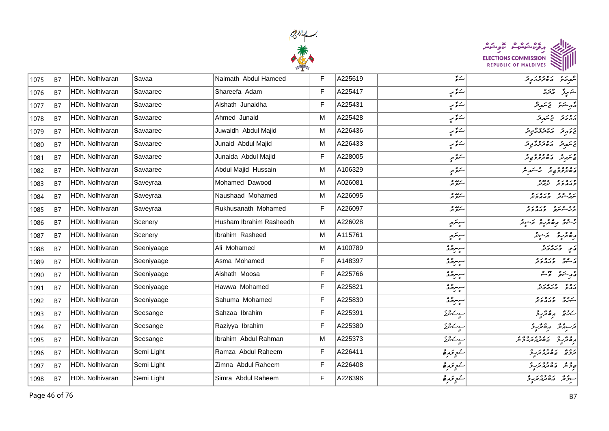



| 1075 | <b>B7</b> | HDh. Nolhivaran | Savaa      | Naimath Abdul Hameed    | F | A225619 | سترة                             | بتمدح ومعتزم ومرح                                            |
|------|-----------|-----------------|------------|-------------------------|---|---------|----------------------------------|--------------------------------------------------------------|
| 1076 | <b>B7</b> | HDh. Nolhivaran | Savaaree   | Shareefa Adam           | F | A225417 | استعقبيبه                        | ڪ مورگر<br>س                                                 |
| 1077 | <b>B7</b> | HDh. Nolhivaran | Savaaree   | Aishath Junaidha        | F | A225431 | استعقاسيه                        | وكركو وتركز                                                  |
| 1078 | <b>B7</b> | HDh. Nolhivaran | Savaaree   | Ahmed Junaid            | М | A225428 | استعرضي                          | أرەر دىر دىر                                                 |
| 1079 | <b>B7</b> | HDh. Nolhivaran | Savaaree   | Juwaidh Abdul Majid     | M | A226436 | ئەۋىپە                           | ور د ده ده وه د و                                            |
| 1080 | <b>B7</b> | HDh. Nolhivaran | Savaaree   | Junaid Abdul Majid      | M | A226433 | سەھەسچە                          | ق سَرمر قر مان و ده محرم قر                                  |
| 1081 | <b>B7</b> | HDh. Nolhivaran | Savaaree   | Junaida Abdul Majid     | F | A228005 | استعقاسيه                        | ق سَمبر شرح معرفرد تحریر محمد<br>مع سَمبر شرح محمد حرکت محمد |
| 1082 | <b>B7</b> | HDh. Nolhivaran | Savaaree   | Abdul Majid Hussain     | M | A106329 | استعقاميه                        | رەدە ب <sub>ە ب</sub> ەر بار<br>مەھىرى <sub>ر</sub> ى بار    |
| 1083 | <b>B7</b> | HDh. Nolhivaran | Saveyraa   | Mohamed Dawood          | M | A026081 | ر رو بو<br>ستونو تنز             | وره رو محمدو<br><i>وبرورونتر ترور</i> تر                     |
| 1084 | <b>B7</b> | HDh. Nolhivaran | Saveyraa   | Naushaad Mohamed        | м | A226095 | ر رو بو<br>ستونو تنز             | پروژو وره دو<br>سمه شوتر وبرمروتر                            |
| 1085 | <b>B7</b> | HDh. Nolhivaran | Saveyraa   | Rukhusanath Mohamed     | F | A226097 | ر پر پر<br>ستونو تنز             | ىرز شەير د<br>و ر ه ر و<br>تر پر ژ تر                        |
| 1086 | <b>B7</b> | HDh. Nolhivaran | Scenery    | Husham Ibrahim Rasheedh | м | A226028 | سەپىر<br>ئ                       | رحقى مەھرىرى كرجى                                            |
| 1087 | <b>B7</b> | HDh. Nolhivaran | Scenery    | Ibrahim Rasheed         | M | A115761 | سەمئرىيە<br>ئ                    | رە ئرىر ئىن ئىشىر                                            |
| 1088 | <b>B7</b> | HDh. Nolhivaran | Seeniyaage | Ali Mohamed             | M | A100789 | ا سەسرەرى<br>ئەسرەرى             | أرشح وبرودر                                                  |
| 1089 | <b>B7</b> | HDh. Nolhivaran | Seeniyaage | Asma Mohamed            | F | A148397 | ا سەسرەرى<br>ئەسرەرى             | برَے پیچ<br>و رە ر د<br>تر پروتر                             |
| 1090 | <b>B7</b> | HDh. Nolhivaran | Seeniyaage | Aishath Moosa           | F | A225766 | ا سوسرونه<br>ا                   | أشهر شده وحريحه                                              |
| 1091 | <b>B7</b> | HDh. Nolhivaran | Seeniyaage | Hawwa Mohamed           | F | A225821 | سەسرىژى<br>ئ                     | رەپ درەرد                                                    |
| 1092 | <b>B7</b> | HDh. Nolhivaran | Seeniyaage | Sahuma Mohamed          | F | A225830 | ا سەسرەت<br>ئەسرىتىرى            | و رە ر د<br><i>د بر</i> گرىز<br>سترقر                        |
| 1093 | <b>B7</b> | HDh. Nolhivaran | Seesange   | Sahzaa Ibrahim          | F | A225391 | اب سوسته مثر ته<br>موسسته مثر ته | سترجيح<br>برە ئۆرۈ                                           |
| 1094 | <b>B7</b> | HDh. Nolhivaran | Seesange   | Raziyya Ibrahim         | F | A225380 | سەسەھرى                          | ىمەسىدە ئىر<br>دە ئەرچ                                       |
| 1095 | <b>B7</b> | HDh. Nolhivaran | Seesange   | Ibrahim Abdul Rahman    | M | A225373 | سەسەھرى                          | ره وه ره و ه<br>پره تربر تر تر تر<br>ىر ھەترىر ۋ             |
| 1096 | <b>B7</b> | HDh. Nolhivaran | Semi Light | Ramza Abdul Raheem      | F | A226411 | شويخ مرقح                        | נים נסכסנים                                                  |
| 1097 | <b>B7</b> | HDh. Nolhivaran | Semi Light | Zimna Abdul Raheem      | F | A226408 | سكمحي بحرمرهج                    | ى ئەش مەھەمدىر ئ                                             |
| 1098 | <b>B7</b> | HDh. Nolhivaran | Semi Light | Simra Abdul Raheem      | F | A226396 | سكمحي تخرمرهج                    | - 1000 1000                                                  |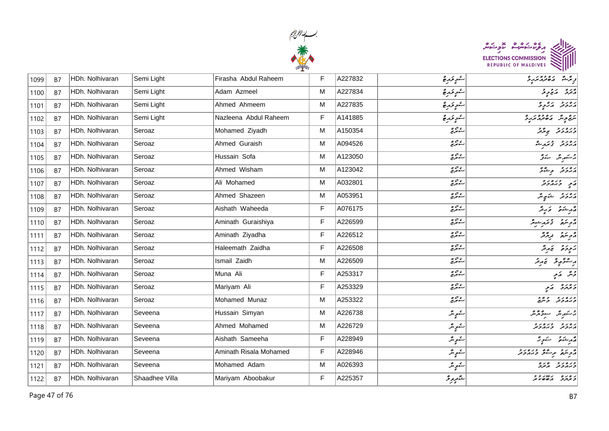



| 1099 | B7        | HDh. Nolhivaran | Semi Light     | Firasha Abdul Raheem   | F  | A227832 | ڪ <sub>محي</sub> خ مرھ    | و پژځ مصرم پرو                                       |
|------|-----------|-----------------|----------------|------------------------|----|---------|---------------------------|------------------------------------------------------|
| 1100 | <b>B7</b> | HDh. Nolhivaran | Semi Light     | Adam Azmeel            | М  | A227834 | سكمو بحرمر هج             | ړ ده د پر د د                                        |
| 1101 | <b>B7</b> | HDh. Nolhivaran | Semi Light     | Ahmed Ahmeem           | M  | A227835 | سكمحي تخرج                | ג פי בי הפיפ                                         |
| 1102 | <b>B7</b> | HDh. Nolhivaran | Semi Light     | Nazleena Abdul Raheem  | F  | A141885 | رام تحريرهم               | ټرچ په په مورو <i>ټرب</i> و                          |
| 1103 | <b>B7</b> | HDh. Nolhivaran | Seroaz         | Mohamed Ziyadh         | M  | A150354 | ے می ہ<br>سنوسی           | ورەر دېھ پر                                          |
| 1104 | <b>B7</b> | HDh. Nolhivaran | Seroaz         | Ahmed Guraish          | M  | A094526 | ے صحیح<br>مست <i>ون</i> ی | رەرو وىر                                             |
| 1105 | <b>B7</b> | HDh. Nolhivaran | Seroaz         | Hussain Sofa           | м  | A123050 | ے صحیح<br>سیمبری          | جر س <sub>ک</sub> ر شہر میڈر                         |
| 1106 | <b>B7</b> | HDh. Nolhivaran | Seroaz         | Ahmed Wisham           | М  | A123042 | ے ص ہ<br>سے پھریم         | رەرد وېشۇ                                            |
| 1107 | <b>B7</b> | HDh. Nolhivaran | Seroaz         | Ali Mohamed            | M  | A032801 | ے ص ہ<br>سے پھریم         | أرشح وبره برد                                        |
| 1108 | <b>B7</b> | HDh. Nolhivaran | Seroaz         | Ahmed Shazeen          | М  | A053951 | ے ص ہ<br>سے پھریم         | ړه رو شکم ش                                          |
| 1109 | <b>B7</b> | HDh. Nolhivaran | Seroaz         | Aishath Waheeda        | F  | A076175 | ے جو ہ<br>سے بھریم        | مەرىشى قىرىگە                                        |
| 1110 | <b>B7</b> | HDh. Nolhivaran | Seroaz         | Aminath Guraishiya     | F  | A226599 | سەمىي                     | م و سَمَعَ تَحْسَر شِير                              |
| 1111 | <b>B7</b> | HDh. Nolhivaran | Seroaz         | Aminath Ziyadha        | E  | A226512 | ے جو ہ<br>سے بھریم        | مَّ حِ سَمَعَ فَرِ مَّرْ مَّد                        |
| 1112 | <b>B7</b> | HDh. Nolhivaran | Seroaz         | Haleemath Zaidha       | F  | A226508 | ے جو ہ<br>سے بھریم        | رَجِرَةً يَهْرِشَ                                    |
| 1113 | <b>B7</b> | HDh. Nolhivaran | Seroaz         | Ismail Zaidh           | м  | A226509 | ے جو ہ<br>سے بھریم        | ويستقيط تمدقه                                        |
| 1114 | <b>B7</b> | HDh. Nolhivaran | Seroaz         | Muna Ali               | F  | A253317 | يده ه                     | د ټر په کړې                                          |
| 1115 | <b>B7</b> | HDh. Nolhivaran | Seroaz         | Mariyam Ali            | F  | A253329 | ے ص ہ<br>سے پھریم         | ر ه ر ه<br><del>د</del> بربرگ<br>ەئىر                |
| 1116 | <b>B7</b> | HDh. Nolhivaran | Seroaz         | Mohamed Munaz          | M  | A253322 | ے ص ہ<br>سے پھریم         | ورەر د دەد                                           |
| 1117 | <b>B7</b> | HDh. Nolhivaran | Seveena        | Hussain Simyan         | M  | A226738 | ئە <sub>ھم</sub> ىتر      | برسكر مكر سودرهر                                     |
| 1118 | <b>B7</b> | HDh. Nolhivaran | Seveena        | Ahmed Mohamed          | M  | A226729 | ئە <sub>ھم</sub> ىتر      | גפני כגונים<br>גגבת כגובת                            |
| 1119 | <b>B7</b> | HDh. Nolhivaran | Seveena        | Aishath Sameeha        | F. | A228949 | ئە <sub>ھم</sub> ىتر      | ړُ پر ځنو کو کو                                      |
| 1120 | <b>B7</b> | HDh. Nolhivaran | Seveena        | Aminath Risala Mohamed | F  | A228946 | ئەرپەتر                   | أدوسم برسكى ورودو                                    |
| 1121 | <b>B7</b> | HDh. Nolhivaran | Seveena        | Mohamed Adam           | M  | A026393 | سكوه يتر                  | ورەرو پەرە                                           |
| 1122 | <b>B7</b> | HDh. Nolhivaran | Shaadhee Villa | Mariyam Aboobakur      | F  | A225357 | ڪ <sup>ي</sup> ورو مُرَّ  | 1 מצי 2<br><b>1 ה</b> שיש אי<br>ر ہ ر ہ<br>تر بربر ژ |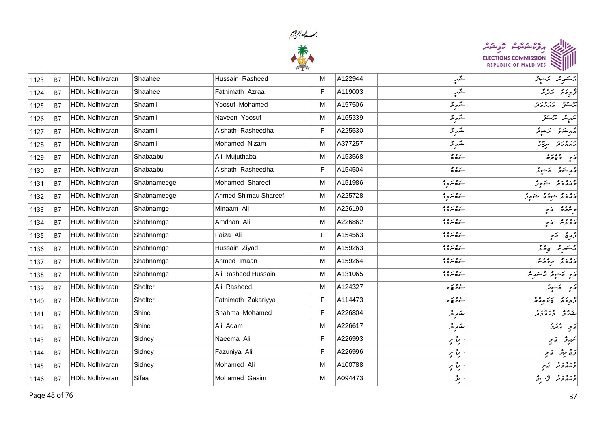



| <b>B7</b> | HDh. Nolhivaran | Shaahee     | Hussain Rasheed             | м  | A122944 | مشور                            | چەسىر ئىر ئىر ئىر ئىشل         |
|-----------|-----------------|-------------|-----------------------------|----|---------|---------------------------------|--------------------------------|
| <b>B7</b> | HDh. Nolhivaran | Shaahee     | Fathimath Azraa             | F  | A119003 | مشور                            | وٌوِدَهُ دَدْبَرٌ              |
| <b>B7</b> | HDh. Nolhivaran | Shaamil     | Yoosuf Mohamed              | М  | A157506 | ڪ <sub>و</sub> و                | מ כם כנסיב<br>תייע בג'הכת      |
| <b>B7</b> | HDh. Nolhivaran | Shaamil     | Naveen Yoosuf               | M  | A165339 | يتمرو                           | ىئ <sub>ىم</sub> يىر مەر يەر   |
| <b>B7</b> | HDh. Nolhivaran | Shaamil     | Aishath Rasheedha           | F. | A225530 | متَّدَّرِ ثَرُ                  | أقهر مشكاتها المتمر المتوفي    |
| <b>B7</b> | HDh. Nolhivaran | Shaamil     | Mohamed Nizam               | м  | A377257 | مشورقر                          | ورەرو سەۋە                     |
| B7        | HDh. Nolhivaran | Shabaabu    | Ali Mujuthaba               | М  | A153568 | $\frac{2}{20}$                  | پر دورہ                        |
| <b>B7</b> | HDh. Nolhivaran | Shabaabu    | Aishath Rasheedha           | F. | A154504 | شەھ ھ                           | لأمر يشكاني المرتشوقر          |
| <b>B7</b> | HDh. Nolhivaran | Shabnameege | Mohamed Shareef             | м  | A151986 | شەھ ئىزجە ئ                     | دره د در در کندگی              |
| <b>B7</b> | HDh. Nolhivaran | Shabnameege | <b>Ahmed Shimau Shareef</b> | М  | A225728 | ڪ <i>ڏھ سگرچ</i> ک              | رەر ئىر ئىش ئىر                |
| <b>B7</b> | HDh. Nolhivaran | Shabnamge   | Minaam Ali                  | М  | A226190 | ر ده بره ،<br>شو <i>ه مرو د</i> | د عدة و آخر                    |
| <b>B7</b> | HDh. Nolhivaran | Shabnamge   | Amdhan Ali                  | M  | A226862 | ر ده بره و<br>شوه مرو د         | ړه ژنگر کړې                    |
| <b>B7</b> | HDh. Nolhivaran | Shabnamge   | Faiza Ali                   | F  | A154563 | شەھ ئىرو ،                      | وٌَدِجٌ دَرِ                   |
| <b>B7</b> | HDh. Nolhivaran | Shabnamge   | Hussain Ziyad               | M  | A159263 | ر ده بره ،<br>شو <i>ه مرو د</i> | برسكريش بإرمزقر                |
| <b>B7</b> | HDh. Nolhivaran | Shabnamge   | Ahmed Imaan                 | м  | A159264 | شەھ سرو ،                       | גפנים הכלית                    |
| <b>B7</b> | HDh. Nolhivaran | Shabnamge   | Ali Rasheed Hussain         | м  | A131065 | ر ده بره ،<br>شو <i>ه مرو د</i> | أقنعي لترجيفه فركته بقر        |
| <b>B7</b> | HDh. Nolhivaran | Shelter     | Ali Rasheed                 | м  | A124327 | ستذمر كالمحر                    | ر<br>م <sup>ک</sup> و مگشونگر  |
| <b>B7</b> | HDh. Nolhivaran | Shelter     | Fathimath Zakariyya         | F. | A114473 | شەۋچ بر                         | توجوخا تمامها                  |
| <b>B7</b> | HDh. Nolhivaran | Shine       | Shahma Mohamed              | F. | A226804 | ڪوريگر                          | شەرە دىرەرد                    |
| <b>B7</b> | HDh. Nolhivaran | Shine       | Ali Adam                    | M  | A226617 | ڪوبريگر                         | ړَ په د د د                    |
| <b>B7</b> | HDh. Nolhivaran | Sidney      | Naeema Ali                  | F. | A226993 | ۔<br>بر ڈیم                     | لتررق الكامي                   |
| <b>B7</b> | HDh. Nolhivaran | Sidney      | Fazuniya Ali                | F. | A226996 | ۔<br>بر ڈیمبر                   | ۇ ئەسرىگە<br>ەتىر              |
| <b>B7</b> | HDh. Nolhivaran | Sidney      | Mohamed Ali                 | M  | A100788 | ۔<br>بر ڈیم                     | و ر و ر و<br><i>و پر</i> ګرنگر |
| <b>B7</b> | HDh. Nolhivaran | Sifaa       | Mohamed Gasim               | M  | A094473 | سوقر                            | ورەر ئۇسۇ                      |
|           |                 |             |                             |    |         |                                 |                                |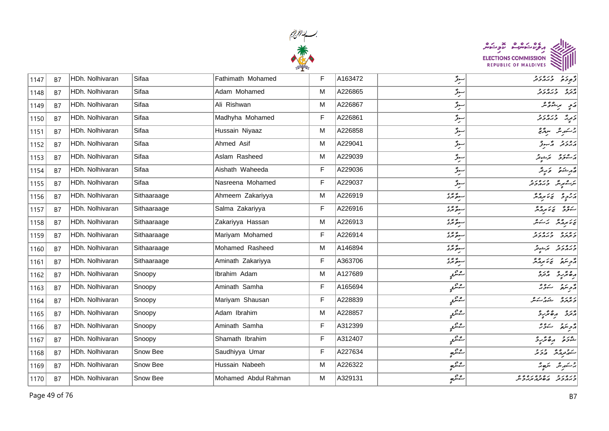



| 1147 | <b>B7</b> | HDh. Nolhivaran | Sifaa       | Fathimath Mohamed    | F  | A163472 | سوتر                      | و د د د د د د د                                              |
|------|-----------|-----------------|-------------|----------------------|----|---------|---------------------------|--------------------------------------------------------------|
| 1148 | <b>B7</b> | HDh. Nolhivaran | Sifaa       | Adam Mohamed         | M  | A226865 | سبوتر                     | دره دره دو<br>  دندر د بردوند                                |
| 1149 | <b>B7</b> | HDh. Nolhivaran | Sifaa       | Ali Rishwan          | M  | A226867 | سوتر                      | رَمِ مِيشُوَّسُ                                              |
| 1150 | <b>B7</b> | HDh. Nolhivaran | Sifaa       | Madhyha Mohamed      | F. | A226861 | سودٌ                      | دَرِيدٌ - دُبُرُودُو                                         |
| 1151 | <b>B7</b> | HDh. Nolhivaran | Sifaa       | Hussain Niyaaz       | M  | A226858 | سوژ                       | 2سكىرىنقر سىدىنج                                             |
| 1152 | <b>B7</b> | HDh. Nolhivaran | Sifaa       | Ahmed Asif           | M  | A229041 | سوژ                       | أرەر ئەسىر                                                   |
| 1153 | <b>B7</b> | HDh. Nolhivaran | Sifaa       | Aslam Rasheed        | M  | A229039 | سبوتر                     | أرا منحرق الترسير فر                                         |
| 1154 | <b>B7</b> | HDh. Nolhivaran | Sifaa       | Aishath Waheeda      | F  | A229036 | سبوتر                     | م أما يحمد المحمد أن تحريد من المحمد                         |
| 1155 | <b>B7</b> | HDh. Nolhivaran | Sifaa       | Nasreena Mohamed     | F. | A229037 | سىۋ                       | بتر شمېر شه د ۱۵۷۶ کليم                                      |
| 1156 | <b>B7</b> | HDh. Nolhivaran | Sithaaraage | Ahmeem Zakariyya     | M  | A226919 | ا سوځ بره<br>سره بره      | رَحْدٍ حَى مَعْ مِنْ مِنْ                                    |
| 1157 | <b>B7</b> | HDh. Nolhivaran | Sithaaraage | Salma Zakariyya      | F  | A226916 | ر پر پر پر<br>سوچ بنر پ   | سُوْرٌ بِيَ مَدِرْ مَرْ                                      |
| 1158 | <b>B7</b> | HDh. Nolhivaran | Sithaaraage | Zakariyya Hassan     | M  | A226913 | سەھ ئىرى                  | ئائىرىدى ئەسەھ                                               |
| 1159 | <b>B7</b> | HDh. Nolhivaran | Sithaaraage | Mariyam Mohamed      | F  | A226914 | په په په په<br>سرچوننو پې | במתכ כמתכנק                                                  |
| 1160 | <b>B7</b> | HDh. Nolhivaran | Sithaaraage | Mohamed Rasheed      | M  | A146894 | سوچ پو ۽<br>سوچ پوري      | ورەرو برىيوتر                                                |
| 1161 | <b>B7</b> | HDh. Nolhivaran | Sithaaraage | Aminath Zakariyya    | F  | A363706 | سوەتچە بىرى<br>س          | أزويتكم تماسم والمراثر                                       |
| 1162 | <b>B7</b> | HDh. Nolhivaran | Snoopy      | Ibrahim Adam         | M  | A127689 | سرجيمعي                   | پەر ە<br>مەنور<br>ارە ئ <sup>ۆ</sup> رۈ                      |
| 1163 | <b>B7</b> | HDh. Nolhivaran | Snoopy      | Aminath Samha        | F  | A165694 | سرجيمعي                   | سترديثه<br>أثمر سرقر                                         |
| 1164 | <b>B7</b> | HDh. Nolhivaran | Snoopy      | Mariyam Shausan      | F  | A228839 | سرجيمو                    | ينە پر ئەيتر<br>  ئەندىر ئ                                   |
| 1165 | <b>B7</b> | HDh. Nolhivaran | Snoopy      | Adam Ibrahim         | M  | A228857 | سرميمو                    | أرترو أرە ترىرو                                              |
| 1166 | <b>B7</b> | HDh. Nolhivaran | Snoopy      | Aminath Samha        | F. | A312399 | سرجيمو                    | ستروثر<br>أأرجر شرقه                                         |
| 1167 | <b>B7</b> | HDh. Nolhivaran | Snoopy      | Shamath Ibrahim      | F  | A312407 | سرجيمعي                   | أيشرده مركائر و                                              |
| 1168 | <b>B7</b> | HDh. Nolhivaran | Snow Bee    | Saudhiyya Umar       | F  | A227634 | سرمي                      | הבנהות בניב                                                  |
| 1169 | <b>B7</b> | HDh. Nolhivaran | Snow Bee    | Hussain Nabeeh       | M  | A226322 | سرمي                      | لجي ڪهرينگر                                                  |
| 1170 | <b>B7</b> | HDh. Nolhivaran | Snow Bee    | Mohamed Abdul Rahman | М  | A329131 | مشه                       | ر ه و ه ر ه د ه<br>پره تر پر بر تر س<br>  <i>د بر ه بر و</i> |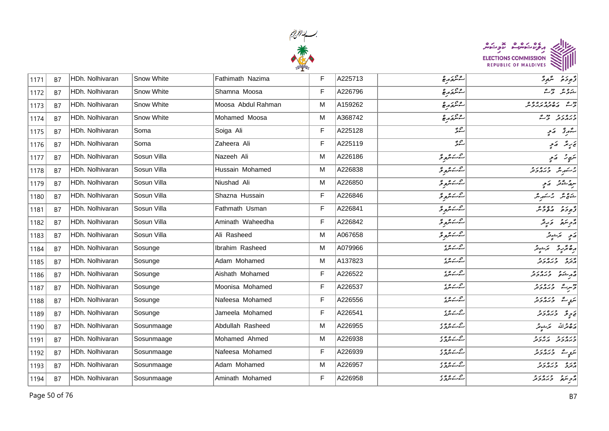



| <b>B7</b> | HDh. Nolhivaran | Snow White  | Fathimath Nazima   | F  | A225713 | بمشعره                 | و په پر د<br>ترجو څخه                             |
|-----------|-----------------|-------------|--------------------|----|---------|------------------------|---------------------------------------------------|
| <b>B7</b> | HDh. Nolhivaran | Snow White  | Shamna Moosa       | F  | A226796 | <u>ەم ئەرە</u>         | شوونثر اوجرام                                     |
| <b>B7</b> | HDh. Nolhivaran | Snow White  | Moosa Abdul Rahman | M  | A159262 | جمعكم                  | وو می ده وه ده دمو                                |
| <b>B7</b> | HDh. Nolhivaran | Snow White  | Mohamed Moosa      | м  | A368742 | فبمقورة                | ورەرو دوغ                                         |
| <b>B7</b> | HDh. Nolhivaran | Soma        | Soiga Ali          | F  | A225128 | يەچ                    | جميرة الأمي                                       |
| <b>B7</b> | HDh. Nolhivaran | Soma        | Zaheera Ali        | F  | A225119 | حدى                    | ىم پەنتىر كەيپىيە                                 |
| <b>B7</b> | HDh. Nolhivaran | Sosun Villa | Nazeeh Ali         | м  | A226186 | <u>ش ئەشرو ئە</u>      | لىمى ئەھمىي ئە                                    |
| <b>B7</b> | HDh. Nolhivaran | Sosun Villa | Hussain Mohamed    | м  | A226838 | ج سەھرىچە              | و ره ر د<br><i>د ب</i> رگرفر<br>جرستهریشه         |
| <b>B7</b> | HDh. Nolhivaran | Sosun Villa | Niushad Ali        | M  | A226850 | <u>ش ئەشرو ئە</u>      | سرە ئىشقى كەمچ                                    |
| <b>B7</b> | HDh. Nolhivaran | Sosun Villa | Shazna Hussain     | F  | A226846 | <u>مرىكە ئىرىمۇ ئى</u> | ے پی شرکت مرکز                                    |
| <b>B7</b> | HDh. Nolhivaran | Sosun Villa | Fathmath Usman     | F. | A226841 | <u>شر ئەشرو ئۇ</u>     | و محمد مقال المعند                                |
| <b>B7</b> | HDh. Nolhivaran | Sosun Villa | Aminath Waheedha   | F. | A226842 | <u>شر سەھرىم ئ</u>     | أأدوبتكم وأراثه                                   |
| <b>B7</b> | HDh. Nolhivaran | Sosun Villa | Ali Rasheed        | M  | A067658 | <u>شر سەھرىرى</u>      | كالمح المخرجون                                    |
| <b>B7</b> | HDh. Nolhivaran | Sosunge     | Ibrahim Rasheed    | м  | A079966 | <u>م ئەيدى</u>         | رەنزىر ترىنونز                                    |
| <b>B7</b> | HDh. Nolhivaran | Sosunge     | Adam Mohamed       | M  | A137823 | <u>م</u> ئەسىرى        | وره وره رو<br>مرتزق وبرمروتر                      |
| <b>B7</b> | HDh. Nolhivaran | Sosunge     | Aishath Mohamed    | F. | A226522 | <u>م ئەيدى</u>         | ورە ر د<br><i>د ب</i> رگەنر<br>و مر ديگر د<br>مرگ |
| <b>B7</b> | HDh. Nolhivaran | Sosunge     | Moonisa Mohamed    | F  | A226537 | <u>م</u> ئەسىرى        | وصربة وبروبرو                                     |
| <b>B7</b> | HDh. Nolhivaran | Sosunge     | Nafeesa Mohamed    | F  | A226556 | <u>م ئەيرو،</u>        | و رە ر د<br><i>د ب</i> رگەنز<br>سَموٍے            |
| <b>B7</b> | HDh. Nolhivaran | Sosunge     | Jameela Mohamed    | F. | A226541 | <u>مریمه و ،</u>       | قاحٍ قَدَّمَ وَيَدَمُ وَيَدَ                      |
| <b>B7</b> | HDh. Nolhivaran | Sosunmaage  | Abdullah Rasheed   | M  | A226955 | <u>م ئەيۋى</u>         | رەقراللە ئىرىشوتىر                                |
| <b>B7</b> | HDh. Nolhivaran | Sosunmaage  | Mohamed Ahmed      | M  | A226938 | <u>مر بە ھەم</u> ئ     | כנסנכ נסנכ<br>כ <i>ה</i> תכת הגכת                 |
| <b>B7</b> | HDh. Nolhivaran | Sosunmaage  | Nafeesa Mohamed    | F  | A226939 | <u>مر بە ھەم</u> ئ     | ىترېپ ئەتەرەتە                                    |
| <b>B7</b> | HDh. Nolhivaran | Sosunmaage  | Adam Mohamed       | M  | A226957 | <u>م ئەيۋى</u>         | برره وره رو<br>پرترن وبرپروتر                     |
| <b>B7</b> | HDh. Nolhivaran | Sosunmaage  | Aminath Mohamed    | F. | A226958 | <u>م ئەيۋې ئ</u>       | أأدوبتهم وبرودر                                   |
|           |                 |             |                    |    |         |                        |                                                   |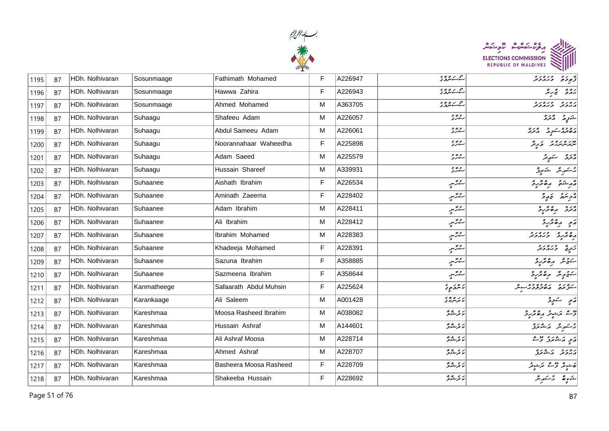



| <b>B7</b> | HDh. Nolhivaran | Sosunmaage  | Fathimath Mohamed      | F           | A226947 | <u>م ئەيۋې ئ</u>        | توځو ديرورو                               |
|-----------|-----------------|-------------|------------------------|-------------|---------|-------------------------|-------------------------------------------|
| <b>B7</b> | HDh. Nolhivaran | Sosunmaage  | Hawwa Zahira           | F           | A226943 | <u>م بەرەپ ئ</u>        | يَهُمْ تَجْرِبَّر                         |
| <b>B7</b> | HDh. Nolhivaran | Sosunmaage  | Ahmed Mohamed          | М           | A363705 | <u>م ئەيۋې ئ</u>        | גפניק כנסניק<br>הגבה כגהכת                |
| <b>B7</b> | HDh. Nolhivaran | Suhaagu     | Shafeeu Adam           | М           | A226057 | ر د د                   | شَوِرِ رُمَرُ                             |
| <b>B7</b> | HDh. Nolhivaran | Suhaagu     | Abdul Sameeu Adam      | М           | A226061 | سترسى                   | ړه وه شوه.<br>ەر ئەتەرى                   |
| <b>B7</b> | HDh. Nolhivaran | Suhaagu     | Noorannahaar Waheedha  | F           | A225898 | سترسح                   | میں مرور کے مری                           |
| <b>B7</b> | HDh. Nolhivaran | Suhaagu     | Adam Saeed             | М           | A225579 | سەرىيە                  | پر دو سکھیے تھ                            |
| <b>B7</b> | HDh. Nolhivaran | Suhaagu     | Hussain Shareef        | M           | A339931 | ر ده د                  | چە سەر شەھرىرى                            |
| <b>B7</b> | HDh. Nolhivaran | Suhaanee    | Aishath Ibrahim        | F           | A226534 | ر<br>مشرشیں             | مەر شىم بەھترىپ                           |
| <b>B7</b> | HDh. Nolhivaran | Suhaanee    | Aminath Zaeema         | F           | A228402 | رتىر<br>دىستىرگىلىر     | ىمەچ<br>و څخه سرچ                         |
| <b>B7</b> | HDh. Nolhivaran | Suhaanee    | Adam Ibrahim           | М           | A228411 | ەتىقەشىر<br>ئ           | ړ ترو روغرے                               |
| <b>B7</b> | HDh. Nolhivaran | Suhaanee    | Ali Ibrahim            | м           | A228412 | شۇر بىر                 | ړې ره ټره                                 |
| <b>B7</b> | HDh. Nolhivaran | Suhaanee    | Ibrahim Mohamed        | M           | A228383 |                         | أرە ئەرە دىرە دە                          |
| <b>B7</b> | HDh. Nolhivaran | Suhaanee    | Khadeeja Mohamed       | $\mathsf F$ | A228391 | ر<br>مەشرىپەر           | زَىرٍةً دَبَہْدَتَر                       |
| <b>B7</b> | HDh. Nolhivaran | Suhaanee    | Sazuna Ibrahim         | $\mathsf F$ | A358885 | رىتىچە<br>ئە            | سىتى مەھەرد                               |
| <b>B7</b> | HDh. Nolhivaran | Suhaanee    | Sazmeena Ibrahim       | F           | A358644 | ، سترگىبىر<br>ئى        | سىتىم پەر مەھەر پە                        |
| <b>B7</b> | HDh. Nolhivaran | Kanmatheege | Safaarath Abdul Muhsin | F           | A225624 | ئەنىرى ئە <sub>م</sub>  | ر در دره ده ده ده به در کار در استان کرد. |
| <b>B7</b> | HDh. Nolhivaran | Karankaage  | Ali Saleem             | M           | A001428 | ر ر ه و »<br>ما موسود د | ړې د کېږو                                 |
| <b>B7</b> | HDh. Nolhivaran | Kareshmaa   | Moosa Rasheed Ibrahim  | М           | A038082 | ىر ئەھە <del>ب</del> ىر | ويستم برجونه مره بر رد                    |
| <b>B7</b> | HDh. Nolhivaran | Kareshmaa   | Hussain Ashraf         | М           | A144601 | ىر ئەھە <del>ب</del> ىر | برستهرش كالحصير                           |
| <b>B7</b> | HDh. Nolhivaran | Kareshmaa   | Ali Ashraf Moosa       | М           | A228714 | ىر ئەھەمچە<br>مايىل مەھ | أقدمي فالمشمعل والمحمد                    |
| <b>B7</b> | HDh. Nolhivaran | Kareshmaa   | Ahmed Ashraf           | M           | A228707 | ىر ئەھە <del>ب</del> ىر | برور و بر شوبرو                           |
| <b>B7</b> | HDh. Nolhivaran | Kareshmaa   | Basheera Moosa Rasheed | F           | A228709 | ىر ئەھەتتە              | ەھىم ئۇڭ كەھىم                            |
| <b>B7</b> | HDh. Nolhivaran | Kareshmaa   | Shakeeba Hussain       | F           | A228692 | ىر ئەھەتتە              | أشوارة بركتهر                             |
|           |                 |             |                        |             |         |                         | اسقرمح میں<br>پی                          |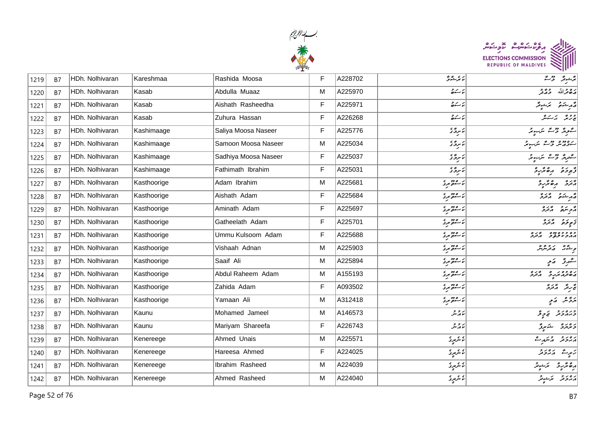



| 1219 | <b>B7</b> | HDh. Nolhivaran | Kareshmaa   | Rashida Moosa        | F  | A228702 | ىر ئەھەيچە<br>مائىرىشىرى     | پژخونژ در حم                                        |
|------|-----------|-----------------|-------------|----------------------|----|---------|------------------------------|-----------------------------------------------------|
| 1220 | <b>B7</b> | HDh. Nolhivaran | Kasab       | Abdulla Muaaz        | М  | A225970 | ر ئەچ                        | پر ۱۵ قرالله<br>و ه و.<br>حرم فر                    |
| 1221 | B7        | HDh. Nolhivaran | Kasab       | Aishath Rasheedha    | F  | A225971 | رزه                          | أقهر مشكاتها المتمر المستوفر                        |
| 1222 | <b>B7</b> | HDh. Nolhivaran | Kasab       | Zuhura Hassan        | F  | A226268 | برَسة                        | ج حر پی ایر پر شکسر                                 |
| 1223 | <b>B7</b> | HDh. Nolhivaran | Kashimaage  | Saliya Moosa Naseer  | F  | A225776 | ئە بىر ئ <sup>ى</sup> ئ      | گرورگر وحرک انڈر ہوند                               |
| 1224 | <b>B7</b> | HDh. Nolhivaran | Kashimaage  | Samoon Moosa Naseer  | М  | A225034 | ئەبىردى<br>                  | ر رودو دون بر به د                                  |
| 1225 | <b>B7</b> | HDh. Nolhivaran | Kashimaage  | Sadhiya Moosa Naseer | F  | A225037 | ئەبىرچە ئ                    | شورۇ ۋىش ئىربىيەتر                                  |
| 1226 | <b>B7</b> | HDh. Nolhivaran | Kashimaage  | Fathimath Ibrahim    | F  | A225031 | ر<br>ما مرچ ي                | قهوختم مقترع                                        |
| 1227 | <b>B7</b> | HDh. Nolhivaran | Kasthoorige | Adam Ibrahim         | М  | A225681 | ر صود د<br>ما سسوح مرد       | أرترد رەترىر                                        |
| 1228 | <b>B7</b> | HDh. Nolhivaran | Kasthoorige | Aishath Adam         | F  | A225684 | ر مردد و.<br>مرگ مرد         | پر ہ<br>مرکز<br>ا پر مرکز در محمد<br>ا              |
| 1229 | <b>B7</b> | HDh. Nolhivaran | Kasthoorige | Aminath Adam         | F. | A225697 | ئە مەھىم بىرى<br>مۇسىمۇ بىرى | ەر ئەر ئ<br>لأحر يتمدح                              |
| 1230 | <b>B7</b> | HDh. Nolhivaran | Kasthoorige | Gatheelath Adam      | F. | A225701 | ر دود پرې<br>پر سوچ پرې      | تحيي تحريج المجمورة                                 |
| 1231 | <b>B7</b> | HDh. Nolhivaran | Kasthoorige | Ummu Kulsoom Adam    | F. | A225688 | ر ره دو<br>مذهبی مرد         | د ه د د و د وه<br>م پر د بر څو د<br>پور ہ<br>مرکز ژ |
| 1232 | <b>B7</b> | HDh. Nolhivaran | Kasthoorige | Vishaah Adnan        | М  | A225903 | ر ۶۵ وجو دي<br>ماڪھونيو پي   | ویشه پرویژیر                                        |
| 1233 | <b>B7</b> | HDh. Nolhivaran | Kasthoorige | Saaif Ali            | M  | A225894 | ئە سەھ ئىرى<br>ئى            | الشهرى الأمي                                        |
| 1234 | <b>B7</b> | HDh. Nolhivaran | Kasthoorige | Abdul Raheem Adam    | М  | A155193 | ر حدود بر<br>ما مسلوم میری   | پەر ە<br>مەنزۈ<br>  ره وه بر ره<br>  پره تر پر بر د |
| 1235 | <b>B7</b> | HDh. Nolhivaran | Kasthoorige | Zahida Adam          | F  | A093502 | ر حدود بر<br>ما سنفو مرد     | تجريثه المجترفه                                     |
| 1236 | <b>B7</b> | HDh. Nolhivaran | Kasthoorige | Yamaan Ali           | M  | A312418 | ر حدود بره<br>ما مسهوم مورد  | ترڈیر    چاپے                                       |
| 1237 | <b>B7</b> | HDh. Nolhivaran | Kaunu       | Mohamed Jameel       | М  | A146573 | ر ديگر                       | ورورد يارو                                          |
| 1238 | <b>B7</b> | HDh. Nolhivaran | Kaunu       | Mariyam Shareefa     | F  | A226743 | ر ديگر                       | ئەنگەرى<br>شتە بىرىگ                                |
| 1239 | <b>B7</b> | HDh. Nolhivaran | Kenereege   | Ahmed Unais          | М  | A225571 | ، مگر سری<br>موسمع           | أرور وتمدع                                          |
| 1240 | <b>B7</b> | HDh. Nolhivaran | Kenereege   | Hareesa Ahmed        | F. | A224025 | ع مگر پر <sup>ج</sup>        | زىرىش مەددىر                                        |
| 1241 | <b>B7</b> | HDh. Nolhivaran | Kenereege   | Ibrahim Rasheed      | М  | A224039 | ع متر پر <sup>م</sup> ح      | أرەش ئەسىمىشى                                       |
| 1242 | <b>B7</b> | HDh. Nolhivaran | Kenereege   | Ahmed Rasheed        | M  | A224040 | ې مه په په<br>موسيح          | كرەر ئەسبەتر                                        |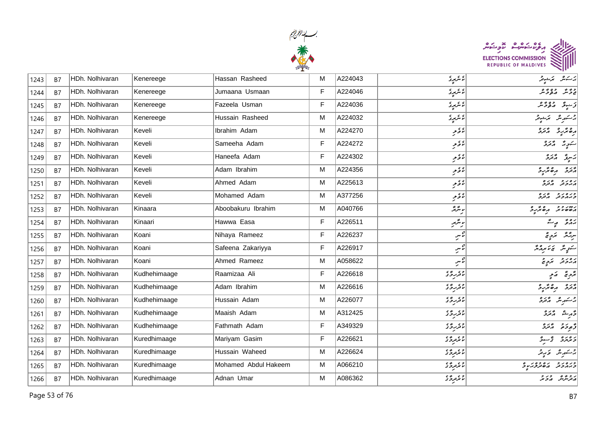



| 1243 | <b>B7</b> | HDh. Nolhivaran | Kenereege    | Hassan Rasheed       | M           | A224043 | ى ئە <sub>رىپى</sub> ئ                            | پرسكىش ئېزىشىدىم                                           |
|------|-----------|-----------------|--------------|----------------------|-------------|---------|---------------------------------------------------|------------------------------------------------------------|
| 1244 | <b>B7</b> | HDh. Nolhivaran | Kenereege    | Jumaana Usmaan       | $\mathsf F$ | A224046 | ، پرېږي<br>مرسم <i>ږي</i>                         | ق قرار قرار قرار م                                         |
| 1245 | <b>B7</b> | HDh. Nolhivaran | Kenereege    | Fazeela Usman        | $\mathsf F$ | A224036 | ى ئەرىپە ئە                                       | تزخوف المتموقان                                            |
| 1246 | <b>B7</b> | HDh. Nolhivaran | Kenereege    | Hussain Rasheed      | М           | A224032 | ى ئە <sub>رىپى</sub> رى<br>ماسرىپ <sub>رى</sub> ر | 2سكىرىنىڭ مۇھيەتى                                          |
| 1247 | <b>B7</b> | HDh. Nolhivaran | Keveli       | Ibrahim Adam         | М           | A224270 | عمومي                                             | أرە ئەرە مەرە                                              |
| 1248 | <b>B7</b> | HDh. Nolhivaran | Keveli       | Sameeha Adam         | F           | A224272 | عمقرمير                                           | سەرەپە<br>پژره<br>مرکزو                                    |
| 1249 | <b>B7</b> | HDh. Nolhivaran | Keveli       | Haneefa Adam         | F           | A224302 | عمومي                                             | برَ سرِ تَزَ الْمُ تَرْدَدُ                                |
| 1250 | <b>B7</b> | HDh. Nolhivaran | Keveli       | Adam Ibrahim         | M           | A224356 | ءَءُمبر                                           | وەھ ئۆر ۋ<br>  پر دو                                       |
| 1251 | <b>B7</b> | HDh. Nolhivaran | Keveli       | Ahmed Adam           | М           | A225613 | عمومه                                             | پەر ە<br>مەنزۈ<br>  پر ۱۹ پر د                             |
| 1252 | <b>B7</b> | HDh. Nolhivaran | Keveli       | Mohamed Adam         | M           | A377256 | اءتمو                                             | ورەرو پەرە                                                 |
| 1253 | <b>B7</b> | HDh. Nolhivaran | Kinaara      | Aboobakuru Ibrahim   | M           | A040766 | ىرىترىتر                                          | 777001<br>ىر <i>ە ئۈر</i> ۋ                                |
| 1254 | <b>B7</b> | HDh. Nolhivaran | Kinaari      | Hawwa Easa           | F           | A226511 | بريتزبير                                          | پروی پرگ                                                   |
| 1255 | <b>B7</b> | HDh. Nolhivaran | Koani        | Nihaya Rameez        | F           | A226237 | اچمبر                                             | سربنگر مرکز مرکز                                           |
| 1256 | <b>B7</b> | HDh. Nolhivaran | Koani        | Safeena Zakariyya    | F           | A226917 | اچمىيە                                            | سَرَرٍ سَنَ يَا مَدِيرٌ مَرَّ                              |
| 1257 | <b>B7</b> | HDh. Nolhivaran | Koani        | Ahmed Rameez         | М           | A058622 | م<br>مناسبہ                                       | پروژو پر دی                                                |
| 1258 | <b>B7</b> | HDh. Nolhivaran | Kudhehimaage | Raamizaa Ali         | F           | A226618 | ر و محر په مح<br>موسر پخت                         | بمريح المامي                                               |
| 1259 | <b>B7</b> | HDh. Nolhivaran | Kudhehimaage | Adam Ibrahim         | М           | A226616 | ء قربر دحج د                                      | أروه برەترىرو                                              |
| 1260 | <b>B7</b> | HDh. Nolhivaran | Kudhehimaage | Hussain Adam         | M           | A226077 | ء قرىر دى                                         | پور ہ<br>پر تر تر<br>لجسكه يثر                             |
| 1261 | <b>B7</b> | HDh. Nolhivaran | Kudhehimaage | Maaish Adam          | M           | A312425 | ء مذرحٌ ءُ                                        | د معرض المجموعة<br>التحريب المجموعة                        |
| 1262 | <b>B7</b> | HDh. Nolhivaran | Kudhehimaage | Fathmath Adam        | F           | A349329 | ء مذرحٌ ءُ                                        | ەر بەر ە<br>ا تو <sub>پ</sub> ر تر د                       |
| 1263 | <b>B7</b> | HDh. Nolhivaran | Kuredhimaage | Mariyam Gasim        | F           | A226621 | د ،<br>روبرگرد                                    | د ۱۵ ده په کال کال                                         |
| 1264 | <b>B7</b> | HDh. Nolhivaran | Kuredhimaage | Hussain Waheed       | М           | A226624 | ر ئەرگە ئ                                         | جرستهر شر الحرير تحريد                                     |
| 1265 | <b>B7</b> | HDh. Nolhivaran | Kuredhimaage | Mohamed Abdul Hakeem | M           | A066210 | ئۇ ئورۇ ئى                                        | ورەرو رەوەرىي                                              |
| 1266 | <b>B7</b> | HDh. Nolhivaran | Kuredhimaage | Adnan Umar           | М           | A086362 | ر ئەرگە ئ                                         | ر و می می و در و<br><mark>م</mark> ی تعری <i>س می</i> و مر |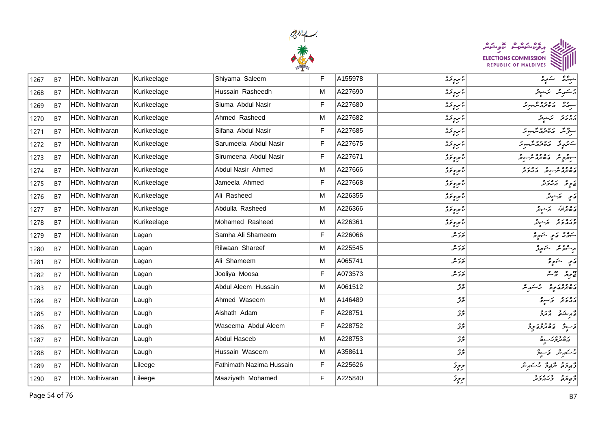



| 1267 | <b>B7</b> | HDh. Nolhivaran | Kurikeelage | Shiyama Saleem           | F  | A155978 | ر<br>ما مربوعه د                       | جار <i>وڈ سکو</i> و<br>مسلمان     |
|------|-----------|-----------------|-------------|--------------------------|----|---------|----------------------------------------|-----------------------------------|
| 1268 | <b>B7</b> | HDh. Nolhivaran | Kurikeelage | Hussain Rasheedh         | м  | A227690 | ر<br>ئامرىيو ئەي                       | چە سەر سىر سىر سىر بىر            |
| 1269 | <b>B7</b> | HDh. Nolhivaran | Kurikeelage | Siuma Abdul Nasir        | F  | A227680 | ج بر پ <sub>ر پو</sub> ي<br>په سر پوځو | سروه ره وه شهر                    |
| 1270 | B7        | HDh. Nolhivaran | Kurikeelage | Ahmed Rasheed            | М  | A227682 | ر<br>ماسر پوسو ئە                      | رەر ئەشبەر                        |
| 1271 | <b>B7</b> | HDh. Nolhivaran | Kurikeelage | Sifana Abdul Nasir       | F. | A227685 | ر<br>ئامرىيو ئەي                       | ب و محمد من ده وه محمد بر محمد    |
| 1272 | <b>B7</b> | HDh. Nolhivaran | Kurikeelage | Sarumeela Abdul Nasir    | F. | A227675 | ج <sub>محرمو</sub> بر ي<br>  مړيو محر  | مسترج على ماه وه عرب عمر          |
| 1273 | B7        | HDh. Nolhivaran | Kurikeelage | Sirumeena Abdul Nasir    | F. | A227671 | لتسمير يخر                             | سر د ده ده ده شور                 |
| 1274 | <b>B7</b> | HDh. Nolhivaran | Kurikeelage | Abdul Nasir Ahmed        | м  | A227666 | چې پېړۍ ته<br>  سر په تر د             | גפרפית היו גם גר                  |
| 1275 | <b>B7</b> | HDh. Nolhivaran | Kurikeelage | Jameela Ahmed            | F. | A227668 | ئەبىر بويى<br>                         | تەج ئەسەر                         |
| 1276 | <b>B7</b> | HDh. Nolhivaran | Kurikeelage | Ali Rasheed              | M  | A226355 | لتمعر بونجو                            | پر سو پر سو پر                    |
| 1277 | <b>B7</b> | HDh. Nolhivaran | Kurikeelage | Abdulla Rasheed          | M  | A226366 | ر<br>ما مربوعه د                       | رە قراللە كرى <u>ش</u> وتر        |
| 1278 | <b>B7</b> | HDh. Nolhivaran | Kurikeelage | Mohamed Rasheed          | M  | A226361 | ر<br>ئىمرىرىدى<br>س                    | ورەرو كەنبەتر                     |
| 1279 | <b>B7</b> | HDh. Nolhivaran | Lagan       | Samha Ali Shameem        | F. | A226066 | ىز ئەھ                                 | خوم يو ځوچ                        |
| 1280 | <b>B7</b> | HDh. Nolhivaran | Lagan       | Rilwaan Shareef          | М  | A225545 | ىز ئەھ                                 | ىرىشۇش خىرو                       |
| 1281 | <b>B7</b> | HDh. Nolhivaran | Lagan       | Ali Shameem              | M  | A065741 | ىز ئەھر                                | ړَ په شکو ده                      |
| 1282 | <b>B7</b> | HDh. Nolhivaran | Lagan       | Jooliya Moosa            | F  | A073573 | ئۇي ش                                  | فيمريز وحرث                       |
| 1283 | <b>B7</b> | HDh. Nolhivaran | Laugh       | Abdul Aleem Hussain      | м  | A061512 | تزوُ                                   | גפנגו בב געות                     |
| 1284 | <b>B7</b> | HDh. Nolhivaran | Laugh       | Ahmed Waseem             | м  | A146489 | تزوُ                                   | برەر ئەسوۋ                        |
| 1285 | <b>B7</b> | HDh. Nolhivaran | Laugh       | Aishath Adam             | F. | A228751 | تزوُ                                   | أقهر شده المجموع                  |
| 1286 | <b>B7</b> | HDh. Nolhivaran | Laugh       | Waseema Abdul Aleem      | F. | A228752 | تزوُ                                   | ءَ ٻيو په په دور دو               |
| 1287 | <b>B7</b> | HDh. Nolhivaran | Laugh       | <b>Abdul Haseeb</b>      | M  | A228753 | تزرُ                                   |                                   |
| 1288 | <b>B7</b> | HDh. Nolhivaran | Laugh       | Hussain Waseem           | M  | A358611 | تزرُ                                   | يزخير يما المحاسبوني              |
| 1289 | <b>B7</b> | HDh. Nolhivaran | Lileege     | Fathimath Nazima Hussain | F. | A225626 | مومور<br>مرچ                           | وتجوخة لتتموق برسترين             |
| 1290 | <b>B7</b> | HDh. Nolhivaran | Lileege     | Maaziyath Mohamed        | Ė. | A225840 | مومود<br>ري                            | دره دره دره<br>  دې مره د د د د د |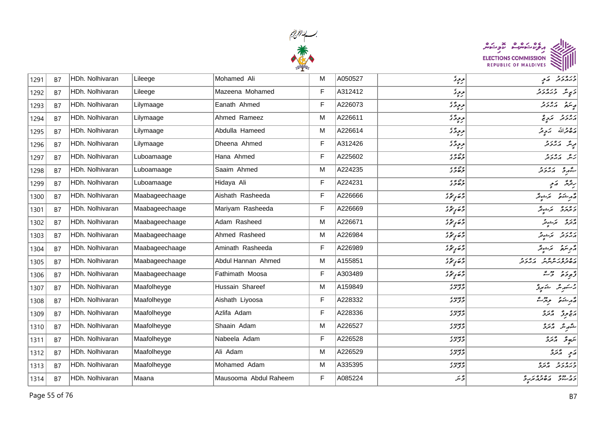



| 1291 | <b>B7</b> | HDh. Nolhivaran | Lileege        | Mohamed Ali           | М  | A050527 | مومور<br>ري                                | دبره برد په په                                          |
|------|-----------|-----------------|----------------|-----------------------|----|---------|--------------------------------------------|---------------------------------------------------------|
| 1292 | <b>B7</b> | HDh. Nolhivaran | Lileege        | Mazeena Mohamed       | F. | A312412 | مومور<br>مرچ                               | دَبِي شَرِ دِيرِ دِيرِ دِ                               |
| 1293 | <b>B7</b> | HDh. Nolhivaran | Lilymaage      | Eanath Ahmed          | F. | A226073 | ىرىپە ئە<br>ئەن                            | په سره د مرد د                                          |
| 1294 | <b>B7</b> | HDh. Nolhivaran | Lilymaage      | Ahmed Rameez          | М  | A226611 | ىرىپە ئە<br>ر                              | پروی پر پر پر                                           |
| 1295 | <b>B7</b> | HDh. Nolhivaran | Lilymaage      | Abdulla Hameed        | м  | A226614 | ىرىپە ئە<br>س                              | پره قرالله برج قر                                       |
| 1296 | <b>B7</b> | HDh. Nolhivaran | Lilymaage      | Dheena Ahmed          | F. | A312426 | ىرىپە ئە<br>س                              | مړینځ په ټرې تر                                         |
| 1297 | <b>B7</b> | HDh. Nolhivaran | Luboamaage     | Hana Ahmed            | F. | A225602 | و <i>0 ه</i> ء<br>موھ <del>و</del> ي       | ژنگر بر ژوئر                                            |
| 1298 | <b>B7</b> | HDh. Nolhivaran | Luboamaage     | Saaim Ahmed           | М  | A224235 | و <i>۵ و</i> ء<br>موھ و د                  | پرور و<br>يتمهرقه                                       |
| 1299 | <b>B7</b> | HDh. Nolhivaran | Luboamaage     | Hidaya Ali            | F. | A224231 | و <i>0 ه</i> ء<br>مون د ک                  | رِ تَرَ بَرَ يَا الْمَ                                  |
| 1300 | <b>B7</b> | HDh. Nolhivaran | Maabageechaage | Aishath Rasheeda      | F. | A226666 | دڅه نو پخونه                               | أمر مشكر المتحر المستحر                                 |
| 1301 | <b>B7</b> | HDh. Nolhivaran | Maabageechaage | Mariyam Rasheeda      | F  | A226669 | قَرْھَ بِرِ تَجْرَى                        | خيرمرو<br>ىمەسىيەتىگە<br>ئە                             |
| 1302 | <b>B7</b> | HDh. Nolhivaran | Maabageechaage | Adam Rasheed          | М  | A226671 | ۇ ئەرەپى<br>ئەھەر <i>ئ</i> ەر              | پژنرو - برَڪونر                                         |
| 1303 | <b>B7</b> | HDh. Nolhivaran | Maabageechaage | Ahmed Rasheed         | M  | A226984 | ۇ ئەرەپى<br>ئەھەر <i>ئ</i> ەر              | پرورو کرشید                                             |
| 1304 | <b>B7</b> | HDh. Nolhivaran | Maabageechaage | Aminath Rasheeda      | F. | A226989 | ۇ ئەرەپە<br>ئەھەر گەن                      | دَّحِ سَمَعُ سَمَسْبِعَدَّ                              |
| 1305 | <b>B7</b> | HDh. Nolhivaran | Maabageechaage | Abdul Hannan Ahmed    | M  | A155851 | د گھڻ ته گري<br>ح                          | ره وه ره مورد در ره رو<br>مان فرنزیک شریش در ماندار تار |
| 1306 | <b>B7</b> | HDh. Nolhivaran | Maabageechaage | Fathimath Moosa       | F  | A303489 | د څه نو په د                               | توجوجو سمج مشكر                                         |
| 1307 | <b>B7</b> | HDh. Nolhivaran | Maafolheyge    | Hussain Shareef       | М  | A159849 | ه پون<br><del>و</del> تو بو ت              | چەسىر شەھرىتى ئىشلىر                                    |
| 1308 | <b>B7</b> | HDh. Nolhivaran | Maafolheyge    | Aishath Liyoosa       | F  | A228332 | ەيدى ،<br>5 قرىرى                          | ويريثني ويرت                                            |
| 1309 | <b>B7</b> | HDh. Nolhivaran | Maafolheyge    | Azlifa Adam           | F. | A228336 | ه پون<br><del>و</del> تو بو ت              | پەر ە<br>مەنىرى<br> رچ مورڅ                             |
| 1310 | <b>B7</b> | HDh. Nolhivaran | Maafolheyge    | Shaain Adam           | М  | A226527 | ەيدى ،<br>5 قرىر ى                         | شەرپىر<br>پژو                                           |
| 1311 | <b>B7</b> | HDh. Nolhivaran | Maafolheyge    | Nabeela Adam          | F  | A226528 | ەيدى ،<br>5 گرىز ى                         | سَهِعٌ دَيْرَهِ                                         |
| 1312 | <b>B7</b> | HDh. Nolhivaran | Maafolheyge    | Ali Adam              | M  | A226529 | ەيدى ،<br>5 گرىز ى                         | ړَ په ډُنرو                                             |
| 1313 | <b>B7</b> | HDh. Nolhivaran | Maafolheyge    | Mohamed Adam          | М  | A335395 | ه بون ،<br><del>د</del> تر تر <sub>ک</sub> | ورەر د درە<br><i>دېدرونر م</i> ىرو                      |
| 1314 | <b>B7</b> | HDh. Nolhivaran | Maana          | Mausooma Abdul Raheem | F. | A085224 | ۇ ئىر                                      | د دو د ده ده در ه                                       |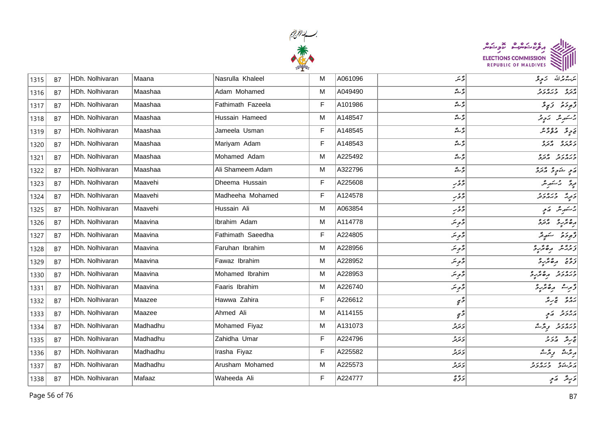



| <b>B7</b> | HDh. Nolhivaran |          |                   |    |         |                 |                                             |
|-----------|-----------------|----------|-------------------|----|---------|-----------------|---------------------------------------------|
|           |                 | Maashaa  | Adam Mohamed      | м  | A049490 | رَّيْتُهُ       | وره وره رو<br>مرتزق وبرمروتر                |
| <b>B7</b> | HDh. Nolhivaran | Maashaa  | Fathimath Fazeela | F  | A101986 | رَّحْتُہ        | رَّمِ دَمَ تَوَ يَحَ                        |
| <b>B7</b> | HDh. Nolhivaran | Maashaa  | Hussain Hameed    | м  | A148547 | رمحمد           | يزحكم متحي أتراديهم                         |
| <b>B7</b> | HDh. Nolhivaran | Maashaa  | Jameela Usman     | F. | A148545 | رمحمد           | توجو مەۋەبر                                 |
| <b>B7</b> | HDh. Nolhivaran | Maashaa  | Mariyam Adam      | F  | A148543 | رمحمد           | ر ه ره د وره                                |
| <b>B7</b> | HDh. Nolhivaran | Maashaa  | Mohamed Adam      | м  | A225492 | رمحمد           | وره رو په ره<br>د بربرونر برنرو             |
| <b>B7</b> | HDh. Nolhivaran | Maashaa  | Ali Shameem Adam  | м  | A322796 | رمح مشر         | ړې خوږ ژنرو                                 |
| <b>B7</b> | HDh. Nolhivaran | Maavehi  | Dheema Hussain    | F. | A225608 | رمحم سر         | قریح پر جمسکر میں<br>                       |
| <b>B7</b> | HDh. Nolhivaran | Maavehi  | Madheeha Mohamed  | F. | A124578 | رمحمة سر        | دره ورورد                                   |
| <b>B7</b> | HDh. Nolhivaran | Maavehi  | Hussain Ali       | М  | A063854 | رمحمة سر        | برسكريش كدمج                                |
| <b>B7</b> | HDh. Nolhivaran | Maavina  | Ibrahim Adam      | М  | A114778 | د گھر سکر<br>م  | ەھترىرى مەدرە<br>رەتترى <sub>ر</sub> ى مەدر |
| <b>B7</b> | HDh. Nolhivaran | Maavina  | Fathimath Saeedha | F  | A224805 | د گھر سکر       | ترجوحهم<br>سَنهرِ قُر                       |
| <b>B7</b> | HDh. Nolhivaran | Maavina  | Faruhan Ibrahim   | М  | A228956 | د گھرىتر        | و پرښتر پره ټرپرو                           |
| <b>B7</b> | HDh. Nolhivaran | Maavina  | Fawaz Ibrahim     | М  | A228952 | د گھر سکر       | زۇق مەھترىر                                 |
| <b>B7</b> | HDh. Nolhivaran | Maavina  | Mohamed Ibrahim   | м  | A228953 | قرُحرِ سَرَ     | برە ئۆر ۋ<br>و ر ه ر د<br>تر پر ژ تر        |
| <b>B7</b> | HDh. Nolhivaran | Maavina  | Faaris Ibrahim    | м  | A226740 | څو پئر          | ۇبرىشە رەھمەر                               |
| <b>B7</b> | HDh. Nolhivaran | Maazee   | Hawwa Zahira      | F. | A226612 | رحمي            | بَرْدَعٌ تَجْ سِعَّرَ                       |
| <b>B7</b> | HDh. Nolhivaran | Maazee   | Ahmed Ali         | М  | A114155 | رگنج            | پروتر   پرمو                                |
| <b>B7</b> | HDh. Nolhivaran | Madhadhu | Mohamed Fiyaz     | M  | A131073 | ر ر و<br>و تدبر | دبرورد وترش                                 |
| <b>B7</b> | HDh. Nolhivaran | Madhadhu | Zahidha Umar      | F  | A224796 | ر ر و<br>و تدبر | انج پەنگە ئەركىيە<br>ئە                     |
| <b>B7</b> | HDh. Nolhivaran | Madhadhu | Irasha Fiyaz      | F. | A225582 | ر ر و<br>و ترتر | برنژئے ویژنے                                |
| <b>B7</b> | HDh. Nolhivaran | Madhadhu | Arusham Mohamed   | M  | A225573 | ر ر و<br>و تدبر | ىر جرشەۋ<br>ورەر د<br><i>دى</i> رگەر تىر    |
| <b>B7</b> | HDh. Nolhivaran | Mafaaz   | Waheeda Ali       | F. | A224777 | ر پە ە          | ءَبہ پڻ پر                                  |
|           |                 |          |                   |    |         |                 |                                             |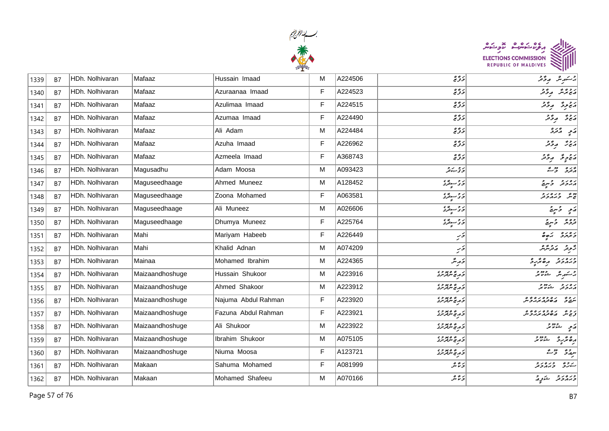



| 1339 | <b>B7</b> | HDh. Nolhivaran | Mafaaz          | Hussain Imaad       | м  | A224506 | ریخ م                                        | برسكريش ويحتر                                                 |
|------|-----------|-----------------|-----------------|---------------------|----|---------|----------------------------------------------|---------------------------------------------------------------|
| 1340 | <b>B7</b> | HDh. Nolhivaran | Mafaaz          | Azuraanaa Imaad     | F  | A224523 | خرمتمي                                       | ړ د پر پر ور                                                  |
| 1341 | <b>B7</b> | HDh. Nolhivaran | Mafaaz          | Azulimaa Imaad      | F. | A224515 | خرمتمي                                       | ړ څوڅ وڅو                                                     |
| 1342 | <b>B7</b> | HDh. Nolhivaran | Mafaaz          | Azumaa Imaad        | F. | A224490 | خۇمى                                         | ړ دی پرځتر                                                    |
| 1343 | <b>B7</b> | HDh. Nolhivaran | Mafaaz          | Ali Adam            | M  | A224484 | خۇمى                                         | پَه په پژنو                                                   |
| 1344 | <b>B7</b> | HDh. Nolhivaran | Mafaaz          | Azuha Imaad         | F. | A226962 | ر ژه<br>د زن                                 | ړی پرځنر                                                      |
| 1345 | <b>B7</b> | HDh. Nolhivaran | Mafaaz          | Azmeela Imaad       | F  | A368743 | ریمی                                         | ەردىمە<br>ړ ج <sub>حر</sub> څه                                |
| 1346 | <b>B7</b> | HDh. Nolhivaran | Magusadhu       | Adam Moosa          | м  | A093423 | پر چ رپ<br>  بر پخ مسکونس                    | پره دون<br>مرمرد وست                                          |
| 1347 | <b>B7</b> | HDh. Nolhivaran | Maguseedhaage   | Ahmed Muneez        | M  | A128452 | 5 جي سوقري                                   | رەر دىر                                                       |
| 1348 | <b>B7</b> | HDh. Nolhivaran | Maguseedhaage   | Zoona Mohamed       | F  | A063581 | ئەترىسىدىگە                                  | دد در در د<br>مح شر حدد حالا                                  |
| 1349 | <b>B7</b> | HDh. Nolhivaran | Maguseedhaage   | Ali Muneez          | M  | A026606 | ئەترىسىدىگە                                  | پَه یِ د سرچ                                                  |
| 1350 | <b>B7</b> | HDh. Nolhivaran | Maguseedhaage   | Dhumya Muneez       | F. | A225764 | ئەترىسىدىگە<br>                              | دە ئەرىر                                                      |
| 1351 | <b>B7</b> | HDh. Nolhivaran | Mahi            | Mariyam Habeeb      | F  | A226449 | ځېږ                                          | ر ه ر ه<br>د بربرگ<br>$\overset{o}{\circ} \overset{o}{\circ}$ |
| 1352 | <b>B7</b> | HDh. Nolhivaran | Mahi            | Khalid Adnan        | М  | A074209 | ځېږ                                          | رائىۋە ئەرەر ئەر                                              |
| 1353 | <b>B7</b> | HDh. Nolhivaran | Mainaa          | Mohamed Ibrahim     | м  | A224365 | ځه پتر                                       | برە ئۆر ۋ<br>و ره د د<br>د بر پر د تر                         |
| 1354 | <b>B7</b> | HDh. Nolhivaran | Maizaandhoshuge | Hussain Shukoor     | М  | A223916 | ر په ۱۶۶۵ و <sup>م</sup>                     | مشور و حر<br>جرستهريثر                                        |
| 1355 | <b>B7</b> | HDh. Nolhivaran | Maizaandhoshuge | Ahmed Shakoor       | М  | A223912 | ىز مەھم ھەدىرى<br>جۇ مەھمەرىرى               | رەر دىدە                                                      |
| 1356 | <b>B7</b> | HDh. Nolhivaran | Maizaandhoshuge | Najuma Abdul Rahman | F  | A223920 | ر په ۱۶۶۵ و <sup>م</sup>                     | ره وه ره ده و<br>پره تربر تر س<br>سرة وَّ                     |
| 1357 | <b>B7</b> | HDh. Nolhivaran | Maizaandhoshuge | Fazuna Abdul Rahman | F. | A223921 | ر په ۱۶۳۵ و <sup>م</sup>                     | ر د په ده ده ده په و.                                         |
| 1358 | <b>B7</b> | HDh. Nolhivaran | Maizaandhoshuge | Ali Shukoor         | М  | A223922 | ر په ۱۶۶۵ و <sup>م</sup>                     | ړی شرمور                                                      |
| 1359 | <b>B7</b> | HDh. Nolhivaran | Maizaandhoshuge | Ibrahim Shukoor     | М  | A075105 | <br> خەرىج مىز بىرىرى                        | ر و دو و<br>شونو نبر<br>ىر ھەترىر ۋ                           |
| 1360 | <b>B7</b> | HDh. Nolhivaran | Maizaandhoshuge | Niuma Moosa         | F  | A123721 | ئەر ئ <sup>ە</sup> ھېجرىرى<br>خەرىج سرقىرىرى | سرچينې د حق                                                   |
| 1361 | <b>B7</b> | HDh. Nolhivaran | Makaan          | Sahuma Mohamed      | F  | A081999 | ىر ئە ھ                                      | سترقر<br>و ر ه ر و<br><i>و ټ</i> رو تر                        |
| 1362 | <b>B7</b> | HDh. Nolhivaran | Makaan          | Mohamed Shafeeu     | м  | A070166 | ىر ئە ھ                                      | ورەر دېم شرور                                                 |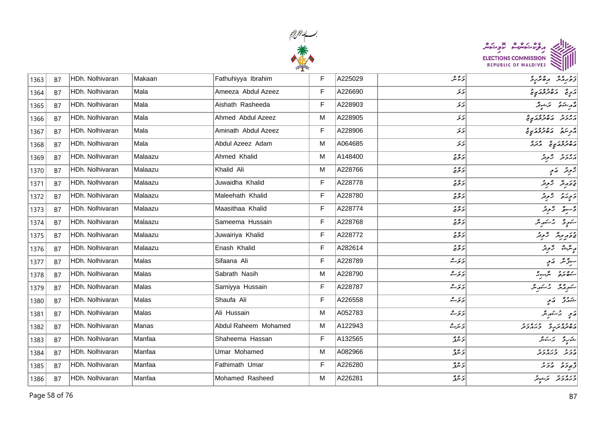



| 1363 | <b>B7</b> | HDh. Nolhivaran | Makaan  | Fathuhiyya Ibrahim   | F  | A225029 | ىر تە ھ<br>جەنئىش | ניקרית תפתיק                                     |
|------|-----------|-----------------|---------|----------------------|----|---------|-------------------|--------------------------------------------------|
| 1364 | <b>B7</b> | HDh. Nolhivaran | Mala    | Ameeza Abdul Azeez   | F  | A226690 | رىز               | ג'בְהַ ג'סְיַפְה'                                |
| 1365 | <b>B7</b> | HDh. Nolhivaran | Mala    | Aishath Rasheeda     | F. | A228903 | ۇتۇ               | ۇرىشكى ئىشپۇ                                     |
| 1366 | <b>B7</b> | HDh. Nolhivaran | Mala    | Ahmed Abdul Azeez    | M  | A228905 | ۇت                | קפק קפרק ביריקי                                  |
| 1367 | <b>B7</b> | HDh. Nolhivaran | Mala    | Aminath Abdul Azeez  | F. | A228906 | رىز               | הקייטה הסיניקה ב                                 |
| 1368 | <b>B7</b> | HDh. Nolhivaran | Mala    | Abdul Azeez Adam     | м  | A064685 | رىز               | גם כסג כ<br>גם <i>נקב</i> ג <sub>ב</sub> 2 ה נקב |
| 1369 | <b>B7</b> | HDh. Nolhivaran | Malaazu | Ahmed Khalid         | м  | A148400 | ىر ئۇچ            | ړ دې د ژوند                                      |
| 1370 | <b>B7</b> | HDh. Nolhivaran | Malaazu | Khalid Ali           | М  | A228766 | ىر ئۇچ            | ڏوِتر ڏوِ                                        |
| 1371 | <b>B7</b> | HDh. Nolhivaran | Malaazu | Juwaidha Khalid      | F  | A228778 | ىر ئۇچ            | في وكريم المجموعة                                |
| 1372 | <b>B7</b> | HDh. Nolhivaran | Malaazu | Maleehath Khalid     | F. | A228780 | ر بو د<br>د ترې   | ۇربەتە ئېرى                                      |
| 1373 | <b>B7</b> | HDh. Nolhivaran | Malaazu | Maasithaa Khalid     | F  | A228774 | ر بو د<br>د ترې   | وَّسِيعُ الْأَمْرِيْرُ                           |
| 1374 | <b>B7</b> | HDh. Nolhivaran | Malaazu | Sameema Hussain      | F. | A228768 | ر بو د<br>د ترې   | سكورة المراسر                                    |
| 1375 | <b>B7</b> | HDh. Nolhivaran | Malaazu | Juwairiya Khalid     | F  | A228772 | ر بو د<br>د ترې   | فأقرم بروائه المحرفر                             |
| 1376 | <b>B7</b> | HDh. Nolhivaran | Malaazu | Enash Khalid         | F  | A282614 | ر بو د<br>د ترې   | رٍ مُرْڪْ گُرُوگُر                               |
| 1377 | <b>B7</b> | HDh. Nolhivaran | Malas   | Sifaana Ali          | F  | A228789 | ىزىر              | سوژنٹر انہج                                      |
| 1378 | <b>B7</b> | HDh. Nolhivaran | Malas   | Sabrath Nasih        | M  | A228790 | ترىخەشە           | شەھىرە شەرە                                      |
| 1379 | <b>B7</b> | HDh. Nolhivaran | Malas   | Samiyya Hussain      | F  | A228787 | ىزىقە             | ستورش برستهرش                                    |
| 1380 | <b>B7</b> | HDh. Nolhivaran | Malas   | Shaufa Ali           | F  | A226558 | ىز ئە             | ڪرڻڙ وکي                                         |
| 1381 | <b>B7</b> | HDh. Nolhivaran | Malas   | Ali Hussain          | M  | A052783 | ى ئەر ھ           | ړې پر شهر شر                                     |
| 1382 | <b>B7</b> | HDh. Nolhivaran | Manas   | Abdul Raheem Mohamed | м  | A122943 | ىر ئىر م          | קסיקת מקביר במתכת                                |
| 1383 | <b>B7</b> | HDh. Nolhivaran | Manfaa  | Shaheema Hassan      | F. | A132565 | ىر ھۇ             | لمكركي الكاسكانس                                 |
| 1384 | <b>B7</b> | HDh. Nolhivaran | Manfaa  | Umar Mohamed         | M  | A082966 | ىز مەر            | כנ כנסנב<br>גביל בגגבע                           |
| 1385 | <b>B7</b> | HDh. Nolhivaran | Manfaa  | Fathimath Umar       | F  | A226280 | ىز ھۇ             | وٌمودَه ردد                                      |
| 1386 | <b>B7</b> | HDh. Nolhivaran | Manfaa  | Mohamed Rasheed      | м  | A226281 | ىز مەر            | ورەرو كەنبەتى                                    |
|      |           |                 |         |                      |    |         |                   |                                                  |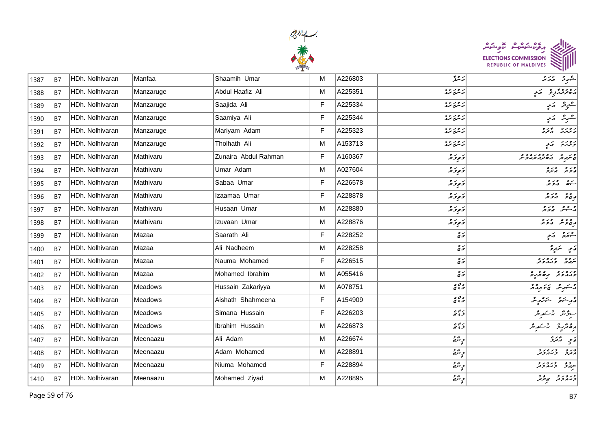



| 1387 | <b>B7</b> | HDh. Nolhivaran | Manfaa         | Shaamih Umar         | м  | A226803 | ئە شرىق                                        | شگورژ اړوند                                                  |
|------|-----------|-----------------|----------------|----------------------|----|---------|------------------------------------------------|--------------------------------------------------------------|
| 1388 | <b>B7</b> | HDh. Nolhivaran | Manzaruge      | Abdul Haafiz Ali     | м  | A225351 | ر ۵ ر ۶ د<br><del>د</del> سرپر                 | رە دوم.<br>مەمرى بۇ مۇ                                       |
| 1389 | <b>B7</b> | HDh. Nolhivaran | Manzaruge      | Saajida Ali          | F. | A225334 | ر ۵ ر ۶ د<br><del>ر</del> سرۍ مر               | ستموماً الكمي                                                |
| 1390 | <b>B7</b> | HDh. Nolhivaran | Manzaruge      | Saamiya Ali          | F  | A225344 | ر ۵ ر د ۷<br><del>د</del> سر <sub>کا</sub> برد | ستوبڑ ایکمی                                                  |
| 1391 | <b>B7</b> | HDh. Nolhivaran | Manzaruge      | Mariyam Adam         | F. | A225323 | ر ۵ پر ۶ پر<br>تر مترنج متری                   | ر ه بر ه<br>د بربر د<br>پور ہ<br>مرتزو                       |
| 1392 | <b>B7</b> | HDh. Nolhivaran | Manzaruge      | Tholhath Ali         | м  | A153713 | ر ۵ ر ۶ د<br><del>د</del> سر <sub>ي</sub> سرد  | پروبر و کرم په                                               |
| 1393 | <b>B7</b> | HDh. Nolhivaran | Mathivaru      | Zunaira Abdul Rahman | F. | A160367 | ر مر د<br>خ <sub>نج</sub> ونمر                 | ره وه ره د ه<br>په <i>ه د بر بر</i> تر س<br>ى ئىرىمە ئىر     |
| 1394 | <b>B7</b> | HDh. Nolhivaran | Mathivaru      | Umar Adam            | м  | A027604 | ئەمرەكىمە                                      | ور و شوره<br>م <i>د</i> وس م <i>د</i> نور                    |
| 1395 | <b>B7</b> | HDh. Nolhivaran | Mathivaru      | Sabaa Umar           | F  | A226578 | دَموِءَ تَدْ                                   | $7.77$ 6.                                                    |
| 1396 | <b>B7</b> | HDh. Nolhivaran | Mathivaru      | Izaamaa Umar         | F. | A228878 | ځوړځه                                          | ديج درو                                                      |
| 1397 | <b>B7</b> | HDh. Nolhivaran | Mathivaru      | Husaan Umar          | M  | A228880 | خەمەممە                                        | برُستَهْر<br>و ر و<br>در د بر                                |
| 1398 | <b>B7</b> | HDh. Nolhivaran | Mathivaru      | Izuvaan Umar         | M  | A228876 | ځوړځه                                          | و ر و<br>مە <del>ر</del> بىر<br>ە جۇ ئىر<br>برى <i>ق</i> ىتر |
| 1399 | <b>B7</b> | HDh. Nolhivaran | Mazaa          | Saarath Ali          | F  | A228252 | ريح                                            | ستهزه وكمعي                                                  |
| 1400 | <b>B7</b> | HDh. Nolhivaran | Mazaa          | Ali Nadheem          | M  | A228258 | ريح                                            | كەي سەردى                                                    |
| 1401 | <b>B7</b> | HDh. Nolhivaran | Mazaa          | Nauma Mohamed        | F. | A226515 | رَح                                            | يروه ورەرو                                                   |
| 1402 | <b>B7</b> | HDh. Nolhivaran | Mazaa          | Mohamed Ibrahim      | м  | A055416 | رَجَ                                           | برە ئۆرۈ<br>و ره ر د<br>تر پروتر                             |
| 1403 | <b>B7</b> | HDh. Nolhivaran | Meadows        | Hussain Zakariyya    | м  | A078751 | $rac{1}{6}$                                    | برسكريش كالمورثة                                             |
| 1404 | <b>B7</b> | HDh. Nolhivaran | Meadows        | Aishath Shahmeena    | F  | A154909 | $rac{c}{c}$                                    | مەرىشىمە سىرمى ئىر                                           |
| 1405 | <b>B7</b> | HDh. Nolhivaran | <b>Meadows</b> | Simana Hussain       | F. | A226203 | $rac{c}{c}$                                    | سوۋىتر جىسكىرىتر                                             |
| 1406 | <b>B7</b> | HDh. Nolhivaran | <b>Meadows</b> | Ibrahim Hussain      | M  | A226873 | $rac{c}{c}$                                    | جر <u>س</u> ے م <i>ہ</i> سر<br>ىر ھەترىر <i>ۋ</i>            |
| 1407 | <b>B7</b> | HDh. Nolhivaran | Meenaazu       | Ali Adam             | M  | A226674 | حريثرة                                         | پَه په پژنو                                                  |
| 1408 | <b>B7</b> | HDh. Nolhivaran | Meenaazu       | Adam Mohamed         | M  | A228891 | حرٍ مُرَّج                                     | برره وره رو<br>پرترن وبرپروتر                                |
| 1409 | <b>B7</b> | HDh. Nolhivaran | Meenaazu       | Niuma Mohamed        | F  | A228894 | حریثر تح                                       | و ره ر د<br><i>د ب</i> رگرفر<br>سرچينې                       |
| 1410 | <b>B7</b> | HDh. Nolhivaran | Meenaazu       | Mohamed Ziyad        | м  | A228895 | حرٍ مُرَّجِ                                    | ورەر دېگروگ                                                  |
|      |           |                 |                |                      |    |         |                                                |                                                              |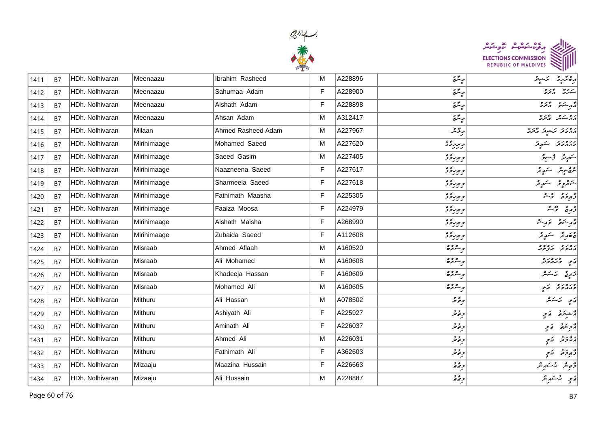



| 1411 | <b>B7</b> | HDh. Nolhivaran | Meenaazu    | Ibrahim Rasheed    | м  | A228896 | حريثرة                       | رەنۇر ئىنىد                           |
|------|-----------|-----------------|-------------|--------------------|----|---------|------------------------------|---------------------------------------|
| 1412 | <b>B7</b> | HDh. Nolhivaran | Meenaazu    | Sahumaa Adam       | F  | A228900 | جریٹرنج                      | سترجى كمجاره                          |
| 1413 | <b>B7</b> | HDh. Nolhivaran | Meenaazu    | Aishath Adam       | F. | A228898 | حريثرة                       | وكرمشكم والمترح                       |
| 1414 | <b>B7</b> | HDh. Nolhivaran | Meenaazu    | Ahsan Adam         | м  | A312417 | حرٍ مُرَّجِ                  | بروستانتر المزمرة                     |
| 1415 | <b>B7</b> | HDh. Nolhivaran | Milaan      | Ahmed Rasheed Adam | М  | A227967 | جرځىگر                       | روری تر <sub>شی</sub> تر م <i>حرو</i> |
| 1416 | <b>B7</b> | HDh. Nolhivaran | Mirihimaage | Mohamed Saeed      | м  | A227620 | ى <i>ر بىرىدى</i><br>رىرىر   | ورورو كهد                             |
| 1417 | <b>B7</b> | HDh. Nolhivaran | Mirihimaage | Saeed Gasim        | M  | A227405 | اح مورد و ته<br>په رسو د     | سكريتر الأسبرد                        |
| 1418 | B7        | HDh. Nolhivaran | Mirihimaage | Naazneena Saeed    | F. | A227617 | او بورۇ ئى<br>سەر            | سَّ <sub>گ</sub> سِرسَّر سَنَ سِرَ    |
| 1419 | <b>B7</b> | HDh. Nolhivaran | Mirihimaage | Sharmeela Saeed    | F. | A227618 | اوبرروی<br>په در             | شەھرىچە كەرىھ                         |
| 1420 | <b>B7</b> | HDh. Nolhivaran | Mirihimaage | Fathimath Maasha   | F. | A225305 | ى <i>ر بىرى</i> دى<br>ئەبرىر | وً و دَمَ وَ حَدَّ                    |
| 1421 | <b>B7</b> | HDh. Nolhivaran | Mirihimaage | Faaiza Moosa       | F  | A224979 | ى <i>ر بىرى</i> دى<br>ئەبرىر | وً مريح حق                            |
| 1422 | <b>B7</b> | HDh. Nolhivaran | Mirihimaage | Aishath Maisha     | F. | A268990 | د برر د د<br>ر ر ر           | أشرختم ورحد                           |
| 1423 | <b>B7</b> | HDh. Nolhivaran | Mirihimaage | Zubaida Saeed      | F. | A112608 | ى <i>ر بىرىدى</i><br>رىرىر   | ج قرقر سکھ پر                         |
| 1424 | <b>B7</b> | HDh. Nolhivaran | Misraab     | Ahmed Aflaah       | М  | A160520 | ديسموه                       | رەرد رەپەە                            |
| 1425 | <b>B7</b> | HDh. Nolhivaran | Misraab     | Ali Mohamed        | м  | A160608 | حر ڪنگھ                      | أتهجي وبره برو                        |
| 1426 | <b>B7</b> | HDh. Nolhivaran | Misraab     | Khadeeja Hassan    | F  | A160609 | وسكمره                       | زَمِرِةٌ - رَسَمْسٌ                   |
| 1427 | <b>B7</b> | HDh. Nolhivaran | Misraab     | Mohamed Ali        | м  | A160605 | دبسره                        | دره د د کمی                           |
| 1428 | <b>B7</b> | HDh. Nolhivaran | Mithuru     | Ali Hassan         | м  | A078502 | حرحونمر                      | پر بر بر بر بر بر بر                  |
| 1429 | <b>B7</b> | HDh. Nolhivaran | Mithuru     | Ashiyath Ali       | F  | A225927 | حرحوننر                      | ړ شورکړې لرکمنې                       |
| 1430 | <b>B7</b> | HDh. Nolhivaran | Mithuru     | Aminath Ali        | F. | A226037 | حرحونمر                      | ومحر سرة<br>رځمنې                     |
| 1431 | <b>B7</b> | HDh. Nolhivaran | Mithuru     | Ahmed Ali          | М  | A226031 | حرقموننر                     | پروژ پر پر                            |
| 1432 | <b>B7</b> | HDh. Nolhivaran | Mithuru     | Fathimath Ali      | F. | A362603 | حرحونمر                      | وٌجوحهُ الأمج                         |
| 1433 | <b>B7</b> | HDh. Nolhivaran | Mizaaju     | Maazina Hussain    | F. | A226663 | حرجي                         | دحمير محر محمد مرسكر                  |
| 1434 | <b>B7</b> | HDh. Nolhivaran | Mizaaju     | Ali Hussain        | м  | A228887 | حرجي                         | أەي برسىرىد                           |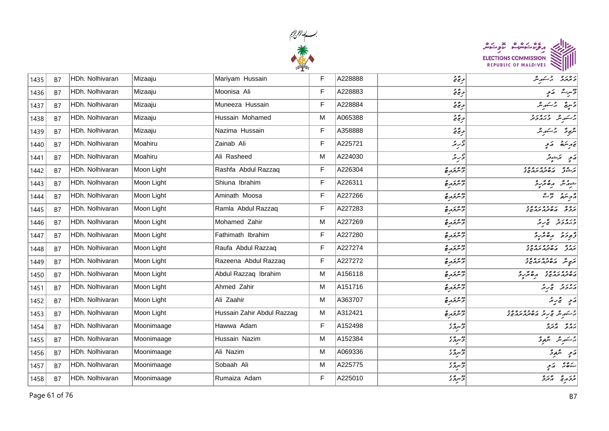



| 1435 | <b>B7</b> | HDh. Nolhivaran | Mizaaju    | Mariyam Hussain            | F | A228888 | حريج تح                        | ويمتروا المستهرش                                      |
|------|-----------|-----------------|------------|----------------------------|---|---------|--------------------------------|-------------------------------------------------------|
| 1436 | <b>B7</b> | HDh. Nolhivaran | Mizaaju    | Moonisa Ali                | F | A228883 | حريج فح                        |                                                       |
| 1437 | <b>B7</b> | HDh. Nolhivaran | Mizaaju    | Muneeza Hussain            | F | A228884 | حرِجٌ فع                       | ۇيېڭ ئەسكىرىگ                                         |
| 1438 | <b>B7</b> | HDh. Nolhivaran | Mizaaju    | Hussain Mohamed            | M | A065388 | ح ج ج<br>م                     | و ره ر و<br>تر پر تر تر<br>جرستهریشر                  |
| 1439 | <b>B7</b> | HDh. Nolhivaran | Mizaaju    | Nazima Hussain             | F | A358888 | ترجيح                          | شموڅ پر شهر شر                                        |
| 1440 | <b>B7</b> | HDh. Nolhivaran | Moahiru    | Zainab Ali                 | F | A225721 | ە<br>خەرىپە                    | ىم ئىر ئىش كەنچ                                       |
| 1441 | <b>B7</b> | HDh. Nolhivaran | Moahiru    | Ali Rasheed                | M | A224030 | ژبرېمه                         | كالمحي المكاسفيوقر                                    |
| 1442 | <b>B7</b> | HDh. Nolhivaran | Moon Light | Rashfa Abdul Razzaq        | F | A226304 | لتشعر وهجره                    | ر و و ده ده ده و د<br>برخونی مان در برد و د           |
| 1443 | <b>B7</b> | HDh. Nolhivaran | Moon Light | Shiuna Ibrahim             | F | A226311 | ومشرقه وهج                     | شور شه ره محرر د                                      |
| 1444 | <b>B7</b> | HDh. Nolhivaran | Moon Light | Aminath Moosa              | F | A227266 | لتشعر وهجره                    | أزوينه وحمش                                           |
| 1445 | <b>B7</b> | HDh. Nolhivaran | Moon Light | Ramla Abdul Razzaq         | F | A227283 | لتشعر وهجره                    | ره و ده وه ره وو<br>برونژ مقدم برمن                   |
| 1446 | <b>B7</b> | HDh. Nolhivaran | Moon Light | Mohamed Zahir              | м | A227269 | لتشريخ مرهج                    | ورەرو ئېرىر                                           |
| 1447 | <b>B7</b> | HDh. Nolhivaran | Moon Light | Fathimath Ibrahim          | F | A227280 | لتشريخه وهج                    | ومجددة المقتبرة                                       |
| 1448 | <b>B7</b> | HDh. Nolhivaran | Moon Light | Raufa Abdul Razzaq         | F | A227274 | ومشرقه وهج                     | נ כשני פסינס שיב<br>יינג צ' השינגיגה ש                |
| 1449 | <b>B7</b> | HDh. Nolhivaran | Moon Light | Razeena Abdul Razzaq       | F | A227272 | لتشعر ويحرم                    | ترىپ شەھ تەھ بەرە بەر<br>ترىپ شەھ تىر <i>مەيدى</i> تى |
| 1450 | <b>B7</b> | HDh. Nolhivaran | Moon Light | Abdul Razzaq Ibrahim       | M | A156118 | لتشريخ وهج                     | גם כם גם כבירה ביתיים                                 |
| 1451 | <b>B7</b> | HDh. Nolhivaran | Moon Light | Ahmed Zahir                | м | A151716 | ومشرقه وهج                     | پروژو پچ په                                           |
| 1452 | <b>B7</b> | HDh. Nolhivaran | Moon Light | Ali Zaahir                 | M | A363707 | ومشرقه وهج                     | أەيم يح سرچما                                         |
| 1453 | <b>B7</b> | HDh. Nolhivaran | Moon Light | Hussain Zahir Abdul Razzag | M | A312421 | لتشعر وهجره                    | د کے مر شرح ده ده ده ده د                             |
| 1454 | <b>B7</b> | HDh. Nolhivaran | Moonimaage | Hawwa Adam                 | F | A152498 | ادو سرچ <sub>ی</sub>           | برە بە ئەرە                                           |
| 1455 | <b>B7</b> | HDh. Nolhivaran | Moonimaage | Hussain Nazim              | M | A152384 | دوسرچ ی<br> د سرچ <sub>ک</sub> | جاسكهر شكر متكوفة                                     |
| 1456 | <b>B7</b> | HDh. Nolhivaran | Moonimaage | Ali Nazim                  | M | A069336 | دوسرچ ی<br> د سرچ <sub>ک</sub> | رَمِ سَمْعِهِ حَ                                      |
| 1457 | <b>B7</b> | HDh. Nolhivaran | Moonimaage | Sobaah Ali                 | M | A225775 | دوسرچ ی<br> د سرچ <sub>ک</sub> | 20.7<br>رزمو                                          |
| 1458 | <b>B7</b> | HDh. Nolhivaran | Moonimaage | Rumaiza Adam               | F | A225010 | ادو سرچ <sub>ی</sub>           | برذريح كمترد                                          |
|      |           |                 |            |                            |   |         |                                |                                                       |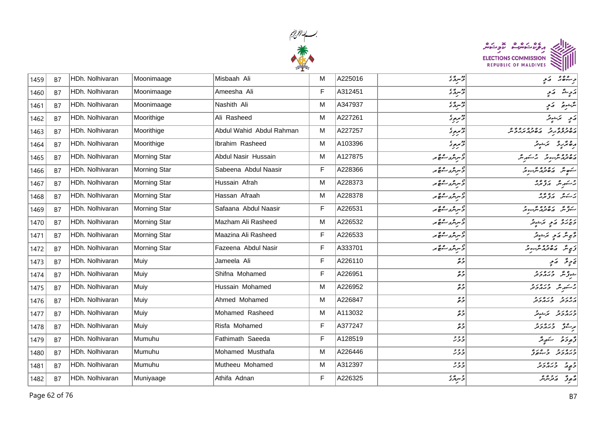



| 1459 | <b>B7</b> | HDh. Nolhivaran | Moonimaage          | Misbaah Ali              | M | A225016 | دو پرځ ی<br>تر سرچ <sub>ک</sub>            | ادبيقة<br>ەنىپە                       |
|------|-----------|-----------------|---------------------|--------------------------|---|---------|--------------------------------------------|---------------------------------------|
| 1460 | <b>B7</b> | HDh. Nolhivaran | Moonimaage          | Ameesha Ali              | F | A312451 | دو په په<br>د سرچ <sub>ک</sub>             | ړَ <sub>وٍ</sub> ؎ٌ کړ <sub>م</sub> ِ |
| 1461 | <b>B7</b> | HDh. Nolhivaran | Moonimaage          | Nashith Ali              | M | A347937 | دو په په<br>د سرچ د                        | لترجيح الأمج                          |
| 1462 | <b>B7</b> | HDh. Nolhivaran | Moorithige          | Ali Rasheed              | М | A227261 | دد<br>څممرحو <sup>ی</sup>                  | أة موسط متر مشوقر                     |
| 1463 | <b>B7</b> | HDh. Nolhivaran | Moorithige          | Abdul Wahid Abdul Rahman | М | A227257 | دد<br>څنور موکه                            | ره وه پر د در ره ده ده وه در داده د   |
| 1464 | <b>B7</b> | HDh. Nolhivaran | Moorithige          | Ibrahim Rasheed          | M | A103396 | دد<br>څنور موکه                            | رە ئرىر ئىن ئىشىر                     |
| 1465 | <b>B7</b> | HDh. Nolhivaran | Morning Star        | Abdul Nasir Hussain      | M | A127875 | ۇ بىرىئرى سىقچ بىر                         | رەدە ئرىكى ئىسكىر                     |
| 1466 | <b>B7</b> | HDh. Nolhivaran | Morning Star        | Sabeena Abdul Naasir     | F | A228366 | ئۇسرىئى <sub>دى</sub> مەھ <mark>قىم</mark> | أسوه مده وه و د د                     |
| 1467 | <b>B7</b> | HDh. Nolhivaran | Morning Star        | Hussain Afrah            | M | A228373 | ۇ بىر بىرى سىقى بىر                        | پرستهر شر مرو محربر                   |
| 1468 | <b>B7</b> | HDh. Nolhivaran | Morning Star        | Hassan Afraah            | М | A228378 | ۇ بىرىئرى سىقچىمە                          | پرسته په مروغه                        |
| 1469 | <b>B7</b> | HDh. Nolhivaran | Morning Star        | Safaana Abdul Naasir     | F | A226531 | ۇ بىرىش ئەھمىر                             | شۇنئر مەمەرمىترىيەتر                  |
| 1470 | <b>B7</b> | HDh. Nolhivaran | <b>Morning Star</b> | Mazham Ali Rasheed       | M | A226532 | ۇ بىرىش ئەھمىر                             | د چرای کامی مرکبار                    |
| 1471 | <b>B7</b> | HDh. Nolhivaran | <b>Morning Star</b> | Maazina Ali Rasheed      | F | A226533 | ۇ بىرىش ئەھمىر                             | دَّى پَرَ مَرْجٍ بَرَجودَ             |
| 1472 | <b>B7</b> | HDh. Nolhivaran | <b>Morning Star</b> | Fazeena Abdul Nasir      | F | A333701 | ۇ سرىئرى سىقچ بىر                          | أزَيْ شَرُه وَدْه شَرْجَعْر           |
| 1473 | <b>B7</b> | HDh. Nolhivaran | Muiy                | Jameela Ali              | F | A226110 | و ه<br>حرگ                                 | تحاويخر  مكاني                        |
| 1474 | <b>B7</b> | HDh. Nolhivaran | Muiy                | Shifna Mohamed           | F | A226951 | تره                                        | جوړ وره دو                            |
| 1475 | <b>B7</b> | HDh. Nolhivaran | Muiy                | Hussain Mohamed          | М | A226952 | و ه<br>حرگ                                 | أير سكر مشروع والمحمد                 |
| 1476 | <b>B7</b> | HDh. Nolhivaran | Muiy                | Ahmed Mohamed            | M | A226847 | و ه<br>حرمو                                | رور ورورو                             |
| 1477 | <b>B7</b> | HDh. Nolhivaran | Muiy                | Mohamed Rasheed          | М | A113032 | و ه<br>حرمو                                | وبره بر و بر بر بر د                  |
| 1478 | <b>B7</b> | HDh. Nolhivaran | Muiy                | Risfa Mohamed            | F | A377247 | و ه<br>حرمو                                | برسوش ورەرو                           |
| 1479 | <b>B7</b> | HDh. Nolhivaran | Mumuhu              | Fathimath Saeeda         | F | A128519 | ووو                                        | وَجوحَۃ سَنَ يَمَدِّثَرَ              |
| 1480 | <b>B7</b> | HDh. Nolhivaran | Mumuhu              | Mohamed Musthafa         | M | A226446 | ووو                                        | ورەرو وەرە                            |
| 1481 | <b>B7</b> | HDh. Nolhivaran | Mumuhu              | Mutheeu Mohamed          | M | A312397 | ووو                                        | و ره ر د<br>تر پر ژنر<br>ترجي         |
| 1482 | <b>B7</b> | HDh. Nolhivaran | Muniyaage           | Athifa Adnan             | F | A226325 | د سرگری<br>حرمبرگری                        | ړ پور پر پر پر پر                     |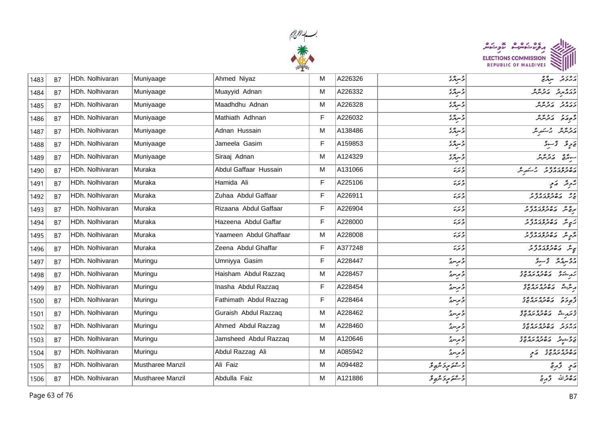



| 1483 | <b>B7</b> | HDh. Nolhivaran | Muniyaage        | Ahmed Niyaz            | M  | A226326 | و سرگری<br>مربرگری                                                                                                                                                                                                              | سرپڙم<br>بر 2 ژ و<br>م                                           |
|------|-----------|-----------------|------------------|------------------------|----|---------|---------------------------------------------------------------------------------------------------------------------------------------------------------------------------------------------------------------------------------|------------------------------------------------------------------|
| 1484 | <b>B7</b> | HDh. Nolhivaran | Muniyaage        | Muayyid Adnan          | M  | A226332 | و سرشری<br>مرس                                                                                                                                                                                                                  | כגם כד גבשת                                                      |
| 1485 | <b>B7</b> | HDh. Nolhivaran | Muniyaage        | Maadhdhu Adnan         | M  | A226328 | د سرگری<br>حر سرگری                                                                                                                                                                                                             | ررە د روشر                                                       |
| 1486 | <b>B7</b> | HDh. Nolhivaran | Muniyaage        | Mathiath Adhnan        | F. | A226032 | و سرگری<br>حر سرگری                                                                                                                                                                                                             | دە ئەركىتى ئەترىگرىگر                                            |
| 1487 | <b>B7</b> | HDh. Nolhivaran | Muniyaage        | Adnan Hussain          | M  | A138486 | و سرگری<br>حر سرگری                                                                                                                                                                                                             | روشرش برستههش                                                    |
| 1488 | <b>B7</b> | HDh. Nolhivaran | Muniyaage        | Jameela Gasim          | F  | A159853 | و په په په<br>د سرگرۍ                                                                                                                                                                                                           | تجاويخر المجاسوفر                                                |
| 1489 | <b>B7</b> | HDh. Nolhivaran | Muniyaage        | Siraaj Adnan           | M  | A124329 | و سرگری<br>تر سرگری                                                                                                                                                                                                             | سوئدة مسترسر المسترسر                                            |
| 1490 | <b>B7</b> | HDh. Nolhivaran | Muraka           | Abdul Gaffaar Hussain  | м  | A131066 | وبرر                                                                                                                                                                                                                            | קפרקקפיק - קייקות<br>הסתיקה תציג - גייקות                        |
| 1491 | <b>B7</b> | HDh. Nolhivaran | Muraka           | Hamida Ali             | F  | A225106 | وبرر                                                                                                                                                                                                                            | يُرْدِيَّزُ - مَارِدٍ                                            |
| 1492 | <b>B7</b> | HDh. Nolhivaran | Muraka           | Zuhaa Abdul Gaffaar    | F  | A226911 | و بر ر<br>حر بر با                                                                                                                                                                                                              | כל גם כסגם ביב<br>ג' גם בתיבו <i>ב ה</i> ציב                     |
| 1493 | <b>B7</b> | HDh. Nolhivaran | Muraka           | Rizaana Abdul Gaffaar  | F  | A226904 | ويرر                                                                                                                                                                                                                            | بره شهر ده ده ده و <del>د</del>                                  |
| 1494 | <b>B7</b> | HDh. Nolhivaran | Muraka           | Hazeena Abdul Gaffar   | F. | A228000 | وبرر                                                                                                                                                                                                                            | ر<br>برې ش مان ده ده ده وس                                       |
| 1495 | <b>B7</b> | HDh. Nolhivaran | Muraka           | Yaameen Abdul Ghaffaar | M  | A228008 | ويرر                                                                                                                                                                                                                            | أثرو به دوه ده د و د                                             |
| 1496 | <b>B7</b> | HDh. Nolhivaran | Muraka           | Zeena Abdul Ghaffar    | F  | A377248 | ويرر                                                                                                                                                                                                                            | ى ئىگە ئەھەردە بەر دەپرىر<br>ئ                                   |
| 1497 | <b>B7</b> | HDh. Nolhivaran | Muringu          | Umniyya Gasim          | F  | A228447 | وحمير سرح                                                                                                                                                                                                                       | 32 <i>سر3</i> پڑھ سر                                             |
| 1498 | <b>B7</b> | HDh. Nolhivaran | Muringu          | Haisham Abdul Razzaq   | M  | A228457 | ومرسر                                                                                                                                                                                                                           | كرم شوى مرە دە مرە بول                                           |
| 1499 | <b>B7</b> | HDh. Nolhivaran | Muringu          | Inasha Abdul Razzaq    | F  | A228454 | وتمرسر                                                                                                                                                                                                                          | د ش <sup>م</sup> د مصرم مره موه<br>م                             |
| 1500 | <b>B7</b> | HDh. Nolhivaran | Muringu          | Fathimath Abdul Razzag | F  | A228464 | ومرسر                                                                                                                                                                                                                           | ر 2 2 2 2 2 2 3 2<br>גים <i>تو</i> ג <i>بو</i> ג بح<br>و په پر د |
| 1501 | <b>B7</b> | HDh. Nolhivaran | Muringu          | Guraish Abdul Razzaq   | м  | A228462 | 3 مرسر <sup>2</sup>                                                                                                                                                                                                             | و برمث می ده ده بره ده<br>تح <i>مد مث</i> می <i>قرار براد</i> ی  |
| 1502 | <b>B7</b> | HDh. Nolhivaran | Muringu          | Ahmed Abdul Razzag     | м  | A228460 | ومرسر                                                                                                                                                                                                                           | ג סג כ גם כם גם ביב<br>הגב ב הם בנה בנה ביב                      |
| 1503 | <b>B7</b> | HDh. Nolhivaran | Muringu          | Jamsheed Abdul Razzaq  | м  | A120646 | و <sub>مرسو</sub> ر<br>ح                                                                                                                                                                                                        | ره شوتر ده وه ره و و<br>  فی شوتر در <i>ها ترو برو</i> یخ        |
| 1504 | <b>B7</b> | HDh. Nolhivaran | Muringu          | Abdul Razzag Ali       | M  | A085942 | ومرسر                                                                                                                                                                                                                           | גם כם גם גיב<br>השינו ינו הב הב                                  |
| 1505 | <b>B7</b> | HDh. Nolhivaran | Mustharee Manzil | Ali Faiz               | M  | A094482 | ۇ ش <sub>ەھ</sub> م پرىز ش <sub>ە</sub> بۇ                                                                                                                                                                                      | ړې ژبرچ                                                          |
| 1506 | <b>B7</b> | HDh. Nolhivaran | Mustharee Manzil | Abdulla Faiz           | M  | A121886 | ۇ سىم ئېرى ئىرىمى ئىلىمىتىلىكى ئىلىمىتىلىكى ئىلىمىتىلىكى ئىلىمىتىلىكى ئىلمان ئىللىكى ئىس ئىلمان ئىلمان ئىلمان<br>مەنبەل ئىلمان ئىلمان ئىلمان ئىلمان ئىلمان ئىلمان ئىلمان ئىلمان ئىلمان ئىلمان ئىلمان ئىلمان ئىلمان ئىلمان ئىلما | مَدْهُ مَرْ اللّهِ وَمِنْ                                        |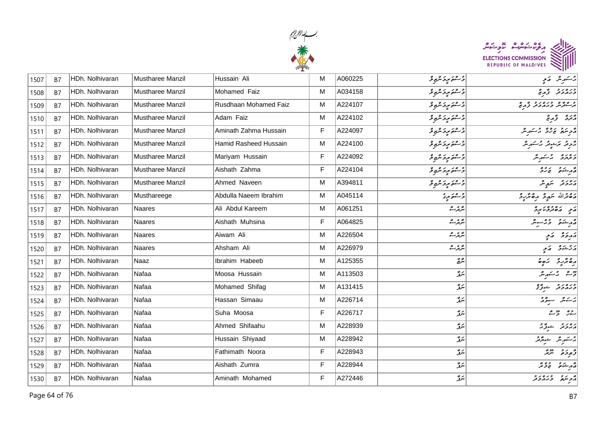



| 1507 | <b>B7</b> | HDh. Nolhivaran | Mustharee Manzil        | Hussain Ali           | м  | A060225 | <mark>ۇ ش<sub>ۇم</sub>رىز</mark> ش <sub>ىر</sub> ۇ | برسكريش الكامي                                                                                                                                                                                                                  |
|------|-----------|-----------------|-------------------------|-----------------------|----|---------|----------------------------------------------------|---------------------------------------------------------------------------------------------------------------------------------------------------------------------------------------------------------------------------------|
| 1508 | <b>B7</b> | HDh. Nolhivaran | <b>Mustharee Manzil</b> | Mohamed Faiz          | M  | A034158 | ۇسىم ئېرى ئىر ئى                                   | ورەرو ۋېرچ                                                                                                                                                                                                                      |
| 1509 | <b>B7</b> | HDh. Nolhivaran | Mustharee Manzil        | Rusdhaan Mohamed Faiz | м  | A224107 | ۇسىم ئېرى ئىر ئى                                   | و ه په وره رو و و                                                                                                                                                                                                               |
| 1510 | <b>B7</b> | HDh. Nolhivaran | <b>Mustharee Manzil</b> | Adam Faiz             | M  | A224102 | ۇ شۇم بېرى ش <sub>كى</sub> ر ۋ                     | أرتمر والمراجح                                                                                                                                                                                                                  |
| 1511 | <b>B7</b> | HDh. Nolhivaran | Mustharee Manzil        | Aminath Zahma Hussain | F. | A224097 | ۇسىم ئېرى ئىر ئى                                   | أأوسم بالمرد والمسكر                                                                                                                                                                                                            |
| 1512 | <b>B7</b> | HDh. Nolhivaran | Mustharee Manzil        | Hamid Rasheed Hussain | м  | A224100 | ۇ سى <i>مۇ بېرى تىرى</i> ر ق                       | تزوقر ترجوقر برسكريش                                                                                                                                                                                                            |
| 1513 | <b>B7</b> | HDh. Nolhivaran | Mustharee Manzil        | Mariyam Hussain       | F. | A224092 | ۇسىم ئېرى ئىر ئى                                   | دەرە جەمر                                                                                                                                                                                                                       |
| 1514 | <b>B7</b> | HDh. Nolhivaran | Mustharee Manzil        | Aishath Zahma         | F  | A224104 | ۋەسىم پېرىڭ مىنجو                                  | وكرمشكم بمردو                                                                                                                                                                                                                   |
| 1515 | <b>B7</b> | HDh. Nolhivaran | Mustharee Manzil        | Ahmed Naveen          | м  | A394811 | ۇ سىم <i>ۇ بېرى تىرى</i> رى                        | ى <i>زەر بىر سىرمى</i> ر                                                                                                                                                                                                        |
| 1516 | <b>B7</b> | HDh. Nolhivaran | Musthareege             | Abdulla Naeem Ibrahim | M  | A045114 | ۇ سەھ <sub>ۇ بىرى</sub><br>مەھمۇ                   | أرە دالله تتمدٍ وحق مراد                                                                                                                                                                                                        |
| 1517 | <b>B7</b> | HDh. Nolhivaran | <b>Naares</b>           | Ali Abdul Kareem      | М  | A061251 | ىگە <i>پى</i> ر م                                  | ر ده ده در ده کرد د                                                                                                                                                                                                             |
| 1518 | <b>B7</b> | HDh. Nolhivaran | <b>Naares</b>           | Aishath Muhsina       | F. | A064825 | پرې ه<br>مربر شر                                   | أقهر شئتموه وجرسوش                                                                                                                                                                                                              |
| 1519 | <b>B7</b> | HDh. Nolhivaran | Naares                  | Aiwam Ali             | м  | A226504 | ىترىزىشە                                           | ړ پروژ کړم                                                                                                                                                                                                                      |
| 1520 | <b>B7</b> | HDh. Nolhivaran | Naares                  | Ahsham Ali            | м  | A226979 | پرې ه<br>مربر شر                                   | پرچستو که پر                                                                                                                                                                                                                    |
| 1521 | <b>B7</b> | HDh. Nolhivaran | Naaz                    | Ibrahim Habeeb        | м  | A125355 | مترج                                               | ەر ھەترىر <i>ۋ</i><br>$\overset{\text{\normalsize{}}}{\circ}\overset{\text{\normalsize{}}}{\circ}\overset{\text{\normalsize{}}}{\sim}$                                                                                          |
| 1522 | <b>B7</b> | HDh. Nolhivaran | Nafaa                   | Moosa Hussain         | м  | A113503 | ىترۇ                                               | در میں برگ میں میں میں میں میں کر ایک ایک ایک کا کہنا ہوا تھا جو ایک ایک ایک ایک کام کا کام کا ایک کام کا کام<br>میرے میں ایک کام کام کام کر کر کر کر کر کر ایک کام کر ایک کام کر ایک کام کر کر کر کر کر کر کر کر کر ایک کام کر |
| 1523 | <b>B7</b> | HDh. Nolhivaran | Nafaa                   | Mohamed Shifag        | м  | A131415 | ىترتى                                              | وبره رو سوژنی                                                                                                                                                                                                                   |
| 1524 | <b>B7</b> | HDh. Nolhivaran | Nafaa                   | Hassan Simaau         | м  | A226714 | ىترتى                                              | يُرْسَدُ سِرْدَةٌ                                                                                                                                                                                                               |
| 1525 | <b>B7</b> | HDh. Nolhivaran | Nafaa                   | Suha Moosa            | F. | A226717 | ىترتر                                              | المنثر المجر مشر                                                                                                                                                                                                                |
| 1526 | <b>B7</b> | HDh. Nolhivaran | Nafaa                   | Ahmed Shifaahu        | м  | A228939 | ىترتى                                              | أرجاح والمحمد والمحمد                                                                                                                                                                                                           |
| 1527 | <b>B7</b> | HDh. Nolhivaran | Nafaa                   | Hussain Shiyaad       | М  | A228942 | ىترتى                                              | 2 سەر شەھەر ئىسىمبىر<br>مەسىم                                                                                                                                                                                                   |
| 1528 | <b>B7</b> | HDh. Nolhivaran | Nafaa                   | Fathimath Noora       | F. | A228943 | ىترتى                                              | تتربتر<br>ۇ بوخ <sub>ى</sub>                                                                                                                                                                                                    |
| 1529 | <b>B7</b> | HDh. Nolhivaran | Nafaa                   | Aishath Zumra         | F. | A228944 | ىترتى                                              | ح ج محر<br>سي حر<br>ا پژ <sub>هر مشوحو</sub>                                                                                                                                                                                    |
| 1530 | <b>B7</b> | HDh. Nolhivaran | Nafaa                   | Aminath Mohamed       | F  | A272446 | ىترتى                                              | أثرجر ورورد                                                                                                                                                                                                                     |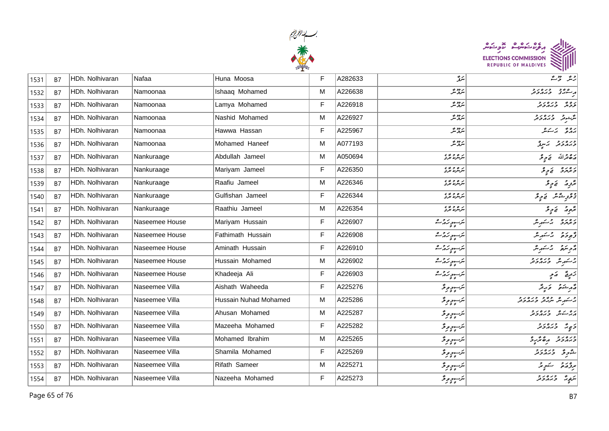



| 1531 | <b>B7</b> | HDh. Nolhivaran | Nafaa          | Huna Moosa                   | F  | A282633 | سَرَدٌ                          | ریمر دیخر ہے                  |
|------|-----------|-----------------|----------------|------------------------------|----|---------|---------------------------------|-------------------------------|
| 1532 | <b>B7</b> | HDh. Nolhivaran | Namoonaa       | Ishaaq Mohamed               | М  | A226638 | ىر دەپىر<br>سرچە ئىش            | أرعدو وره دو                  |
| 1533 | <b>B7</b> | HDh. Nolhivaran | Namoonaa       | Lamya Mohamed                | F  | A226918 | بر دو پر<br>سرچ سر              | وه وره دو                     |
| 1534 | <b>B7</b> | HDh. Nolhivaran | Namoonaa       | Nashid Mohamed               | М  | A226927 | ىر دەپىر<br>سرچە ئىش            | <i>و بر و بر و</i><br> شرشوتر |
| 1535 | <b>B7</b> | HDh. Nolhivaran | Namoonaa       | Hawwa Hassan                 | F. | A225967 | بر دو پر<br>سرچ سر              | برەپ برستىر                   |
| 1536 | <b>B7</b> | HDh. Nolhivaran | Namoonaa       | Mohamed Haneef               | М  | A077193 | ىر دە بۇ<br>سرچە بىر            | دره رو برسرو                  |
| 1537 | <b>B7</b> | HDh. Nolhivaran | Nankuraage     | Abdullah Jameel              | М  | A050694 | ر ه د و و ،<br>سرس بور          | 25مرالله ق حرٍ عر             |
| 1538 | <b>B7</b> | HDh. Nolhivaran | Nankuraage     | Mariyam Jameel               | F. | A226350 | ر ه د و و ،<br>سرس بور          | د پرو په پړې د                |
| 1539 | <b>B7</b> | HDh. Nolhivaran | Nankuraage     | Raafiu Jameel                | М  | A226346 | بر ۵ ۶ و پر د<br>سرسربو مور     | ترورة الأولج                  |
| 1540 | <b>B7</b> | HDh. Nolhivaran | Nankuraage     | Gulfishan Jameel             | F. | A226344 | ر ه د و و ،<br>سرس بور          | ويحريشه فيحيى                 |
| 1541 | <b>B7</b> | HDh. Nolhivaran | Nankuraage     | Raathiu Jameel               | М  | A226354 | ر ه د و و ،<br>سرس مرد          | بمجرور وتحاري                 |
| 1542 | <b>B7</b> | HDh. Nolhivaran | Naseemee House | Mariyam Hussain              | F  | A226907 | ىئەسى <sub>رى</sub> رىدىشە      | دەرە جىمبار                   |
| 1543 | <b>B7</b> | HDh. Nolhivaran | Naseemee House | Fathimath Hussain            | F. | A226908 | ىئەسى <sub>رى</sub> رىدىشە<br>م | قهوخو بمسكريم                 |
| 1544 | <b>B7</b> | HDh. Nolhivaran | Naseemee House | Aminath Hussain              | F. | A226910 | يئ <i>ز پې</i> وپە ئەركىسە      | أأترجع بمسكرهم                |
| 1545 | <b>B7</b> | HDh. Nolhivaran | Naseemee House | Hussain Mohamed              | M  | A226902 | ىئەسپەچە ئەر <sup>ق</sup> ىت    | جسكر عدد ورورو                |
| 1546 | <b>B7</b> | HDh. Nolhivaran | Naseemee House | Khadeeja Ali                 | F. | A226903 | ىئەسى <sub>رى</sub> رىدىشە<br>م | تزمرقے   امکانچ               |
| 1547 | <b>B7</b> | HDh. Nolhivaran | Naseemee Villa | Aishath Waheeda              | F. | A225276 | ىئرسوچە بۇ                      | أمر منقر أو أمريكر            |
| 1548 | <b>B7</b> | HDh. Nolhivaran | Naseemee Villa | <b>Hussain Nuhad Mohamed</b> | М  | A225286 | ىئرسوچە بۇ                      | و کرده دوره در در د           |
| 1549 | <b>B7</b> | HDh. Nolhivaran | Naseemee Villa | Ahusan Mohamed               | М  | A225287 | ىئرسوچە بۇ                      | أروك وره دو                   |
| 1550 | <b>B7</b> | HDh. Nolhivaran | Naseemee Villa | Mazeeha Mohamed              | F  | A225282 | ىئرسوچە بۇ                      | دَي پَر دي ديرو               |
| 1551 | <b>B7</b> | HDh. Nolhivaran | Naseemee Villa | Mohamed Ibrahim              | М  | A225265 | ىئرسوچە يۇ                      | ورەرو رەپرى                   |
| 1552 | <b>B7</b> | HDh. Nolhivaran | Naseemee Villa | Shamila Mohamed              | F. | A225269 | ىئرسوچە بۇ                      | شورقر المجمدان                |
| 1553 | <b>B7</b> | HDh. Nolhivaran | Naseemee Villa | Rifath Sameer                | M  | A225271 | ىئرسوچە بۇ                      | بروژۇ ئەر ئىكە                |
| 1554 | <b>B7</b> | HDh. Nolhivaran | Naseemee Villa | Nazeeha Mohamed              | F. | A225273 | ىئرسوچە بۇ                      | يتنفي تشخيص ورو               |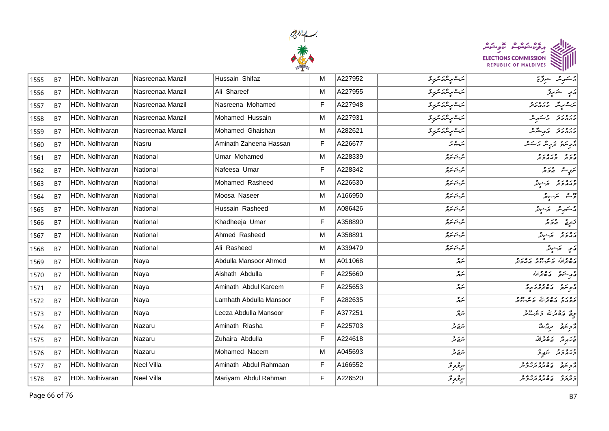



| <b>B7</b> | HDh. Nolhivaran | Nasreenaa Manzil  | Hussain Shifaz          | М  | A227952 | ىئرىشمېرىئىۋىلىر ق                    | ىر سەر شەرقىتى<br>م                                         |
|-----------|-----------------|-------------------|-------------------------|----|---------|---------------------------------------|-------------------------------------------------------------|
| <b>B7</b> | HDh. Nolhivaran | Nasreenaa Manzil  | Ali Shareef             | M  | A227955 | ﯩ <i>ﺰﯨ</i> ≙ﯩﺮﯨ <i>ﯩﺰ, - ﮪﻪﺭ</i> ﮪ   | ړې خېږو                                                     |
| <b>B7</b> | HDh. Nolhivaran | Nasreenaa Manzil  | Nasreena Mohamed        | F. | A227948 | ىئرىشمېرىئىر ئىرىمو ئى                | ىكرىشمېرىگە جەم جەم ج                                       |
| <b>B7</b> | HDh. Nolhivaran | Nasreenaa Manzil  | Mohamed Hussain         | M  | A227931 | ﯩﺮﯨـﻪﺑﭙﯩﮕﯩﻜﯩﮕﯩﻤﻮ 2                    | ورەرو ئەسىر ش                                               |
| <b>B7</b> | HDh. Nolhivaran | Nasreenaa Manzil  | Mohamed Ghaishan        | М  | A282621 | ىئرىشمېرى <i>ترى</i> تىسى ئى          | ورەرو شەشگىر                                                |
| <b>B7</b> | HDh. Nolhivaran | <b>Nasru</b>      | Aminath Zaheena Hassan  | F. | A226677 | ىئرىبىۋىر                             | مەھ سىم ئىر سىر ئەسەر                                       |
| <b>B7</b> | HDh. Nolhivaran | National          | Umar Mohamed            | M  | A228339 | ىرىدىكە ئىرى <i>ۋ</i>                 | כנ כנסנב<br>גביג בגגבע                                      |
| <b>B7</b> | HDh. Nolhivaran | National          | Nafeesa Umar            | F  | A228342 | ى ئەسكەنگىرى<br>مىل                   | سَمِيٍّتُ الْمُرْكَزِّ                                      |
| <b>B7</b> | HDh. Nolhivaran | National          | Mohamed Rasheed         | м  | A226530 | ىگەيىئە مىرى <i>تى</i>                | ورەرو كەشپەر                                                |
| <b>B7</b> | HDh. Nolhivaran | National          | Moosa Naseer            | М  | A166950 | ىگەيىئە مىرى <i>تى</i>                |                                                             |
| <b>B7</b> | HDh. Nolhivaran | National          | Hussain Rasheed         | M  | A086426 | ىگەيىئە مىرى <i>تى</i>                | ر<br>بر کشمیر مگر به بردارد می                              |
| <b>B7</b> | HDh. Nolhivaran | National          | Khadheeja Umar          | F. | A358890 | ىرى <u>، ئە</u> ئىرىجە                | ترىرى ھەكەر                                                 |
| <b>B7</b> | HDh. Nolhivaran | National          | Ahmed Rasheed           | М  | A358891 | ىرى <u>، ئ</u> ەركە                   | كالمرواز المتحصر المراجي                                    |
| <b>B7</b> | HDh. Nolhivaran | National          | Ali Rasheed             | М  | A339479 | ىرىدىكى ئىرى<br>سىرىكى ئىرى <i>گى</i> | كامج المخاطبون                                              |
| <b>B7</b> | HDh. Nolhivaran | Naya              | Abdulla Mansoor Ahmed   | M  | A011068 | سَرْدَّر                              | ره و الله ته هر و د د د د<br>جرح فرالله ته شرب مد جر مدر فر |
| <b>B7</b> | HDh. Nolhivaran | Naya              | Aishath Abdulla         | F. | A225660 | ىئەتر                                 | محمر شوقو محصقرالله                                         |
| <b>B7</b> | HDh. Nolhivaran | Naya              | Aminath Abdul Kareem    | F. | A225653 | ىئەتر                                 | ה כיתם הסיניב עיתם                                          |
| <b>B7</b> | HDh. Nolhivaran | Naya              | Lamhath Abdulla Mansoor | F. | A282635 | ىئەتر                                 | رەرد رەدالله ئەربود                                         |
| <b>B7</b> | HDh. Nolhivaran | Naya              | Leeza Abdulla Mansoor   | F. | A377251 | ىئەتر                                 | ويج صرص قرالله كالربيع                                      |
| <b>B7</b> | HDh. Nolhivaran | Nazaru            | Aminath Riasha          | F  | A225703 | ىرىر جە<br>مىرى ئىر                   | وحريتكم المروشق                                             |
| <b>B7</b> | HDh. Nolhivaran | Nazaru            | Zuhaira Abdulla         | F. | A224618 | ىرىر جە<br>مىرى ئىر                   | تح ترمريحه وكالحدة الله                                     |
| <b>B7</b> | HDh. Nolhivaran | Nazaru            | Mohamed Naeem           | М  | A045693 | ىرىر جە<br>سىنى ئىر                   | ورەرو سَهوڭ                                                 |
| <b>B7</b> | HDh. Nolhivaran | <b>Neel Villa</b> | Aminath Abdul Rahmaan   | F. | A166552 | سرچرېڅر                               | م در ده ده ده ده م                                          |
| <b>B7</b> | HDh. Nolhivaran | <b>Neel Villa</b> | Mariyam Abdul Rahman    | F. | A226520 | سرچونځه                               | ر ہ ر ہ بر د د د ر د د ه<br>تر بر بر ج م اللہ بربرگ         |
|           |                 |                   |                         |    |         |                                       |                                                             |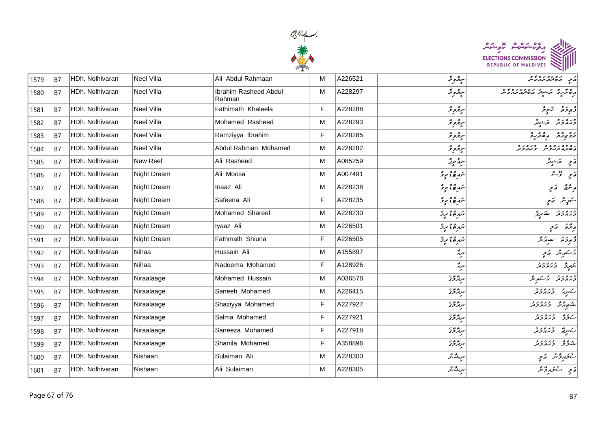



| 1579 | <b>B7</b> | HDh. Nolhivaran | <b>Neel Villa</b>  | Ali Abdul Rahmaan                      | M  | A226521 | سرچرېڅر                             | أم مى مەدەبرە مى                          |
|------|-----------|-----------------|--------------------|----------------------------------------|----|---------|-------------------------------------|-------------------------------------------|
| 1580 | <b>B7</b> | HDh. Nolhivaran | Neel Villa         | <b>Ibrahim Rasheed Abdul</b><br>Rahman | м  | A228297 | سرچویڅر                             | ره مرد برشود ره ده دره ده                 |
| 1581 | <b>B7</b> | HDh. Nolhivaran | <b>Neel Villa</b>  | Fathimath Khaleela                     | F  | A228288 | سرچرېڅر                             | ۇي <sub>م</sub> ۇن <sub>ۇ ش</sub> ېۋ      |
| 1582 | <b>B7</b> | HDh. Nolhivaran | <b>Neel Villa</b>  | Mohamed Rasheed                        | M  | A228293 | سرچویڅر                             | ورەرو كەنبەتر                             |
| 1583 | <b>B7</b> | HDh. Nolhivaran | <b>Neel Villa</b>  | Ramziyya Ibrahim                       | F  | A228285 | سرچرېڅر                             | پروپورېز د موغربه                         |
| 1584 | <b>B7</b> | HDh. Nolhivaran | Neel Villa         | Abdul Rahman Mohamed                   | M  | A228282 | سرچرېڅر                             | גם כסגם מים כגם בב<br>הם נקה בגבית כגה כב |
| 1585 | <b>B7</b> | HDh. Nolhivaran | New Reef           | Ali Rasheed                            | м  | A085259 | سرړنىرو                             | رَمِي - مَرْشِيشْ                         |
| 1586 | <b>B7</b> | HDh. Nolhivaran | <b>Night Dream</b> | Ali Moosa                              | M  | A007491 | ىئەرقۇ ؟ بېر3                       | ړې ده.                                    |
| 1587 | <b>B7</b> | HDh. Nolhivaran | Night Dream        | Inaaz Ali                              | M  | A228238 | ىئىرقۇ ؟ بېر3                       | ەيتىقى مەر                                |
| 1588 | <b>B7</b> | HDh. Nolhivaran | <b>Night Dream</b> | Safeena Ali                            | F  | A228235 | ىئدۇ ؟ بېر3                         | سنوپٹر امیر                               |
| 1589 | <b>B7</b> | HDh. Nolhivaran | Night Dream        | Mohamed Shareef                        | M  | A228230 | ىئىرقۇ ؟ بېر3                       | ورەرو شەرو                                |
| 1590 | <b>B7</b> | HDh. Nolhivaran | Night Dream        | Iyaaz Ali                              | м  | A226501 | ىئدۇ ؟ بېر3                         | ويژنج وكمي                                |
| 1591 | <b>B7</b> | HDh. Nolhivaran | <b>Night Dream</b> | Fathmath Shiuna                        | F  | A226505 | ىئىرقۇ ؟ بېر3                       | ىشوە <i>ر تى</i> گە<br>و په پر د          |
| 1592 | <b>B7</b> | HDh. Nolhivaran | Nihaa              | Hussain Ali                            | M  | A155897 | سرچ                                 | برسكريش الكامي                            |
| 1593 | <b>B7</b> | HDh. Nolhivaran | Nihaa              | Nadeema Mohamed                        | F  | A128926 | سرچ                                 | سَمِرٍ حَدود و                            |
| 1594 | <b>B7</b> | HDh. Nolhivaran | Niraalaage         | Mohamed Hussain                        | M  | A036578 | پر پور ہ<br>سرپور <del>گ</del> ری   | ورەرو ورىم                                |
| 1595 | <b>B7</b> | HDh. Nolhivaran | Niraalaage         | Saneeh Mohamed                         | M  | A226415 | سرپوری                              | سكسرة ورودو                               |
| 1596 | <b>B7</b> | HDh. Nolhivaran | Niraalaage         | Shaziyya Mohamed                       | F  | A227927 | سرپر پوء                            | شكي مهر محمد ورو                          |
| 1597 | <b>B7</b> | HDh. Nolhivaran | Niraalaage         | Salma Mohamed                          | F  | A227921 | سرپڑی کے                            | و رە ر د<br>تر <i>پە</i> گرىز<br>ستوقر    |
| 1598 | <b>B7</b> | HDh. Nolhivaran | Niraalaage         | Saneeza Mohamed                        | F  | A227918 | سرپرڅونه                            | سكسرچ ويرودو                              |
| 1599 | <b>B7</b> | HDh. Nolhivaran | Niraalaage         | Shamla Mohamed                         | F. | A358896 | بر پر پر پر<br>سرپورنو <sub>ک</sub> | شەۋقە ئەيرە بەر                           |
| 1600 | <b>B7</b> | HDh. Nolhivaran | Nishaan            | Sulaiman Ali                           | M  | A228300 | اسريقيقر                            | لتخرج فالمحجم وكالمحيج                    |
| 1601 | <b>B7</b> | HDh. Nolhivaran | Nishaan            | Ali Sulaiman                           | M  | A228305 | اسریشمگر                            | رَمِ سَمْحَدِ تَمَّدُ                     |
|      |           |                 |                    |                                        |    |         |                                     |                                           |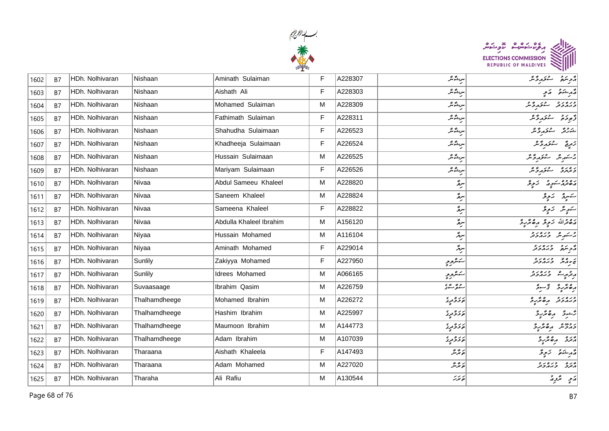



| <b>B7</b> | HDh. Nolhivaran | Nishaan       | Aminath Sulaiman        | F  | A228307 | سرىشەشر    | أأرمر ستتجر ومحمد                               |
|-----------|-----------------|---------------|-------------------------|----|---------|------------|-------------------------------------------------|
| <b>B7</b> | HDh. Nolhivaran | Nishaan       | Aishath Ali             | F  | A228303 | سرىشەشر    | و المراسم في الأمر                              |
| <b>B7</b> | HDh. Nolhivaran | Nishaan       | Mohamed Sulaiman        | M  | A228309 | سرىشەشر    | ورەرو ھۆرگە                                     |
| <b>B7</b> | HDh. Nolhivaran | Nishaan       | Fathimath Sulaiman      | F. | A228311 | سرىشەشر    | قروخو سنخدر شر                                  |
| <b>B7</b> | HDh. Nolhivaran | Nishaan       | Shahudha Sulaimaan      | F. | A226523 | سرىشەشر    | شەرقە سەئەرقىر                                  |
| <b>B7</b> | HDh. Nolhivaran | Nishaan       | Khadheeja Sulaimaan     | F. | A226524 |            | زَمِرِيَّ گَمْ دَرَ دُرُد                       |
| B7        | HDh. Nolhivaran | Nishaan       | Hussain Sulaimaan       | М  | A226525 | سرڪرشر     | برسىر شىم ئىرگە                                 |
| <b>B7</b> | HDh. Nolhivaran | Nishaan       | Mariyam Sulaimaan       | F. | A226526 | سرىشەنگر   | سى <i>نجىر دە</i> گە<br>ر ہ ر ہ<br>تر بربر ژ    |
| <b>B7</b> | HDh. Nolhivaran | Nivaa         | Abdul Sameeu Khaleel    | м  | A228820 | سرچٌ       | دەۋە سوپە ئىچى                                  |
| <b>B7</b> | HDh. Nolhivaran | Nivaa         | Saneem Khaleel          | М  | A228824 | سرچ        | سەسرو تەرو                                      |
| B7        | HDh. Nolhivaran | Nivaa         | Sameena Khaleel         | F. | A228822 | سرچٌ       | التنويثر الزموقر                                |
| <b>B7</b> | HDh. Nolhivaran | Nivaa         | Abdulla Khaleel Ibrahim | м  | A156120 | سرچ        | أرە داللە ئەموقە مەھەتگە يە                     |
| <b>B7</b> | HDh. Nolhivaran | Niyaa         | Hussain Mohamed         | м  | A116104 | سرچر       | ير شهر شهر در در د                              |
| <b>B7</b> | HDh. Nolhivaran | Niyaa         | Aminath Mohamed         | F. | A229014 | سرگر       | أثر شرة المحدود و                               |
| <b>B7</b> | HDh. Nolhivaran | Sunlily       | Zakiyya Mohamed         | F. | A227950 | سەمىرىيە   | בערית בגרפת                                     |
| <b>B7</b> | HDh. Nolhivaran | Sunlily       | Idrees Mohamed          | м  | A066165 | سەمىرىيە   | و رە ر د<br><i>د بە</i> د تر<br>ىر قرىر مە<br>س |
| <b>B7</b> | HDh. Nolhivaran | Suvaasaage    | Ibrahim Qasim           | м  | A226759 | شەھ ئەسىمى | تۇسىۋ<br>ەرھ ئ <sup>ۆ</sup> ر ۋ                 |
| <b>B7</b> | HDh. Nolhivaran | Thalhamdheege | Mohamed Ibrahim         | м  | A226272 | پر ژور ۽   | برە ئۆرۈ<br>و ر ه ر د<br>تر پر پر تر            |
| <b>B7</b> | HDh. Nolhivaran | Thalhamdheege | Hashim Ibrahim          | М  | A225997 | پر ژور ۽   | راشود رەمگرىد                                   |
| <b>B7</b> | HDh. Nolhivaran | Thalhamdheege | Maumoon Ibrahim         | M  | A144773 | پر ژور ء   | برە ئۆر ۋ<br>ىر د دورې                          |
| <b>B7</b> | HDh. Nolhivaran | Thalhamdheege | Adam Ibrahim            | M  | A107039 | پر ژور ۽   | وزره وهتربر                                     |
| <b>B7</b> | HDh. Nolhivaran | Tharaana      | Aishath Khaleela        | F. | A147493 | ە ئەيىر    | مەرخىمى كەچە                                    |
| <b>B7</b> | HDh. Nolhivaran | Tharaana      | Adam Mohamed            | м  | A227020 | ە ئەيۇ     | برره وره رو<br>پرترن وبرپروتر                   |
| <b>B7</b> | HDh. Nolhivaran | Tharaha       | Ali Rafiu               | M  | A130544 | ە ئەرىر    | پر په پروژ                                      |
|           |                 |               |                         |    |         |            | اسريقيقر                                        |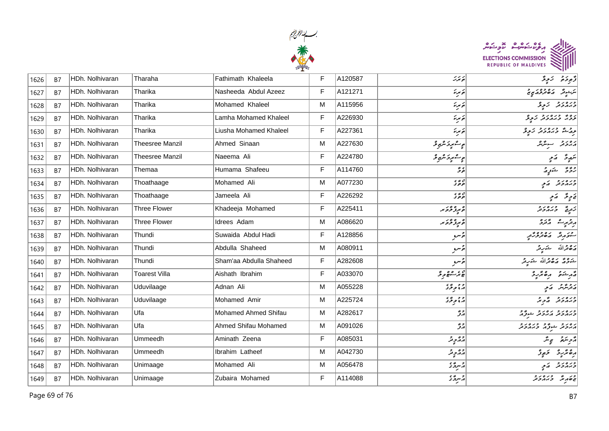



| 1626 | <b>B7</b> | HDh. Nolhivaran | Tharaha                | Fathimath Khaleela      | F  | A120587 | ەئەر                  | ۇي <sub>م</sub> ۇن <sub>ۇ ش</sub> ېۋ    |
|------|-----------|-----------------|------------------------|-------------------------|----|---------|-----------------------|-----------------------------------------|
| 1627 | <b>B7</b> | HDh. Nolhivaran | Tharika                | Nasheeda Abdul Azeez    | F  | A121271 | ە ئىرىد               | ىر شوتى ھەقرى <i>زمىي ج</i>             |
| 1628 | <b>B7</b> | HDh. Nolhivaran | Tharika                | Mohamed Khaleel         | M  | A115956 | ەئمىرىئە              | ورەرو ئېچى                              |
| 1629 | <b>B7</b> | HDh. Nolhivaran | Tharika                | Lamha Mohamed Khaleel   | F. | A226930 | ە ئىرىئە              | رەپ دىرەرد زېږو                         |
| 1630 | <b>B7</b> | HDh. Nolhivaran | Tharika                | Liusha Mohamed Khaleel  | F. | A227361 | ە<br>موسرىئە          | وهفة ويهوفر تويو                        |
| 1631 | <b>B7</b> | HDh. Nolhivaran | <b>Theesree Manzil</b> | Ahmed Sinaan            | м  | A227630 | موسنسر كز شرىر فر     | پرویز سوشریر                            |
| 1632 | <b>B7</b> | HDh. Nolhivaran | <b>Theesree Manzil</b> | Naeema Ali              | F. | A224780 | موسنسر كز شرىر فر     | لتمدِدُ الأمِ                           |
| 1633 | <b>B7</b> | HDh. Nolhivaran | Themaa                 | Humama Shafeeu          | F  | A114760 | ې بو<br>حوف           | رژۇ خۇرۇ                                |
| 1634 | <b>B7</b> | HDh. Nolhivaran | Thoathaage             | Mohamed Ali             | м  | A077230 | ه ده د<br>حوص         | ورەرو كەي                               |
| 1635 | <b>B7</b> | HDh. Nolhivaran | Thoathaage             | Jameela Ali             | F  | A226292 | ه ده د<br>حوص         |                                         |
| 1636 | <b>B7</b> | HDh. Nolhivaran | Three Flower           | Khadeeja Mohamed        | F  | A225411 | ە ئېرىۋىمىتىر         | زَمْرِيحَ وَبَرُورُور                   |
| 1637 | <b>B7</b> | HDh. Nolhivaran | <b>Three Flower</b>    | Idrees Adam             | М  | A086620 | ە بېرۇ ئۇغ بىر        | ړ شرېر شه پر شور د                      |
| 1638 | <b>B7</b> | HDh. Nolhivaran | Thundi                 | Suwaida Abdul Hadi      | F. | A128856 | قحمسعر                | شورپژ روپورتو په                        |
| 1639 | <b>B7</b> | HDh. Nolhivaran | Thundi                 | Abdulla Shaheed         | М  | A080911 | احمسعر                | رە داللە خىرىز                          |
| 1640 | <b>B7</b> | HDh. Nolhivaran | Thundi                 | Sham'aa Abdulla Shaheed | F. | A282608 | قحرسعر                | بنوح كامحدالله خورمر                    |
| 1641 | <b>B7</b> | HDh. Nolhivaran | <b>Toarest Villa</b>   | Aishath Ibrahim         | F  | A033070 | ە ئەرمىق <i>بە</i> ئە | أقهر شدة وهندرة                         |
| 1642 | <b>B7</b> | HDh. Nolhivaran | Uduvilaage             | Adnan Ali               | м  | A055228 | لرجيح عرمحرى          | پر تر سَرَ پر پر پر                     |
| 1643 | <b>B7</b> | HDh. Nolhivaran | Uduvilaage             | Mohamed Amir            | м  | A225724 | 23 عرمح تر            | ورەرد بەر                               |
| 1644 | <b>B7</b> | HDh. Nolhivaran | Ufa                    | Mohamed Ahmed Shifau    | М  | A282617 | دوس                   | ورەر د رەر د شوگە                       |
| 1645 | <b>B7</b> | HDh. Nolhivaran | Ufa                    | Ahmed Shifau Mohamed    | м  | A091026 | دبج                   | رور و مشور ورور و<br>مردوند مشور وبرمان |
| 1646 | <b>B7</b> | HDh. Nolhivaran | Ummeedh                | Aminath Zeena           | F  | A085031 | د ه چه چر<br>  د هرچ  | ړ د سره پې شر                           |
| 1647 | <b>B7</b> | HDh. Nolhivaran | Ummeedh                | Ibrahim Latheef         | м  | A042730 | پر پر چر              | رەنزىر ئەر                              |
| 1648 | <b>B7</b> | HDh. Nolhivaran | Unimaage               | Mohamed Ali             | м  | A056478 | رسم پرچ               | ورەرو كەير                              |
| 1649 | <b>B7</b> | HDh. Nolhivaran | Unimaage               | Zubaira Mohamed         | F. | A114088 | رسمبردی               | 37073 2762                              |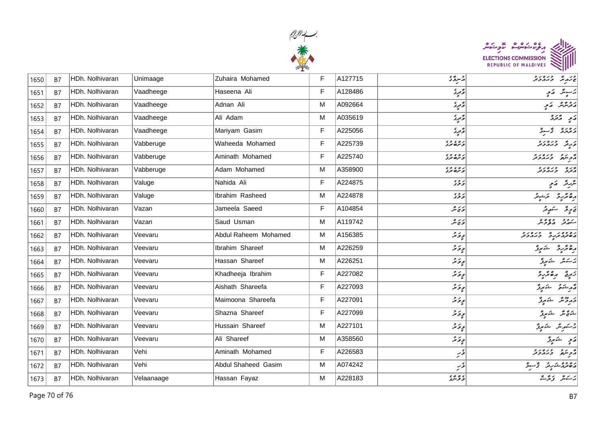



| 1650 | <b>B7</b> | HDh. Nolhivaran | Unimaage   | Zuhaira Mohamed      | F | A127715 | جە سەمبە<br>مەسرچە ئ                  | ة جرير عبر المردور                   |
|------|-----------|-----------------|------------|----------------------|---|---------|---------------------------------------|--------------------------------------|
| 1651 | <b>B7</b> | HDh. Nolhivaran | Vaadheege  | Haseena Ali          | F | A128486 | ۇ تور <sup>ى</sup><br>ھ               | ىزىسىدىكى ئە <i>م</i> چ              |
| 1652 | <b>B7</b> | HDh. Nolhivaran | Vaadheege  | Adnan Ali            | М | A092664 | ۇ<br>قرىمىرى                          | پر تر شرح پر کمی کے پر               |
| 1653 | <b>B7</b> | HDh. Nolhivaran | Vaadheege  | Ali Adam             | М | A035619 | ۇ<br>ق <sub>ە</sub> لى <sub>م</sub> ى | پَه په په پره                        |
| 1654 | <b>B7</b> | HDh. Nolhivaran | Vaadheege  | Mariyam Gasim        | E | A225056 | ۇ<br>قرىم <sub>ە</sub> ر              | ويرور ويجسو                          |
| 1655 | <b>B7</b> | HDh. Nolhivaran | Vabberuge  | Waheeda Mohamed      | F | A225739 | ر ه ر و ر<br>و نره مرد                | د پر د دره د د<br>  د پر د بر د در   |
| 1656 | <b>B7</b> | HDh. Nolhivaran | Vabberuge  | Aminath Mohamed      | F | A225740 | ر ه ، و ،<br>و نره برد                | و رە ر د<br>تر پروتر<br> قمر سَرَة ِ |
| 1657 | <b>B7</b> | HDh. Nolhivaran | Vabberuge  | Adam Mohamed         | М | A358900 | ر ه د د د<br>و نره برد                | أثروه ورورو                          |
| 1658 | <b>B7</b> | HDh. Nolhivaran | Valuge     | Nahida Ali           | F | A224875 | ر و ،<br>ء <del>ف</del> ری            | لتربرقه اركمي                        |
| 1659 | <b>B7</b> | HDh. Nolhivaran | Valuge     | Ibrahim Rasheed      | М | A224878 | ر و ،<br>ء <del>ف</del> ری            | ە ئەرە ئەسىر<br>مەھمەرە ئەسىر        |
| 1660 | <b>B7</b> | HDh. Nolhivaran | Vazan      | Jameela Saeed        | F | A104854 | ر رچ<br>عرب مګر                       | ئے پے شہر شہر                        |
| 1661 | <b>B7</b> | HDh. Nolhivaran | Vazan      | Saud Usman           | м | A119742 | ە ئەشر                                | مرد ده وه ده م                       |
| 1662 | <b>B7</b> | HDh. Nolhivaran | Veevaru    | Abdul Raheem Mohamed | М | A156385 | وٍ وَ تَرُ                            | מסתח מגם פגם קב                      |
| 1663 | <b>B7</b> | HDh. Nolhivaran | Veevaru    | Ibrahim Shareef      | М | A226259 | <sub>عو</sub> ءَ تمر                  | ەھەردە شەرى<br>رەمەرد شەرى           |
| 1664 | <b>B7</b> | HDh. Nolhivaran | Veevaru    | Hassan Shareef       | M | A226251 | عٍ عَرَ مَرْ                          | ىز سىقىر ئىز ئىز بور                 |
| 1665 | <b>B7</b> | HDh. Nolhivaran | Veevaru    | Khadheeja Ibrahim    | F | A227082 | عٍ عَرَمْهُ                           | دَمِيعٌ رِهْتُرْبِهُ                 |
| 1666 | <b>B7</b> | HDh. Nolhivaran | Veevaru    | Aishath Shareefa     | F | A227093 | عٍ عَرَ مَرْ                          | أأمر يشكم المستكبرة                  |
| 1667 | <b>B7</b> | HDh. Nolhivaran | Veevaru    | Maimoona Shareefa    | F | A227091 | عٍ عَرَ مَرْ                          | ر «چمگر ڪمبرگر<br>حر                 |
| 1668 | <b>B7</b> | HDh. Nolhivaran | Veevaru    | Shazna Shareef       | F | A227099 | <sub>حو</sub> حر تر                   | شەچ ئىر سىمىرىر                      |
| 1669 | <b>B7</b> | HDh. Nolhivaran | Veevaru    | Hussain Shareef      | м | A227101 | عٍ عَرَ مَرْ                          | رج سەر شەھ <u>ىد</u> ۇ.<br>مەسىر سىر |
| 1670 | <b>B7</b> | HDh. Nolhivaran | Veevaru    | Ali Shareef          | М | A358560 | عٍ عَرَ سَمَّر                        | أريمو التكاملي وهي                   |
| 1671 | <b>B7</b> | HDh. Nolhivaran | Vehi       | Aminath Mohamed      | F | A226583 | غرسه                                  | أأوبته وبرورو                        |
| 1672 | <b>B7</b> | HDh. Nolhivaran | Vehi       | Abdul Shaheed Gasim  | M | A074242 | غرسر                                  | دەۋە مەر ئەس ئۇسوم                   |
| 1673 | <b>B7</b> | HDh. Nolhivaran | Velaanaage | Hassan Fayaz         | М | A228183 | ې بېژندي<br>حر <del>گ</del> رمنځه     | يز ستاند تو تر شد شد                 |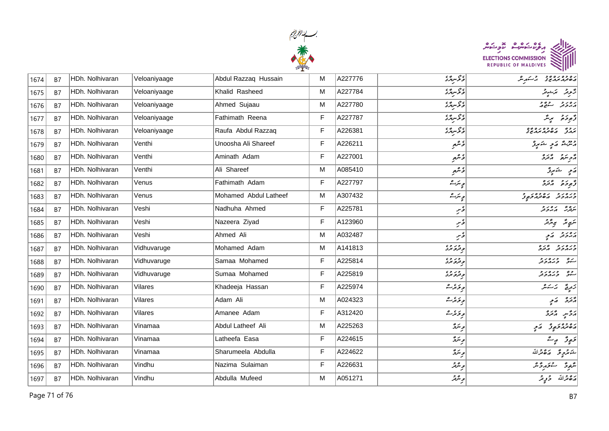



| 1674 | <b>B7</b> | HDh. Nolhivaran | Veloaniyaage   | Abdul Razzaq Hussain  | М  | A227776 | ە ئۇسرى <i>گە</i> ئ                           | נים כים נים בין היי בין לא                                                                                     |
|------|-----------|-----------------|----------------|-----------------------|----|---------|-----------------------------------------------|----------------------------------------------------------------------------------------------------------------|
| 1675 | <b>B7</b> | HDh. Nolhivaran | Veloaniyaage   | Khalid Rasheed        | М  | A227784 | ، <sub>م</sub> حر پر پر پر<br>حر تحر پر پر پر | رام تحریف میں پیشن تھا<br> سامنے میں سینے تھا                                                                  |
| 1676 | <b>B7</b> | HDh. Nolhivaran | Veloaniyaage   | Ahmed Sujaau          | М  | A227780 | ، <sub>م</sub> وسر پر ۽<br>حرڪ سرمري          | د ه د ۶ د ۶ و ۶<br>  د بر <del>د</del> تر د                                                                    |
| 1677 | <b>B7</b> | HDh. Nolhivaran | Veloaniyaage   | Fathimath Reena       | F. | A227787 | ، <sub>م</sub> ه په په<br>ونځس پر             | دَّەبەر قىسىپەتتىر                                                                                             |
| 1678 | <b>B7</b> | HDh. Nolhivaran | Veloaniyaage   | Raufa Abdul Razzaq    | F. | A226381 | ، <sub>م</sub> ې سرچ <sup>ي</sup>             | ر وه ده وه ره وه.<br>  بردگر در محمد برد برخ                                                                   |
| 1679 | <b>B7</b> | HDh. Nolhivaran | Venthi         | Unoosha Ali Shareef   | F. | A226211 | ءُمعبو                                        | رچينځ کړې ځونړنی                                                                                               |
| 1680 | <b>B7</b> | HDh. Nolhivaran | Venthi         | Aminath Adam          | F  | A227001 | ءُ سُعبِ                                      | أأزويتهم أأتره                                                                                                 |
| 1681 | <b>B7</b> | HDh. Nolhivaran | Venthi         | Ali Shareef           | М  | A085410 | ءُ سُرمج                                      | ړَ په شمیرو                                                                                                    |
| 1682 | <b>B7</b> | HDh. Nolhivaran | Venus          | Fathimath Adam        | F  | A227797 | ءٍ سَرَتْہ                                    | وٌمِوحَمٌ ٱدَّىرَهُ                                                                                            |
| 1683 | <b>B7</b> | HDh. Nolhivaran | Venus          | Mohamed Abdul Latheef | М  | A307432 | ء ٍ سَرَتْ                                    | כנסנכ נסכסנב<br>כגובט גם <i>נובפי</i>                                                                          |
| 1684 | <b>B7</b> | HDh. Nolhivaran | Veshi          | Nadhuha Ahmed         | F. | A225781 | ء<br>حرمر                                     | بترور برور و                                                                                                   |
| 1685 | <b>B7</b> | HDh. Nolhivaran | Veshi          | Nazeera Ziyad         | F  | A123960 | ء<br>حرمر                                     | سَمِهِ مَدْ سَمِ تَرْمَدُ                                                                                      |
| 1686 | <b>B7</b> | HDh. Nolhivaran | Veshi          | Ahmed Ali             | M  | A032487 | ء<br>حرمر                                     | پروژ پر پر                                                                                                     |
| 1687 | <b>B7</b> | HDh. Nolhivaran | Vidhuvaruge    | Mohamed Adam          | М  | A141813 | و ر و ،<br>ج <sup>و</sup> ره برد              | כנסנכ שנס                                                                                                      |
| 1688 | <b>B7</b> | HDh. Nolhivaran | Vidhuvaruge    | Samaa Mohamed         | F. | A225814 | و د د د ،<br>و ترو نر د                       | ر دره دره د                                                                                                    |
| 1689 | <b>B7</b> | HDh. Nolhivaran | Vidhuvaruge    | Sumaa Mohamed         | F  | A225819 | و د و ء<br>ح <sub>ي</sub> تر <i>ه ب</i> رد    | روه وره رو<br>سنو وبرورونر                                                                                     |
| 1690 | <b>B7</b> | HDh. Nolhivaran | <b>Vilares</b> | Khadeeja Hassan       | F. | A225974 | وبخترشه                                       | زَمِرِةٌ   بَرَسَاسٌ                                                                                           |
| 1691 | <b>B7</b> | HDh. Nolhivaran | Vilares        | Adam Ali              | М  | A024323 | ە ئەئىر شە                                    | پر تر پر پر                                                                                                    |
| 1692 | <b>B7</b> | HDh. Nolhivaran | Vilares        | Amanee Adam           | F  | A312420 | وبخرشه                                        | پرځس پر پره                                                                                                    |
| 1693 | <b>B7</b> | HDh. Nolhivaran | Vinamaa        | Abdul Latheef Ali     | М  | A225263 | عريتر                                         | ره ده د کو د کار د کار د کار د کار د کار د کار د کار د کار د کار د کار د کار د کار د کار د کار د کار د کار د ک |
| 1694 | <b>B7</b> | HDh. Nolhivaran | Vinamaa        | Latheefa Easa         | F  | A224615 | حريترقحه                                      | خبورٌ په پُ                                                                                                    |
| 1695 | <b>B7</b> | HDh. Nolhivaran | Vinamaa        | Sharumeela Abdulla    | F  | A224622 | عريترقته                                      | شەمرەپەتتى برەقىراللە                                                                                          |
| 1696 | <b>B7</b> | HDh. Nolhivaran | Vindhu         | Nazima Sulaiman       | F. | A226631 | عريثر                                         | شَعِرِ حَمَدَ سَمَرَ مِنْ                                                                                      |
| 1697 | <b>B7</b> | HDh. Nolhivaran | Vindhu         | Abdulla Mufeed        | M  | A051271 | حريثرقر                                       | رَصْحَرَاللّهُ خَرَبِهِ مَرْ                                                                                   |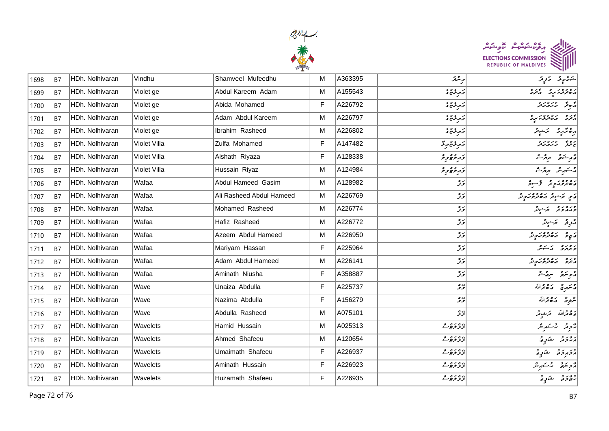



| 1698 | B7        | HDh. Nolhivaran | Vindhu       | Shamveel Mufeedhu        | м  | A363395 | ويثرفر                            | أحكوهم والمحمج وتمراته                 |
|------|-----------|-----------------|--------------|--------------------------|----|---------|-----------------------------------|----------------------------------------|
| 1699 | <b>B7</b> | HDh. Nolhivaran | Violet ge    | Abdul Kareem Adam        | М  | A155543 | ىر بەرە ئ                         | ره وه دره مدده<br>مان ورد برد مدد      |
| 1700 | <b>B7</b> | HDh. Nolhivaran | Violet ge    | Abida Mohamed            | F. | A226792 | تەرىخى ئ                          | و وره د و<br>موتر وبرم د               |
| 1701 | <b>B7</b> | HDh. Nolhivaran | Violet ge    | Adam Abdul Kareem        | м  | A226797 | تەرىخى ئ                          | وره ده ده ده کرد                       |
| 1702 | <b>B7</b> | HDh. Nolhivaran | Violet ge    | Ibrahim Rasheed          | М  | A226802 | ءَ مرءُ هوء                       | رە ئرىر ئىن ئىشىر                      |
| 1703 | <b>B7</b> | HDh. Nolhivaran | Violet Villa | Zulfa Mohamed            | F. | A147482 | ءَرِ دَعْ ءِ دَّ                  | وه وره رو<br>بحرق وبردونر              |
| 1704 | <b>B7</b> | HDh. Nolhivaran | Violet Villa | Aishath Riyaza           | F. | A128338 | ئەرىۋە بۇ ئە                      | قەرشىقى موشت                           |
| 1705 | <b>B7</b> | HDh. Nolhivaran | Violet Villa | Hussain Riyaz            | м  | A124984 | ءَرِ دَءٌ ءِ دَّ                  | يز سكر مثل مريكر ميكر                  |
| 1706 | <b>B7</b> | HDh. Nolhivaran | Wafaa        | Abdul Hameed Gasim       | м  | A128982 | ءً وَ                             | גַ בּבּבְ, בְּבַל בְּבִי פ             |
| 1707 | <b>B7</b> | HDh. Nolhivaran | Wafaa        | Ali Rasheed Abdul Hameed | м  | A226769 | ىرتى                              | ړې پرېشونز ډېروبرو د                   |
| 1708 | <b>B7</b> | HDh. Nolhivaran | Wafaa        | Mohamed Rasheed          | М  | A226774 | ىرگ                               | دره در محمد موقر<br>  دبر در محمد موقر |
| 1709 | <b>B7</b> | HDh. Nolhivaran | Wafaa        | Hafiz Rasheed            | М  | A226772 | ىرتى                              | چ <sub>و</sub> نچ پرڪوٽر               |
| 1710 | <b>B7</b> | HDh. Nolhivaran | Wafaa        | Azeem Abdul Hameed       | м  | A226950 | ىرتى                              | ر<br>موج مەھىر دىر دىر                 |
| 1711 | <b>B7</b> | HDh. Nolhivaran | Wafaa        | Mariyam Hassan           | F. | A225964 | ىرتى                              | د مرده پر پر پر                        |
| 1712 | <b>B7</b> | HDh. Nolhivaran | Wafaa        | Adam Abdul Hameed        | м  | A226141 | ىرتى                              | وره ده ده دور د                        |
| 1713 | <b>B7</b> | HDh. Nolhivaran | Wafaa        | Aminath Niusha           | F. | A358887 | ءً وَ                             | أأدجر ستركم المتحرك والمتنبية          |
| 1714 | <b>B7</b> | HDh. Nolhivaran | Wave         | Unaiza Abdulla           | F  | A225737 | پے ہ<br>  حر ح                    | أصنعت صكائله                           |
| 1715 | <b>B7</b> | HDh. Nolhivaran | Wave         | Nazima Abdulla           | F  | A156279 | ړه ه<br>حرح                       | سَّعْرِيَّة صَ <b>صَد</b> َاللَّه      |
| 1716 | <b>B7</b> | HDh. Nolhivaran | Wave         | Abdulla Rasheed          | М  | A075101 | ء ہ<br>  حرح                      | رەقراللە ئىرىدىر                       |
| 1717 | <b>B7</b> | HDh. Nolhivaran | Wavelets     | Hamid Hussain            | M  | A025313 | ، <i>، ، ، ، و</i><br>حرم عوضه    | رحوقه الرحمانية                        |
| 1718 | <b>B7</b> | HDh. Nolhivaran | Wavelets     | Ahmed Shafeeu            | М  | A120654 | ړه ده ه<br>وونو ه                 | رەر ئىرو                               |
| 1719 | <b>B7</b> | HDh. Nolhivaran | Wavelets     | Umaimath Shafeeu         | F. | A226937 | ړ <u>، ه د ه</u><br>وونو <u>ه</u> | 25, جاء الشكور المحمد المحمد المحمد    |
| 1720 | <b>B7</b> | HDh. Nolhivaran | Wavelets     | Aminath Hussain          | F. | A226923 | <i>ا</i> ی ه ی ه ه<br>ه د د ه ه   | أوالله والمسترامل                      |
| 1721 | <b>B7</b> | HDh. Nolhivaran | Wavelets     | Huzamath Shafeeu         | F. | A226935 | ، <i>، ه ، ه ه</i>                | ر پر د سکور ک                          |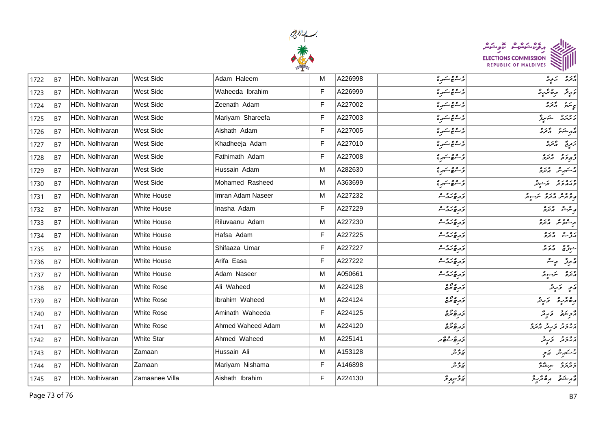



| 1722 | <b>B7</b> | HDh. Nolhivaran | <b>West Side</b>  | Adam Haleem       | м  | A226998 | ء مصطبر ہے<br> حریف مسر                 | ړ ترو پر دو                               |
|------|-----------|-----------------|-------------------|-------------------|----|---------|-----------------------------------------|-------------------------------------------|
| 1723 | <b>B7</b> | HDh. Nolhivaran | West Side         | Waheeda Ibrahim   | F  | A226999 | وسقط سنهرء                              | ۇب <sub>و</sub> تر مۇترىرى<br>م           |
| 1724 | <b>B7</b> | HDh. Nolhivaran | West Side         | Zeenath Adam      | F  | A227002 | ۇ شۇ ھەسىر ؟                            | ىم ئىر ئەزگە                              |
| 1725 | <b>B7</b> | HDh. Nolhivaran | West Side         | Mariyam Shareefa  | F. | A227003 | $\frac{1}{2}$                           | و وره شهروٌ                               |
| 1726 | <b>B7</b> | HDh. Nolhivaran | West Side         | Aishath Adam      | F. | A227005 | ۇ شۇ ھەسىر ؟                            | و شهر دره<br>مهر شوم محمد                 |
| 1727 | <b>B7</b> | HDh. Nolhivaran | West Side         | Khadheeja Adam    | F. | A227010 | وسقط سكرة                               | زَمرِيَّ گُرَمَرُّ                        |
| 1728 | <b>B7</b> | HDh. Nolhivaran | West Side         | Fathimath Adam    | F. | A227008 | وسقوستهره                               | وٌموحَمٌ مُرَّمَرٌ                        |
| 1729 | <b>B7</b> | HDh. Nolhivaran | West Side         | Hussain Adam      | м  | A282630 | $\frac{1}{2}$                           | برستير شهره                               |
| 1730 | <b>B7</b> | HDh. Nolhivaran | West Side         | Mohamed Rasheed   | M  | A363699 | ءِ ص <sub>ق</sub> ھ سَ <sub>مب</sub> ءِ | وره ر و محرشوش                            |
| 1731 | <b>B7</b> | HDh. Nolhivaran | White House       | Imran Adam Naseer | М  | A227232 | ەر ۋىر ئە                               | ە ئەمەم ئەرە بەر بەر                      |
| 1732 | <b>B7</b> | HDh. Nolhivaran | White House       | Inasha Adam       | F. | A227229 | ەر ۋىر ئە                               |                                           |
| 1733 | <b>B7</b> | HDh. Nolhivaran | White House       | Riluvaanu Adam    | М  | A227230 | ەر ۋىر ئە                               | أبر شوڭرىر ئەرە                           |
| 1734 | <b>B7</b> | HDh. Nolhivaran | White House       | Hafsa Adam        | F. | A227225 | ءَ مرچ رَ مُرَ ٿُ                       | پروٹ پر دور                               |
| 1735 | <b>B7</b> | HDh. Nolhivaran | White House       | Shifaaza Umar     | F  | A227227 | ەرەر ئەر                                | ەرىر<br>ىشى <i>رۇ</i> ئىچ                 |
| 1736 | <b>B7</b> | HDh. Nolhivaran | White House       | Arifa Easa        | F. | A227222 | ئەرقۇرىر م                              | ړېږ په                                    |
| 1737 | <b>B7</b> | HDh. Nolhivaran | White House       | Adam Naseer       | М  | A050661 | ەر ۋىر ئە                               | ەرە سەبىر                                 |
| 1738 | <b>B7</b> | HDh. Nolhivaran | <b>White Rose</b> | Ali Waheed        | M  | A224128 | ورءيء                                   | كدمج المحاريثر                            |
| 1739 | <b>B7</b> | HDh. Nolhivaran | White Rose        | Ibrahim Waheed    | М  | A224124 | ورقوعه                                  | رەڭرە ئەبىر                               |
| 1740 | <b>B7</b> | HDh. Nolhivaran | <b>White Rose</b> | Aminath Waheeda   | F. | A224125 | ورقوعه                                  | ړٌ د سَرة کله د پر په ک                   |
| 1741 | <b>B7</b> | HDh. Nolhivaran | <b>White Rose</b> | Ahmed Waheed Adam | M  | A224120 | ورءيء                                   | ג 2 ב 5 ב 1 ב 2 ב                         |
| 1742 | <b>B7</b> | HDh. Nolhivaran | <b>White Star</b> | Ahmed Waheed      | М  | A225141 | عَ مرقع ڪئھَ سر                         | پرەر ئىر ئەر                              |
| 1743 | <b>B7</b> | HDh. Nolhivaran | Zamaan            | Hussain Ali       | М  | A153128 | ىر ئە ھ                                 | پرست <sub>م</sub> یک میتنی میتنی          |
| 1744 | <b>B7</b> | HDh. Nolhivaran | Zamaan            | Mariyam Nishama   | F  | A146898 | ىر ئەھر                                 | سرڪرگر<br>ر ہ ر ہ<br>تر <del>ب</del> ر بر |
| 1745 | <b>B7</b> | HDh. Nolhivaran | Zamaanee Villa    | Aishath Ibrahim   | F. | A224130 | ئەۋسىرە ئە                              | مەرشىق مەھترىرى                           |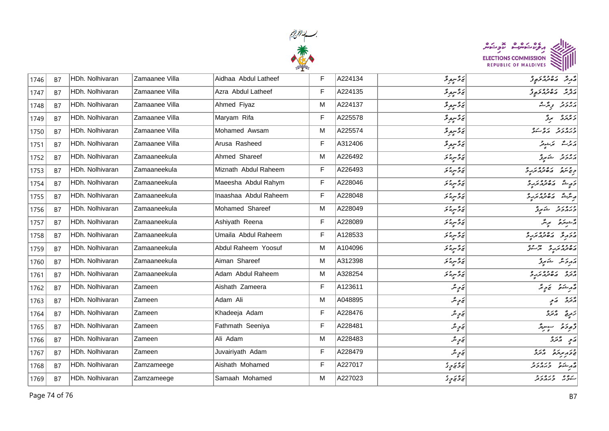



| 1746 | <b>B7</b> | HDh. Nolhivaran | Zamaanee Villa | Aidhaa Abdul Latheef  | F. | A224134 | ئەۋسپەيەقە  | أشرش مەھىرم خېرى                                   |
|------|-----------|-----------------|----------------|-----------------------|----|---------|-------------|----------------------------------------------------|
| 1747 | <b>B7</b> | HDh. Nolhivaran | Zamaanee Villa | Azra Abdul Latheef    | F  | A224135 | ئچ ئەسرە بۇ | رەپ رەدەر ۋ                                        |
| 1748 | <b>B7</b> | HDh. Nolhivaran | Zamaanee Villa | Ahmed Fiyaz           | М  | A224137 | ئەۋسپەرتى   | ړور ولگ                                            |
| 1749 | <b>B7</b> | HDh. Nolhivaran | Zamaanee Villa | Maryam Rifa           | F. | A225578 | ئەۋسپەيۇ    | ر ہ ر ہ<br>تر بربر ژ<br>ىجواتى                     |
| 1750 | <b>B7</b> | HDh. Nolhivaran | Zamaanee Villa | Mohamed Awsam         | М  | A225574 | ئەۋسپەيە    | ورەرو رەررە                                        |
| 1751 | <b>B7</b> | HDh. Nolhivaran | Zamaanee Villa | Arusa Rasheed         | F  | A312406 | ئەۋسپەيە    | پر جر شمس سمکھ سر                                  |
| 1752 | B7        | HDh. Nolhivaran | Zamaaneekula   | Ahmed Shareef         | М  | A226492 | ئەۋسپەتمۇ   | برەر دېمبرو په                                     |
| 1753 | <b>B7</b> | HDh. Nolhivaran | Zamaaneekula   | Miznath Abdul Raheem  | F  | A226493 | ئەۋسرىدىخە  | د درو ده دوه دره<br>د مسره ماه در در در            |
| 1754 | <b>B7</b> | HDh. Nolhivaran | Zamaaneekula   | Maeesha Abdul Rahym   | F  | A228046 | ئەۋسپەتمۇ   | د ميش مەمدىر ق                                     |
| 1755 | <b>B7</b> | HDh. Nolhivaran | Zamaaneekula   | Inaashaa Abdul Raheem | F. | A228048 | ئۇ ئەسپەتمۇ | مرسَّنْ مُقْدِمْ مَرْدِدْ                          |
| 1756 | <b>B7</b> | HDh. Nolhivaran | Zamaaneekula   | Mohamed Shareef       | М  | A228049 | ئۇ ئەسپەتمۇ | دېرورو ځېږو                                        |
| 1757 | B7        | HDh. Nolhivaran | Zamaaneekula   | Ashiyath Reena        | F  | A228089 | ئەۋسپەتمۇ   | أأرشواركم والممينار                                |
| 1758 | <b>B7</b> | HDh. Nolhivaran | Zamaaneekula   | Umaila Abdul Raheem   | F  | A128533 | ئەۋسپەتمۇ   | وروق مەمەمدىر                                      |
| 1759 | <b>B7</b> | HDh. Nolhivaran | Zamaaneekula   | Abdul Raheem Yoosuf   | M  | A104096 | ئەۋسپەتمۇ   | גם כם גם נכפס<br>הסנקה הגב"ת יית                   |
| 1760 | <b>B7</b> | HDh. Nolhivaran | Zamaaneekula   | Aiman Shareef         | м  | A312398 | ئەۋسپەتمۇ   | <i>ړېږ ش</i> رو                                    |
| 1761 | B7        | HDh. Nolhivaran | Zamaaneekula   | Adam Abdul Raheem     | м  | A328254 | ئەۋسپەتمۇ   | وره ده ده در و                                     |
| 1762 | <b>B7</b> | HDh. Nolhivaran | Zameen         | Aishath Zameera       | F  | A123611 | ئچ ج مگر    | مەر ئىكى تەر ئىگە                                  |
| 1763 | <b>B7</b> | HDh. Nolhivaran | Zameen         | Adam Ali              | М  | A048895 | ئچ چەنگر    | ړو ړې                                              |
| 1764 | <b>B7</b> | HDh. Nolhivaran | Zameen         | Khadeeja Adam         | F. | A228476 | ئىچە تىر    | زَمرِيَّ گُرَمَرُّ                                 |
| 1765 | <b>B7</b> | HDh. Nolhivaran | Zameen         | Fathmath Seeniya      | F  | A228481 | ئىچە تىر    | و <sub>جو</sub> ځ پر<br>سىيەسرىگر<br>ئ             |
| 1766 | <b>B7</b> | HDh. Nolhivaran | Zameen         | Ali Adam              | М  | A228483 | ئىچە تىر    | ړ په دو                                            |
| 1767 | <b>B7</b> | HDh. Nolhivaran | Zameen         | Juvairiyath Adam      | F  | A228479 | ئىچە تىر    | <br>  نے قرم مرمرمو<br>پژ <sub>گر</sub> ه<br>مرکزو |
| 1768 | <b>B7</b> | HDh. Nolhivaran | Zamzameege     | Aishath Mohamed       | F  | A227017 | ئەۋ ئەچ ئە  | و ر ه ر و<br><i>و پر</i> و تر<br>لقرمر يمنعو       |
| 1769 | <b>B7</b> | HDh. Nolhivaran | Zamzameege     | Samaah Mohamed        | м  | A227023 | ئ ڈ ئ ج ڈ   | ر ده وره دو                                        |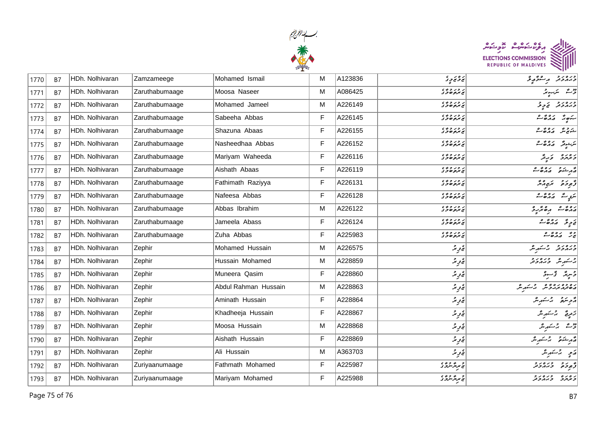



| 1770 | <b>B7</b> | HDh. Nolhivaran | Zamzameege     | Mohamed Ismail       | м  | A123836 | ئەۋىئە جەتمە                           | ورەرو روشۇر                                           |
|------|-----------|-----------------|----------------|----------------------|----|---------|----------------------------------------|-------------------------------------------------------|
| 1771 | <b>B7</b> | HDh. Nolhivaran | Zaruthabumaage | Moosa Naseer         | M  | A086425 | ر ور و ده و<br>بح بوړه <del>و</del> و  | وقت الكرسوم <u>ة</u>                                  |
| 1772 | <b>B7</b> | HDh. Nolhivaran | Zaruthabumaage | Mohamed Jameel       | М  | A226149 | ر ور و ده پر<br>بح بوړه <del>و</del> د | دبره بر دبان مع پر تر                                 |
| 1773 | <b>B7</b> | HDh. Nolhivaran | Zaruthabumaage | Sabeeha Abbas        | F. | A226145 | ر ور و ده و<br>بح بوړه <del>و</del> و  | $2822 - 287$                                          |
| 1774 | <b>B7</b> | HDh. Nolhivaran | Zaruthabumaage | Shazuna Abaas        | F. | A226155 | ر ور و ده و<br>پخ مرج ن و د            | شەرە رەۋ ب                                            |
| 1775 | <b>B7</b> | HDh. Nolhivaran | Zaruthabumaage | Nasheedhaa Abbas     | F. | A226152 | ر ور و د »<br>پخ مره ه و د             | سَ شَرْقَہ مَ مَ مَرْدَةٌ كُ                          |
| 1776 | B7        | HDh. Nolhivaran | Zaruthabumaage | Mariyam Waheeda      | F. | A226116 | ر ور و ده پر<br>بح بوړه <del>و</del> د | رەرە رېڭ                                              |
| 1777 | <b>B7</b> | HDh. Nolhivaran | Zaruthabumaage | Aishath Abaas        | F. | A226119 | ر در د ده د<br>بخ بره ه ژ د            | 2501<br>لقرمر يمتعو                                   |
| 1778 | <b>B7</b> | HDh. Nolhivaran | Zaruthabumaage | Fathimath Raziyya    | F. | A226131 | ر ور و ده و<br>بح بوړه <del>و</del> د  | وتجوختم بموارش                                        |
| 1779 | <b>B7</b> | HDh. Nolhivaran | Zaruthabumaage | Nafeesa Abbas        | F. | A226128 | ر ور و ده پر<br>بح بوړه <del>و</del> د | سَرٍے  دکھے۔                                          |
| 1780 | <b>B7</b> | HDh. Nolhivaran | Zaruthabumaage | Abbas Ibrahim        | м  | A226122 | ر ور و ده و<br>پخ مردمی فر د           |                                                       |
| 1781 | <b>B7</b> | HDh. Nolhivaran | Zaruthabumaage | Jameela Abass        | F. | A226124 | ر ور و ده پر<br>بح بوړه <del>و</del> د | أَيَا حِي فَارْدُهُ حَسَنَ اللَّهُ عَلَى اللَّهُ      |
| 1782 | <b>B7</b> | HDh. Nolhivaran | Zaruthabumaage | Zuha Abbas           | F. | A225983 | ر ور و ده و<br>پخ مردمی فر د           | 25222                                                 |
| 1783 | <b>B7</b> | HDh. Nolhivaran | Zephir         | Mohamed Hussain      | М  | A226575 | ئى پەتتە                               | ورەرو وسەرش                                           |
| 1784 | <b>B7</b> | HDh. Nolhivaran | Zephir         | Hussain Mohamed      | М  | A228859 | ئى پەتتە                               | جر مكر مركز ويروجع                                    |
| 1785 | <b>B7</b> | HDh. Nolhivaran | Zephir         | Muneera Qasim        | F  | A228860 | ئى پەتتە                               | دېرېگە گۆسۈم                                          |
| 1786 | <b>B7</b> | HDh. Nolhivaran | Zephir         | Abdul Rahman Hussain | м  | A228863 | ئچ پو پټر                              | رەدەرەپەر برىكرىش                                     |
| 1787 | <b>B7</b> | HDh. Nolhivaran | Zephir         | Aminath Hussain      | F  | A228864 | لج وبتر                                | ۇ جەمئە ئەسكەر بىر                                    |
| 1788 | <b>B7</b> | HDh. Nolhivaran | Zephir         | Khadheeja Hussain    | F. | A228867 | ئى پەتتە                               | تزميرق المرشر مثر مثر                                 |
| 1789 | <b>B7</b> | HDh. Nolhivaran | Zephir         | Moosa Hussain        | м  | A228868 | ځ نو مڅه                               | وحث برستهريش                                          |
| 1790 | <b>B7</b> | HDh. Nolhivaran | Zephir         | Aishath Hussain      | F. | A228869 | ئج و پر                                | أقهر منتفرة المرشر المراشر                            |
| 1791 | <b>B7</b> | HDh. Nolhivaran | Zephir         | Ali Hussain          | м  | A363703 | ځ پر تر                                | أقنعي الجاسكيريثل                                     |
| 1792 | <b>B7</b> | HDh. Nolhivaran | Zuriyaanumaage | Fathmath Mohamed     | F. | A225987 | م <sub>مرم</sub> ر شرح ی<br>م          | و رە ر د<br><i>د بر</i> گرىر<br>و څو څخه              |
| 1793 | <b>B7</b> | HDh. Nolhivaran | Zuriyaanumaage | Mariyam Mohamed      | F  | A225988 | و مرتز سرچ ي<br>پم مرتز سرچ ي          | و رە ر د<br>تر پروتر<br>ر ه ر ه<br><del>د</del> بربرد |